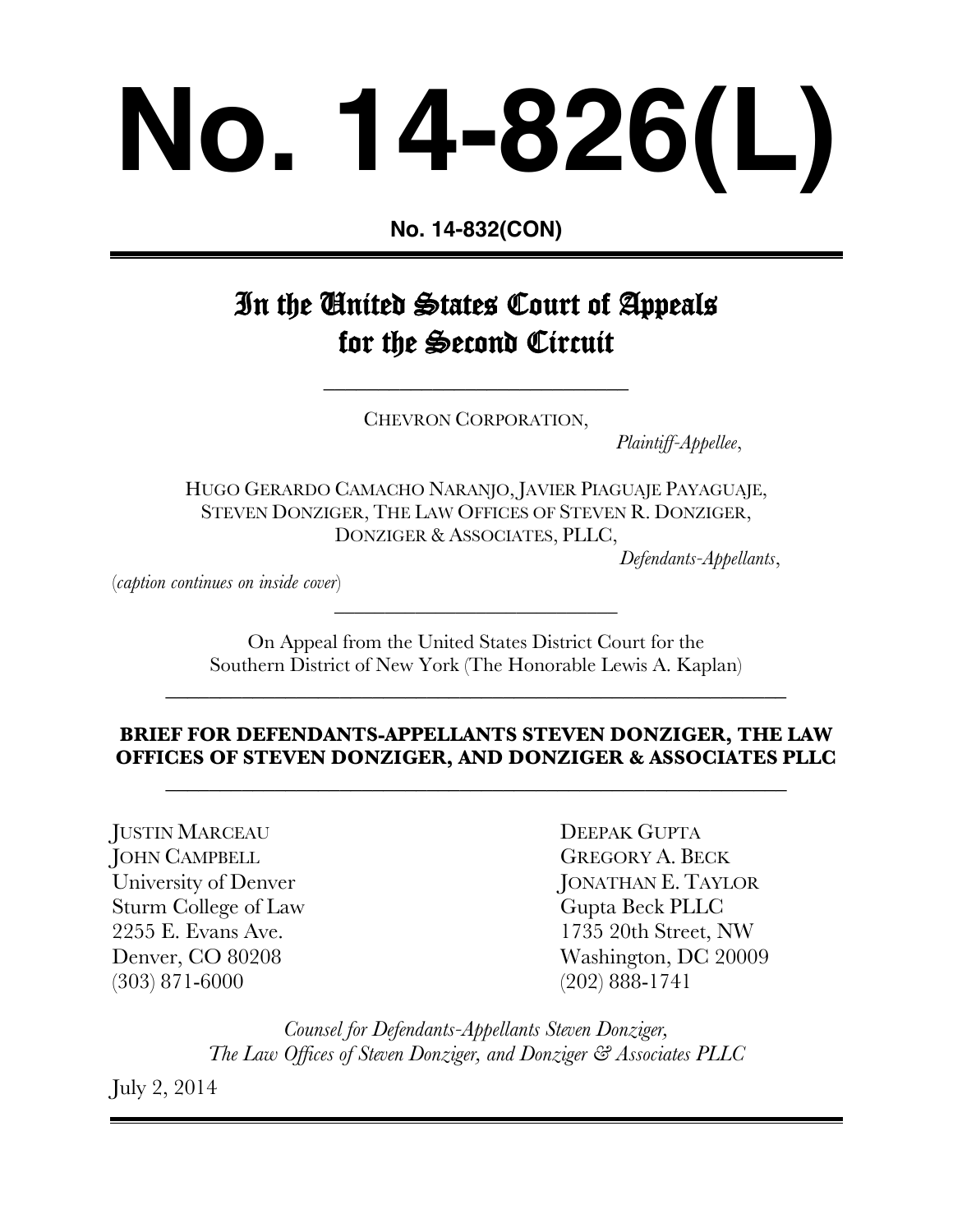# **No. 14-826(L)**

**No. 14-832(CON)**

# In the United States Court of Appeals for the Second Circuit

CHEVRON CORPORATION,

\_\_\_\_\_\_\_\_\_\_\_\_\_\_\_\_\_\_\_\_\_\_\_\_\_\_\_\_

*Plaintiff-Appellee*,

HUGO GERARDO CAMACHO NARANJO, JAVIER PIAGUAJE PAYAGUAJE, STEVEN DONZIGER, THE LAW OFFICES OF STEVEN R. DONZIGER, DONZIGER & ASSOCIATES, PLLC,

*Defendants-Appellants*,

(*caption continues on inside cover*)

On Appeal from the United States District Court for the Southern District of New York (The Honorable Lewis A. Kaplan)

\_\_\_\_\_\_\_\_\_\_\_\_\_\_\_\_\_\_\_\_\_\_\_\_\_\_\_\_\_\_\_\_\_\_\_\_\_\_\_\_\_\_\_\_\_\_\_\_\_\_\_\_\_\_\_\_\_

\_\_\_\_\_\_\_\_\_\_\_\_\_\_\_\_\_\_\_\_\_\_\_\_\_\_\_\_

# **BRIEF FOR DEFENDANTS-APPELLANTS STEVEN DONZIGER, THE LAW OFFICES OF STEVEN DONZIGER, AND DONZIGER & ASSOCIATES PLLC**

\_\_\_\_\_\_\_\_\_\_\_\_\_\_\_\_\_\_\_\_\_\_\_\_\_\_\_\_\_\_\_\_\_\_\_\_\_\_\_\_\_\_\_\_\_\_\_\_\_\_\_\_\_\_\_\_\_

JUSTIN MARCEAU DEEPAK GUPTA **JOHN CAMPBELL GREGORY A. BECK** Sturm College of Law Gupta Beck PLLC (303) 871-6000 (202) 888-1741

University of Denver JONATHAN E. TAYLOR 2255 E. Evans Ave. 1735 20th Street, NW Denver, CO 80208 Washington, DC 20009

> *Counsel for Defendants-Appellants Steven Donziger, The Law Offices of Steven Donziger, and Donziger & Associates PLLC*

July 2, 2014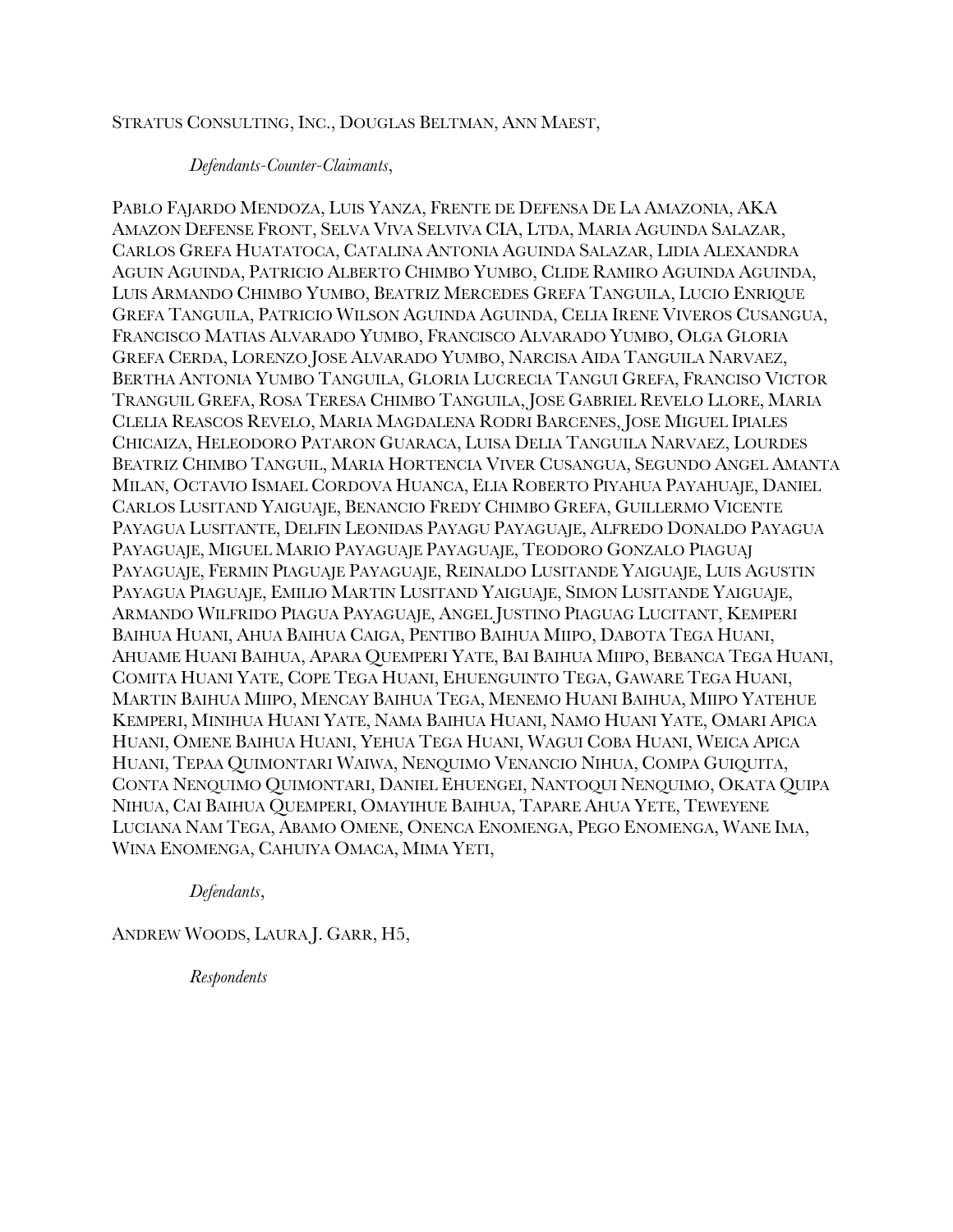### STRATUS CONSULTING, INC., DOUGLAS BELTMAN, ANN MAEST,

### *Defendants-Counter-Claimants*,

PABLO FAJARDO MENDOZA, LUIS YANZA, FRENTE DE DEFENSA DE LA AMAZONIA, AKA AMAZON DEFENSE FRONT, SELVA VIVA SELVIVA CIA, LTDA, MARIA AGUINDA SALAZAR, CARLOS GREFA HUATATOCA, CATALINA ANTONIA AGUINDA SALAZAR, LIDIA ALEXANDRA AGUIN AGUINDA, PATRICIO ALBERTO CHIMBO YUMBO, CLIDE RAMIRO AGUINDA AGUINDA, LUIS ARMANDO CHIMBO YUMBO, BEATRIZ MERCEDES GREFA TANGUILA, LUCIO ENRIQUE GREFA TANGUILA, PATRICIO WILSON AGUINDA AGUINDA, CELIA IRENE VIVEROS CUSANGUA, FRANCISCO MATIAS ALVARADO YUMBO, FRANCISCO ALVARADO YUMBO, OLGA GLORIA GREFA CERDA, LORENZO JOSE ALVARADO YUMBO, NARCISA AIDA TANGUILA NARVAEZ, BERTHA ANTONIA YUMBO TANGUILA, GLORIA LUCRECIA TANGUI GREFA, FRANCISO VICTOR TRANGUIL GREFA, ROSA TERESA CHIMBO TANGUILA, JOSE GABRIEL REVELO LLORE, MARIA CLELIA REASCOS REVELO, MARIA MAGDALENA RODRI BARCENES, JOSE MIGUEL IPIALES CHICAIZA, HELEODORO PATARON GUARACA, LUISA DELIA TANGUILA NARVAEZ, LOURDES BEATRIZ CHIMBO TANGUIL, MARIA HORTENCIA VIVER CUSANGUA, SEGUNDO ANGEL AMANTA MILAN, OCTAVIO ISMAEL CORDOVA HUANCA, ELIA ROBERTO PIYAHUA PAYAHUAJE, DANIEL CARLOS LUSITAND YAIGUAJE, BENANCIO FREDY CHIMBO GREFA, GUILLERMO VICENTE PAYAGUA LUSITANTE, DELFIN LEONIDAS PAYAGU PAYAGUAJE, ALFREDO DONALDO PAYAGUA PAYAGUAJE, MIGUEL MARIO PAYAGUAJE PAYAGUAJE, TEODORO GONZALO PIAGUAJ PAYAGUAJE, FERMIN PIAGUAJE PAYAGUAJE, REINALDO LUSITANDE YAIGUAJE, LUIS AGUSTIN PAYAGUA PIAGUAJE, EMILIO MARTIN LUSITAND YAIGUAJE, SIMON LUSITANDE YAIGUAJE, ARMANDO WILFRIDO PIAGUA PAYAGUAJE, ANGEL JUSTINO PIAGUAG LUCITANT, KEMPERI BAIHUA HUANI, AHUA BAIHUA CAIGA, PENTIBO BAIHUA MIIPO, DABOTA TEGA HUANI, AHUAME HUANI BAIHUA, APARA QUEMPERI YATE, BAI BAIHUA MIIPO, BEBANCA TEGA HUANI, COMITA HUANI YATE, COPE TEGA HUANI, EHUENGUINTO TEGA, GAWARE TEGA HUANI, MARTIN BAIHUA MIIPO, MENCAY BAIHUA TEGA, MENEMO HUANI BAIHUA, MIIPO YATEHUE KEMPERI, MINIHUA HUANI YATE, NAMA BAIHUA HUANI, NAMO HUANI YATE, OMARI APICA HUANI, OMENE BAIHUA HUANI, YEHUA TEGA HUANI, WAGUI COBA HUANI, WEICA APICA HUANI, TEPAA QUIMONTARI WAIWA, NENQUIMO VENANCIO NIHUA, COMPA GUIQUITA, CONTA NENQUIMO QUIMONTARI, DANIEL EHUENGEI, NANTOQUI NENQUIMO, OKATA QUIPA NIHUA, CAI BAIHUA QUEMPERI, OMAYIHUE BAIHUA, TAPARE AHUA YETE, TEWEYENE LUCIANA NAM TEGA, ABAMO OMENE, ONENCA ENOMENGA, PEGO ENOMENGA, WANE IMA, WINA ENOMENGA, CAHUIYA OMACA, MIMA YETI,

*Defendants*,

ANDREW WOODS, LAURA J. GARR, H5,

*Respondents*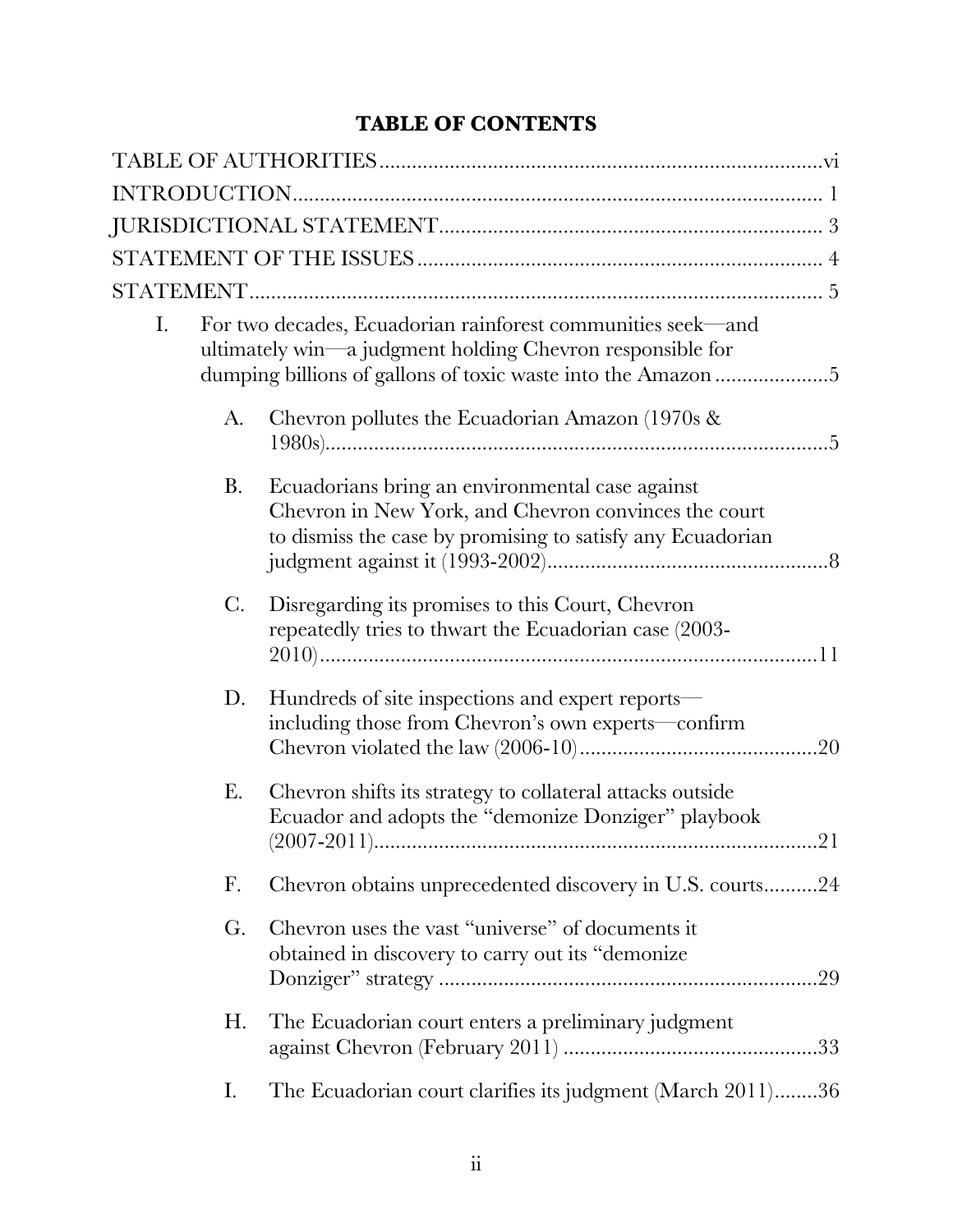# **TABLE OF CONTENTS**

| I. |                | For two decades, Ecuadorian rainforest communities seek—and<br>ultimately win—a judgment holding Chevron responsible for<br>dumping billions of gallons of toxic waste into the Amazon 5 |
|----|----------------|------------------------------------------------------------------------------------------------------------------------------------------------------------------------------------------|
|    | A.             | Chevron pollutes the Ecuadorian Amazon (1970s &                                                                                                                                          |
|    | <b>B.</b>      | Ecuadorians bring an environmental case against<br>Chevron in New York, and Chevron convinces the court<br>to dismiss the case by promising to satisfy any Ecuadorian                    |
|    | $\mathbf{C}$ . | Disregarding its promises to this Court, Chevron<br>repeatedly tries to thwart the Ecuadorian case (2003-                                                                                |
|    | D.             | Hundreds of site inspections and expert reports—<br>including those from Chevron's own experts—confirm                                                                                   |
|    | Ε.             | Chevron shifts its strategy to collateral attacks outside<br>Ecuador and adopts the "demonize Donziger" playbook<br>21                                                                   |
|    | F.             | Chevron obtains unprecedented discovery in U.S. courts24                                                                                                                                 |
|    | G.             | Chevron uses the vast "universe" of documents it<br>obtained in discovery to carry out its "demonize"<br>.29                                                                             |
|    | Η.             | The Ecuadorian court enters a preliminary judgment                                                                                                                                       |
|    | Ι.             | The Ecuadorian court clarifies its judgment (March 2011)36                                                                                                                               |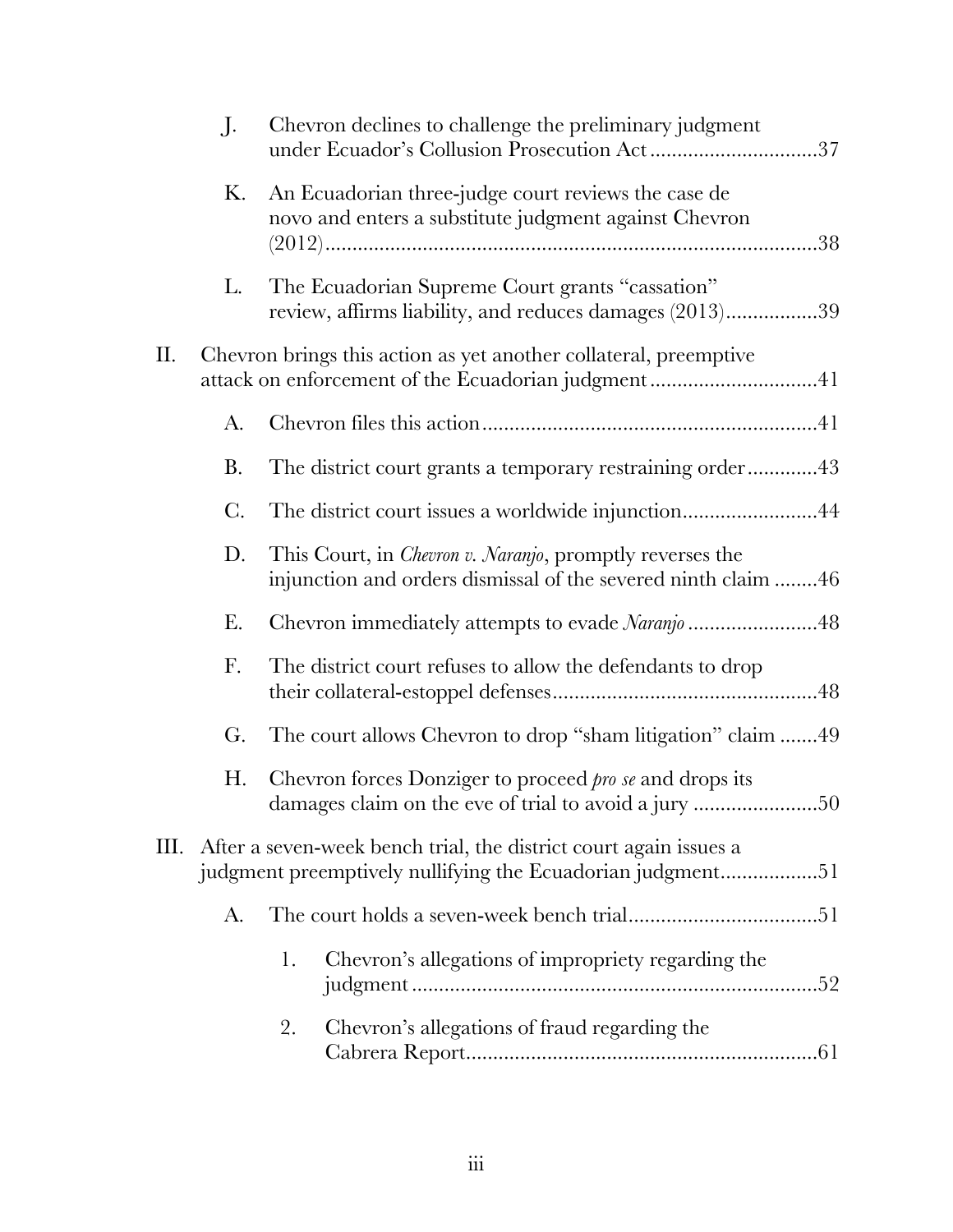|           | $\prod$        | Chevron declines to challenge the preliminary judgment<br>under Ecuador's Collusion Prosecution Act37                             |
|-----------|----------------|-----------------------------------------------------------------------------------------------------------------------------------|
|           | Κ.             | An Ecuadorian three-judge court reviews the case de<br>novo and enters a substitute judgment against Chevron                      |
|           | L.             | The Ecuadorian Supreme Court grants "cassation"<br>review, affirms liability, and reduces damages (2013)39                        |
| $\prod$ . |                | Chevron brings this action as yet another collateral, preemptive<br>attack on enforcement of the Ecuadorian judgment41            |
|           | A.             |                                                                                                                                   |
|           | <b>B.</b>      | The district court grants a temporary restraining order43                                                                         |
|           | $\mathcal{C}.$ | The district court issues a worldwide injunction44                                                                                |
|           | D.             | This Court, in <i>Chevron v. Naranjo</i> , promptly reverses the<br>injunction and orders dismissal of the severed ninth claim 46 |
|           | Е.             | Chevron immediately attempts to evade Naranjo 48                                                                                  |
|           | F.             | The district court refuses to allow the defendants to drop                                                                        |
|           | G.             | The court allows Chevron to drop "sham litigation" claim 49                                                                       |
|           | Η.             | Chevron forces Donziger to proceed <i>pro se</i> and drops its<br>damages claim on the eve of trial to avoid a jury 50            |
| Ш.        |                | After a seven-week bench trial, the district court again issues a<br>judgment preemptively nullifying the Ecuadorian judgment51   |
|           | A.             |                                                                                                                                   |
|           |                | Chevron's allegations of impropriety regarding the<br>1.                                                                          |
|           |                | Chevron's allegations of fraud regarding the<br>2.                                                                                |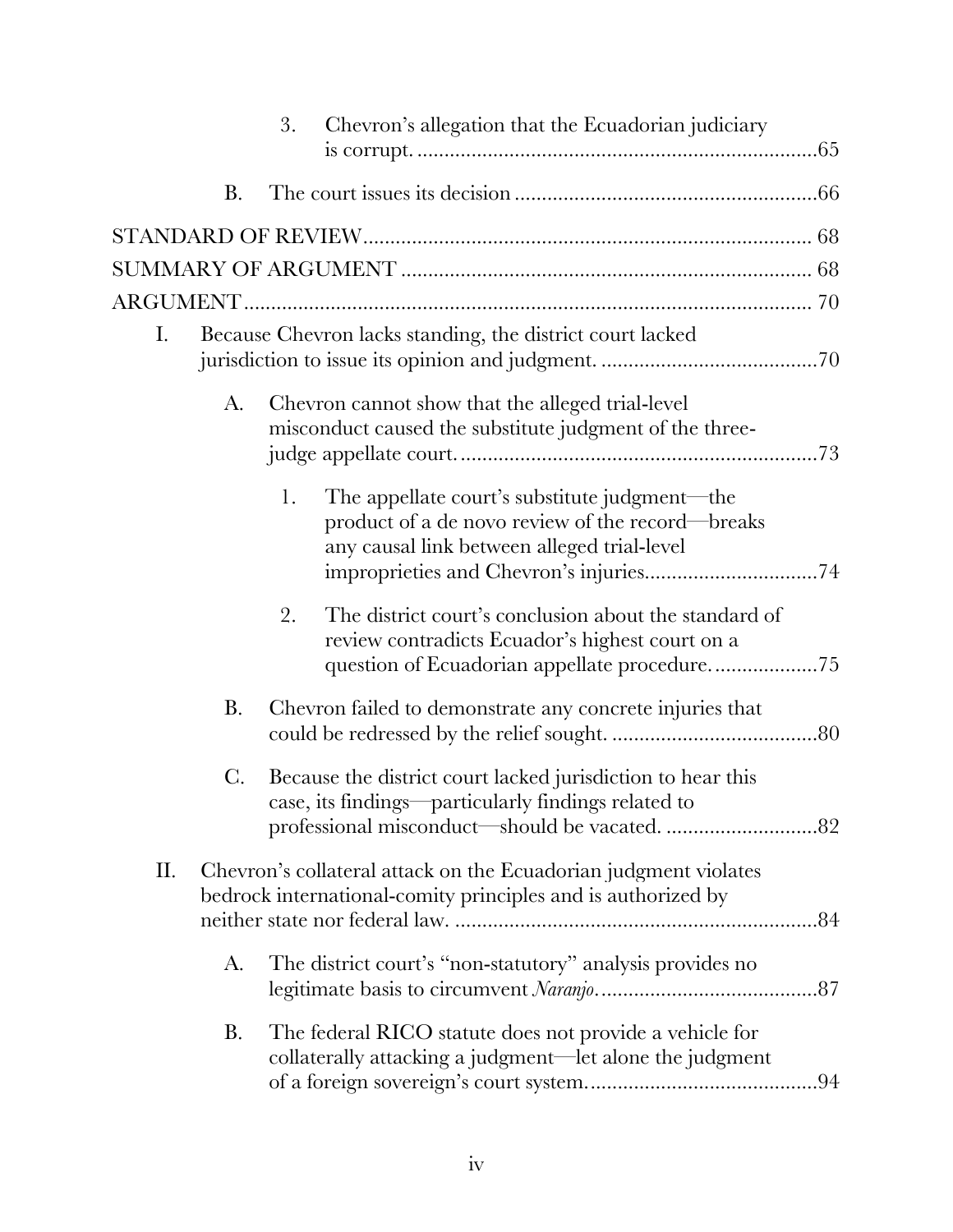|     |                | 3. | Chevron's allegation that the Ecuadorian judiciary                                                                                                       |     |
|-----|----------------|----|----------------------------------------------------------------------------------------------------------------------------------------------------------|-----|
|     | <b>B.</b>      |    |                                                                                                                                                          |     |
|     |                |    |                                                                                                                                                          |     |
|     |                |    |                                                                                                                                                          |     |
|     |                |    |                                                                                                                                                          |     |
| Ι.  |                |    | Because Chevron lacks standing, the district court lacked                                                                                                |     |
|     | A.             |    | Chevron cannot show that the alleged trial-level<br>misconduct caused the substitute judgment of the three-                                              |     |
|     |                | 1. | The appellate court's substitute judgment—the<br>product of a de novo review of the record-breaks<br>any causal link between alleged trial-level         |     |
|     |                | 2. | The district court's conclusion about the standard of<br>review contradicts Ecuador's highest court on a<br>question of Ecuadorian appellate procedure75 |     |
|     | <b>B.</b>      |    | Chevron failed to demonstrate any concrete injuries that                                                                                                 |     |
|     | $\mathbf{C}$ . |    | Because the district court lacked jurisdiction to hear this<br>case, its findings—particularly findings related to                                       |     |
| II. |                |    | Chevron's collateral attack on the Ecuadorian judgment violates<br>bedrock international-comity principles and is authorized by                          |     |
|     | A.             |    | The district court's "non-statutory" analysis provides no                                                                                                |     |
|     | <b>B.</b>      |    | The federal RICO statute does not provide a vehicle for<br>collaterally attacking a judgment—let alone the judgment                                      | .94 |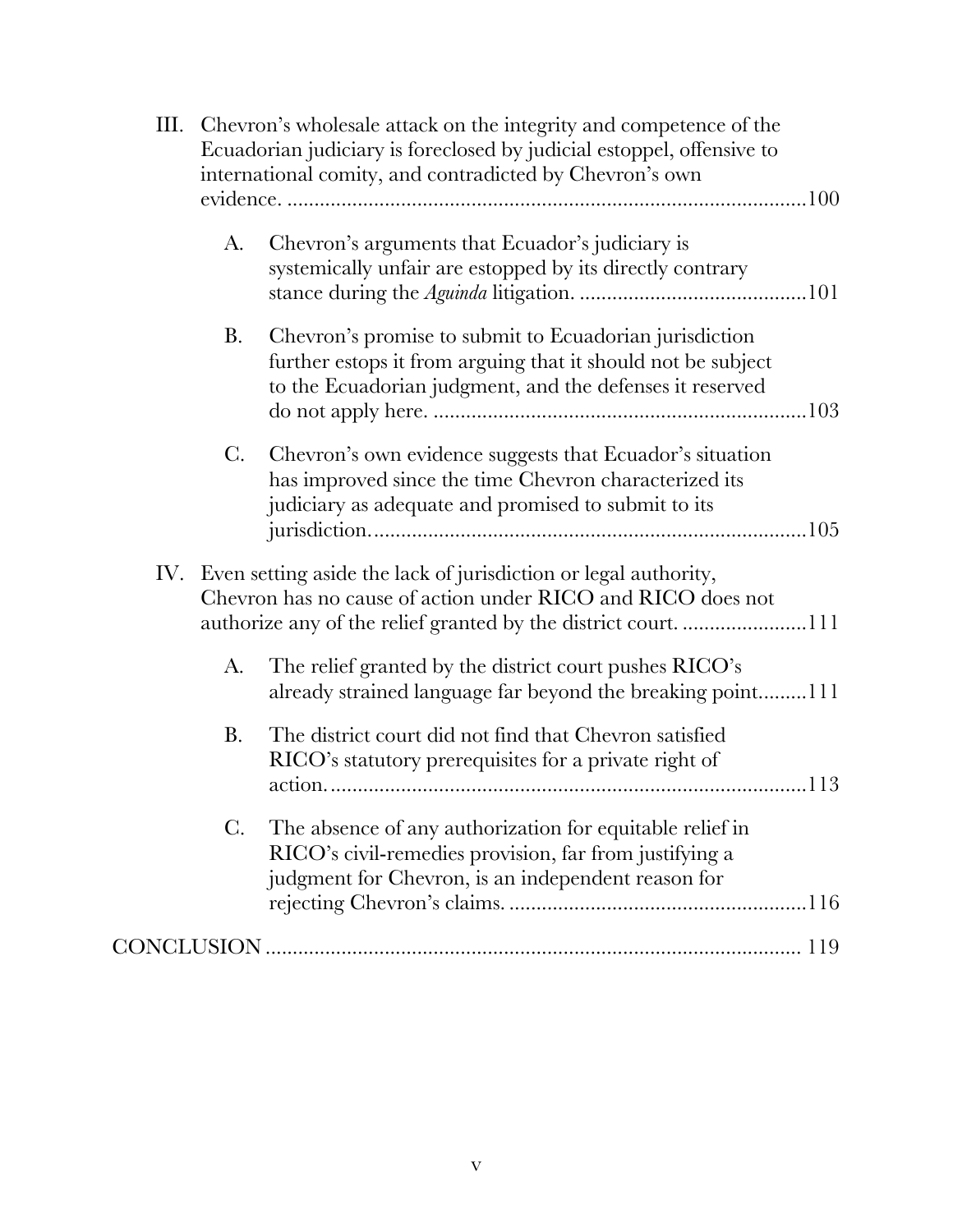|     | III. Chevron's wholesale attack on the integrity and competence of the<br>Ecuadorian judiciary is foreclosed by judicial estoppel, offensive to<br>international comity, and contradicted by Chevron's own |                                                                                                                                                                                    |  |
|-----|------------------------------------------------------------------------------------------------------------------------------------------------------------------------------------------------------------|------------------------------------------------------------------------------------------------------------------------------------------------------------------------------------|--|
|     | A.                                                                                                                                                                                                         | Chevron's arguments that Ecuador's judiciary is<br>systemically unfair are estopped by its directly contrary                                                                       |  |
|     | <b>B.</b>                                                                                                                                                                                                  | Chevron's promise to submit to Ecuadorian jurisdiction<br>further estops it from arguing that it should not be subject<br>to the Ecuadorian judgment, and the defenses it reserved |  |
|     | $\mathbf{C}$ .                                                                                                                                                                                             | Chevron's own evidence suggests that Ecuador's situation<br>has improved since the time Chevron characterized its<br>judiciary as adequate and promised to submit to its           |  |
| IV. |                                                                                                                                                                                                            | Even setting aside the lack of jurisdiction or legal authority,<br>Chevron has no cause of action under RICO and RICO does not                                                     |  |
|     | A.                                                                                                                                                                                                         | The relief granted by the district court pushes RICO's<br>already strained language far beyond the breaking point111                                                               |  |
|     | Β.                                                                                                                                                                                                         | The district court did not find that Chevron satisfied<br>RICO's statutory prerequisites for a private right of                                                                    |  |
|     | $\mathbf{C}$ .                                                                                                                                                                                             | The absence of any authorization for equitable relief in<br>RICO's civil-remedies provision, far from justifying a<br>judgment for Chevron, is an independent reason for           |  |
|     |                                                                                                                                                                                                            |                                                                                                                                                                                    |  |
|     |                                                                                                                                                                                                            |                                                                                                                                                                                    |  |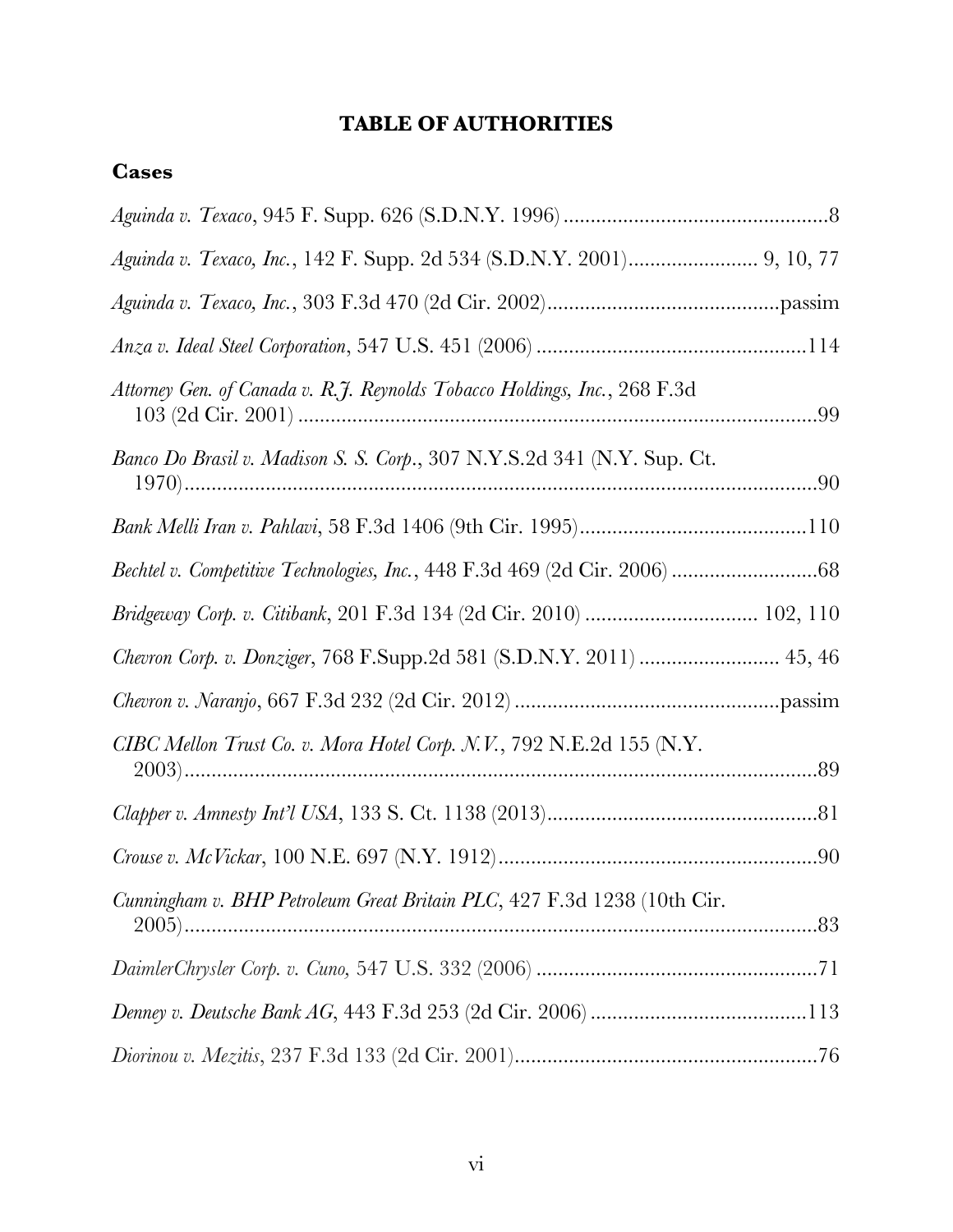# **TABLE OF AUTHORITIES**

# <span id="page-6-0"></span>**Cases**

| Aguinda v. Texaco, Inc., 142 F. Supp. 2d 534 (S.D.N.Y. 2001) 9, 10, 77    |  |
|---------------------------------------------------------------------------|--|
|                                                                           |  |
|                                                                           |  |
| Attorney Gen. of Canada v. R.J. Reynolds Tobacco Holdings, Inc., 268 F.3d |  |
| Banco Do Brasil v. Madison S. S. Corp., 307 N.Y.S.2d 341 (N.Y. Sup. Ct.   |  |
|                                                                           |  |
|                                                                           |  |
| Bridgeway Corp. v. Citibank, 201 F.3d 134 (2d Cir. 2010)  102, 110        |  |
| Chevron Corp. v. Donziger, 768 F.Supp.2d 581 (S.D.N.Y. 2011)  45, 46      |  |
|                                                                           |  |
| CIBC Mellon Trust Co. v. Mora Hotel Corp. N.V., 792 N.E.2d 155 (N.Y.      |  |
|                                                                           |  |
|                                                                           |  |
| Cunningham v. BHP Petroleum Great Britain PLC, 427 F.3d 1238 (10th Cir.   |  |
|                                                                           |  |
|                                                                           |  |
|                                                                           |  |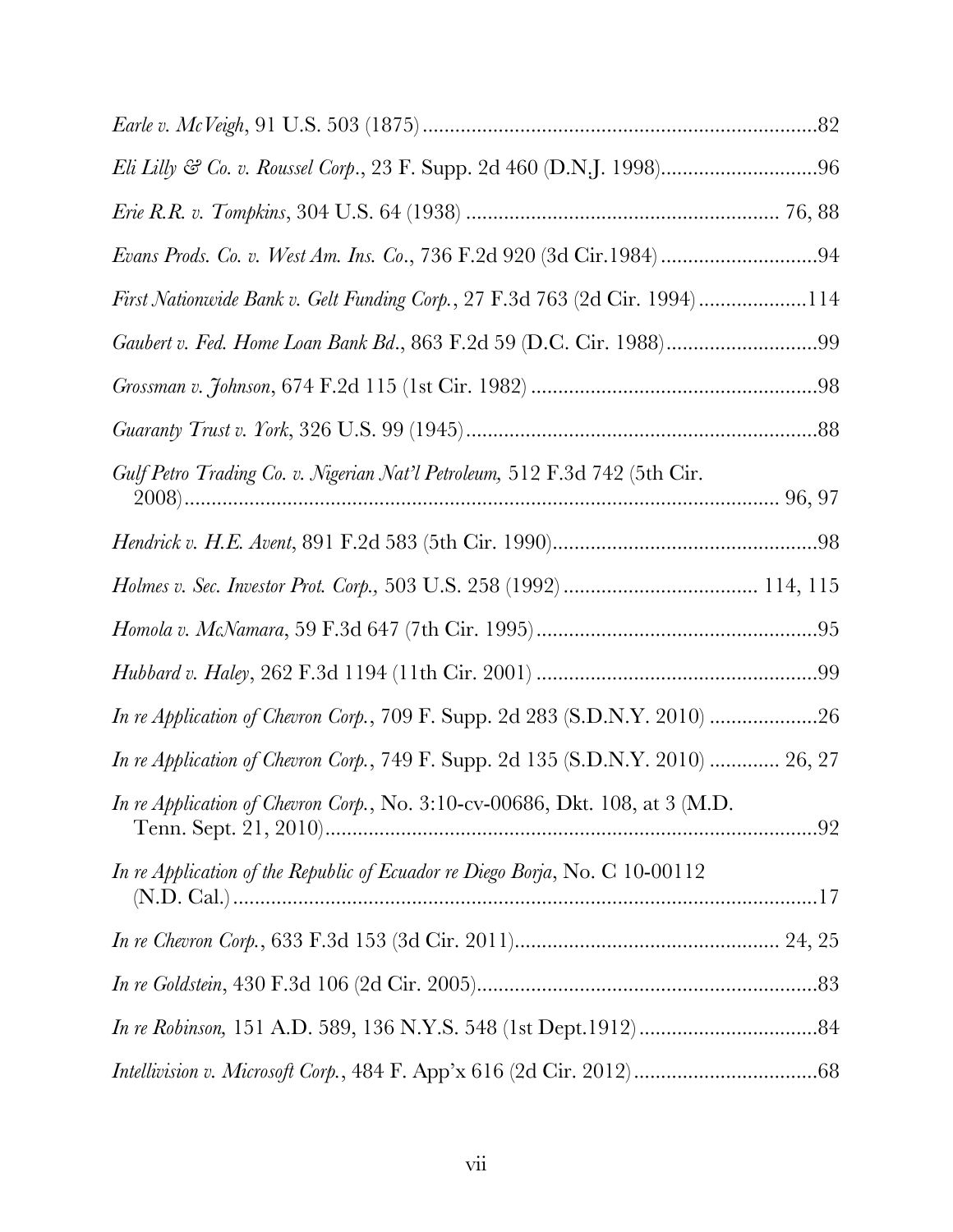| First Nationwide Bank v. Gelt Funding Corp., 27 F.3d 763 (2d Cir. 1994) 114     |  |
|---------------------------------------------------------------------------------|--|
|                                                                                 |  |
|                                                                                 |  |
|                                                                                 |  |
| Gulf Petro Trading Co. v. Nigerian Nat'l Petroleum, 512 F.3d 742 (5th Cir.      |  |
|                                                                                 |  |
|                                                                                 |  |
|                                                                                 |  |
|                                                                                 |  |
| In re Application of Chevron Corp., 709 F. Supp. 2d 283 (S.D.N.Y. 2010) 26      |  |
| In re Application of Chevron Corp., 749 F. Supp. 2d 135 (S.D.N.Y. 2010)  26, 27 |  |
| In re Application of Chevron Corp., No. 3:10-cv-00686, Dkt. 108, at 3 (M.D.     |  |
| In re Application of the Republic of Ecuador re Diego Borja, No. C 10-00112     |  |
|                                                                                 |  |
|                                                                                 |  |
|                                                                                 |  |
|                                                                                 |  |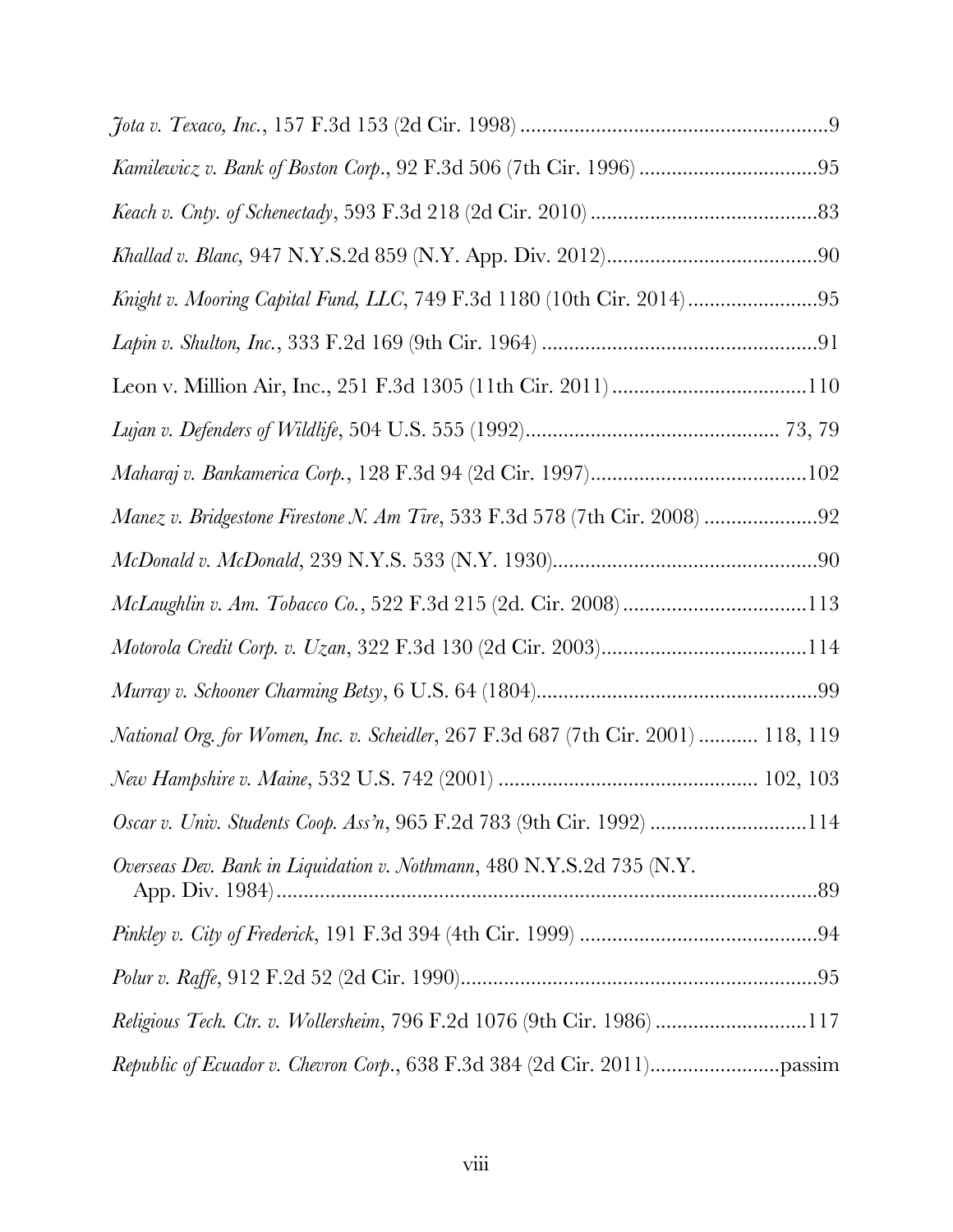| McLaughlin v. Am. Tobacco Co., 522 F.3d 215 (2d. Cir. 2008) 113                    |  |
|------------------------------------------------------------------------------------|--|
|                                                                                    |  |
|                                                                                    |  |
| National Org. for Women, Inc. v. Scheidler, 267 F.3d 687 (7th Cir. 2001)  118, 119 |  |
|                                                                                    |  |
| Oscar v. Univ. Students Coop. Ass'n, 965 F.2d 783 (9th Cir. 1992) 114              |  |
| Overseas Dev. Bank in Liquidation v. Nothmann, 480 N.Y.S.2d 735 (N.Y.              |  |
|                                                                                    |  |
|                                                                                    |  |
| <i>Religious Tech. Ctr. v. Wollersheim, 796 F.2d 1076 (9th Cir. 1986) 117</i>      |  |
|                                                                                    |  |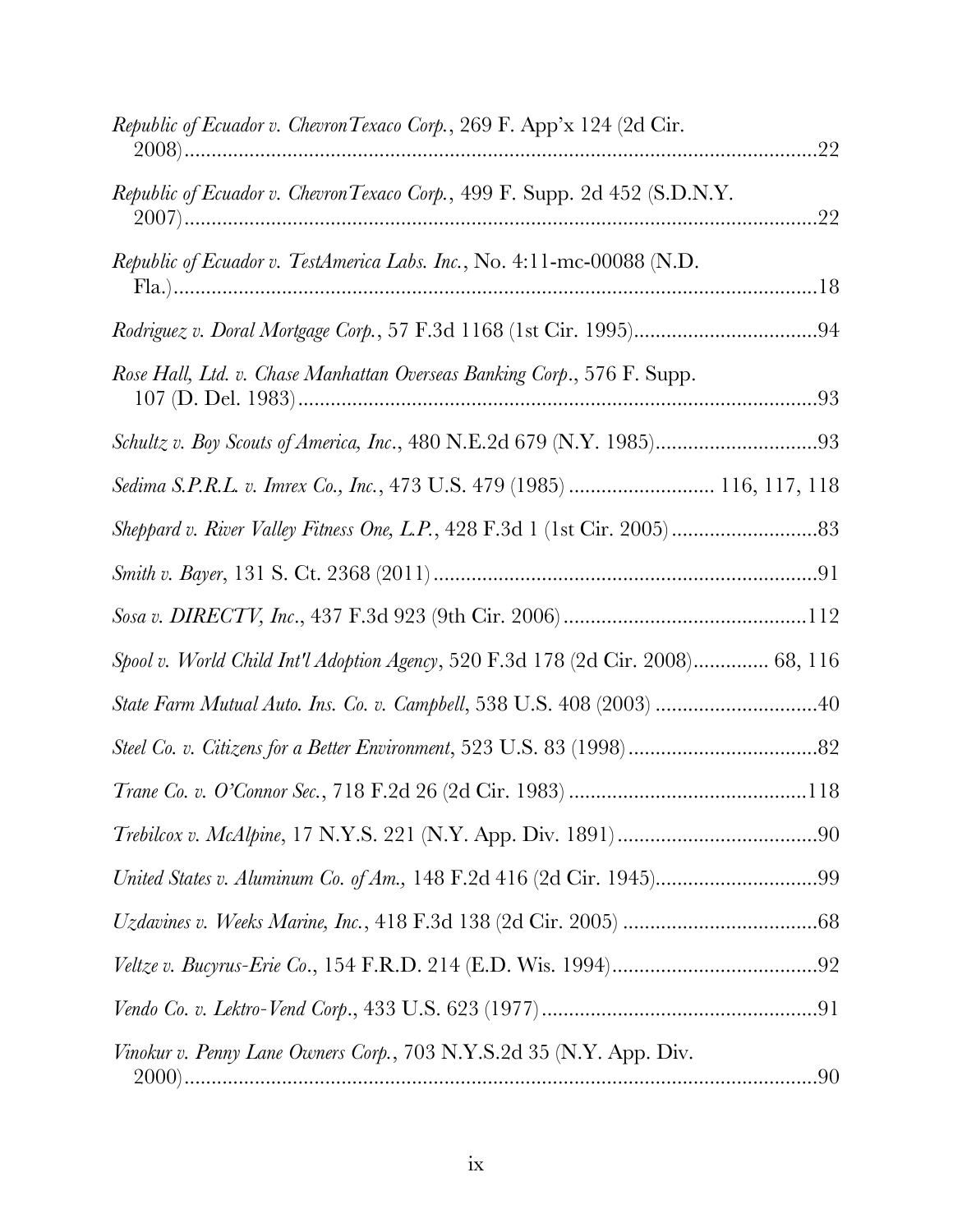| Republic of Ecuador v. Chevron Texaco Corp., 269 F. App'x 124 (2d Cir.          | .22 |
|---------------------------------------------------------------------------------|-----|
| Republic of Ecuador v. Chevron Texaco Corp., 499 F. Supp. 2d 452 (S.D.N.Y.      |     |
| Republic of Ecuador v. TestAmerica Labs. Inc., No. 4:11-mc-00088 (N.D.          |     |
|                                                                                 |     |
| Rose Hall, Ltd. v. Chase Manhattan Overseas Banking Corp., 576 F. Supp.         |     |
| Schultz v. Boy Scouts of America, Inc., 480 N.E.2d 679 (N.Y. 1985)93            |     |
| Sedima S.P.R.L. v. Imrex Co., Inc., 473 U.S. 479 (1985)  116, 117, 118          |     |
|                                                                                 |     |
|                                                                                 |     |
|                                                                                 |     |
| Spool v. World Child Int'l Adoption Agency, 520 F.3d 178 (2d Cir. 2008) 68, 116 |     |
| State Farm Mutual Auto. Ins. Co. v. Campbell, 538 U.S. 408 (2003) 40            |     |
|                                                                                 |     |
|                                                                                 |     |
|                                                                                 |     |
| United States v. Aluminum Co. of Am., 148 F.2d 416 (2d Cir. 1945)99             |     |
|                                                                                 |     |
|                                                                                 |     |
|                                                                                 |     |
| Vinokur v. Penny Lane Owners Corp., 703 N.Y.S.2d 35 (N.Y. App. Div.             |     |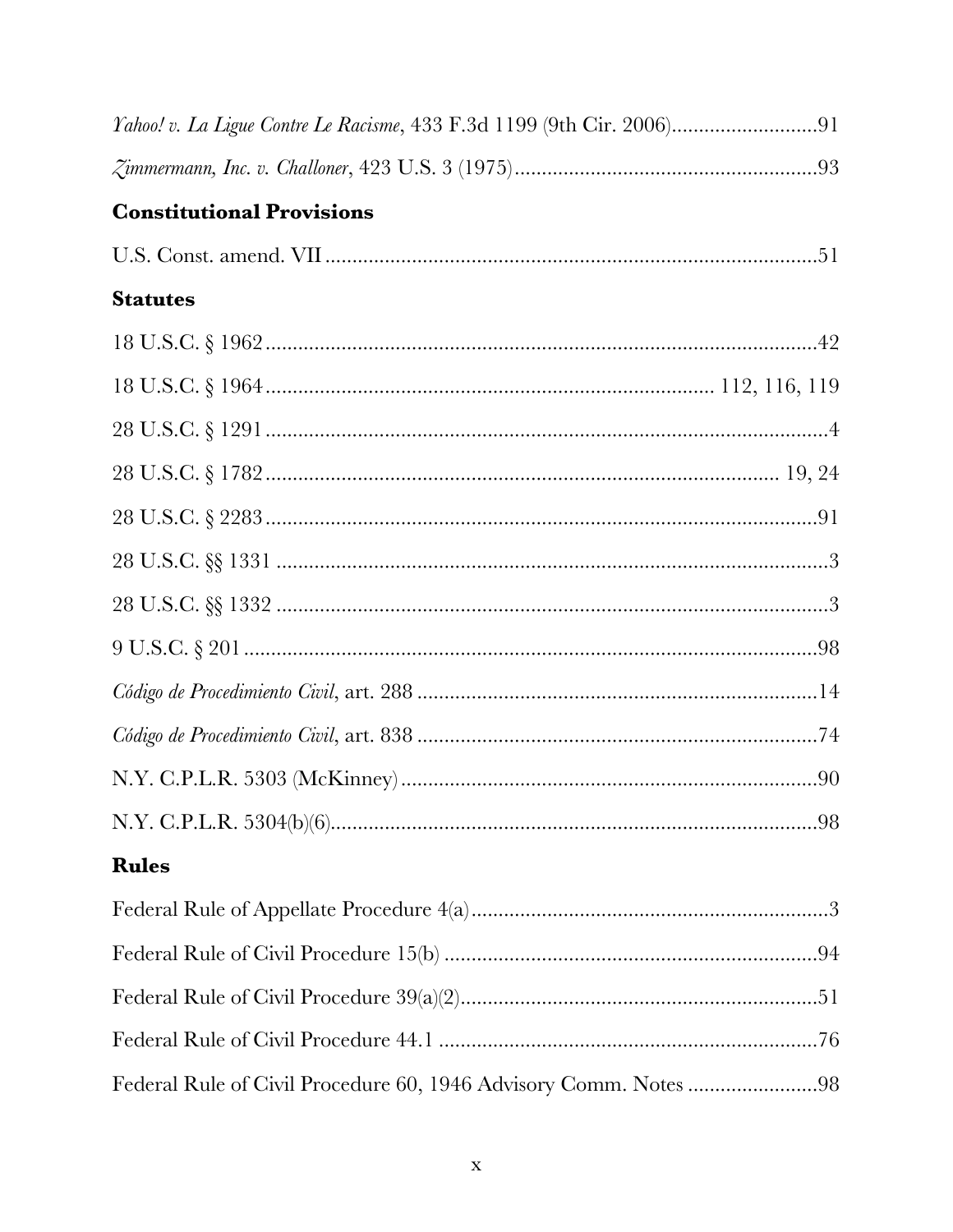| Yahoo! v. La Ligue Contre Le Racisme, 433 F.3d 1199 (9th Cir. 2006)91 |  |
|-----------------------------------------------------------------------|--|
|                                                                       |  |
| <b>Constitutional Provisions</b>                                      |  |
|                                                                       |  |
| <b>Statutes</b>                                                       |  |
|                                                                       |  |
|                                                                       |  |
|                                                                       |  |
|                                                                       |  |
|                                                                       |  |
|                                                                       |  |
|                                                                       |  |
|                                                                       |  |
|                                                                       |  |
|                                                                       |  |
|                                                                       |  |
|                                                                       |  |
| <b>Rules</b>                                                          |  |
|                                                                       |  |
|                                                                       |  |
|                                                                       |  |
|                                                                       |  |
| Federal Rule of Civil Procedure 60, 1946 Advisory Comm. Notes 98      |  |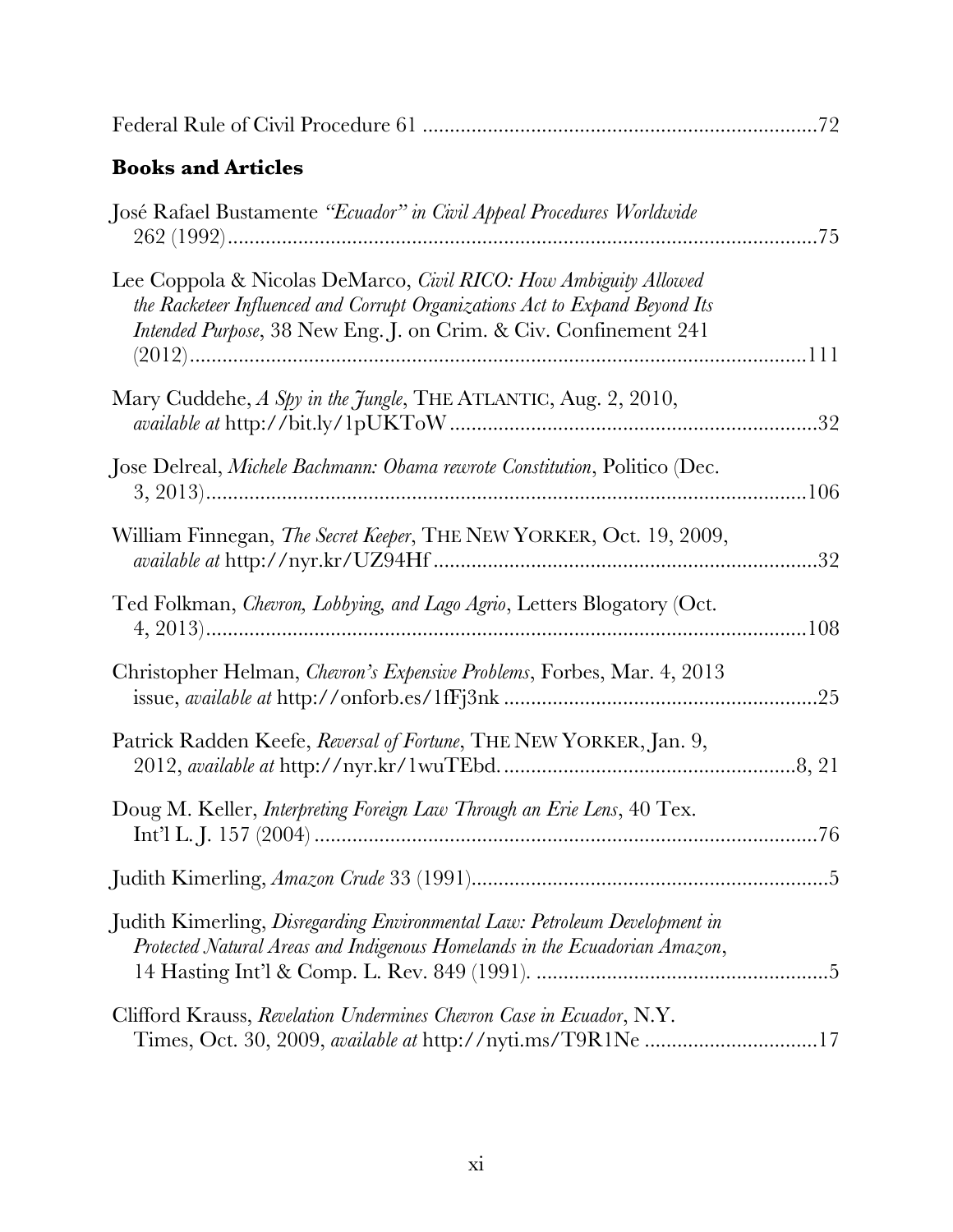| <b>Books and Articles</b>                                                                                                                                                                                           |  |
|---------------------------------------------------------------------------------------------------------------------------------------------------------------------------------------------------------------------|--|
| José Rafael Bustamente "Ecuador" in Civil Appeal Procedures Worldwide                                                                                                                                               |  |
| Lee Coppola & Nicolas DeMarco, Civil RICO: How Ambiguity Allowed<br>the Racketeer Influenced and Corrupt Organizations Act to Expand Beyond Its<br>Intended Purpose, 38 New Eng. J. on Crim. & Civ. Confinement 241 |  |
| Mary Cuddehe, A Spy in the Jungle, THE ATLANTIC, Aug. 2, 2010,                                                                                                                                                      |  |
| Jose Delreal, Michele Bachmann: Obama rewrote Constitution, Politico (Dec.                                                                                                                                          |  |
| William Finnegan, The Secret Keeper, THE NEW YORKER, Oct. 19, 2009,                                                                                                                                                 |  |
| Ted Folkman, Chevron, Lobbying, and Lago Agrio, Letters Blogatory (Oct.                                                                                                                                             |  |
| Christopher Helman, <i>Chevron's Expensive Problems</i> , Forbes, Mar. 4, 2013                                                                                                                                      |  |
| Patrick Radden Keefe, Reversal of Fortune, THE NEW YORKER, Jan. 9,                                                                                                                                                  |  |
| Doug M. Keller, Interpreting Foreign Law Through an Erie Lens, 40 Tex.                                                                                                                                              |  |
|                                                                                                                                                                                                                     |  |
| Judith Kimerling, Disregarding Environmental Law: Petroleum Development in<br>Protected Natural Areas and Indigenous Homelands in the Ecuadorian Amazon,                                                            |  |
| Clifford Krauss, Revelation Undermines Chevron Case in Ecuador, N.Y.<br>Times, Oct. 30, 2009, available at http://nyti.ms/T9R1Ne 17                                                                                 |  |

Federal Rule of Civil Procedure 61 .........................................................................72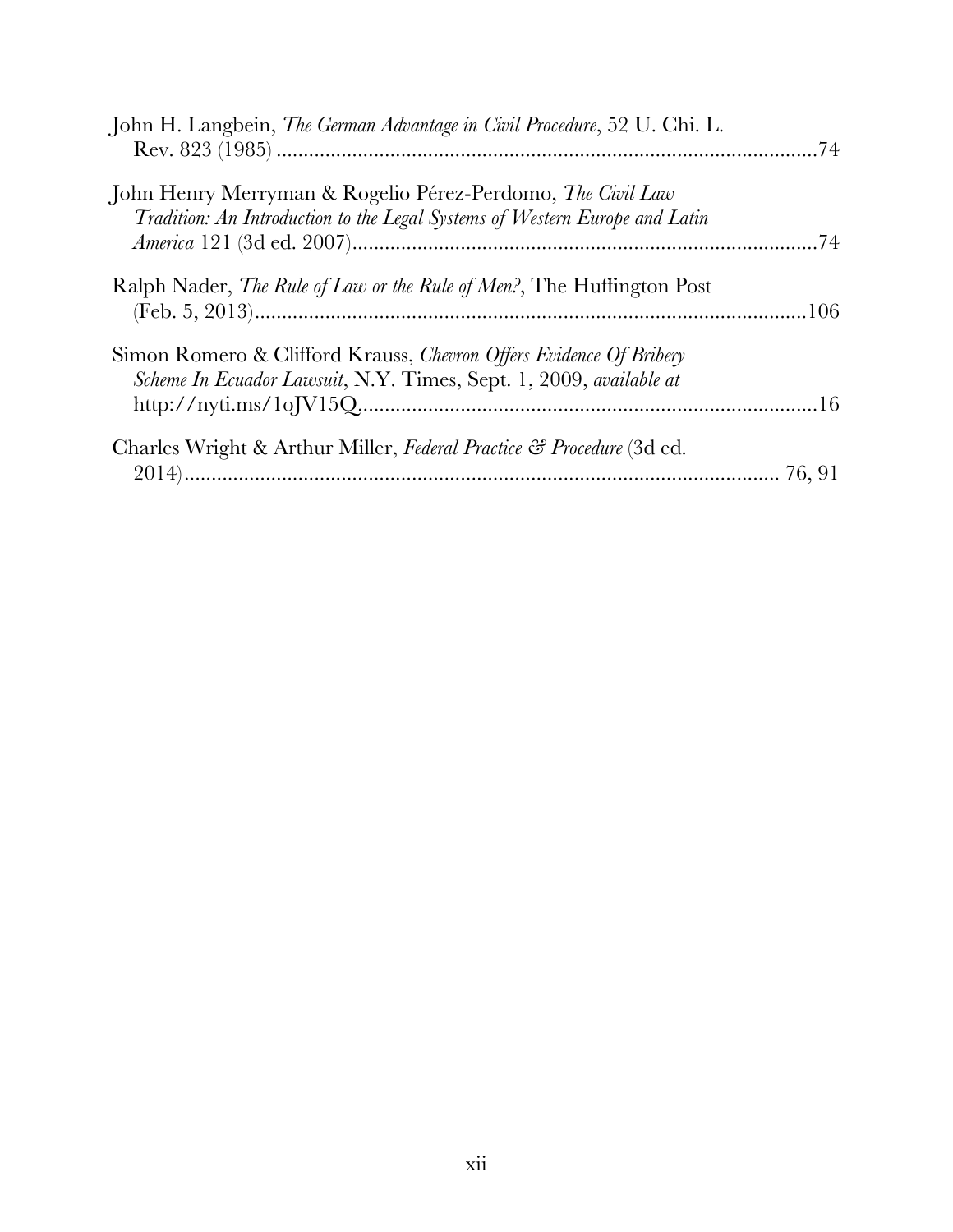| John H. Langbein, The German Advantage in Civil Procedure, 52 U. Chi. L.                                                                  |  |
|-------------------------------------------------------------------------------------------------------------------------------------------|--|
|                                                                                                                                           |  |
| John Henry Merryman & Rogelio Pérez-Perdomo, The Civil Law<br>Tradition: An Introduction to the Legal Systems of Western Europe and Latin |  |
| Ralph Nader, <i>The Rule of Law or the Rule of Men?</i> , The Huffington Post                                                             |  |
| Simon Romero & Clifford Krauss, Chevron Offers Evidence Of Bribery<br>Scheme In Ecuador Lawsuit, N.Y. Times, Sept. 1, 2009, available at  |  |
| Charles Wright & Arthur Miller, Federal Practice & Procedure (3d ed.                                                                      |  |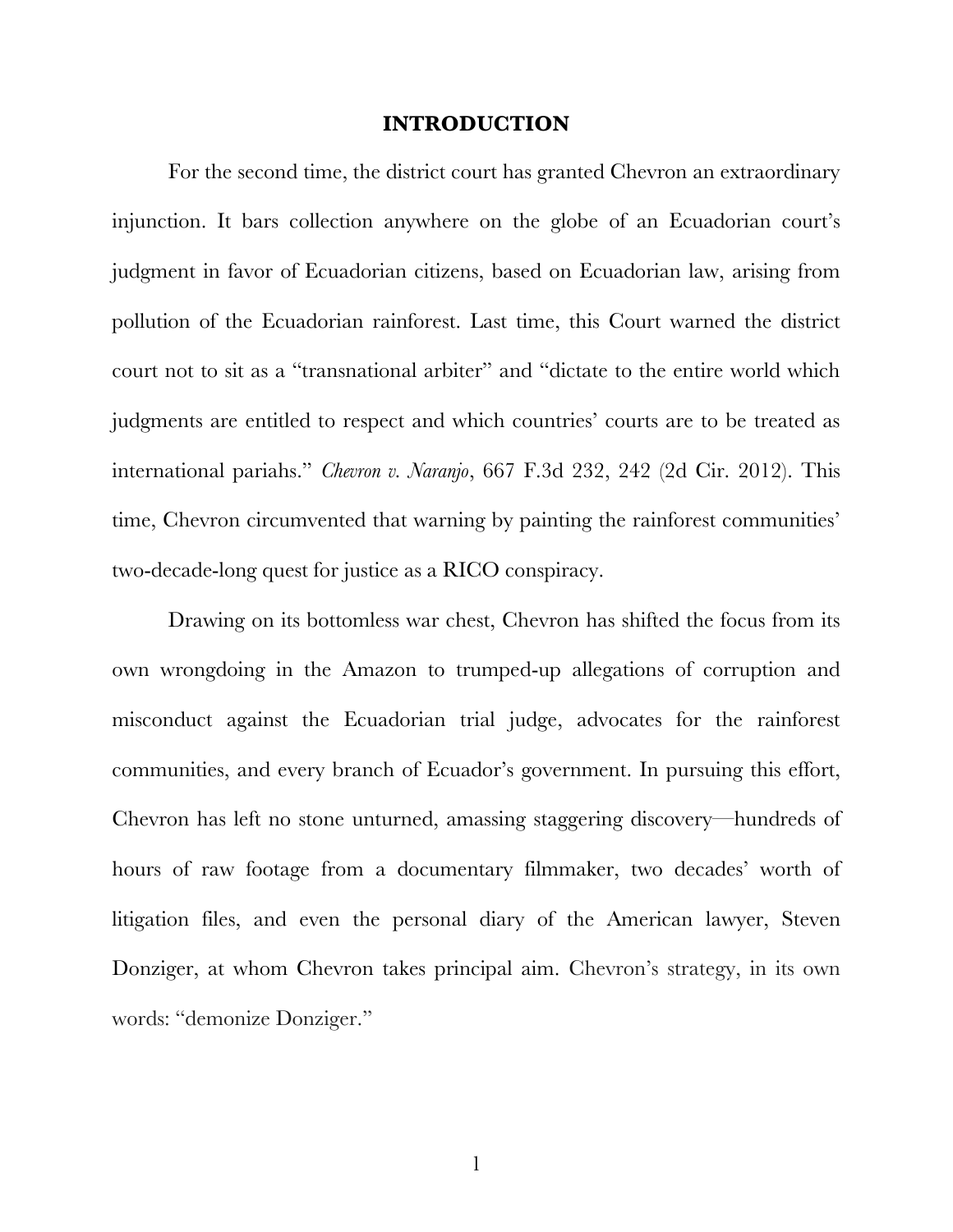### **INTRODUCTION**

<span id="page-13-0"></span>For the second time, the district court has granted Chevron an extraordinary injunction. It bars collection anywhere on the globe of an Ecuadorian court's judgment in favor of Ecuadorian citizens, based on Ecuadorian law, arising from pollution of the Ecuadorian rainforest. Last time, this Court warned the district court not to sit as a "transnational arbiter" and "dictate to the entire world which judgments are entitled to respect and which countries' courts are to be treated as international pariahs." *Chevron v. Naranjo*, 667 F.3d 232, 242 (2d Cir. 2012). This time, Chevron circumvented that warning by painting the rainforest communities' two-decade-long quest for justice as a RICO conspiracy.

Drawing on its bottomless war chest, Chevron has shifted the focus from its own wrongdoing in the Amazon to trumped-up allegations of corruption and misconduct against the Ecuadorian trial judge, advocates for the rainforest communities, and every branch of Ecuador's government. In pursuing this effort, Chevron has left no stone unturned, amassing staggering discovery—hundreds of hours of raw footage from a documentary filmmaker, two decades' worth of litigation files, and even the personal diary of the American lawyer, Steven Donziger, at whom Chevron takes principal aim. Chevron's strategy, in its own words: "demonize Donziger."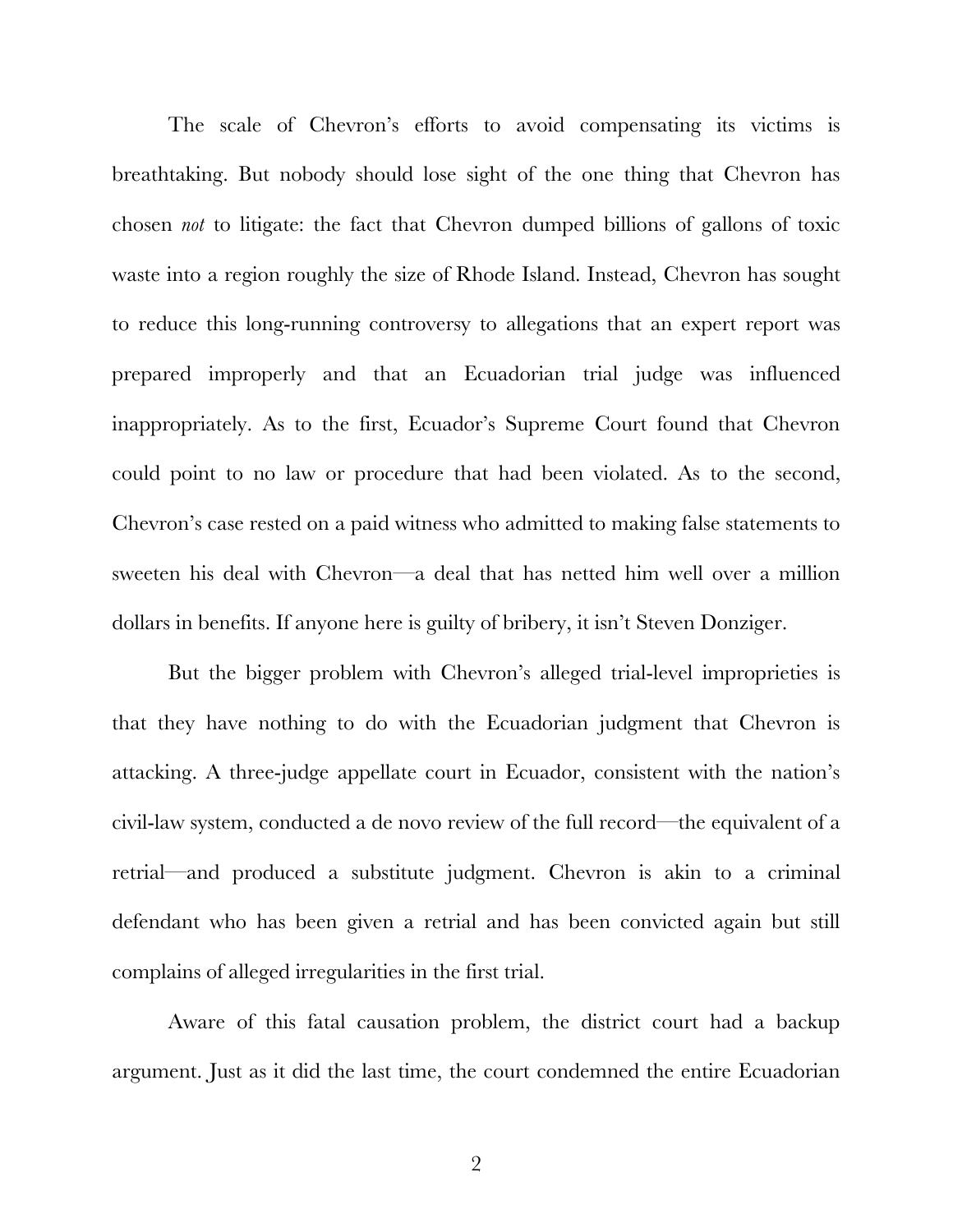The scale of Chevron's efforts to avoid compensating its victims is breathtaking. But nobody should lose sight of the one thing that Chevron has chosen *not* to litigate: the fact that Chevron dumped billions of gallons of toxic waste into a region roughly the size of Rhode Island. Instead, Chevron has sought to reduce this long-running controversy to allegations that an expert report was prepared improperly and that an Ecuadorian trial judge was influenced inappropriately. As to the first, Ecuador's Supreme Court found that Chevron could point to no law or procedure that had been violated. As to the second, Chevron's case rested on a paid witness who admitted to making false statements to sweeten his deal with Chevron—a deal that has netted him well over a million dollars in benefits. If anyone here is guilty of bribery, it isn't Steven Donziger.

But the bigger problem with Chevron's alleged trial-level improprieties is that they have nothing to do with the Ecuadorian judgment that Chevron is attacking. A three-judge appellate court in Ecuador, consistent with the nation's civil-law system, conducted a de novo review of the full record—the equivalent of a retrial—and produced a substitute judgment. Chevron is akin to a criminal defendant who has been given a retrial and has been convicted again but still complains of alleged irregularities in the first trial.

Aware of this fatal causation problem, the district court had a backup argument. Just as it did the last time, the court condemned the entire Ecuadorian

2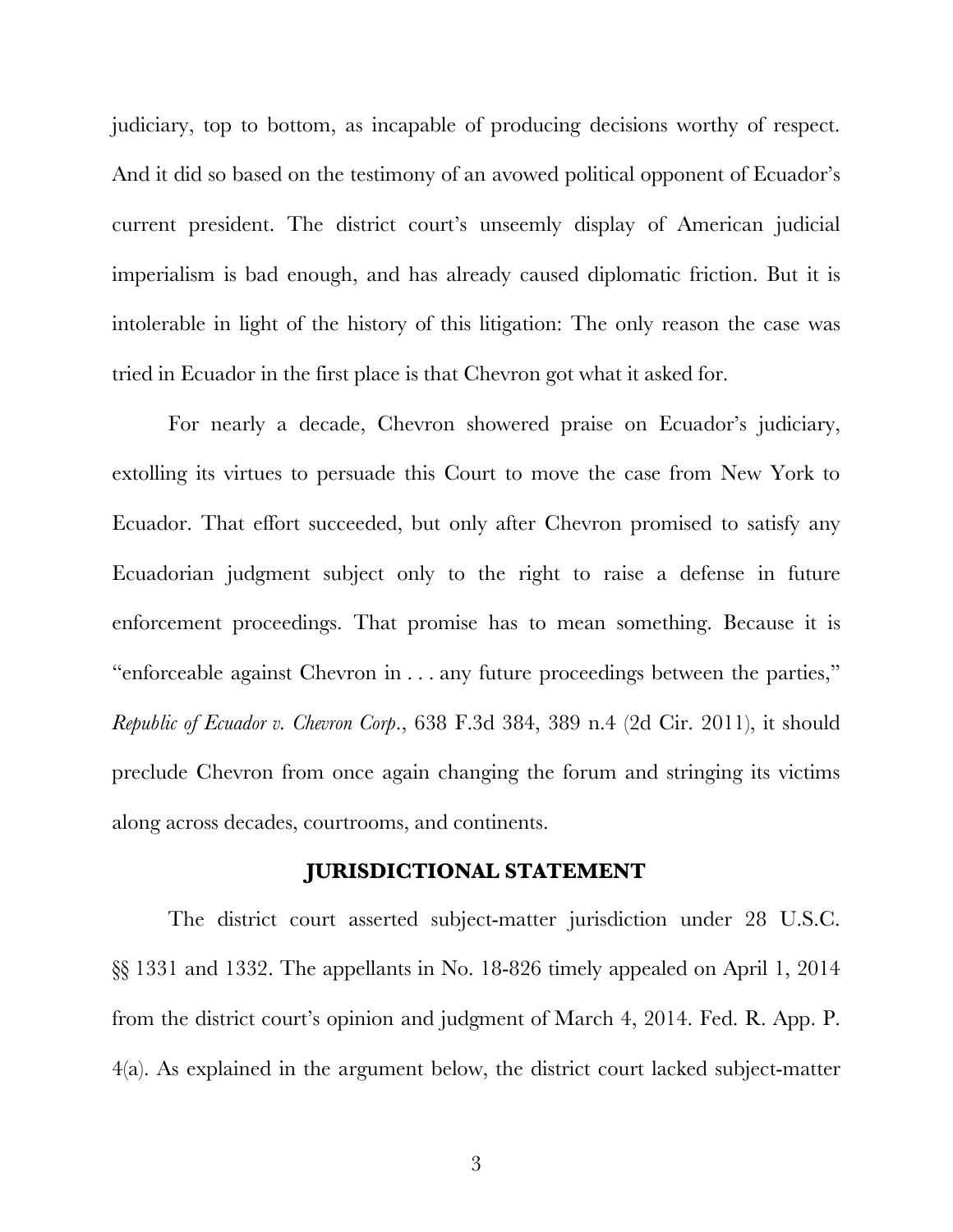judiciary, top to bottom, as incapable of producing decisions worthy of respect. And it did so based on the testimony of an avowed political opponent of Ecuador's current president. The district court's unseemly display of American judicial imperialism is bad enough, and has already caused diplomatic friction. But it is intolerable in light of the history of this litigation: The only reason the case was tried in Ecuador in the first place is that Chevron got what it asked for.

For nearly a decade, Chevron showered praise on Ecuador's judiciary, extolling its virtues to persuade this Court to move the case from New York to Ecuador. That effort succeeded, but only after Chevron promised to satisfy any Ecuadorian judgment subject only to the right to raise a defense in future enforcement proceedings. That promise has to mean something. Because it is "enforceable against Chevron in . . . any future proceedings between the parties," *Republic of Ecuador v. Chevron Corp*., 638 F.3d 384, 389 n.4 (2d Cir. 2011), it should preclude Chevron from once again changing the forum and stringing its victims along across decades, courtrooms, and continents.

### **JURISDICTIONAL STATEMENT**

<span id="page-15-0"></span>The district court asserted subject-matter jurisdiction under 28 U.S.C. §§ 1331 and 1332. The appellants in No. 18-826 timely appealed on April 1, 2014 from the district court's opinion and judgment of March 4, 2014. Fed. R. App. P. 4(a). As explained in the argument below, the district court lacked subject-matter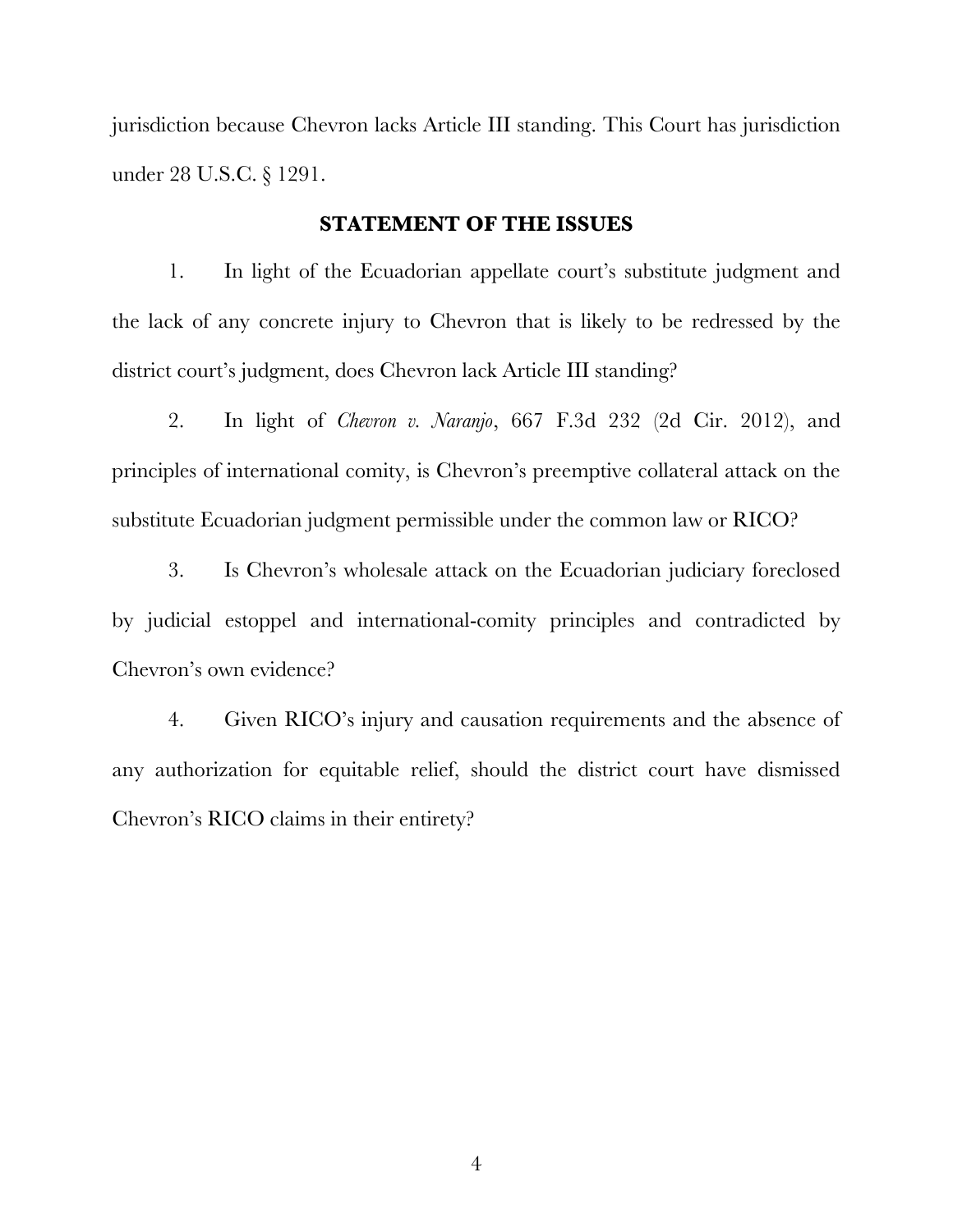jurisdiction because Chevron lacks Article III standing. This Court has jurisdiction under 28 U.S.C. § 1291.

### **STATEMENT OF THE ISSUES**

<span id="page-16-0"></span>1. In light of the Ecuadorian appellate court's substitute judgment and the lack of any concrete injury to Chevron that is likely to be redressed by the district court's judgment, does Chevron lack Article III standing?

2. In light of *Chevron v. Naranjo*, 667 F.3d 232 (2d Cir. 2012), and principles of international comity, is Chevron's preemptive collateral attack on the substitute Ecuadorian judgment permissible under the common law or RICO?

3. Is Chevron's wholesale attack on the Ecuadorian judiciary foreclosed by judicial estoppel and international-comity principles and contradicted by Chevron's own evidence?

4. Given RICO's injury and causation requirements and the absence of any authorization for equitable relief, should the district court have dismissed Chevron's RICO claims in their entirety?

4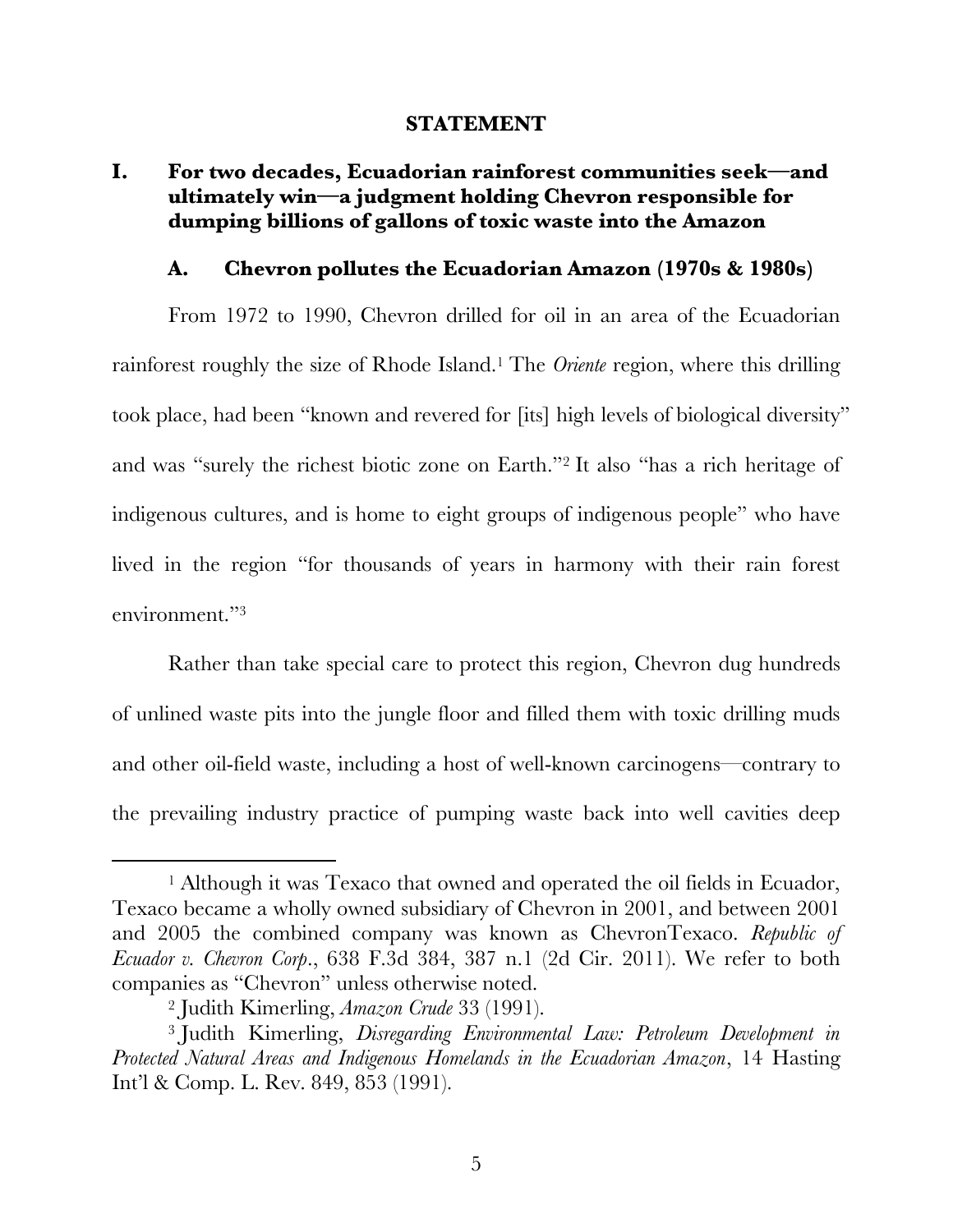### **STATEMENT**

# <span id="page-17-1"></span><span id="page-17-0"></span>**I. For two decades, Ecuadorian rainforest communities seek—and ultimately win—a judgment holding Chevron responsible for dumping billions of gallons of toxic waste into the Amazon**

### **A. Chevron pollutes the Ecuadorian Amazon (1970s & 1980s)**

<span id="page-17-2"></span>From 1972 to 1990, Chevron drilled for oil in an area of the Ecuadorian rainforest roughly the size of Rhode Island.1 The *Oriente* region, where this drilling took place, had been "known and revered for [its] high levels of biological diversity" and was "surely the richest biotic zone on Earth."<sup>2</sup> It also "has a rich heritage of indigenous cultures, and is home to eight groups of indigenous people" who have lived in the region "for thousands of years in harmony with their rain forest environment."<sup>3</sup>

Rather than take special care to protect this region, Chevron dug hundreds of unlined waste pits into the jungle floor and filled them with toxic drilling muds and other oil-field waste, including a host of well-known carcinogens—contrary to the prevailing industry practice of pumping waste back into well cavities deep

<sup>&</sup>lt;sup>1</sup> Although it was Texaco that owned and operated the oil fields in Ecuador, Texaco became a wholly owned subsidiary of Chevron in 2001, and between 2001 and 2005 the combined company was known as ChevronTexaco. *Republic of Ecuador v. Chevron Corp*., 638 F.3d 384, 387 n.1 (2d Cir. 2011). We refer to both companies as "Chevron" unless otherwise noted.

<sup>2</sup> Judith Kimerling, *Amazon Crude* 33 (1991).

<sup>3</sup> Judith Kimerling, *Disregarding Environmental Law: Petroleum Development in Protected Natural Areas and Indigenous Homelands in the Ecuadorian Amazon*, 14 Hasting Int'l & Comp. L. Rev. 849, 853 (1991).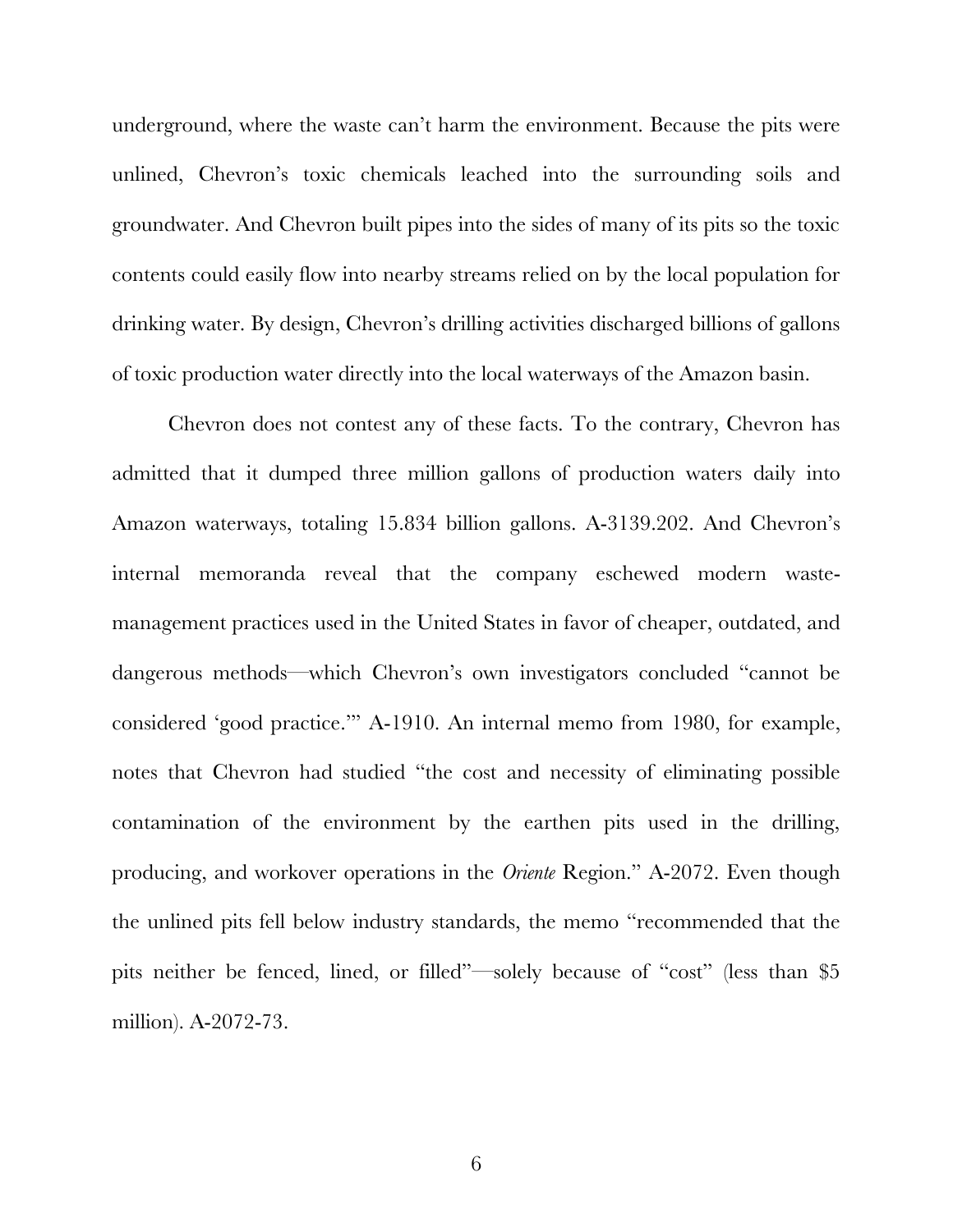underground, where the waste can't harm the environment. Because the pits were unlined, Chevron's toxic chemicals leached into the surrounding soils and groundwater. And Chevron built pipes into the sides of many of its pits so the toxic contents could easily flow into nearby streams relied on by the local population for drinking water. By design, Chevron's drilling activities discharged billions of gallons of toxic production water directly into the local waterways of the Amazon basin.

Chevron does not contest any of these facts. To the contrary, Chevron has admitted that it dumped three million gallons of production waters daily into Amazon waterways, totaling 15.834 billion gallons. A-3139.202. And Chevron's internal memoranda reveal that the company eschewed modern wastemanagement practices used in the United States in favor of cheaper, outdated, and dangerous methods—which Chevron's own investigators concluded "cannot be considered 'good practice.'" A-1910. An internal memo from 1980, for example, notes that Chevron had studied "the cost and necessity of eliminating possible contamination of the environment by the earthen pits used in the drilling, producing, and workover operations in the *Oriente* Region." A-2072. Even though the unlined pits fell below industry standards, the memo "recommended that the pits neither be fenced, lined, or filled"—solely because of "cost" (less than \$5 million). A-2072-73.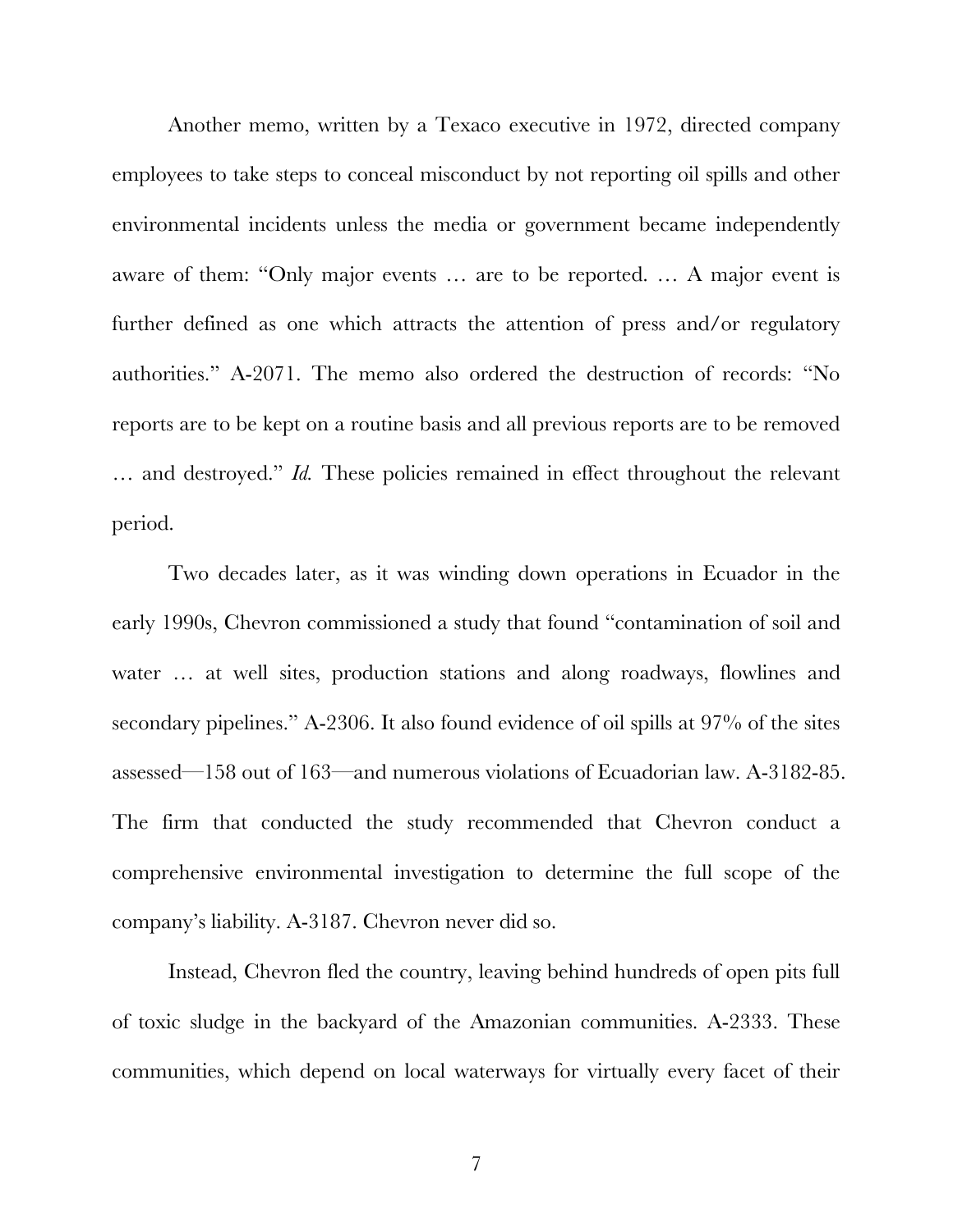Another memo, written by a Texaco executive in 1972, directed company employees to take steps to conceal misconduct by not reporting oil spills and other environmental incidents unless the media or government became independently aware of them: "Only major events … are to be reported. … A major event is further defined as one which attracts the attention of press and/or regulatory authorities." A-2071. The memo also ordered the destruction of records: "No reports are to be kept on a routine basis and all previous reports are to be removed … and destroyed." *Id.* These policies remained in effect throughout the relevant period.

Two decades later, as it was winding down operations in Ecuador in the early 1990s, Chevron commissioned a study that found "contamination of soil and water … at well sites, production stations and along roadways, flowlines and secondary pipelines." A-2306. It also found evidence of oil spills at 97% of the sites assessed—158 out of 163—and numerous violations of Ecuadorian law. A-3182-85. The firm that conducted the study recommended that Chevron conduct a comprehensive environmental investigation to determine the full scope of the company's liability. A-3187. Chevron never did so.

Instead, Chevron fled the country, leaving behind hundreds of open pits full of toxic sludge in the backyard of the Amazonian communities. A-2333. These communities, which depend on local waterways for virtually every facet of their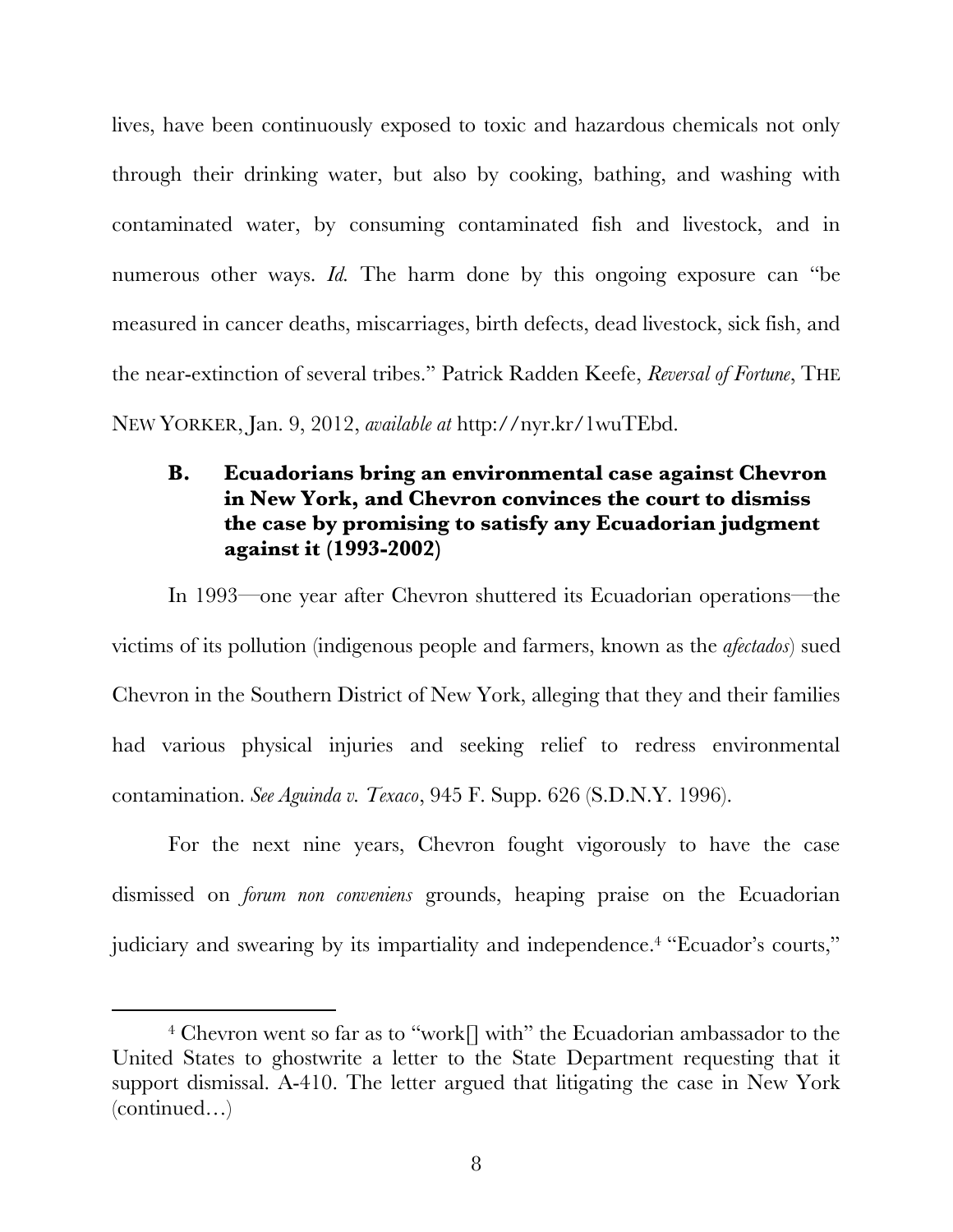lives, have been continuously exposed to toxic and hazardous chemicals not only through their drinking water, but also by cooking, bathing, and washing with contaminated water, by consuming contaminated fish and livestock, and in numerous other ways. *Id*. The harm done by this ongoing exposure can "be measured in cancer deaths, miscarriages, birth defects, dead livestock, sick fish, and the near-extinction of several tribes." Patrick Radden Keefe, *Reversal of Fortune*, THE NEW YORKER, Jan. 9, 2012, *available at* http://nyr.kr/1wuTEbd.

# <span id="page-20-0"></span>**B. Ecuadorians bring an environmental case against Chevron in New York, and Chevron convinces the court to dismiss the case by promising to satisfy any Ecuadorian judgment against it (1993-2002)**

In 1993—one year after Chevron shuttered its Ecuadorian operations—the victims of its pollution (indigenous people and farmers, known as the *afectados*) sued Chevron in the Southern District of New York, alleging that they and their families had various physical injuries and seeking relief to redress environmental contamination. *See Aguinda v. Texaco*, 945 F. Supp. 626 (S.D.N.Y. 1996).

For the next nine years, Chevron fought vigorously to have the case dismissed on *forum non conveniens* grounds, heaping praise on the Ecuadorian judiciary and swearing by its impartiality and independence.4 "Ecuador's courts,"

<sup>&</sup>lt;sup>4</sup> Chevron went so far as to "work<sup>[]</sup> with" the Ecuadorian ambassador to the United States to ghostwrite a letter to the State Department requesting that it support dismissal. A-410. The letter argued that litigating the case in New York (continued…)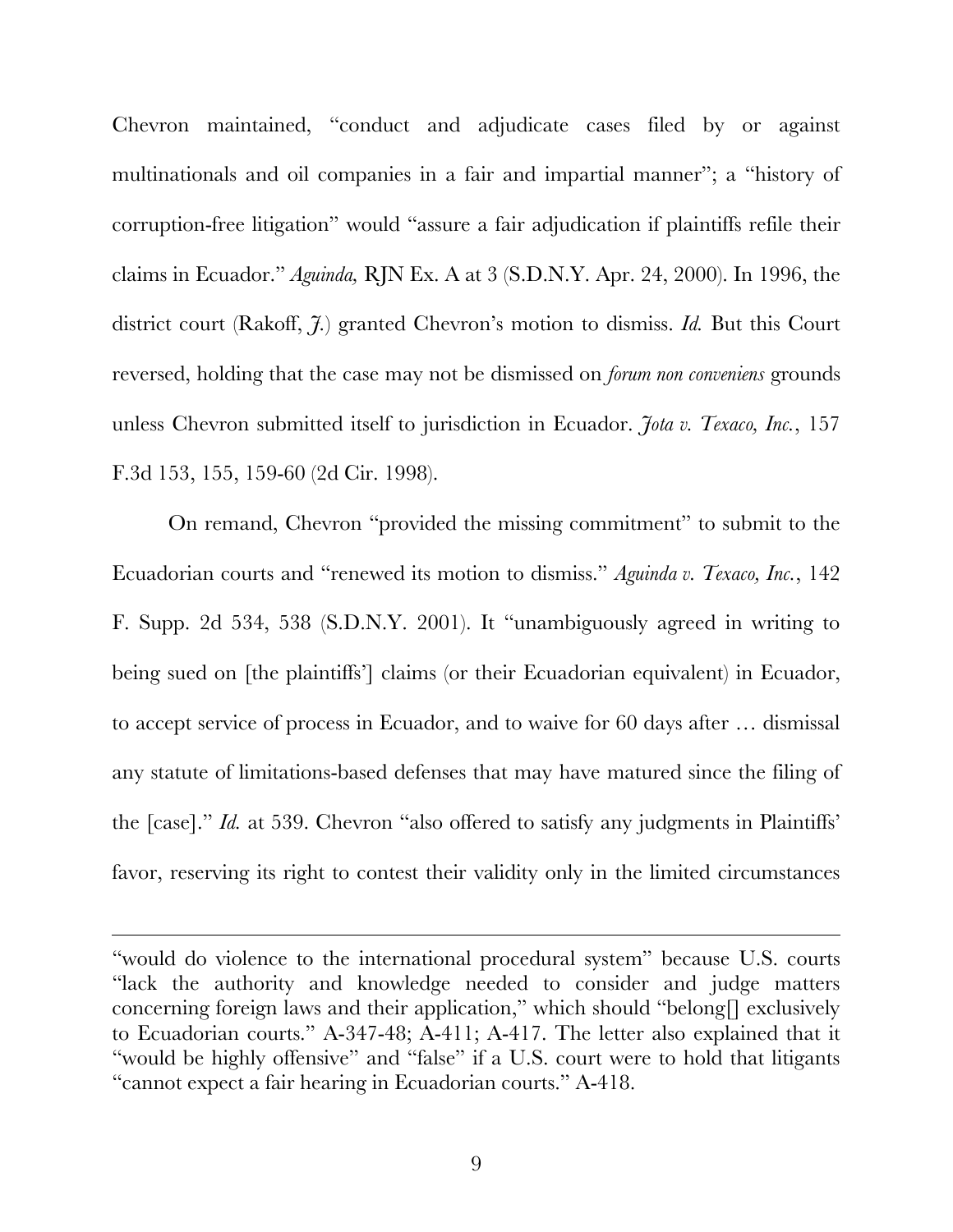Chevron maintained, "conduct and adjudicate cases filed by or against multinationals and oil companies in a fair and impartial manner"; a "history of corruption-free litigation" would "assure a fair adjudication if plaintiffs refile their claims in Ecuador." *Aguinda,* RJN Ex. A at 3 (S.D.N.Y. Apr. 24, 2000). In 1996, the district court (Rakoff, *J.*) granted Chevron's motion to dismiss. *Id.* But this Court reversed, holding that the case may not be dismissed on *forum non conveniens* grounds unless Chevron submitted itself to jurisdiction in Ecuador. *Jota v. Texaco, Inc.*, 157 F.3d 153, 155, 159-60 (2d Cir. 1998).

On remand, Chevron "provided the missing commitment" to submit to the Ecuadorian courts and "renewed its motion to dismiss." *Aguinda v. Texaco, Inc.*, 142 F. Supp. 2d 534, 538 (S.D.N.Y. 2001). It "unambiguously agreed in writing to being sued on [the plaintiffs'] claims (or their Ecuadorian equivalent) in Ecuador, to accept service of process in Ecuador, and to waive for 60 days after … dismissal any statute of limitations-based defenses that may have matured since the filing of the [case]." *Id.* at 539. Chevron "also offered to satisfy any judgments in Plaintiffs' favor, reserving its right to contest their validity only in the limited circumstances

 $\overline{a}$ 

<sup>&</sup>quot;would do violence to the international procedural system" because U.S. courts "lack the authority and knowledge needed to consider and judge matters concerning foreign laws and their application," which should "belong[] exclusively to Ecuadorian courts." A-347-48; A-411; A-417. The letter also explained that it "would be highly offensive" and "false" if a U.S. court were to hold that litigants "cannot expect a fair hearing in Ecuadorian courts." A-418.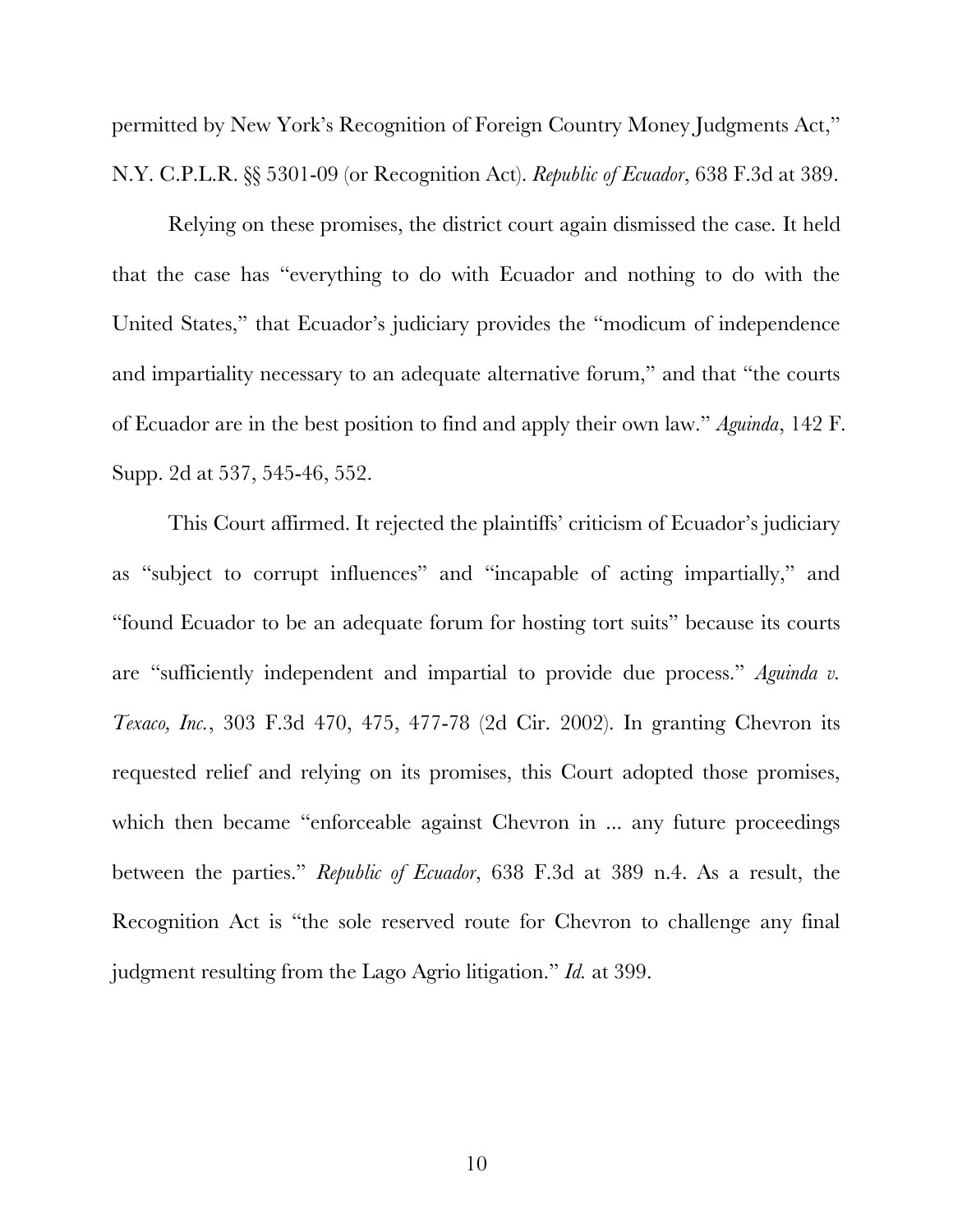permitted by New York's Recognition of Foreign Country Money Judgments Act," N.Y. C.P.L.R. §§ 5301-09 (or Recognition Act). *Republic of Ecuador*, 638 F.3d at 389.

Relying on these promises, the district court again dismissed the case*.* It held that the case has "everything to do with Ecuador and nothing to do with the United States," that Ecuador's judiciary provides the "modicum of independence and impartiality necessary to an adequate alternative forum," and that "the courts of Ecuador are in the best position to find and apply their own law." *Aguinda*, 142 F. Supp. 2d at 537, 545-46, 552.

This Court affirmed. It rejected the plaintiffs' criticism of Ecuador's judiciary as "subject to corrupt influences" and "incapable of acting impartially," and "found Ecuador to be an adequate forum for hosting tort suits" because its courts are "sufficiently independent and impartial to provide due process." *Aguinda v. Texaco, Inc.*, 303 F.3d 470, 475, 477-78 (2d Cir. 2002). In granting Chevron its requested relief and relying on its promises, this Court adopted those promises, which then became "enforceable against Chevron in ... any future proceedings between the parties." *Republic of Ecuador*, 638 F.3d at 389 n.4. As a result, the Recognition Act is "the sole reserved route for Chevron to challenge any final judgment resulting from the Lago Agrio litigation." *Id.* at 399.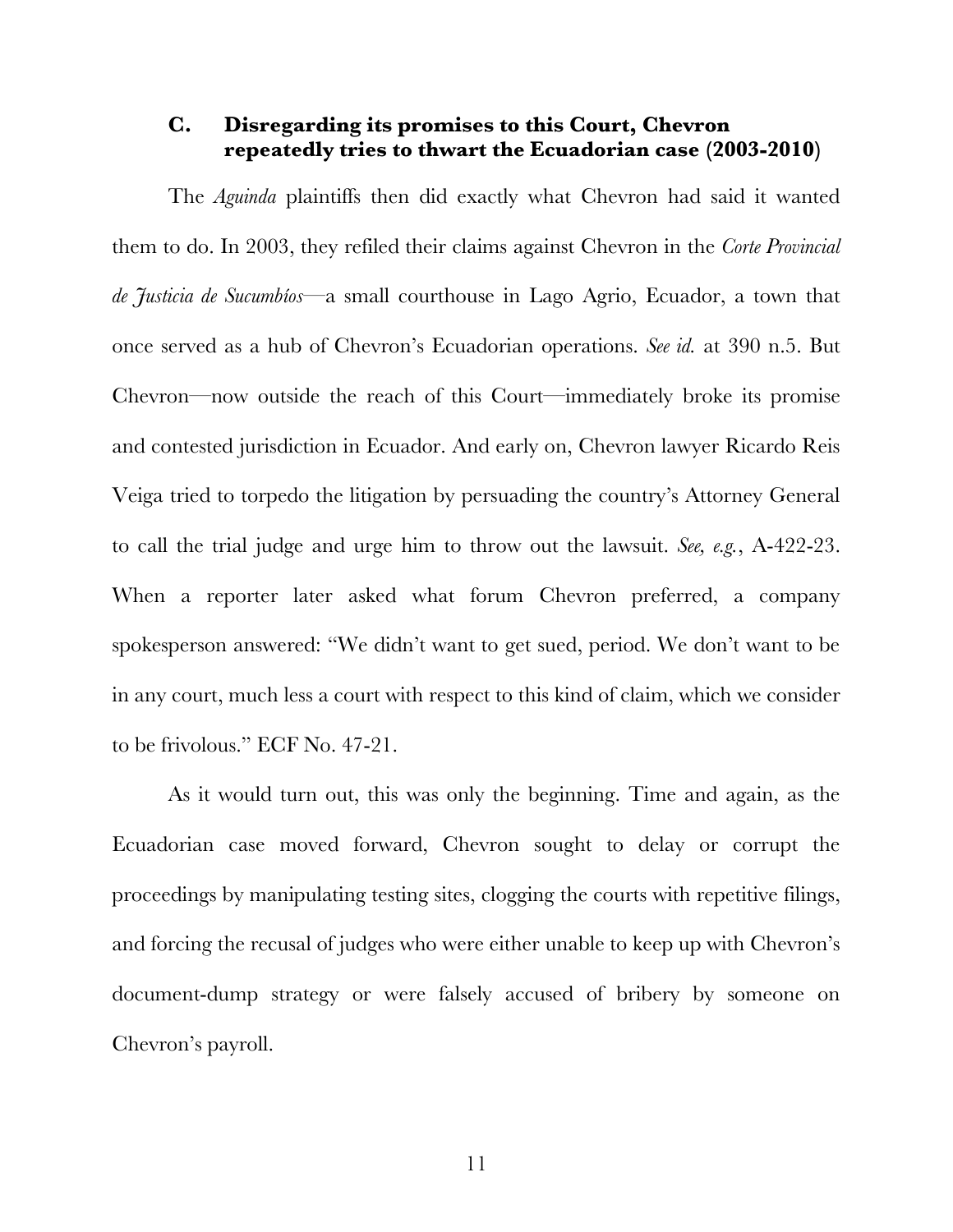## <span id="page-23-0"></span>**C. Disregarding its promises to this Court, Chevron repeatedly tries to thwart the Ecuadorian case (2003-2010)**

The *Aguinda* plaintiffs then did exactly what Chevron had said it wanted them to do. In 2003, they refiled their claims against Chevron in the *Corte Provincial de Justicia de Sucumbíos*—a small courthouse in Lago Agrio, Ecuador, a town that once served as a hub of Chevron's Ecuadorian operations. *See id.* at 390 n.5. But Chevron—now outside the reach of this Court—immediately broke its promise and contested jurisdiction in Ecuador. And early on, Chevron lawyer Ricardo Reis Veiga tried to torpedo the litigation by persuading the country's Attorney General to call the trial judge and urge him to throw out the lawsuit. *See, e.g.*, A-422-23. When a reporter later asked what forum Chevron preferred, a company spokesperson answered: "We didn't want to get sued, period. We don't want to be in any court, much less a court with respect to this kind of claim, which we consider to be frivolous." ECF No. 47-21.

As it would turn out, this was only the beginning. Time and again, as the Ecuadorian case moved forward, Chevron sought to delay or corrupt the proceedings by manipulating testing sites, clogging the courts with repetitive filings, and forcing the recusal of judges who were either unable to keep up with Chevron's document-dump strategy or were falsely accused of bribery by someone on Chevron's payroll.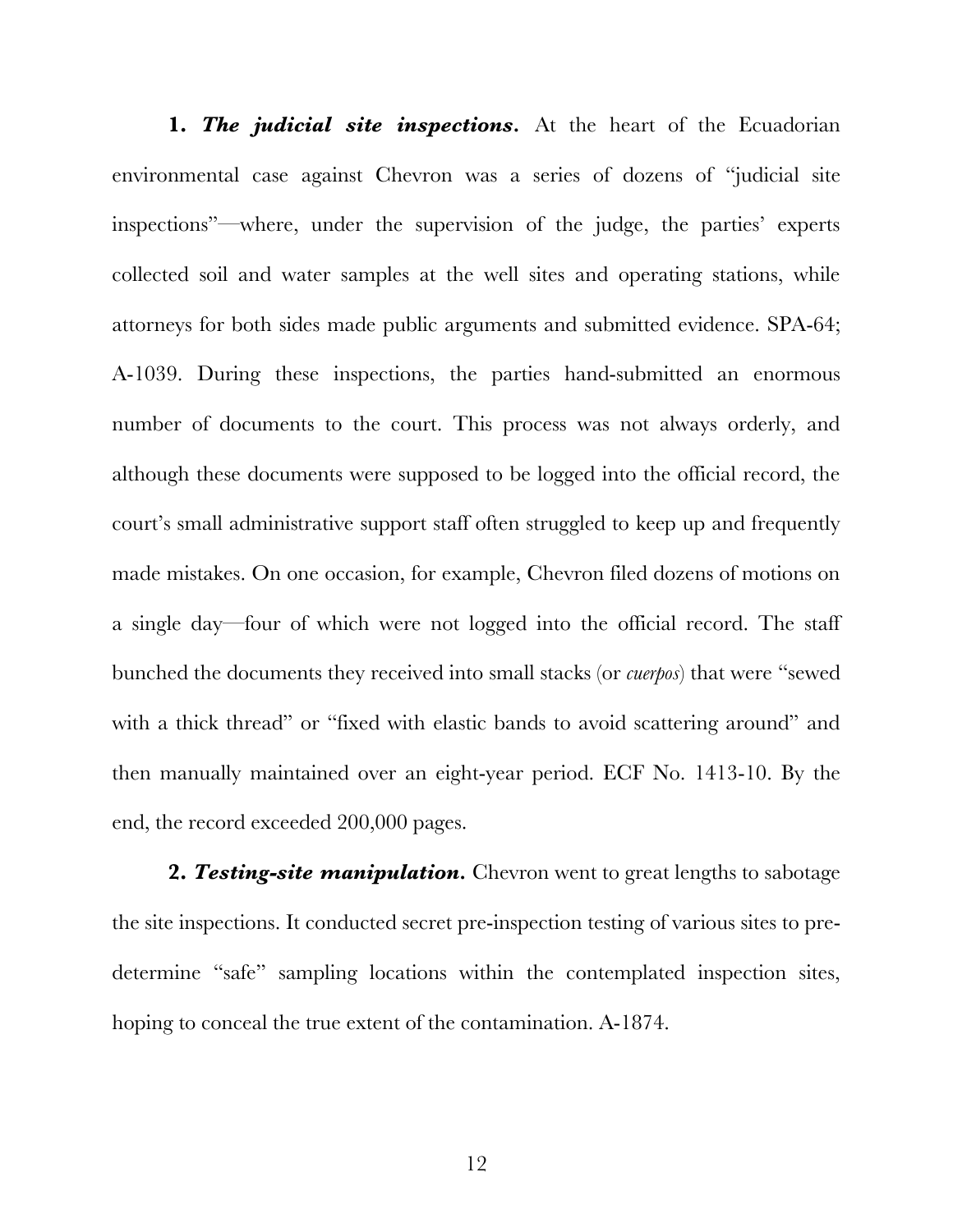**1. The judicial site inspections.** At the heart of the Ecuadorian environmental case against Chevron was a series of dozens of "judicial site inspections"—where, under the supervision of the judge, the parties' experts collected soil and water samples at the well sites and operating stations, while attorneys for both sides made public arguments and submitted evidence. SPA-64; A-1039. During these inspections, the parties hand-submitted an enormous number of documents to the court. This process was not always orderly, and although these documents were supposed to be logged into the official record, the court's small administrative support staff often struggled to keep up and frequently made mistakes. On one occasion, for example, Chevron filed dozens of motions on a single day—four of which were not logged into the official record. The staff bunched the documents they received into small stacks (or *cuerpos*) that were "sewed with a thick thread" or "fixed with elastic bands to avoid scattering around" and then manually maintained over an eight-year period. ECF No. 1413-10. By the end, the record exceeded 200,000 pages.

**2.** *Testing-site manipulation.* Chevron went to great lengths to sabotage the site inspections. It conducted secret pre-inspection testing of various sites to predetermine "safe" sampling locations within the contemplated inspection sites, hoping to conceal the true extent of the contamination. A-1874.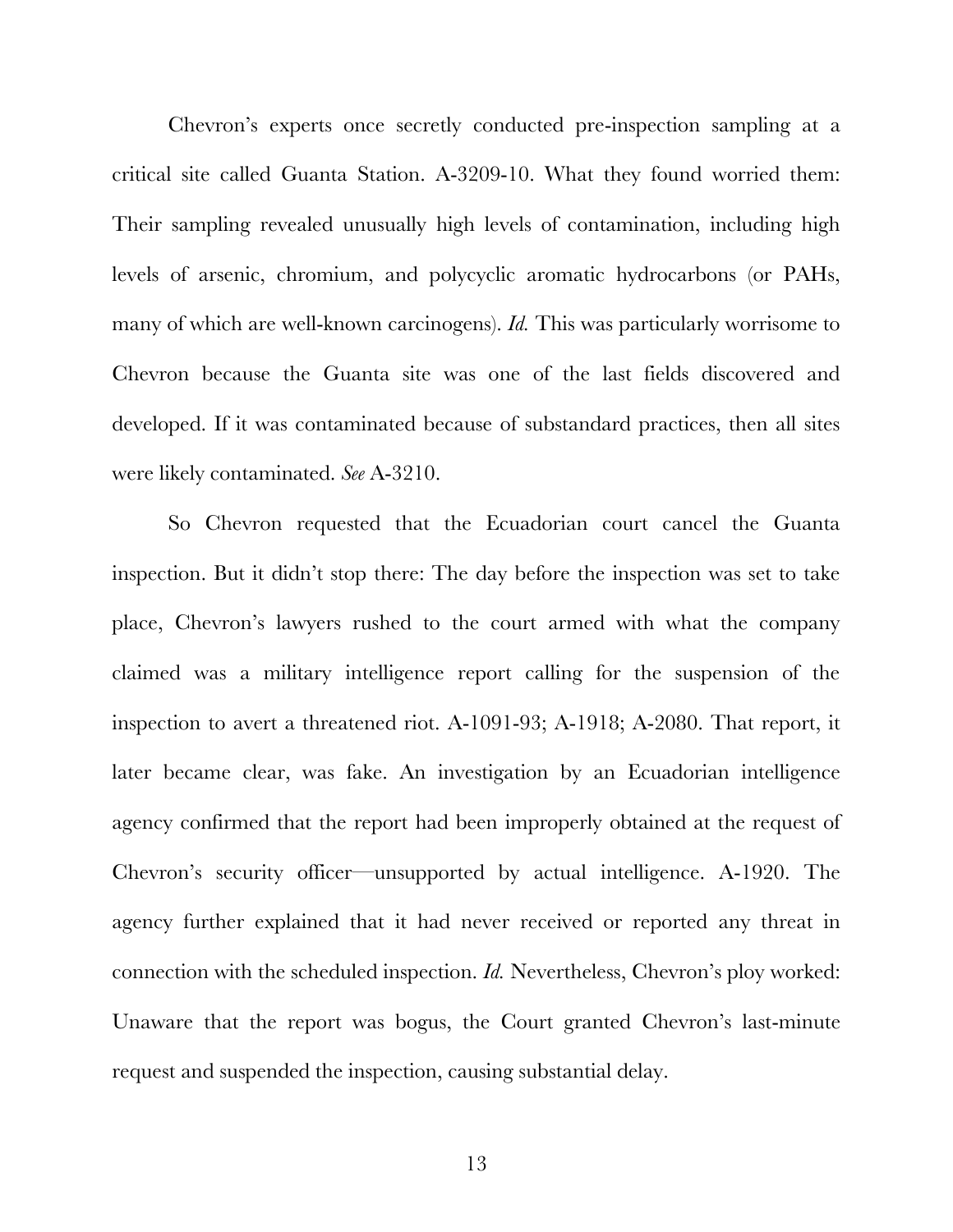Chevron's experts once secretly conducted pre-inspection sampling at a critical site called Guanta Station. A-3209-10. What they found worried them: Their sampling revealed unusually high levels of contamination, including high levels of arsenic, chromium, and polycyclic aromatic hydrocarbons (or PAHs, many of which are well-known carcinogens). *Id.* This was particularly worrisome to Chevron because the Guanta site was one of the last fields discovered and developed. If it was contaminated because of substandard practices, then all sites were likely contaminated. *See* A-3210.

So Chevron requested that the Ecuadorian court cancel the Guanta inspection. But it didn't stop there: The day before the inspection was set to take place, Chevron's lawyers rushed to the court armed with what the company claimed was a military intelligence report calling for the suspension of the inspection to avert a threatened riot. A-1091-93; A-1918; A-2080. That report, it later became clear, was fake. An investigation by an Ecuadorian intelligence agency confirmed that the report had been improperly obtained at the request of Chevron's security officer—unsupported by actual intelligence. A-1920. The agency further explained that it had never received or reported any threat in connection with the scheduled inspection. *Id.* Nevertheless, Chevron's ploy worked: Unaware that the report was bogus, the Court granted Chevron's last-minute request and suspended the inspection, causing substantial delay.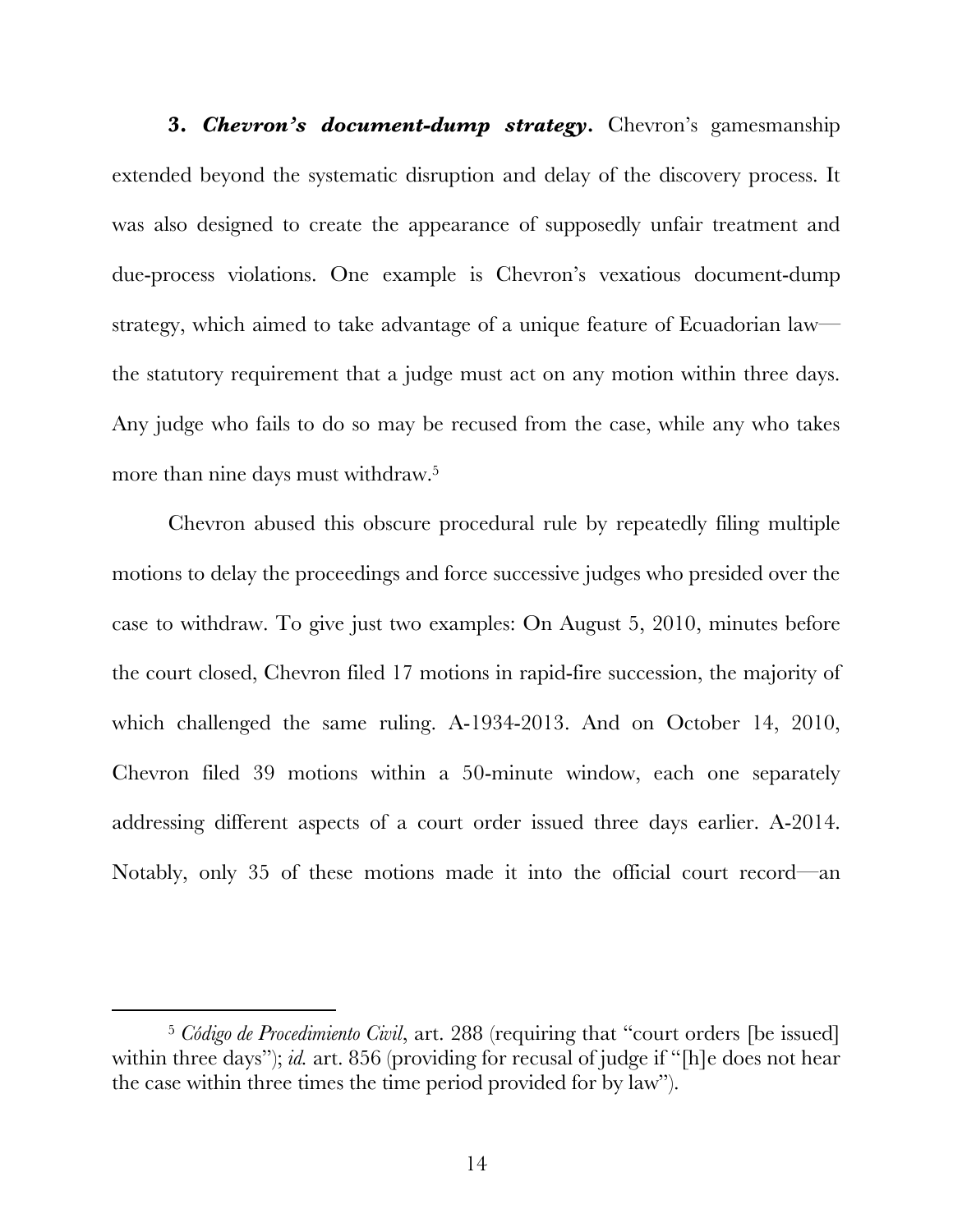**3.** *Chevron's document-dump strategy.* Chevron's gamesmanship extended beyond the systematic disruption and delay of the discovery process. It was also designed to create the appearance of supposedly unfair treatment and due-process violations. One example is Chevron's vexatious document-dump strategy, which aimed to take advantage of a unique feature of Ecuadorian law the statutory requirement that a judge must act on any motion within three days. Any judge who fails to do so may be recused from the case, while any who takes more than nine days must withdraw.5

Chevron abused this obscure procedural rule by repeatedly filing multiple motions to delay the proceedings and force successive judges who presided over the case to withdraw. To give just two examples: On August 5, 2010, minutes before the court closed, Chevron filed 17 motions in rapid-fire succession, the majority of which challenged the same ruling. A-1934-2013. And on October 14, 2010, Chevron filed 39 motions within a 50-minute window, each one separately addressing different aspects of a court order issued three days earlier. A-2014. Notably, only 35 of these motions made it into the official court record—an

 <sup>5</sup> *Código de Procedimiento Civil*, art. 288 (requiring that "court orders [be issued] within three days"); *id.* art. 856 (providing for recusal of judge if "[h]e does not hear the case within three times the time period provided for by law").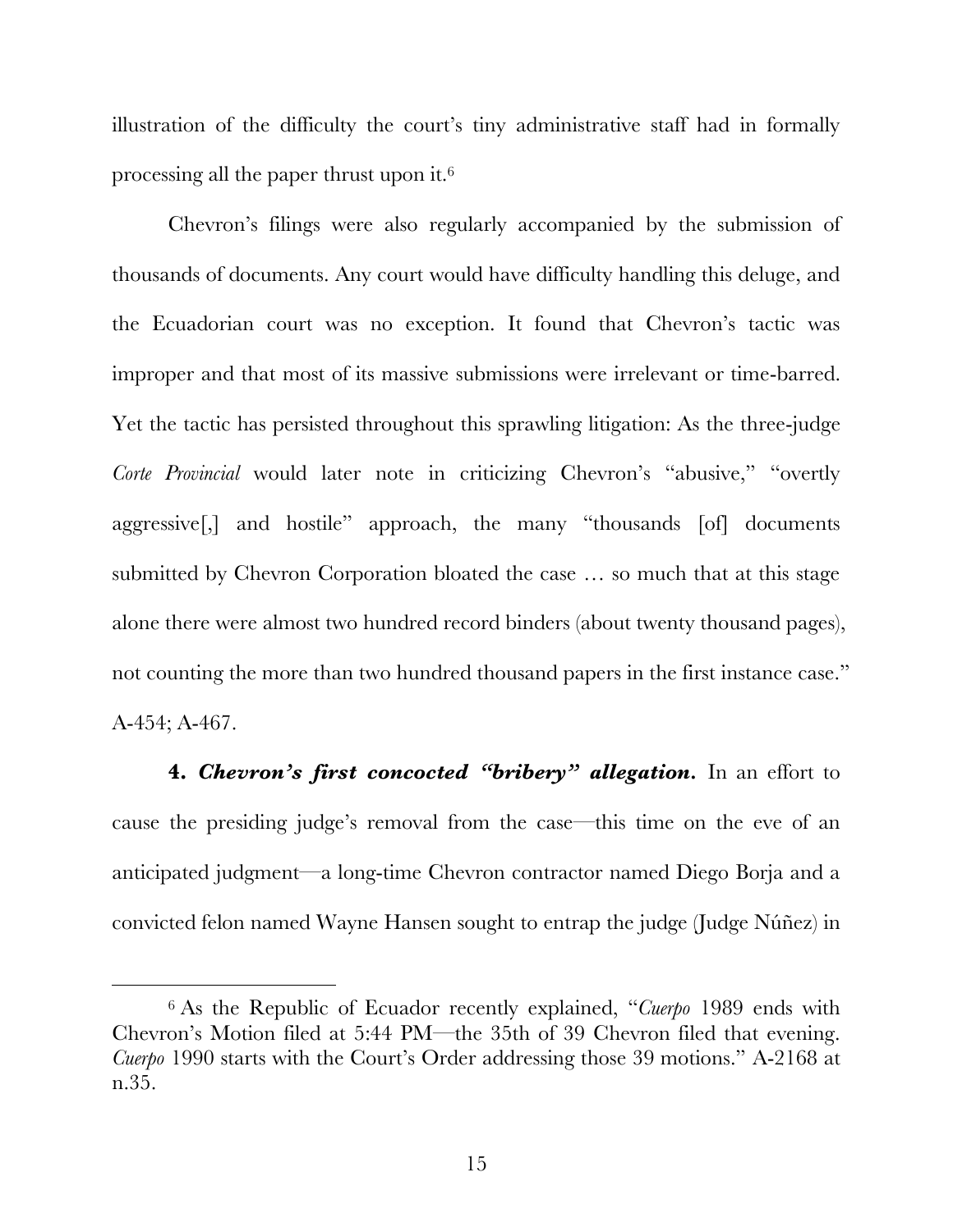illustration of the difficulty the court's tiny administrative staff had in formally processing all the paper thrust upon it.6

Chevron's filings were also regularly accompanied by the submission of thousands of documents. Any court would have difficulty handling this deluge, and the Ecuadorian court was no exception. It found that Chevron's tactic was improper and that most of its massive submissions were irrelevant or time-barred. Yet the tactic has persisted throughout this sprawling litigation: As the three-judge *Corte Provincial* would later note in criticizing Chevron's "abusive," "overtly aggressive[,] and hostile" approach, the many "thousands [of] documents submitted by Chevron Corporation bloated the case … so much that at this stage alone there were almost two hundred record binders (about twenty thousand pages), not counting the more than two hundred thousand papers in the first instance case." A-454; A-467.

**4.** *Chevron's first concocted "bribery" allegation.* In an effort to cause the presiding judge's removal from the case—this time on the eve of an anticipated judgment—a long-time Chevron contractor named Diego Borja and a convicted felon named Wayne Hansen sought to entrap the judge (Judge Núñez) in

 <sup>6</sup> As the Republic of Ecuador recently explained, "*Cuerpo* 1989 ends with Chevron's Motion filed at 5:44 PM—the 35th of 39 Chevron filed that evening. *Cuerpo* 1990 starts with the Court's Order addressing those 39 motions." A-2168 at n.35.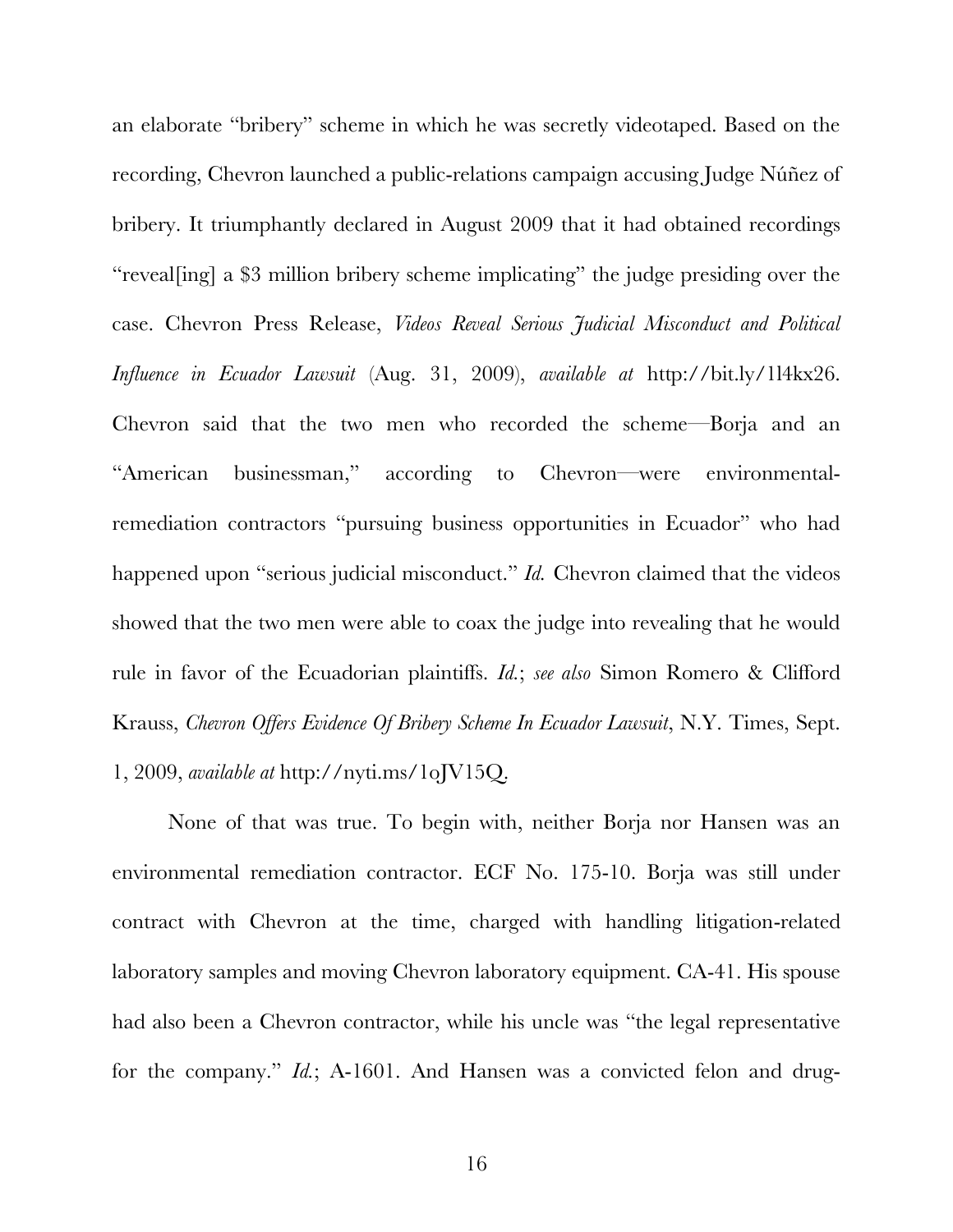an elaborate "bribery" scheme in which he was secretly videotaped. Based on the recording, Chevron launched a public-relations campaign accusing Judge Núñez of bribery. It triumphantly declared in August 2009 that it had obtained recordings "reveal[ing] a \$3 million bribery scheme implicating" the judge presiding over the case. Chevron Press Release, *Videos Reveal Serious Judicial Misconduct and Political Influence in Ecuador Lawsuit* (Aug. 31, 2009), *available at* http://bit.ly/1l4kx26. Chevron said that the two men who recorded the scheme—Borja and an "American businessman," according to Chevron—were environmentalremediation contractors "pursuing business opportunities in Ecuador" who had happened upon "serious judicial misconduct." *Id.* Chevron claimed that the videos showed that the two men were able to coax the judge into revealing that he would rule in favor of the Ecuadorian plaintiffs. *Id.*; *see also* Simon Romero & Clifford Krauss, *Chevron Offers Evidence Of Bribery Scheme In Ecuador Lawsuit*, N.Y. Times, Sept. 1, 2009, *available at* http://nyti.ms/1oJV15Q.

None of that was true. To begin with, neither Borja nor Hansen was an environmental remediation contractor. ECF No. 175-10. Borja was still under contract with Chevron at the time, charged with handling litigation-related laboratory samples and moving Chevron laboratory equipment. CA-41. His spouse had also been a Chevron contractor, while his uncle was "the legal representative for the company." *Id.*; A-1601. And Hansen was a convicted felon and drug-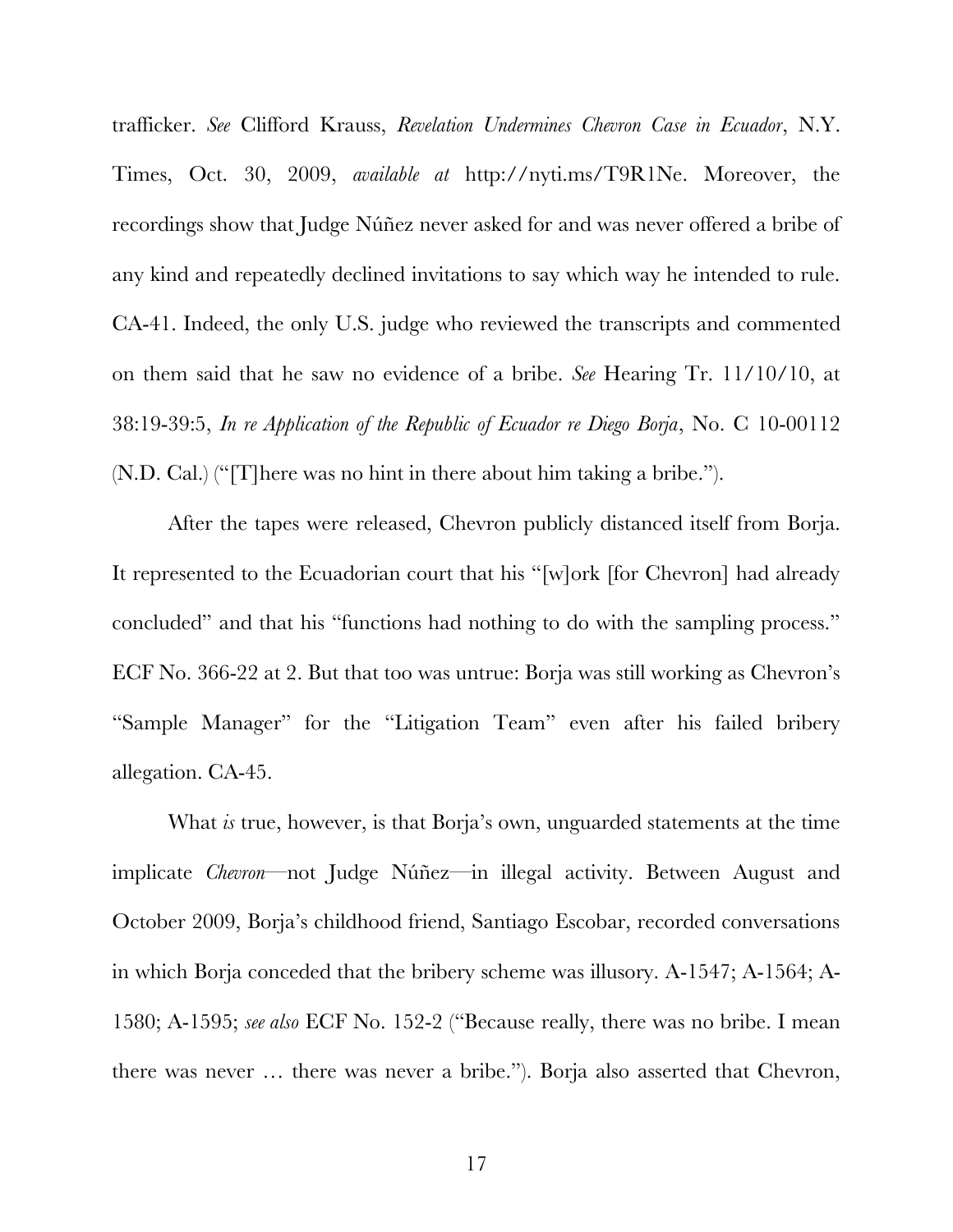trafficker. *See* Clifford Krauss, *Revelation Undermines Chevron Case in Ecuador*, N.Y. Times, Oct. 30, 2009, *available at* http://nyti.ms/T9R1Ne. Moreover, the recordings show that Judge Núñez never asked for and was never offered a bribe of any kind and repeatedly declined invitations to say which way he intended to rule. CA-41. Indeed, the only U.S. judge who reviewed the transcripts and commented on them said that he saw no evidence of a bribe. *See* Hearing Tr. 11/10/10, at 38:19-39:5, *In re Application of the Republic of Ecuador re Diego Borja*, No. C 10-00112 (N.D. Cal.) ("[T]here was no hint in there about him taking a bribe.").

After the tapes were released, Chevron publicly distanced itself from Borja. It represented to the Ecuadorian court that his "[w]ork [for Chevron] had already concluded" and that his "functions had nothing to do with the sampling process." ECF No. 366-22 at 2. But that too was untrue: Borja was still working as Chevron's "Sample Manager" for the "Litigation Team" even after his failed bribery allegation. CA-45.

What *is* true, however, is that Borja's own, unguarded statements at the time implicate *Chevron*—not Judge Núñez—in illegal activity. Between August and October 2009, Borja's childhood friend, Santiago Escobar, recorded conversations in which Borja conceded that the bribery scheme was illusory. A-1547; A-1564; A-1580; A-1595; *see also* ECF No. 152-2 ("Because really, there was no bribe. I mean there was never … there was never a bribe."). Borja also asserted that Chevron,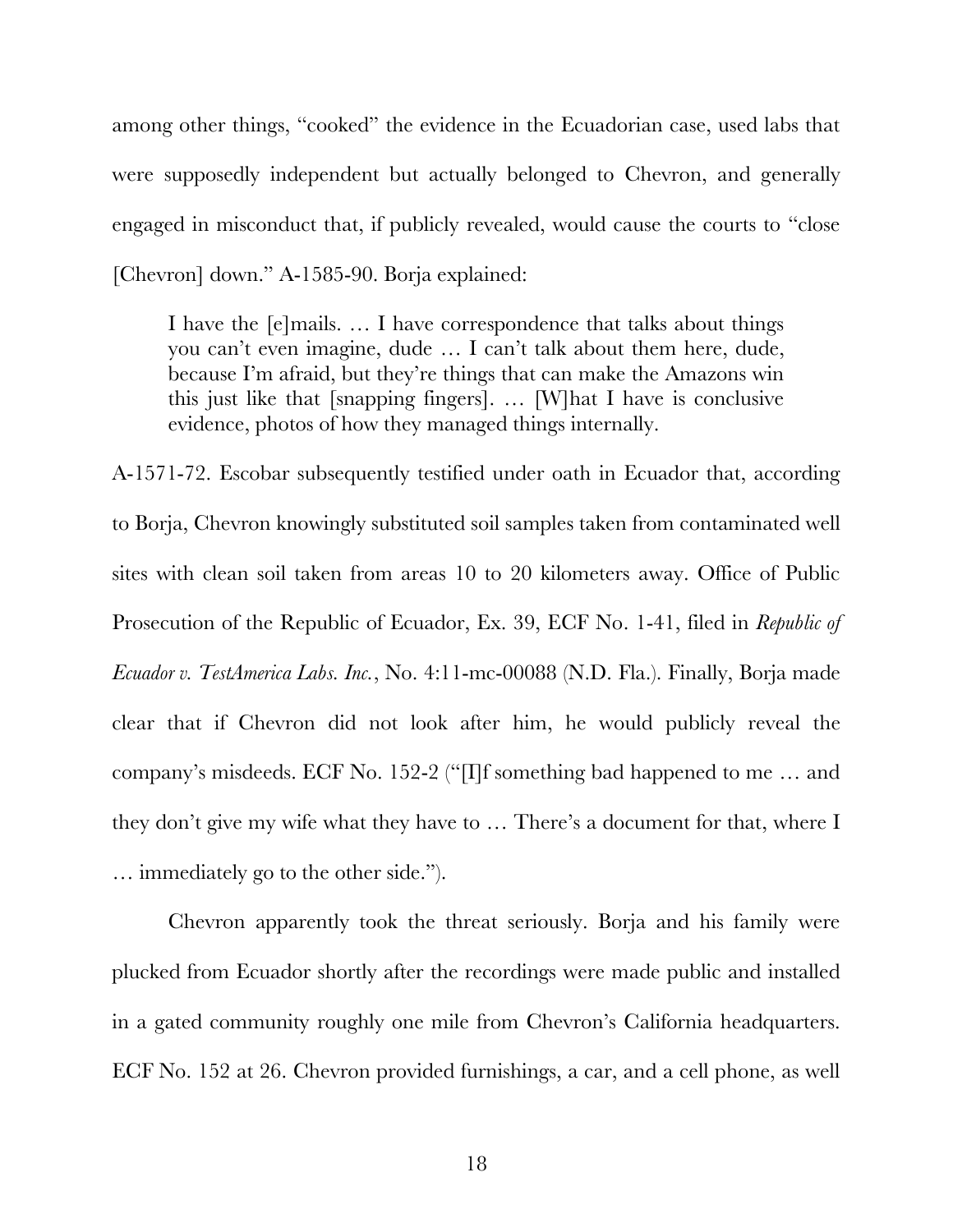among other things, "cooked" the evidence in the Ecuadorian case, used labs that were supposedly independent but actually belonged to Chevron, and generally engaged in misconduct that, if publicly revealed, would cause the courts to "close [Chevron] down." A-1585-90. Borja explained:

I have the [e]mails. … I have correspondence that talks about things you can't even imagine, dude … I can't talk about them here, dude, because I'm afraid, but they're things that can make the Amazons win this just like that [snapping fingers]. … [W]hat I have is conclusive evidence, photos of how they managed things internally.

A-1571-72. Escobar subsequently testified under oath in Ecuador that, according to Borja, Chevron knowingly substituted soil samples taken from contaminated well sites with clean soil taken from areas 10 to 20 kilometers away. Office of Public Prosecution of the Republic of Ecuador, Ex. 39, ECF No. 1-41, filed in *Republic of Ecuador v. TestAmerica Labs. Inc.*, No. 4:11-mc-00088 (N.D. Fla.). Finally, Borja made clear that if Chevron did not look after him, he would publicly reveal the company's misdeeds. ECF No. 152-2 ("[I]f something bad happened to me … and they don't give my wife what they have to … There's a document for that, where I … immediately go to the other side.").

Chevron apparently took the threat seriously. Borja and his family were plucked from Ecuador shortly after the recordings were made public and installed in a gated community roughly one mile from Chevron's California headquarters. ECF No. 152 at 26. Chevron provided furnishings, a car, and a cell phone, as well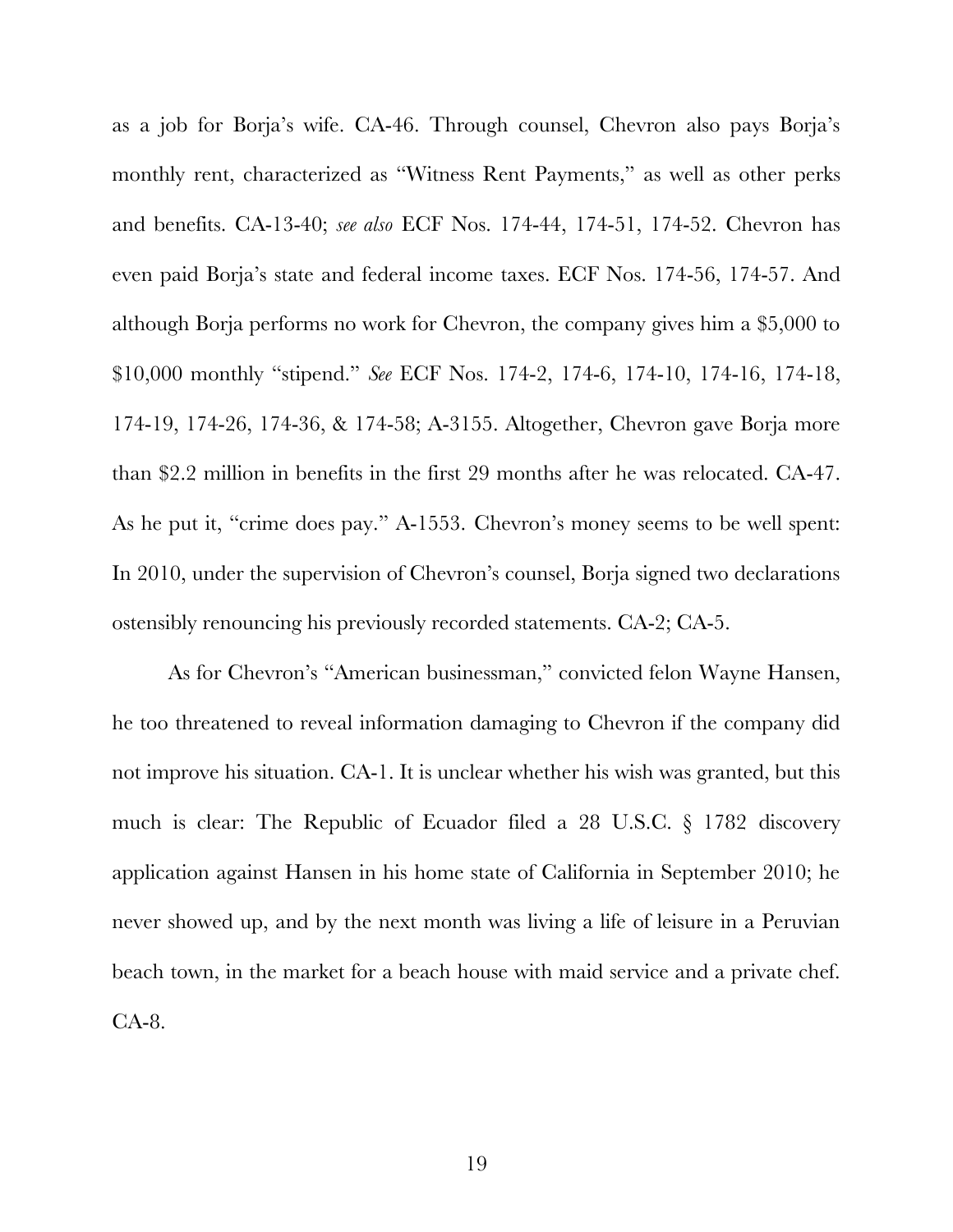as a job for Borja's wife. CA-46. Through counsel, Chevron also pays Borja's monthly rent, characterized as "Witness Rent Payments," as well as other perks and benefits. CA-13-40; *see also* ECF Nos. 174-44, 174-51, 174-52. Chevron has even paid Borja's state and federal income taxes. ECF Nos. 174-56, 174-57. And although Borja performs no work for Chevron, the company gives him a \$5,000 to \$10,000 monthly "stipend." *See* ECF Nos. 174-2, 174-6, 174-10, 174-16, 174-18, 174-19, 174-26, 174-36, & 174-58; A-3155. Altogether, Chevron gave Borja more than \$2.2 million in benefits in the first 29 months after he was relocated. CA-47. As he put it, "crime does pay." A-1553. Chevron's money seems to be well spent: In 2010, under the supervision of Chevron's counsel, Borja signed two declarations ostensibly renouncing his previously recorded statements. CA-2; CA-5.

As for Chevron's "American businessman," convicted felon Wayne Hansen, he too threatened to reveal information damaging to Chevron if the company did not improve his situation. CA-1. It is unclear whether his wish was granted, but this much is clear: The Republic of Ecuador filed a 28 U.S.C. § 1782 discovery application against Hansen in his home state of California in September 2010; he never showed up, and by the next month was living a life of leisure in a Peruvian beach town, in the market for a beach house with maid service and a private chef. CA-8.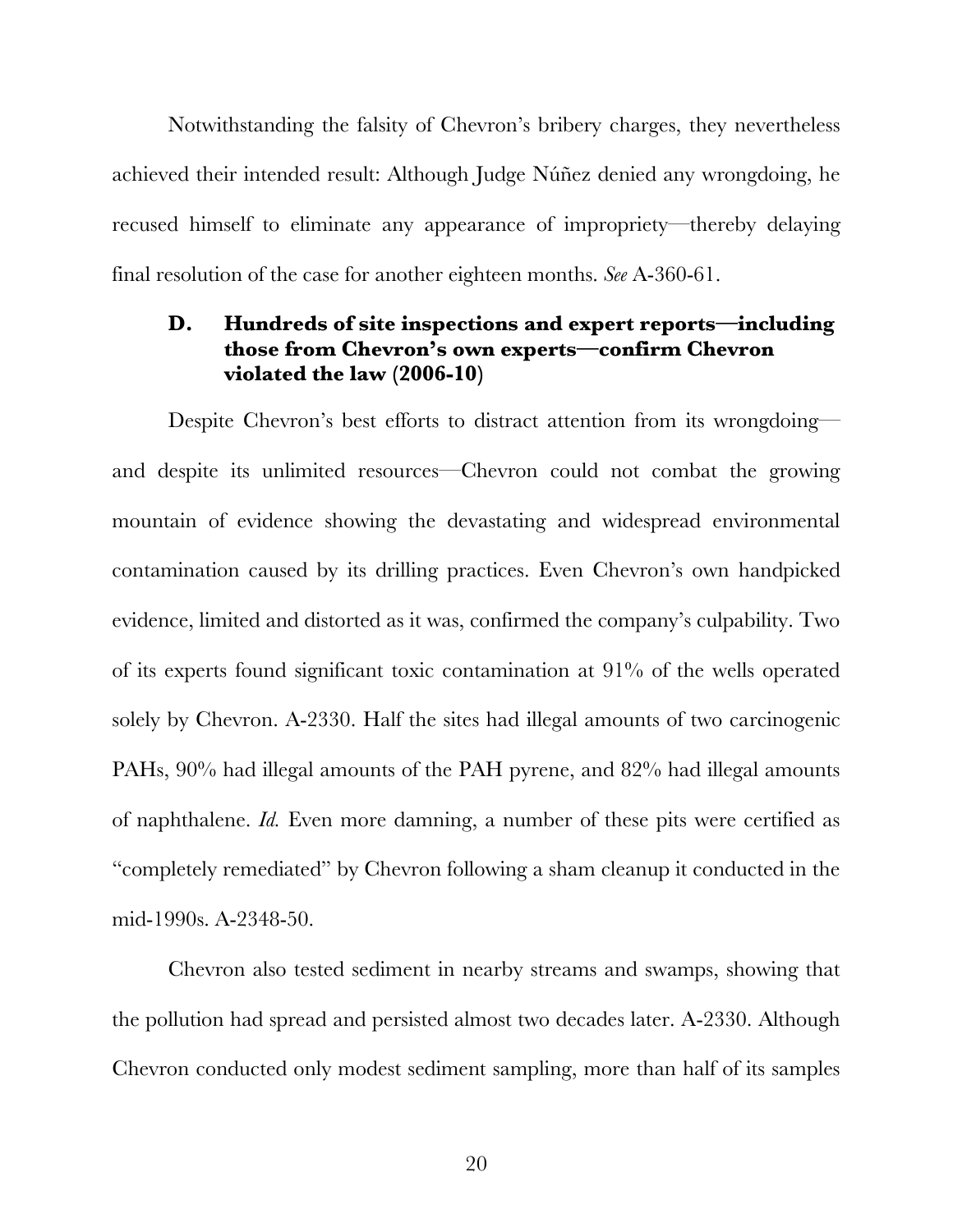Notwithstanding the falsity of Chevron's bribery charges, they nevertheless achieved their intended result: Although Judge Núñez denied any wrongdoing, he recused himself to eliminate any appearance of impropriety—thereby delaying final resolution of the case for another eighteen months. *See* A-360-61.

# <span id="page-32-0"></span>**D. Hundreds of site inspections and expert reports—including those from Chevron's own experts—confirm Chevron violated the law (2006-10)**

Despite Chevron's best efforts to distract attention from its wrongdoing and despite its unlimited resources—Chevron could not combat the growing mountain of evidence showing the devastating and widespread environmental contamination caused by its drilling practices. Even Chevron's own handpicked evidence, limited and distorted as it was, confirmed the company's culpability. Two of its experts found significant toxic contamination at 91% of the wells operated solely by Chevron. A-2330. Half the sites had illegal amounts of two carcinogenic PAHs, 90% had illegal amounts of the PAH pyrene, and 82% had illegal amounts of naphthalene. *Id.* Even more damning, a number of these pits were certified as "completely remediated" by Chevron following a sham cleanup it conducted in the mid-1990s. A-2348-50.

Chevron also tested sediment in nearby streams and swamps, showing that the pollution had spread and persisted almost two decades later. A-2330. Although Chevron conducted only modest sediment sampling, more than half of its samples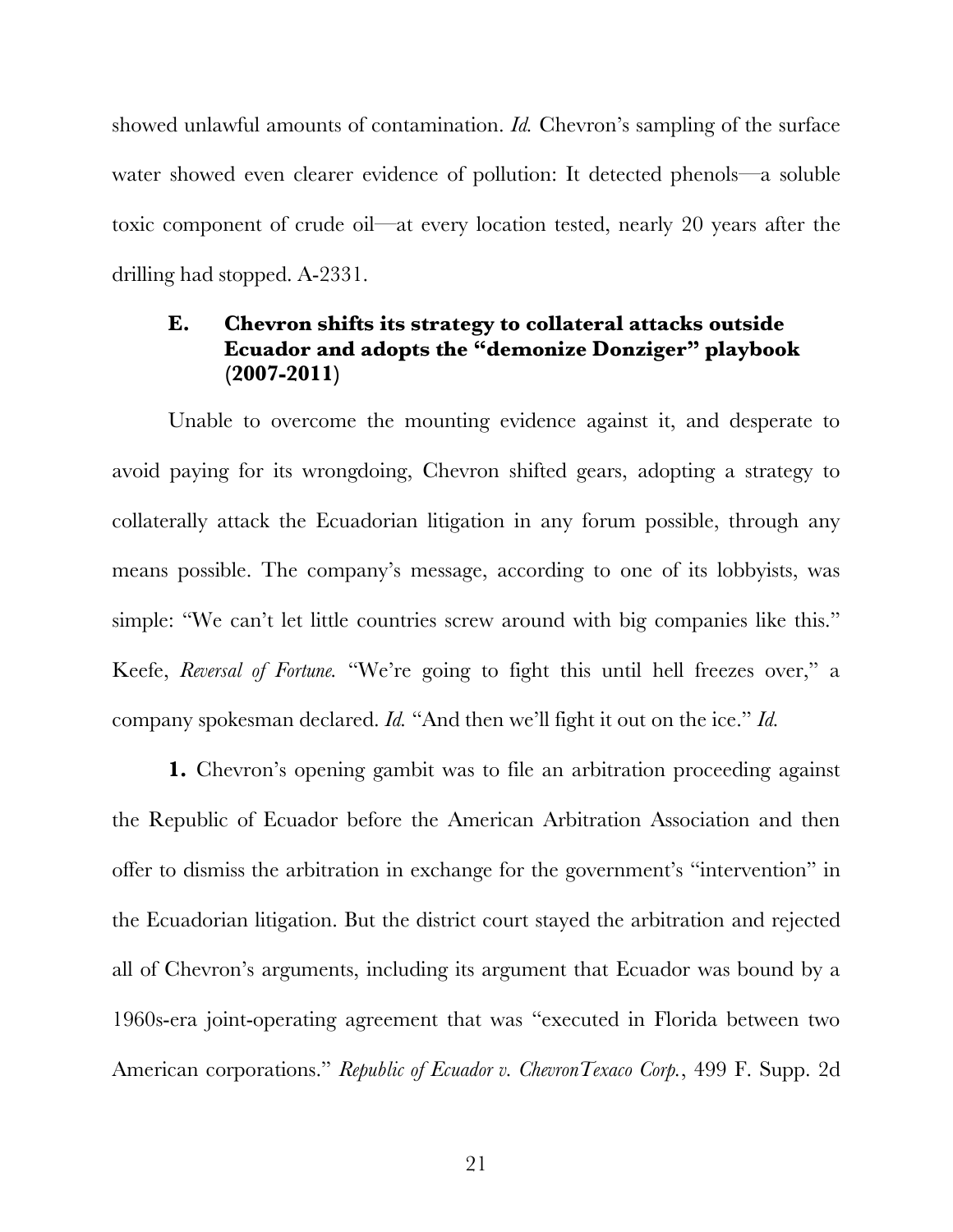showed unlawful amounts of contamination. *Id.* Chevron's sampling of the surface water showed even clearer evidence of pollution: It detected phenols—a soluble toxic component of crude oil—at every location tested, nearly 20 years after the drilling had stopped. A-2331.

# <span id="page-33-0"></span>**E. Chevron shifts its strategy to collateral attacks outside Ecuador and adopts the "demonize Donziger" playbook (2007-2011)**

Unable to overcome the mounting evidence against it, and desperate to avoid paying for its wrongdoing, Chevron shifted gears, adopting a strategy to collaterally attack the Ecuadorian litigation in any forum possible, through any means possible. The company's message, according to one of its lobbyists, was simple: "We can't let little countries screw around with big companies like this." Keefe, *Reversal of Fortune.* "We're going to fight this until hell freezes over," a company spokesman declared. *Id.* "And then we'll fight it out on the ice." *Id.*

**1.** Chevron's opening gambit was to file an arbitration proceeding against the Republic of Ecuador before the American Arbitration Association and then offer to dismiss the arbitration in exchange for the government's "intervention" in the Ecuadorian litigation. But the district court stayed the arbitration and rejected all of Chevron's arguments, including its argument that Ecuador was bound by a 1960s-era joint-operating agreement that was "executed in Florida between two American corporations." *Republic of Ecuador v. ChevronTexaco Corp.*, 499 F. Supp. 2d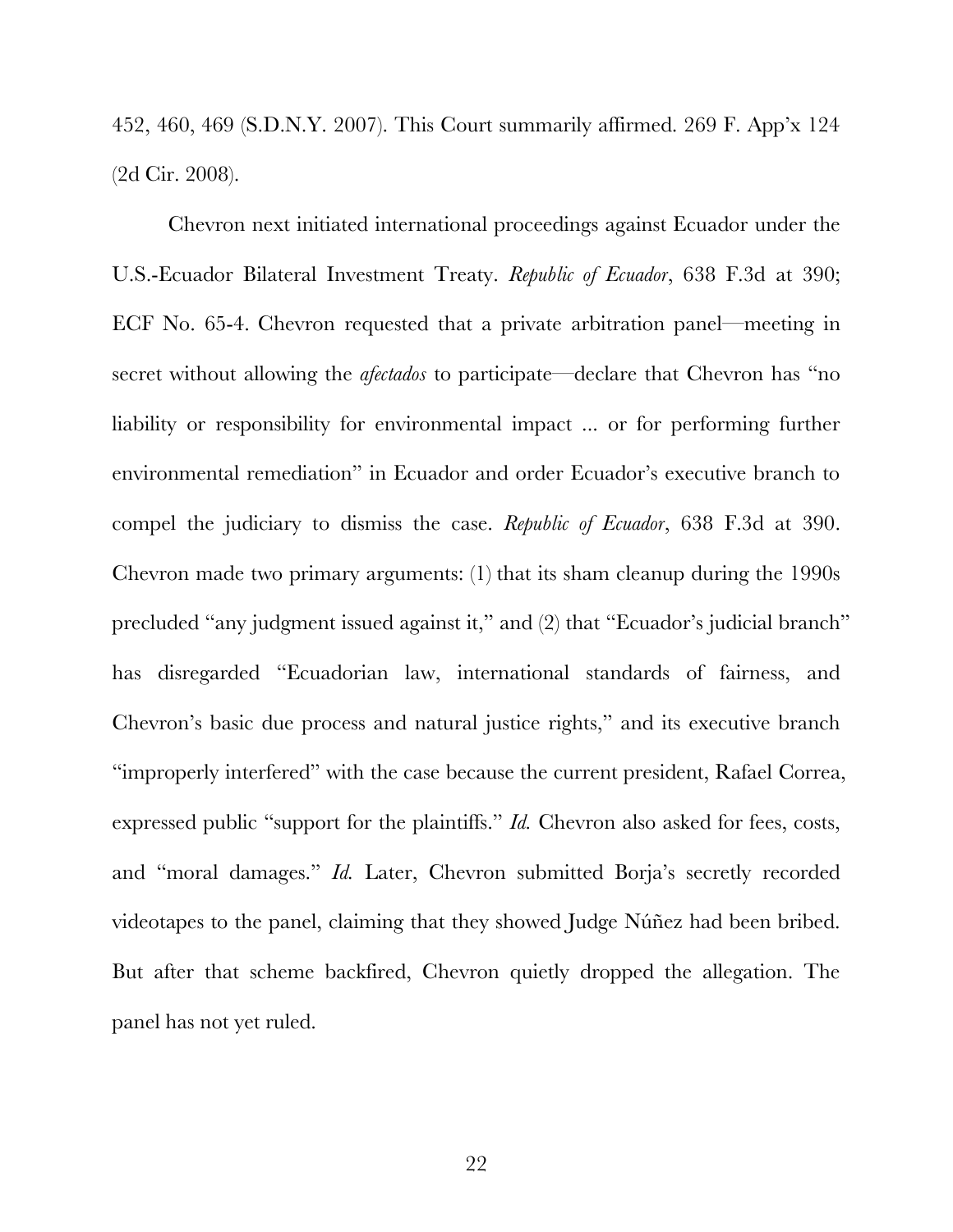452, 460, 469 (S.D.N.Y. 2007). This Court summarily affirmed. 269 F. App'x 124 (2d Cir. 2008).

Chevron next initiated international proceedings against Ecuador under the U.S.-Ecuador Bilateral Investment Treaty. *Republic of Ecuador*, 638 F.3d at 390; ECF No. 65-4. Chevron requested that a private arbitration panel—meeting in secret without allowing the *afectados* to participate—declare that Chevron has "no liability or responsibility for environmental impact ... or for performing further environmental remediation" in Ecuador and order Ecuador's executive branch to compel the judiciary to dismiss the case. *Republic of Ecuador*, 638 F.3d at 390. Chevron made two primary arguments: (1) that its sham cleanup during the 1990s precluded "any judgment issued against it," and (2) that "Ecuador's judicial branch" has disregarded "Ecuadorian law, international standards of fairness, and Chevron's basic due process and natural justice rights," and its executive branch "improperly interfered" with the case because the current president, Rafael Correa, expressed public "support for the plaintiffs." *Id.* Chevron also asked for fees, costs, and "moral damages." *Id.* Later, Chevron submitted Borja's secretly recorded videotapes to the panel, claiming that they showed Judge Núñez had been bribed. But after that scheme backfired, Chevron quietly dropped the allegation. The panel has not yet ruled.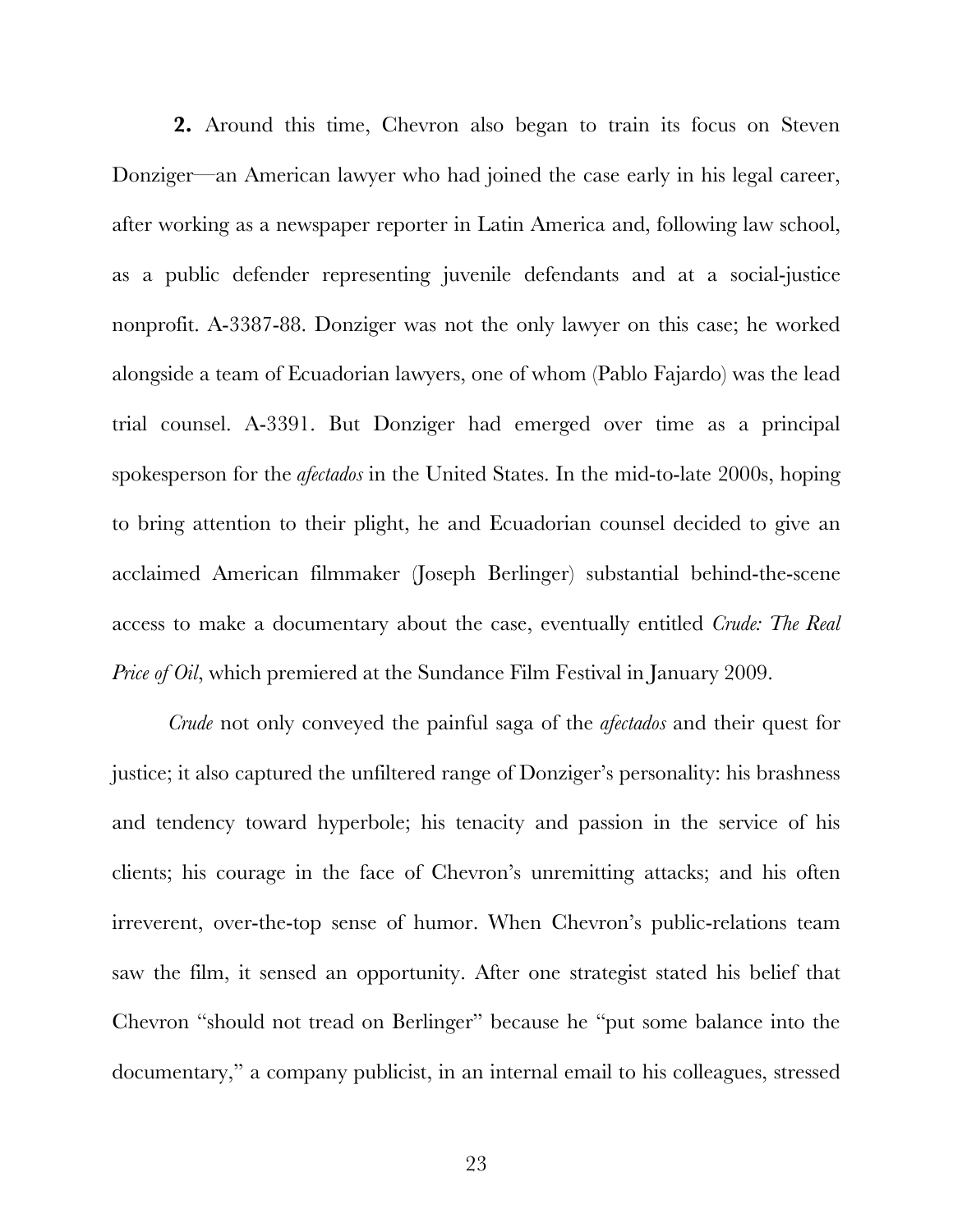**2.** Around this time, Chevron also began to train its focus on Steven Donziger—an American lawyer who had joined the case early in his legal career, after working as a newspaper reporter in Latin America and, following law school, as a public defender representing juvenile defendants and at a social-justice nonprofit. A-3387-88. Donziger was not the only lawyer on this case; he worked alongside a team of Ecuadorian lawyers, one of whom (Pablo Fajardo) was the lead trial counsel. A-3391. But Donziger had emerged over time as a principal spokesperson for the *afectados* in the United States. In the mid-to-late 2000s, hoping to bring attention to their plight, he and Ecuadorian counsel decided to give an acclaimed American filmmaker (Joseph Berlinger) substantial behind-the-scene access to make a documentary about the case, eventually entitled *Crude: The Real Price of Oil*, which premiered at the Sundance Film Festival in January 2009.

*Crude* not only conveyed the painful saga of the *afectados* and their quest for justice; it also captured the unfiltered range of Donziger's personality: his brashness and tendency toward hyperbole; his tenacity and passion in the service of his clients; his courage in the face of Chevron's unremitting attacks; and his often irreverent, over-the-top sense of humor. When Chevron's public-relations team saw the film, it sensed an opportunity. After one strategist stated his belief that Chevron "should not tread on Berlinger" because he "put some balance into the documentary," a company publicist, in an internal email to his colleagues, stressed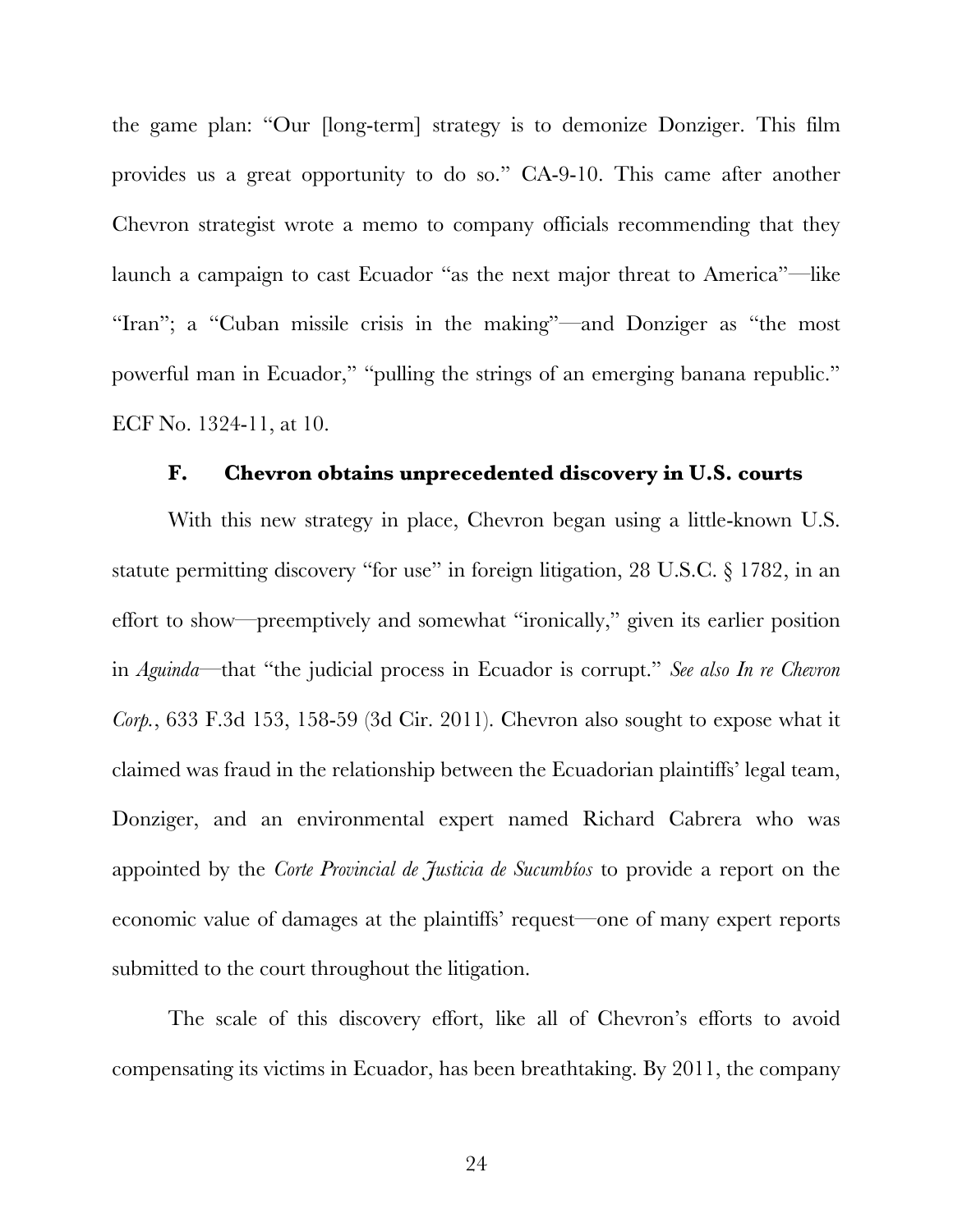the game plan: "Our [long-term] strategy is to demonize Donziger. This film provides us a great opportunity to do so." CA-9-10. This came after another Chevron strategist wrote a memo to company officials recommending that they launch a campaign to cast Ecuador "as the next major threat to America"—like "Iran"; a "Cuban missile crisis in the making"—and Donziger as "the most powerful man in Ecuador," "pulling the strings of an emerging banana republic." ECF No. 1324-11, at 10.

## **F. Chevron obtains unprecedented discovery in U.S. courts**

With this new strategy in place, Chevron began using a little-known U.S. statute permitting discovery "for use" in foreign litigation, 28 U.S.C. § 1782, in an effort to show—preemptively and somewhat "ironically," given its earlier position in *Aguinda*—that "the judicial process in Ecuador is corrupt." *See also In re Chevron Corp.*, 633 F.3d 153, 158-59 (3d Cir. 2011). Chevron also sought to expose what it claimed was fraud in the relationship between the Ecuadorian plaintiffs' legal team, Donziger, and an environmental expert named Richard Cabrera who was appointed by the *Corte Provincial de Justicia de Sucumbíos* to provide a report on the economic value of damages at the plaintiffs' request—one of many expert reports submitted to the court throughout the litigation.

The scale of this discovery effort, like all of Chevron's efforts to avoid compensating its victims in Ecuador, has been breathtaking. By 2011, the company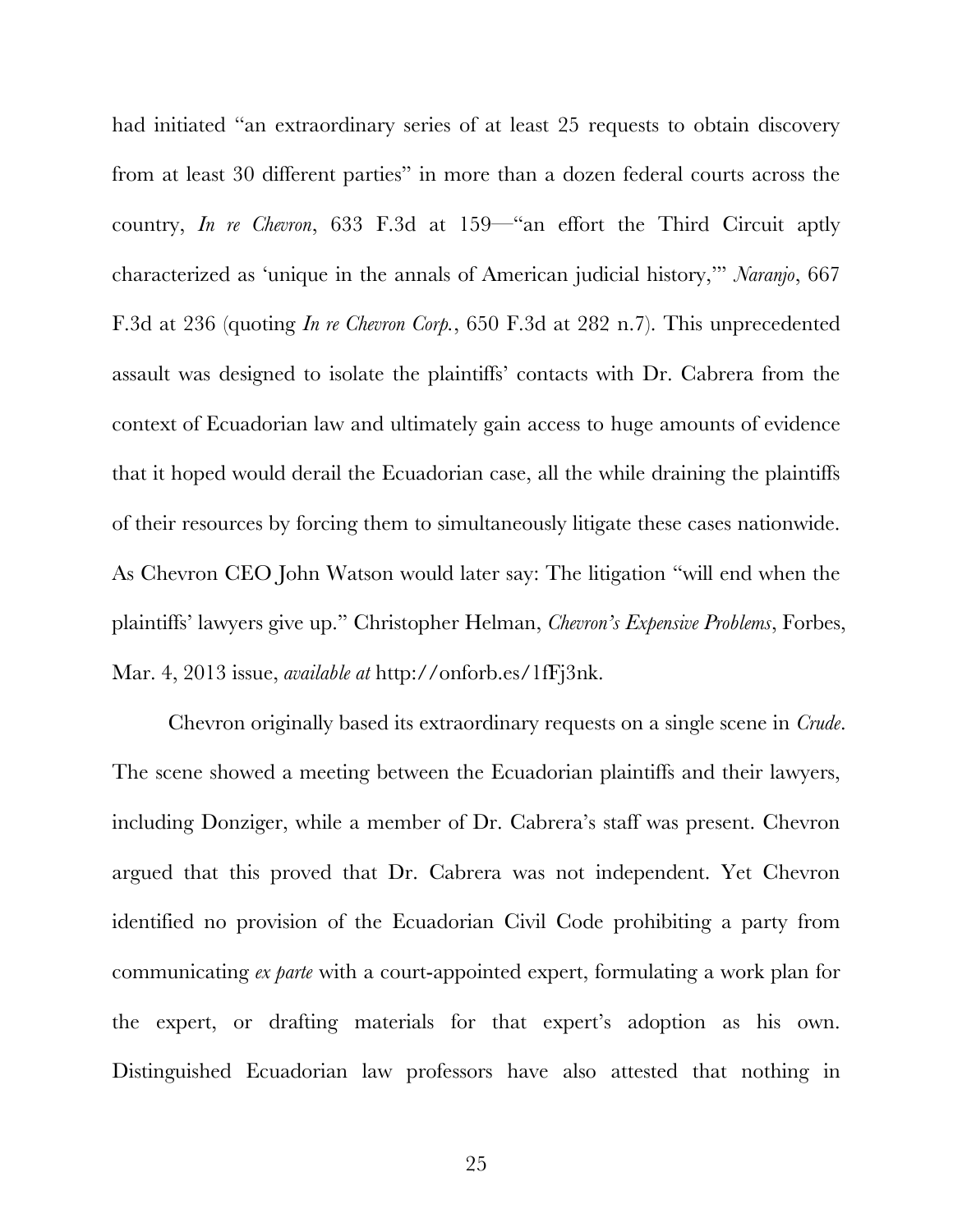had initiated "an extraordinary series of at least 25 requests to obtain discovery from at least 30 different parties" in more than a dozen federal courts across the country, *In re Chevron*, 633 F.3d at 159—"an effort the Third Circuit aptly characterized as 'unique in the annals of American judicial history,'" *Naranjo*, 667 F.3d at 236 (quoting *In re Chevron Corp.*, 650 F.3d at 282 n.7). This unprecedented assault was designed to isolate the plaintiffs' contacts with Dr. Cabrera from the context of Ecuadorian law and ultimately gain access to huge amounts of evidence that it hoped would derail the Ecuadorian case, all the while draining the plaintiffs of their resources by forcing them to simultaneously litigate these cases nationwide. As Chevron CEO John Watson would later say: The litigation "will end when the plaintiffs' lawyers give up." Christopher Helman, *Chevron's Expensive Problems*, Forbes, Mar. 4, 2013 issue, *available at* http://onforb.es/1fFj3nk.

Chevron originally based its extraordinary requests on a single scene in *Crude*. The scene showed a meeting between the Ecuadorian plaintiffs and their lawyers, including Donziger, while a member of Dr. Cabrera's staff was present. Chevron argued that this proved that Dr. Cabrera was not independent. Yet Chevron identified no provision of the Ecuadorian Civil Code prohibiting a party from communicating *ex parte* with a court-appointed expert, formulating a work plan for the expert, or drafting materials for that expert's adoption as his own. Distinguished Ecuadorian law professors have also attested that nothing in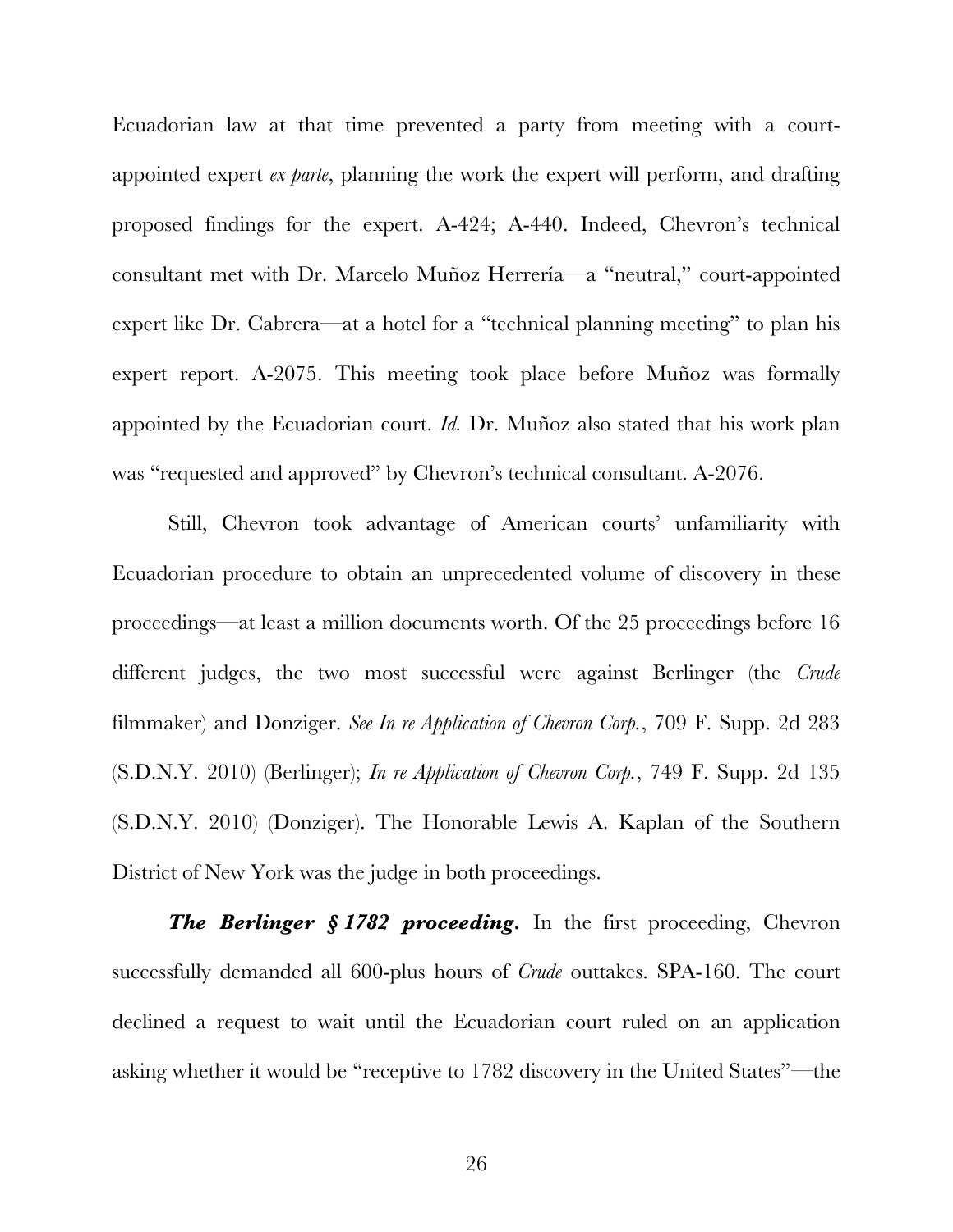Ecuadorian law at that time prevented a party from meeting with a courtappointed expert *ex parte*, planning the work the expert will perform, and drafting proposed findings for the expert. A-424; A-440. Indeed, Chevron's technical consultant met with Dr. Marcelo Muñoz Herrería—a "neutral," court-appointed expert like Dr. Cabrera—at a hotel for a "technical planning meeting" to plan his expert report. A-2075. This meeting took place before Muñoz was formally appointed by the Ecuadorian court. *Id.* Dr. Muñoz also stated that his work plan was "requested and approved" by Chevron's technical consultant. A-2076.

Still, Chevron took advantage of American courts' unfamiliarity with Ecuadorian procedure to obtain an unprecedented volume of discovery in these proceedings—at least a million documents worth. Of the 25 proceedings before 16 different judges, the two most successful were against Berlinger (the *Crude* filmmaker) and Donziger. *See In re Application of Chevron Corp.*, 709 F. Supp. 2d 283 (S.D.N.Y. 2010) (Berlinger); *In re Application of Chevron Corp.*, 749 F. Supp. 2d 135 (S.D.N.Y. 2010) (Donziger). The Honorable Lewis A. Kaplan of the Southern District of New York was the judge in both proceedings.

*The Berlinger § 1782 proceeding.* In the first proceeding, Chevron successfully demanded all 600-plus hours of *Crude* outtakes. SPA-160. The court declined a request to wait until the Ecuadorian court ruled on an application asking whether it would be "receptive to 1782 discovery in the United States"—the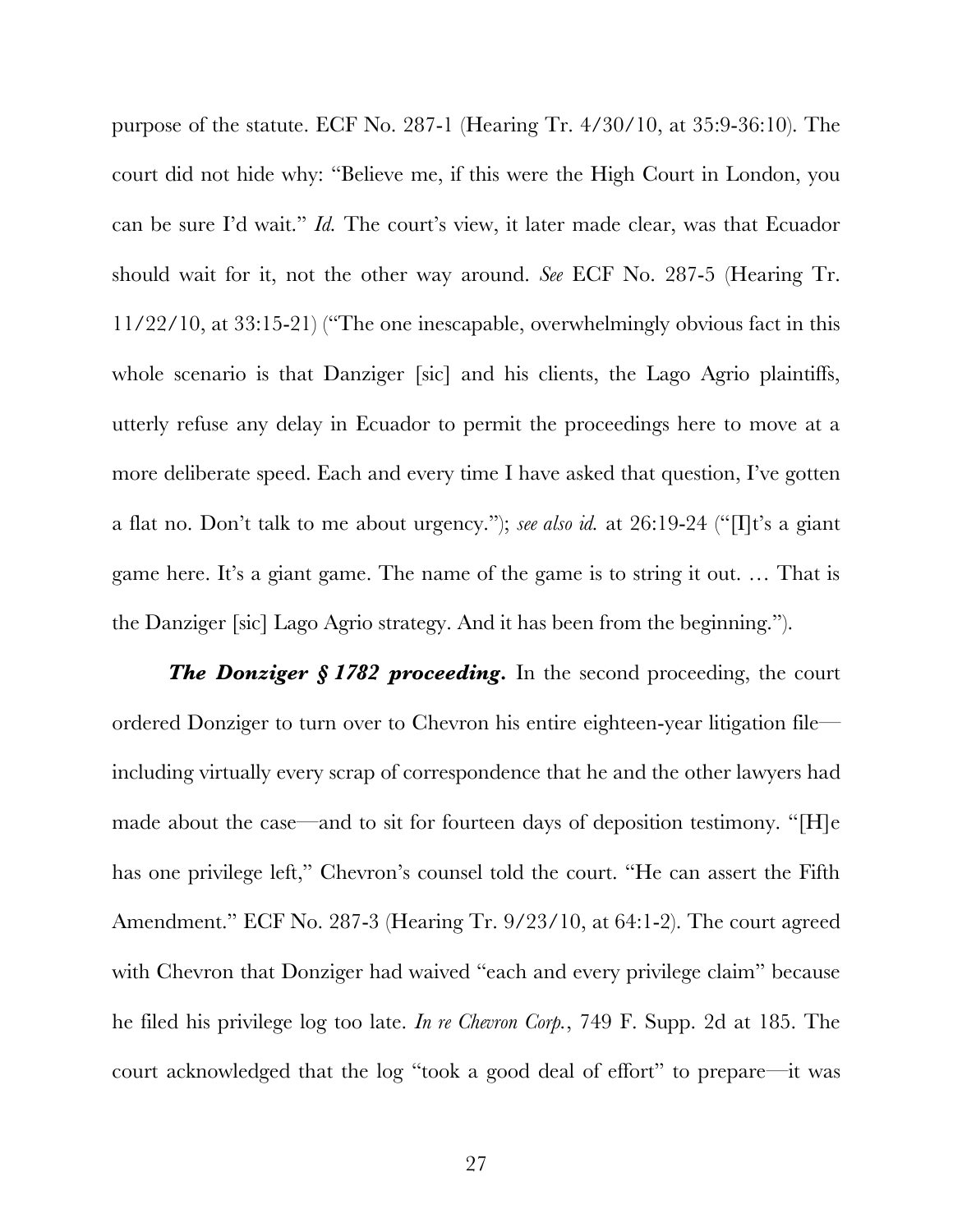purpose of the statute. ECF No. 287-1 (Hearing Tr. 4/30/10, at 35:9-36:10). The court did not hide why: "Believe me, if this were the High Court in London, you can be sure I'd wait." *Id.* The court's view, it later made clear, was that Ecuador should wait for it, not the other way around. *See* ECF No. 287-5 (Hearing Tr. 11/22/10, at 33:15-21) ("The one inescapable, overwhelmingly obvious fact in this whole scenario is that Danziger [sic] and his clients, the Lago Agrio plaintiffs, utterly refuse any delay in Ecuador to permit the proceedings here to move at a more deliberate speed. Each and every time I have asked that question, I've gotten a flat no. Don't talk to me about urgency."); *see also id.* at 26:19-24 ("[I]t's a giant game here. It's a giant game. The name of the game is to string it out. … That is the Danziger [sic] Lago Agrio strategy. And it has been from the beginning.").

*The Donziger § 1782 proceeding.* In the second proceeding, the court ordered Donziger to turn over to Chevron his entire eighteen-year litigation file including virtually every scrap of correspondence that he and the other lawyers had made about the case—and to sit for fourteen days of deposition testimony. "[H]e has one privilege left," Chevron's counsel told the court. "He can assert the Fifth Amendment." ECF No. 287-3 (Hearing Tr. 9/23/10, at 64:1-2). The court agreed with Chevron that Donziger had waived "each and every privilege claim" because he filed his privilege log too late. *In re Chevron Corp.*, 749 F. Supp. 2d at 185. The court acknowledged that the log "took a good deal of effort" to prepare—it was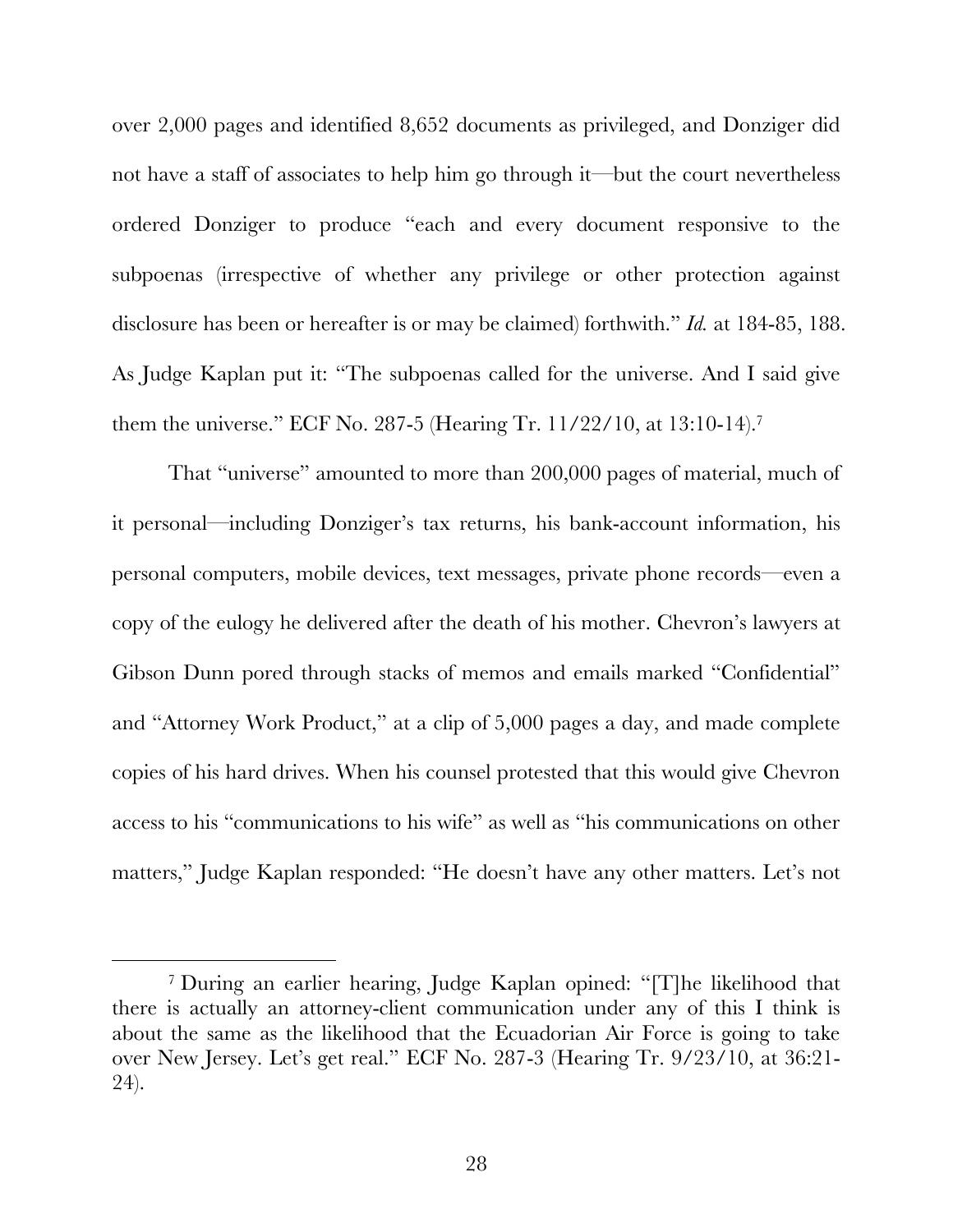over 2,000 pages and identified 8,652 documents as privileged, and Donziger did not have a staff of associates to help him go through it—but the court nevertheless ordered Donziger to produce "each and every document responsive to the subpoenas (irrespective of whether any privilege or other protection against disclosure has been or hereafter is or may be claimed) forthwith." *Id.* at 184-85, 188. As Judge Kaplan put it: "The subpoenas called for the universe. And I said give them the universe." ECF No. 287-5 (Hearing Tr. 11/22/10, at 13:10-14).7

That "universe" amounted to more than 200,000 pages of material, much of it personal—including Donziger's tax returns, his bank-account information, his personal computers, mobile devices, text messages, private phone records—even a copy of the eulogy he delivered after the death of his mother. Chevron's lawyers at Gibson Dunn pored through stacks of memos and emails marked "Confidential" and "Attorney Work Product," at a clip of 5,000 pages a day, and made complete copies of his hard drives. When his counsel protested that this would give Chevron access to his "communications to his wife" as well as "his communications on other matters," Judge Kaplan responded: "He doesn't have any other matters. Let's not

 <sup>7</sup> During an earlier hearing, Judge Kaplan opined: "[T]he likelihood that there is actually an attorney-client communication under any of this I think is about the same as the likelihood that the Ecuadorian Air Force is going to take over New Jersey. Let's get real." ECF No. 287-3 (Hearing Tr. 9/23/10, at 36:21- 24).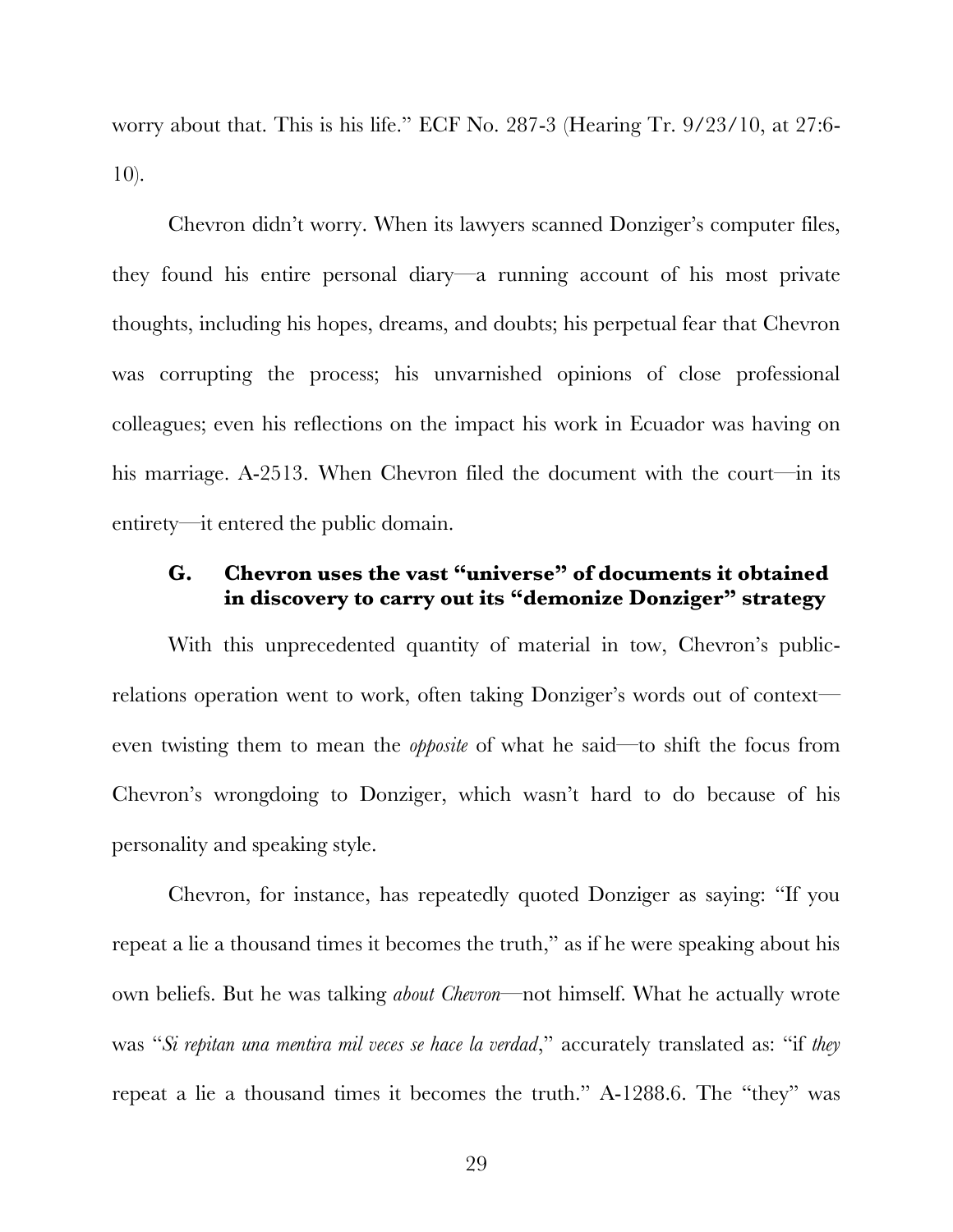worry about that. This is his life." ECF No. 287-3 (Hearing Tr. 9/23/10, at 27:6- 10).

Chevron didn't worry. When its lawyers scanned Donziger's computer files, they found his entire personal diary—a running account of his most private thoughts, including his hopes, dreams, and doubts; his perpetual fear that Chevron was corrupting the process; his unvarnished opinions of close professional colleagues; even his reflections on the impact his work in Ecuador was having on his marriage. A-2513. When Chevron filed the document with the court—in its entirety—it entered the public domain.

## **G. Chevron uses the vast "universe" of documents it obtained in discovery to carry out its "demonize Donziger" strategy**

With this unprecedented quantity of material in tow, Chevron's publicrelations operation went to work, often taking Donziger's words out of context even twisting them to mean the *opposite* of what he said—to shift the focus from Chevron's wrongdoing to Donziger, which wasn't hard to do because of his personality and speaking style.

Chevron, for instance, has repeatedly quoted Donziger as saying: "If you repeat a lie a thousand times it becomes the truth," as if he were speaking about his own beliefs. But he was talking *about Chevron*—not himself. What he actually wrote was "*Si repitan una mentira mil veces se hace la verdad*," accurately translated as: "if *they* repeat a lie a thousand times it becomes the truth." A-1288.6. The "they" was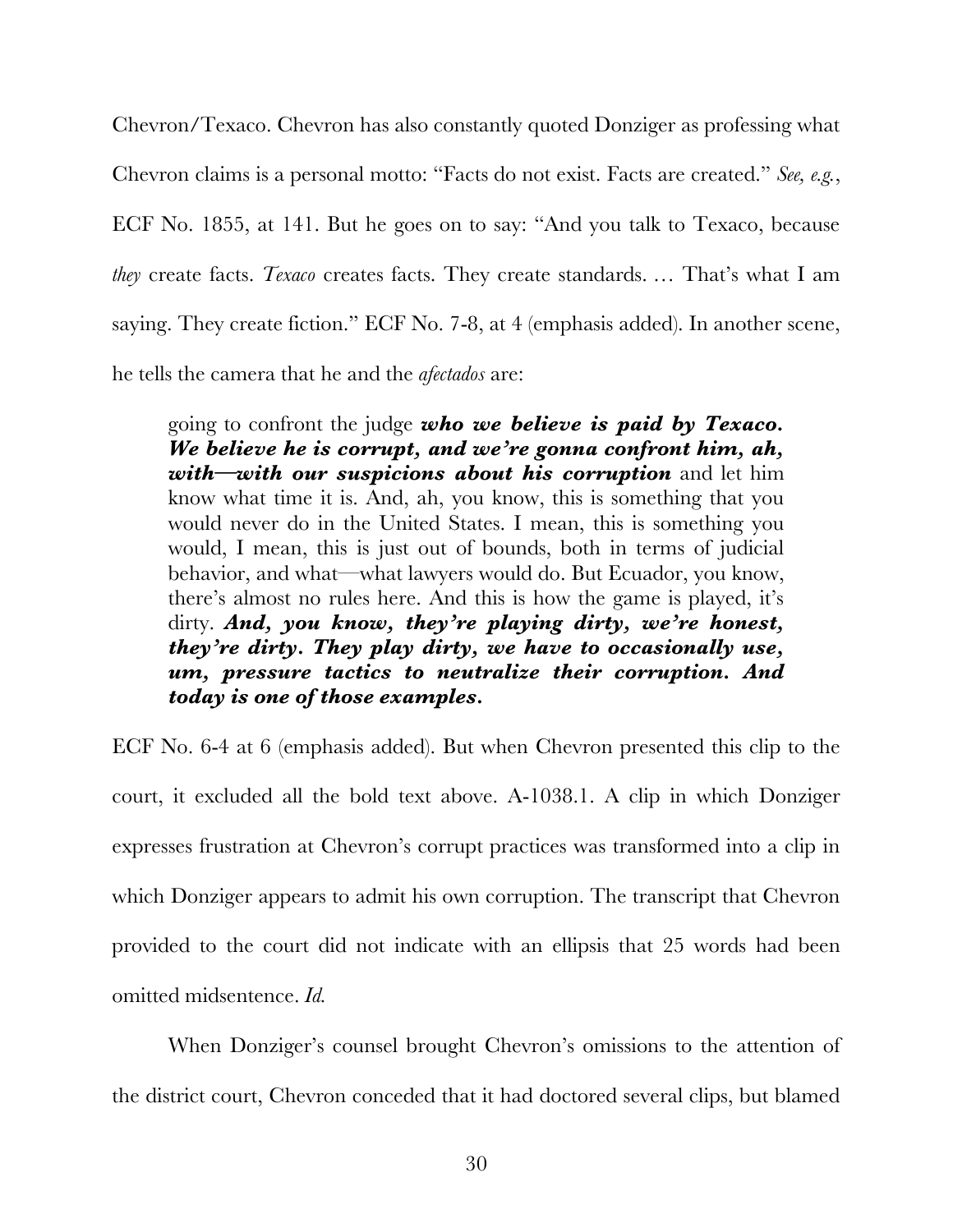Chevron/Texaco. Chevron has also constantly quoted Donziger as professing what Chevron claims is a personal motto: "Facts do not exist. Facts are created." *See, e.g.*, ECF No. 1855, at 141. But he goes on to say: "And you talk to Texaco, because *they* create facts. *Texaco* creates facts. They create standards. … That's what I am saying. They create fiction." ECF No. 7-8, at 4 (emphasis added). In another scene, he tells the camera that he and the *afectados* are:

going to confront the judge *who we believe is paid by Texaco. We believe he is corrupt, and we're gonna confront him, ah, with—with our suspicions about his corruption* and let him know what time it is. And, ah, you know, this is something that you would never do in the United States. I mean, this is something you would, I mean, this is just out of bounds, both in terms of judicial behavior, and what—what lawyers would do. But Ecuador, you know, there's almost no rules here. And this is how the game is played, it's dirty. *And, you know, they're playing dirty, we're honest, they're dirty. They play dirty, we have to occasionally use, um, pressure tactics to neutralize their corruption. And today is one of those examples.*

ECF No. 6-4 at 6 (emphasis added). But when Chevron presented this clip to the court, it excluded all the bold text above. A-1038.1. A clip in which Donziger expresses frustration at Chevron's corrupt practices was transformed into a clip in which Donziger appears to admit his own corruption. The transcript that Chevron provided to the court did not indicate with an ellipsis that 25 words had been omitted midsentence. *Id.* 

When Donziger's counsel brought Chevron's omissions to the attention of the district court, Chevron conceded that it had doctored several clips, but blamed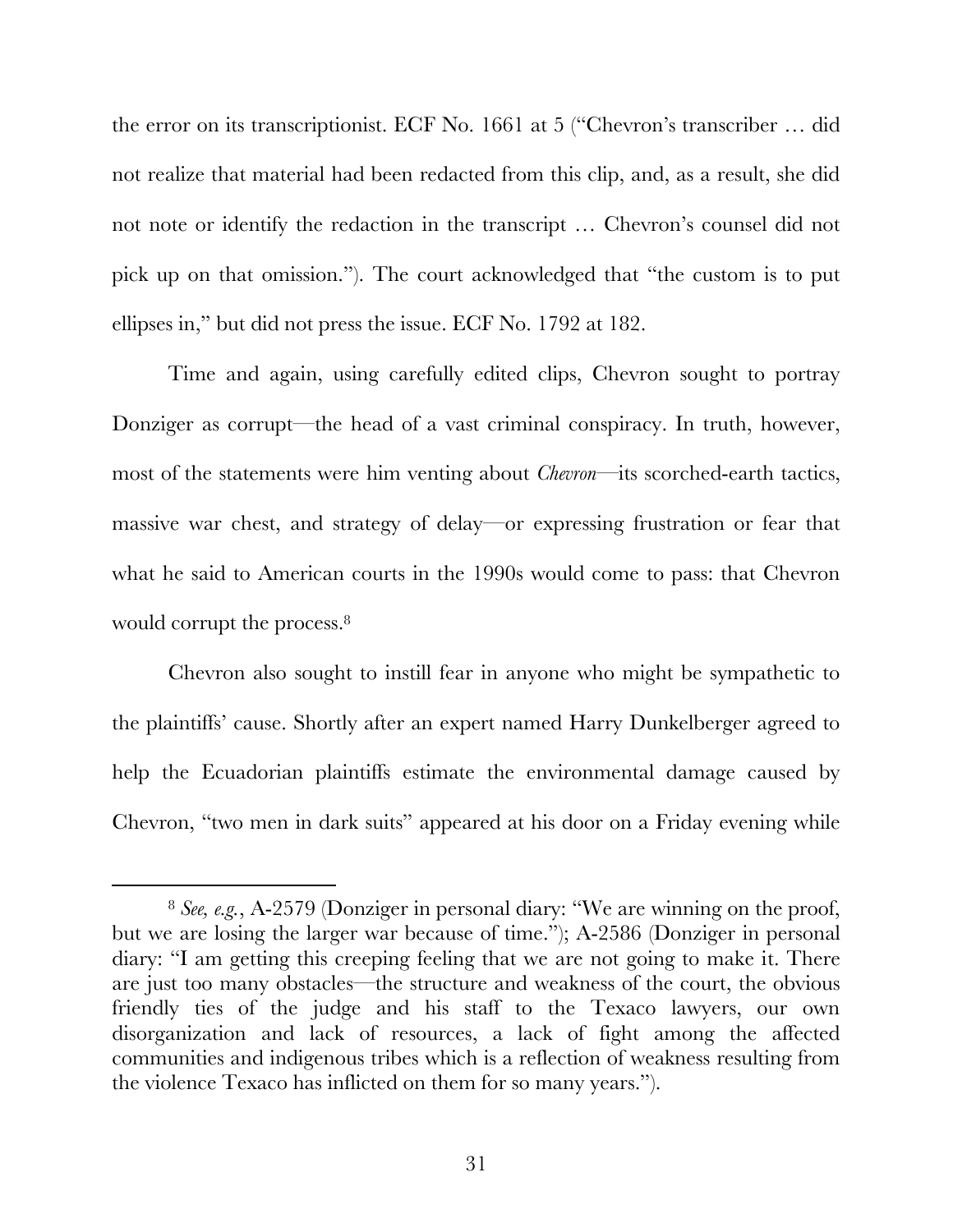the error on its transcriptionist. ECF No. 1661 at 5 ("Chevron's transcriber … did not realize that material had been redacted from this clip, and, as a result, she did not note or identify the redaction in the transcript … Chevron's counsel did not pick up on that omission."). The court acknowledged that "the custom is to put ellipses in," but did not press the issue. ECF No. 1792 at 182.

Time and again, using carefully edited clips, Chevron sought to portray Donziger as corrupt—the head of a vast criminal conspiracy. In truth, however, most of the statements were him venting about *Chevron*—its scorched-earth tactics, massive war chest, and strategy of delay—or expressing frustration or fear that what he said to American courts in the 1990s would come to pass: that Chevron would corrupt the process.<sup>8</sup>

Chevron also sought to instill fear in anyone who might be sympathetic to the plaintiffs' cause. Shortly after an expert named Harry Dunkelberger agreed to help the Ecuadorian plaintiffs estimate the environmental damage caused by Chevron, "two men in dark suits" appeared at his door on a Friday evening while

<sup>&</sup>lt;sup>8</sup> See, e.g., A-2579 (Donziger in personal diary: "We are winning on the proof, but we are losing the larger war because of time."); A-2586 (Donziger in personal diary: "I am getting this creeping feeling that we are not going to make it. There are just too many obstacles—the structure and weakness of the court, the obvious friendly ties of the judge and his staff to the Texaco lawyers, our own disorganization and lack of resources, a lack of fight among the affected communities and indigenous tribes which is a reflection of weakness resulting from the violence Texaco has inflicted on them for so many years.").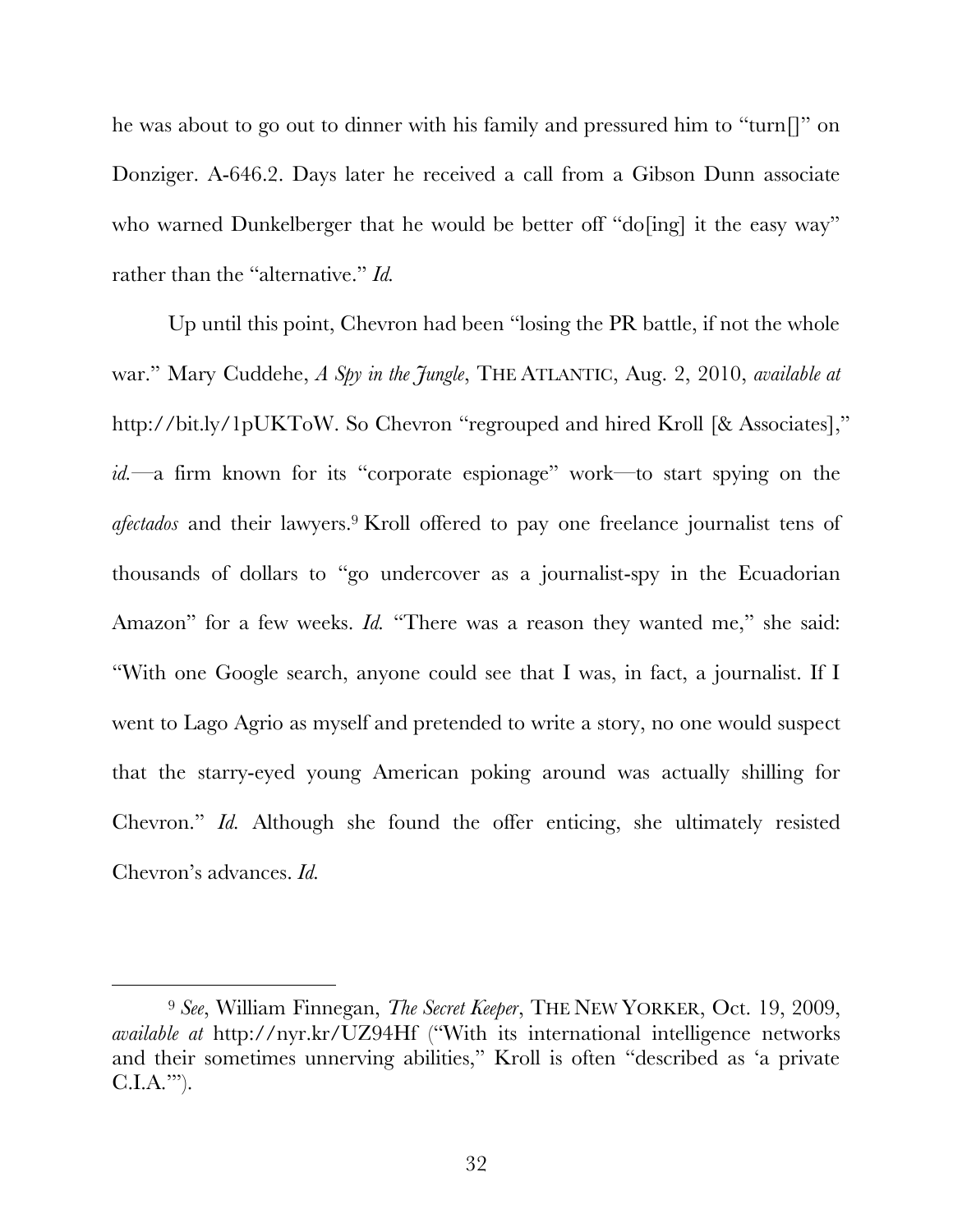he was about to go out to dinner with his family and pressured him to "turn[]" on Donziger. A-646.2. Days later he received a call from a Gibson Dunn associate who warned Dunkelberger that he would be better off "do<sup>[ing]</sup> it the easy way" rather than the "alternative." *Id.*

Up until this point, Chevron had been "losing the PR battle, if not the whole war." Mary Cuddehe, *A Spy in the Jungle*, THE ATLANTIC, Aug. 2, 2010, *available at*  http://bit.ly/1pUKToW. So Chevron "regrouped and hired Kroll [& Associates]," *id.*—a firm known for its "corporate espionage" work—to start spying on the *afectados* and their lawyers.9 Kroll offered to pay one freelance journalist tens of thousands of dollars to "go undercover as a journalist-spy in the Ecuadorian Amazon" for a few weeks. *Id.* "There was a reason they wanted me," she said: "With one Google search, anyone could see that I was, in fact, a journalist. If I went to Lago Agrio as myself and pretended to write a story, no one would suspect that the starry-eyed young American poking around was actually shilling for Chevron." *Id.* Although she found the offer enticing, she ultimately resisted Chevron's advances. *Id.*

 <sup>9</sup> *See*, William Finnegan, *The Secret Keeper*, THE NEW YORKER, Oct. 19, 2009, *available at* http://nyr.kr/UZ94Hf ("With its international intelligence networks and their sometimes unnerving abilities," Kroll is often "described as 'a private  $C.I.A.'$ ").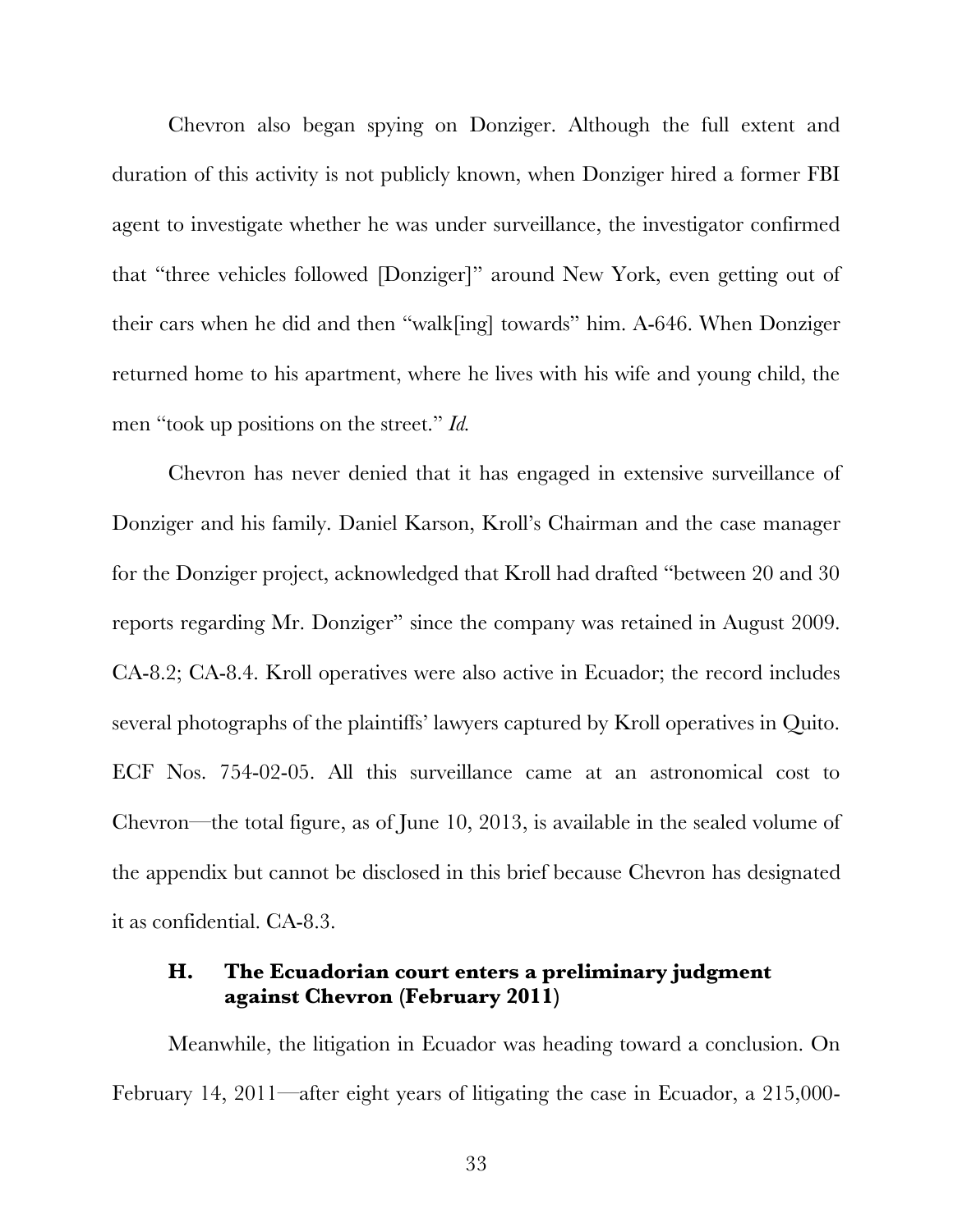Chevron also began spying on Donziger. Although the full extent and duration of this activity is not publicly known, when Donziger hired a former FBI agent to investigate whether he was under surveillance, the investigator confirmed that "three vehicles followed [Donziger]" around New York, even getting out of their cars when he did and then "walk[ing] towards" him. A-646. When Donziger returned home to his apartment, where he lives with his wife and young child, the men "took up positions on the street." *Id.* 

Chevron has never denied that it has engaged in extensive surveillance of Donziger and his family. Daniel Karson, Kroll's Chairman and the case manager for the Donziger project, acknowledged that Kroll had drafted "between 20 and 30 reports regarding Mr. Donziger" since the company was retained in August 2009. CA-8.2; CA-8.4. Kroll operatives were also active in Ecuador; the record includes several photographs of the plaintiffs' lawyers captured by Kroll operatives in Quito. ECF Nos. 754-02-05. All this surveillance came at an astronomical cost to Chevron—the total figure, as of June 10, 2013, is available in the sealed volume of the appendix but cannot be disclosed in this brief because Chevron has designated it as confidential. CA-8.3.

### **H. The Ecuadorian court enters a preliminary judgment against Chevron (February 2011)**

Meanwhile, the litigation in Ecuador was heading toward a conclusion. On February 14, 2011—after eight years of litigating the case in Ecuador, a 215,000-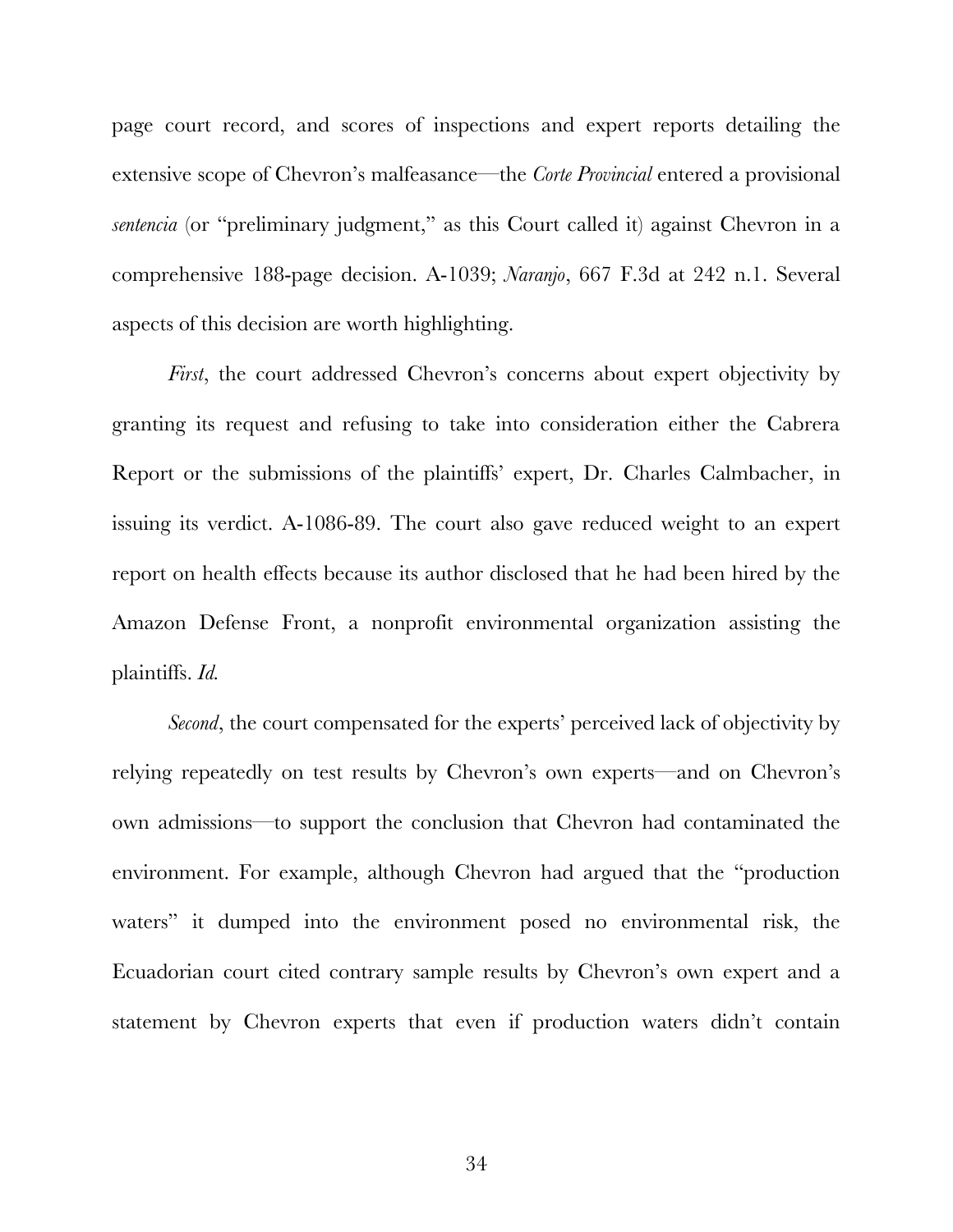page court record, and scores of inspections and expert reports detailing the extensive scope of Chevron's malfeasance—the *Corte Provincial* entered a provisional *sentencia* (or "preliminary judgment," as this Court called it) against Chevron in a comprehensive 188-page decision. A-1039; *Naranjo*, 667 F.3d at 242 n.1. Several aspects of this decision are worth highlighting.

*First*, the court addressed Chevron's concerns about expert objectivity by granting its request and refusing to take into consideration either the Cabrera Report or the submissions of the plaintiffs' expert, Dr. Charles Calmbacher, in issuing its verdict. A-1086-89. The court also gave reduced weight to an expert report on health effects because its author disclosed that he had been hired by the Amazon Defense Front, a nonprofit environmental organization assisting the plaintiffs. *Id.*

*Second*, the court compensated for the experts' perceived lack of objectivity by relying repeatedly on test results by Chevron's own experts—and on Chevron's own admissions—to support the conclusion that Chevron had contaminated the environment. For example, although Chevron had argued that the "production waters" it dumped into the environment posed no environmental risk, the Ecuadorian court cited contrary sample results by Chevron's own expert and a statement by Chevron experts that even if production waters didn't contain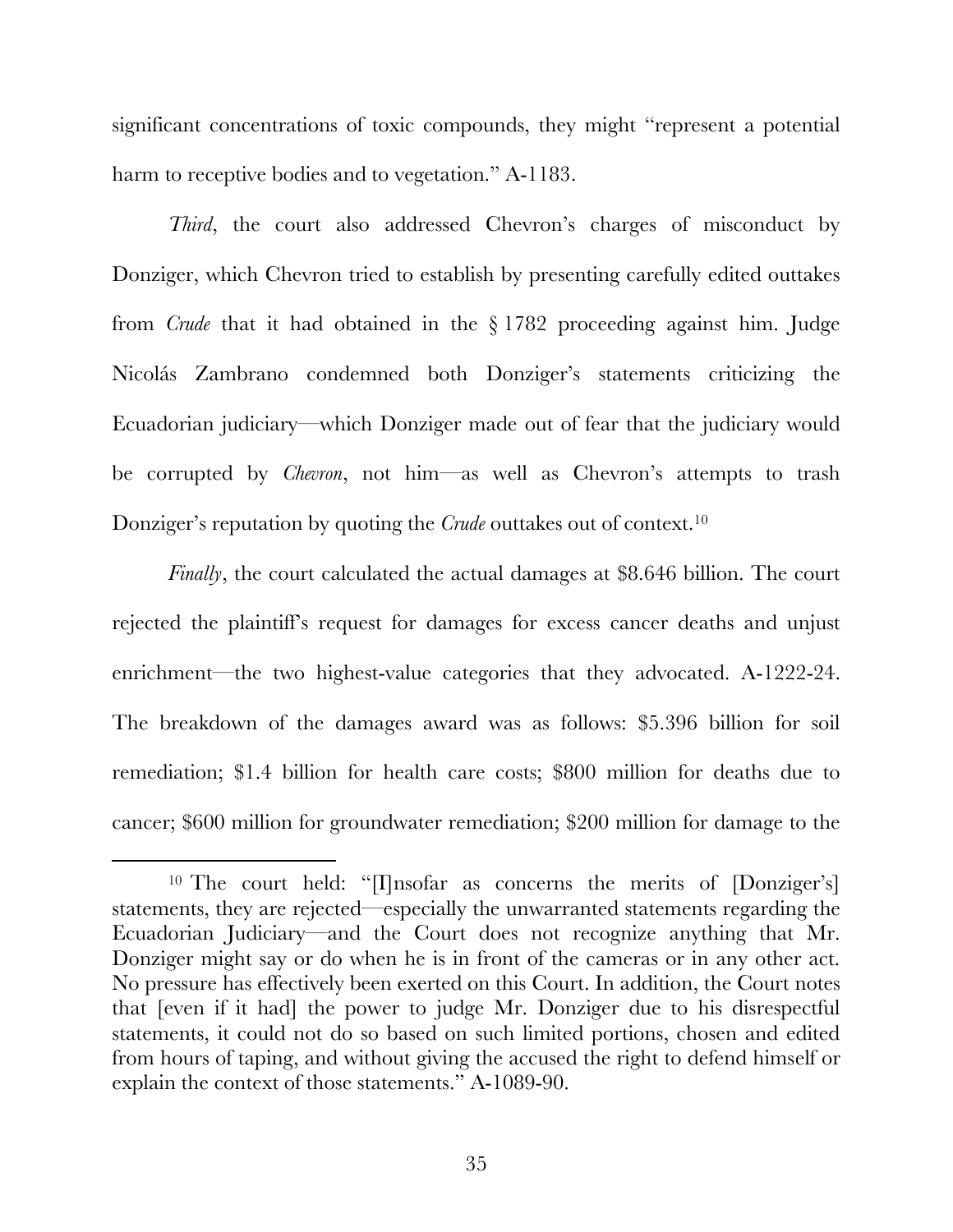significant concentrations of toxic compounds, they might "represent a potential harm to receptive bodies and to vegetation." A-1183.

*Third*, the court also addressed Chevron's charges of misconduct by Donziger, which Chevron tried to establish by presenting carefully edited outtakes from *Crude* that it had obtained in the § 1782 proceeding against him. Judge Nicolás Zambrano condemned both Donziger's statements criticizing the Ecuadorian judiciary—which Donziger made out of fear that the judiciary would be corrupted by *Chevron*, not him—as well as Chevron's attempts to trash Donziger's reputation by quoting the *Crude* outtakes out of context.<sup>10</sup>

*Finally*, the court calculated the actual damages at \$8.646 billion. The court rejected the plaintiff's request for damages for excess cancer deaths and unjust enrichment—the two highest-value categories that they advocated. A-1222-24. The breakdown of the damages award was as follows: \$5.396 billion for soil remediation; \$1.4 billion for health care costs; \$800 million for deaths due to cancer; \$600 million for groundwater remediation; \$200 million for damage to the

<sup>&</sup>lt;sup>10</sup> The court held: "[I]nsofar as concerns the merits of [Donziger's] statements, they are rejected—especially the unwarranted statements regarding the Ecuadorian Judiciary—and the Court does not recognize anything that Mr. Donziger might say or do when he is in front of the cameras or in any other act. No pressure has effectively been exerted on this Court. In addition, the Court notes that [even if it had] the power to judge Mr. Donziger due to his disrespectful statements, it could not do so based on such limited portions, chosen and edited from hours of taping, and without giving the accused the right to defend himself or explain the context of those statements." A-1089-90.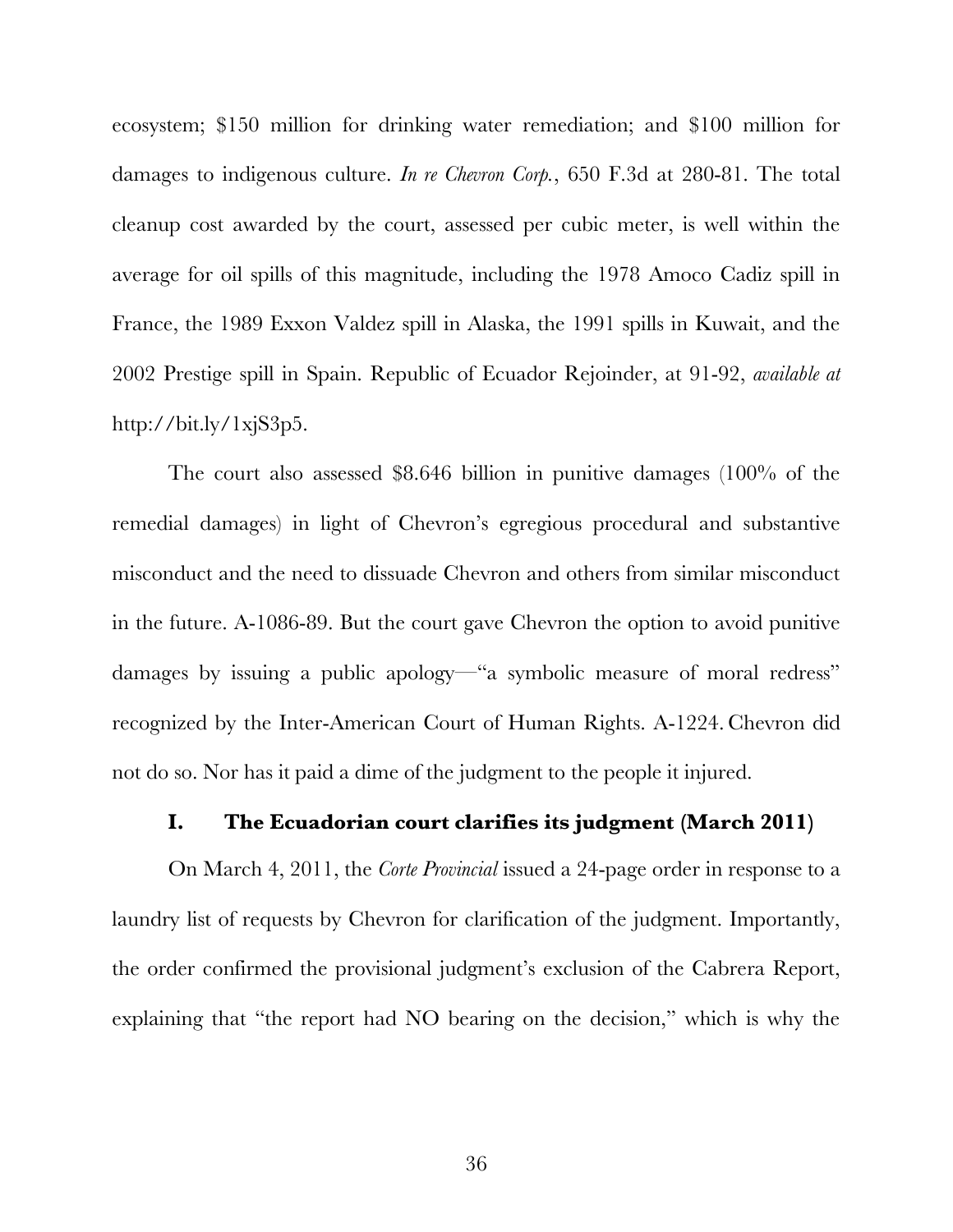ecosystem; \$150 million for drinking water remediation; and \$100 million for damages to indigenous culture. *In re Chevron Corp.*, 650 F.3d at 280-81. The total cleanup cost awarded by the court, assessed per cubic meter, is well within the average for oil spills of this magnitude, including the 1978 Amoco Cadiz spill in France, the 1989 Exxon Valdez spill in Alaska, the 1991 spills in Kuwait, and the 2002 Prestige spill in Spain. Republic of Ecuador Rejoinder, at 91-92, *available at* http://bit.ly/1xjS3p5.

The court also assessed \$8.646 billion in punitive damages (100% of the remedial damages) in light of Chevron's egregious procedural and substantive misconduct and the need to dissuade Chevron and others from similar misconduct in the future. A-1086-89. But the court gave Chevron the option to avoid punitive damages by issuing a public apology—"a symbolic measure of moral redress" recognized by the Inter-American Court of Human Rights. A-1224. Chevron did not do so. Nor has it paid a dime of the judgment to the people it injured.

#### **I. The Ecuadorian court clarifies its judgment (March 2011)**

On March 4, 2011, the *Corte Provincial* issued a 24-page order in response to a laundry list of requests by Chevron for clarification of the judgment. Importantly, the order confirmed the provisional judgment's exclusion of the Cabrera Report, explaining that "the report had NO bearing on the decision," which is why the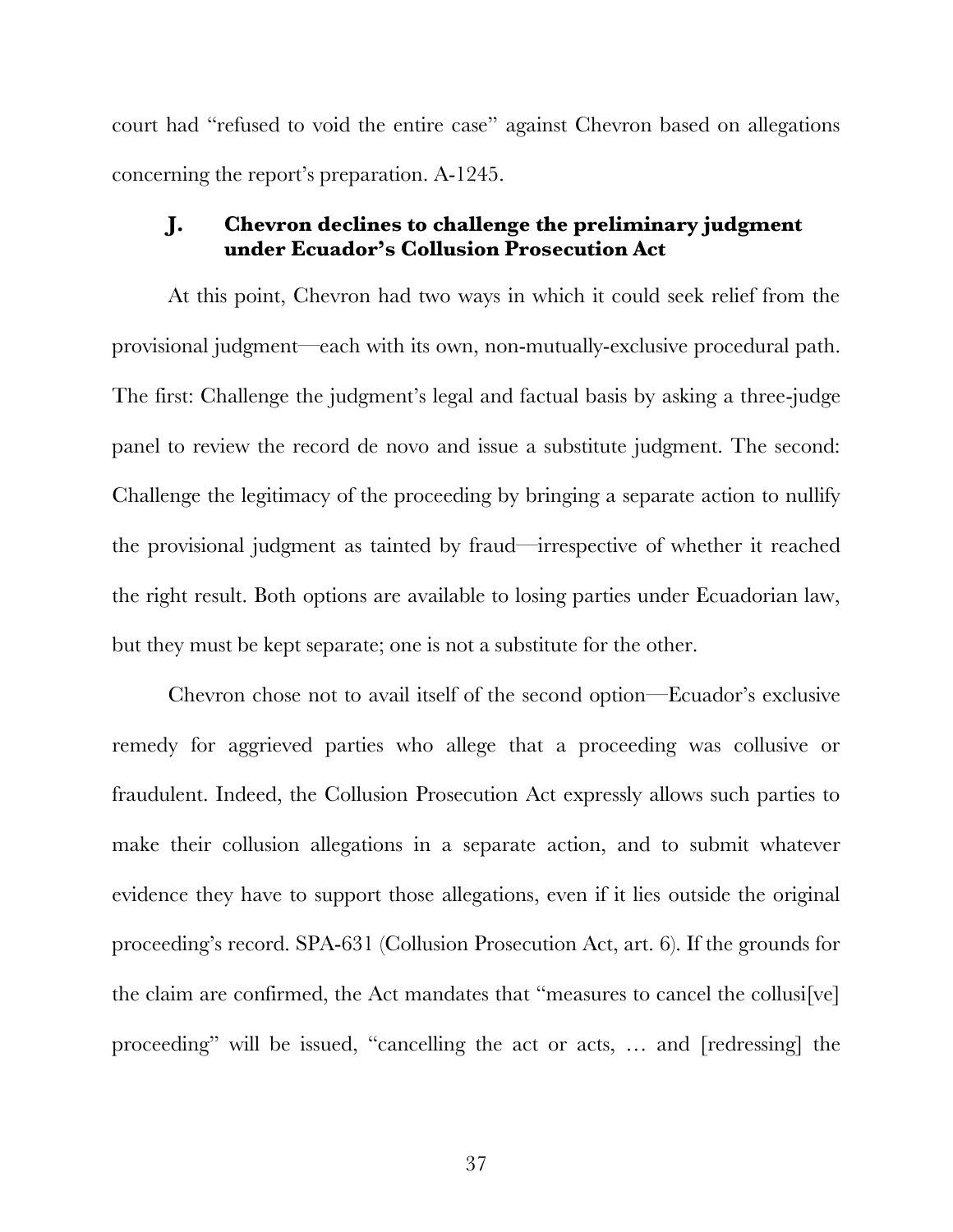court had "refused to void the entire case" against Chevron based on allegations concerning the report's preparation. A-1245.

### **J. Chevron declines to challenge the preliminary judgment under Ecuador's Collusion Prosecution Act**

At this point, Chevron had two ways in which it could seek relief from the provisional judgment—each with its own, non-mutually-exclusive procedural path. The first: Challenge the judgment's legal and factual basis by asking a three-judge panel to review the record de novo and issue a substitute judgment. The second: Challenge the legitimacy of the proceeding by bringing a separate action to nullify the provisional judgment as tainted by fraud—irrespective of whether it reached the right result. Both options are available to losing parties under Ecuadorian law, but they must be kept separate; one is not a substitute for the other.

Chevron chose not to avail itself of the second option—Ecuador's exclusive remedy for aggrieved parties who allege that a proceeding was collusive or fraudulent. Indeed, the Collusion Prosecution Act expressly allows such parties to make their collusion allegations in a separate action, and to submit whatever evidence they have to support those allegations, even if it lies outside the original proceeding's record. SPA-631 (Collusion Prosecution Act, art. 6). If the grounds for the claim are confirmed, the Act mandates that "measures to cancel the collusi[ve] proceeding" will be issued, "cancelling the act or acts, … and [redressing] the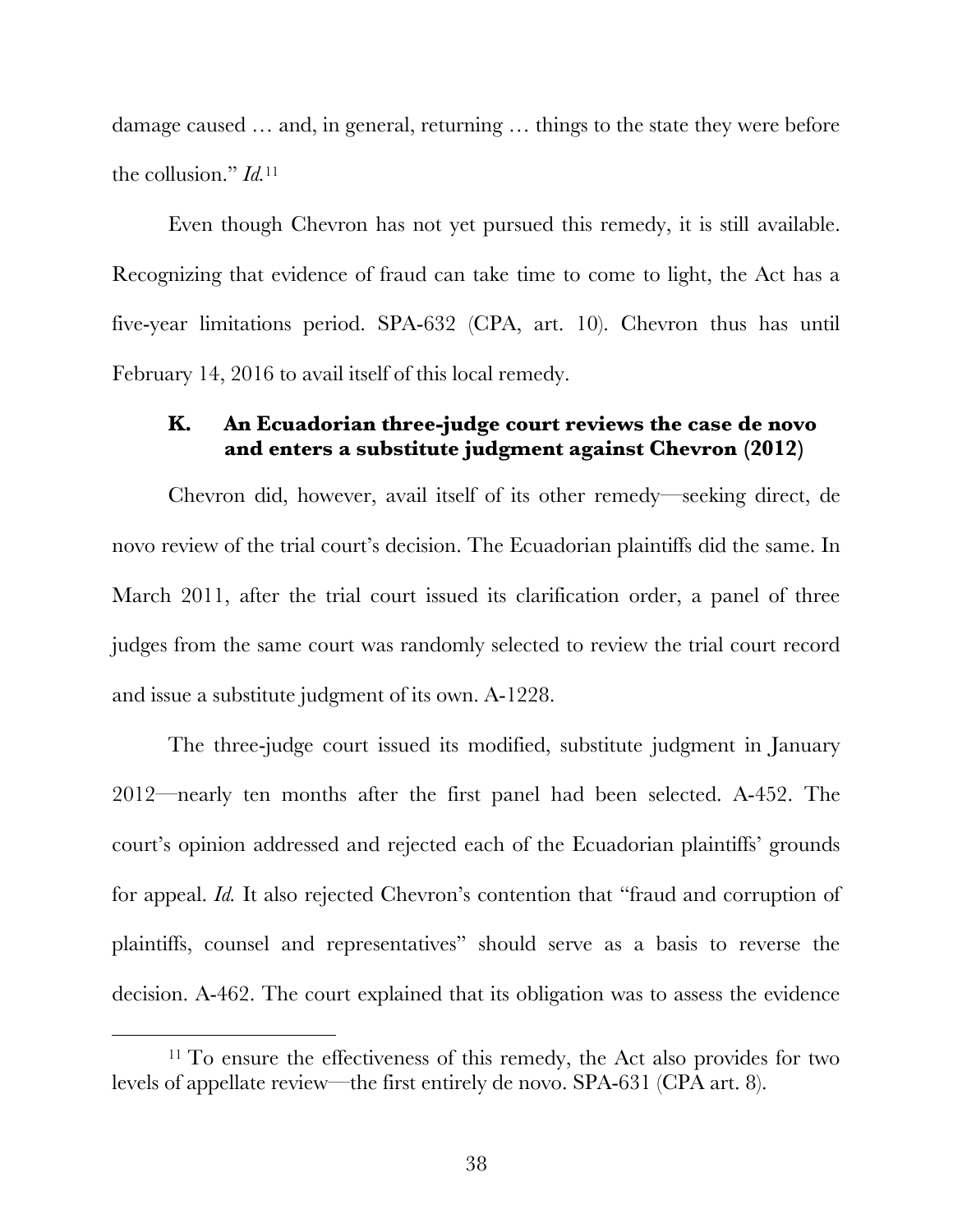damage caused … and, in general, returning … things to the state they were before the collusion." *Id.*<sup>11</sup>

Even though Chevron has not yet pursued this remedy, it is still available. Recognizing that evidence of fraud can take time to come to light, the Act has a five-year limitations period. SPA-632 (CPA, art. 10). Chevron thus has until February 14, 2016 to avail itself of this local remedy.

### **K. An Ecuadorian three-judge court reviews the case de novo and enters a substitute judgment against Chevron (2012)**

Chevron did, however, avail itself of its other remedy—seeking direct, de novo review of the trial court's decision. The Ecuadorian plaintiffs did the same. In March 2011, after the trial court issued its clarification order, a panel of three judges from the same court was randomly selected to review the trial court record and issue a substitute judgment of its own. A-1228.

The three-judge court issued its modified, substitute judgment in January 2012—nearly ten months after the first panel had been selected. A-452. The court's opinion addressed and rejected each of the Ecuadorian plaintiffs' grounds for appeal. *Id.* It also rejected Chevron's contention that "fraud and corruption of plaintiffs, counsel and representatives" should serve as a basis to reverse the decision. A-462. The court explained that its obligation was to assess the evidence

<sup>&</sup>lt;sup>11</sup> To ensure the effectiveness of this remedy, the Act also provides for two levels of appellate review—the first entirely de novo. SPA-631 (CPA art. 8).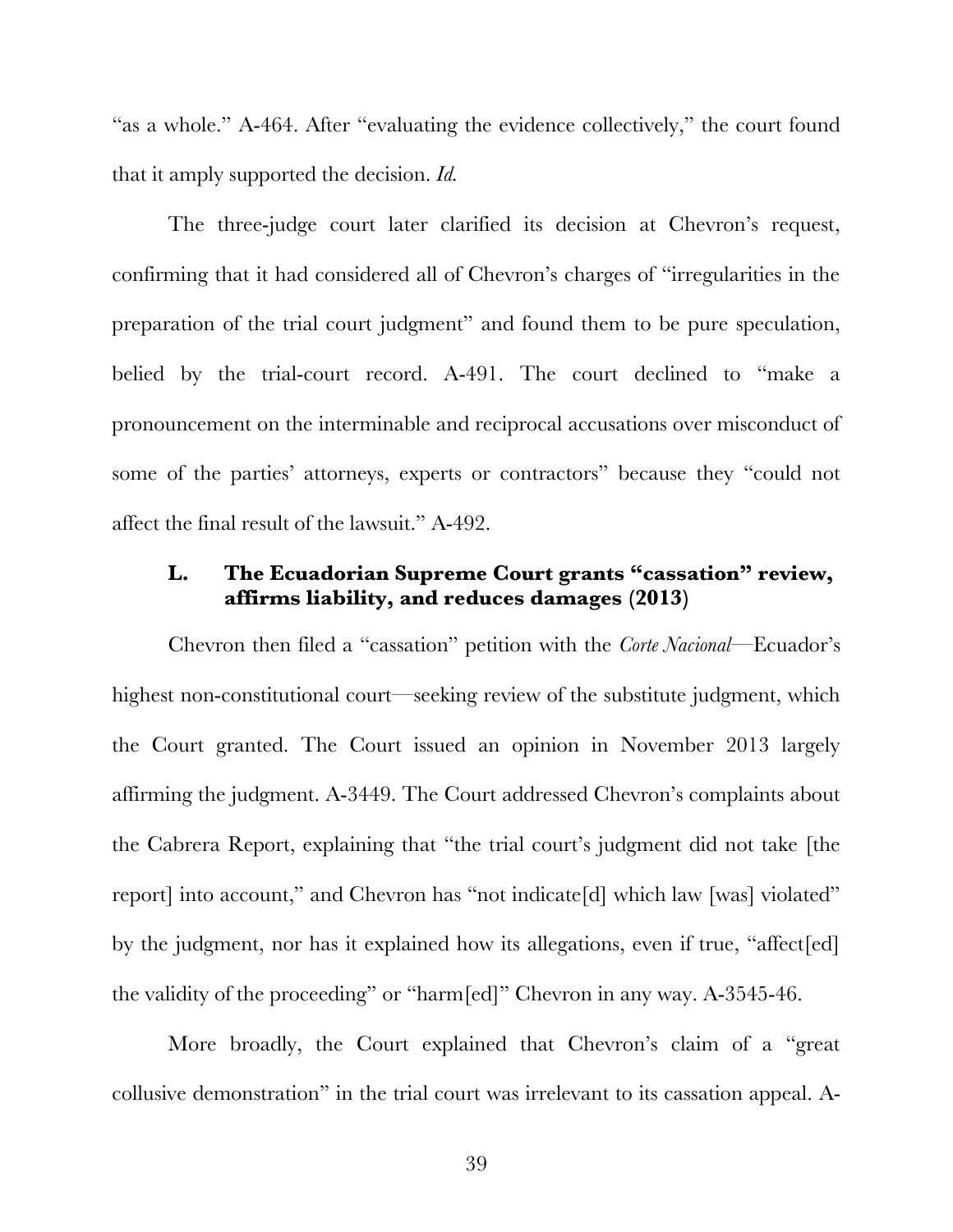"as a whole." A-464. After "evaluating the evidence collectively," the court found that it amply supported the decision. *Id.*

The three-judge court later clarified its decision at Chevron's request, confirming that it had considered all of Chevron's charges of "irregularities in the preparation of the trial court judgment" and found them to be pure speculation, belied by the trial-court record. A-491. The court declined to "make a pronouncement on the interminable and reciprocal accusations over misconduct of some of the parties' attorneys, experts or contractors" because they "could not affect the final result of the lawsuit." A-492.

### **L. The Ecuadorian Supreme Court grants "cassation" review, affirms liability, and reduces damages (2013)**

Chevron then filed a "cassation" petition with the *Corte Nacional*—Ecuador's highest non-constitutional court—seeking review of the substitute judgment, which the Court granted. The Court issued an opinion in November 2013 largely affirming the judgment. A-3449. The Court addressed Chevron's complaints about the Cabrera Report, explaining that "the trial court's judgment did not take [the report] into account," and Chevron has "not indicate[d] which law [was] violated" by the judgment, nor has it explained how its allegations, even if true, "affect[ed] the validity of the proceeding" or "harm[ed]" Chevron in any way. A-3545-46.

More broadly, the Court explained that Chevron's claim of a "great collusive demonstration" in the trial court was irrelevant to its cassation appeal. A-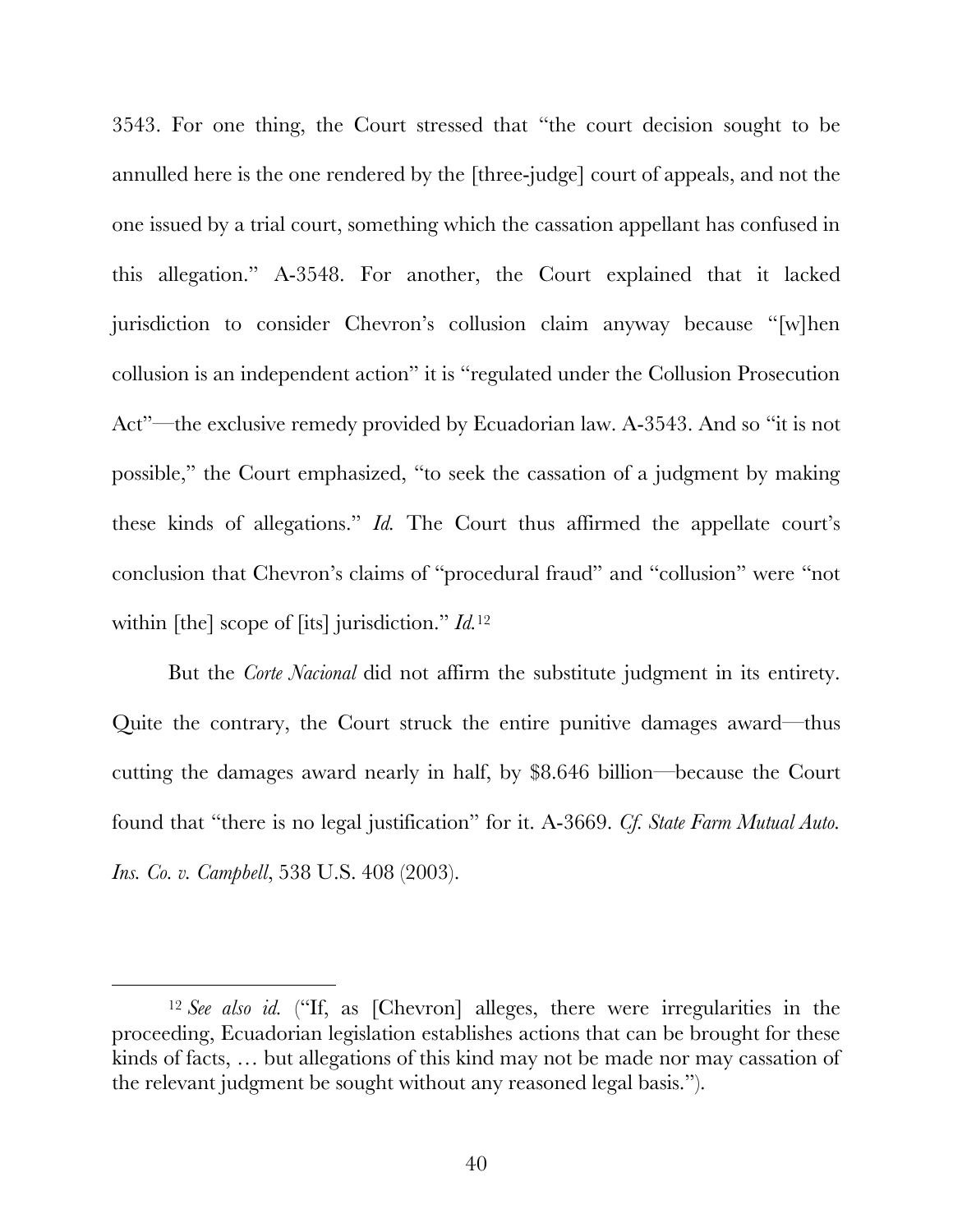3543. For one thing, the Court stressed that "the court decision sought to be annulled here is the one rendered by the [three-judge] court of appeals, and not the one issued by a trial court, something which the cassation appellant has confused in this allegation." A-3548. For another, the Court explained that it lacked jurisdiction to consider Chevron's collusion claim anyway because "[w]hen collusion is an independent action" it is "regulated under the Collusion Prosecution Act"—the exclusive remedy provided by Ecuadorian law. A-3543. And so "it is not possible," the Court emphasized, "to seek the cassation of a judgment by making these kinds of allegations." *Id.* The Court thus affirmed the appellate court's conclusion that Chevron's claims of "procedural fraud" and "collusion" were "not within [the] scope of [its] jurisdiction." *Id.*<sup>12</sup>

But the *Corte Nacional* did not affirm the substitute judgment in its entirety. Quite the contrary, the Court struck the entire punitive damages award—thus cutting the damages award nearly in half, by \$8.646 billion—because the Court found that "there is no legal justification" for it. A-3669. *Cf. State Farm Mutual Auto. Ins. Co. v. Campbell*, 538 U.S. 408 (2003).

 <sup>12</sup> *See also id.* ("If, as [Chevron] alleges, there were irregularities in the proceeding, Ecuadorian legislation establishes actions that can be brought for these kinds of facts, … but allegations of this kind may not be made nor may cassation of the relevant judgment be sought without any reasoned legal basis.").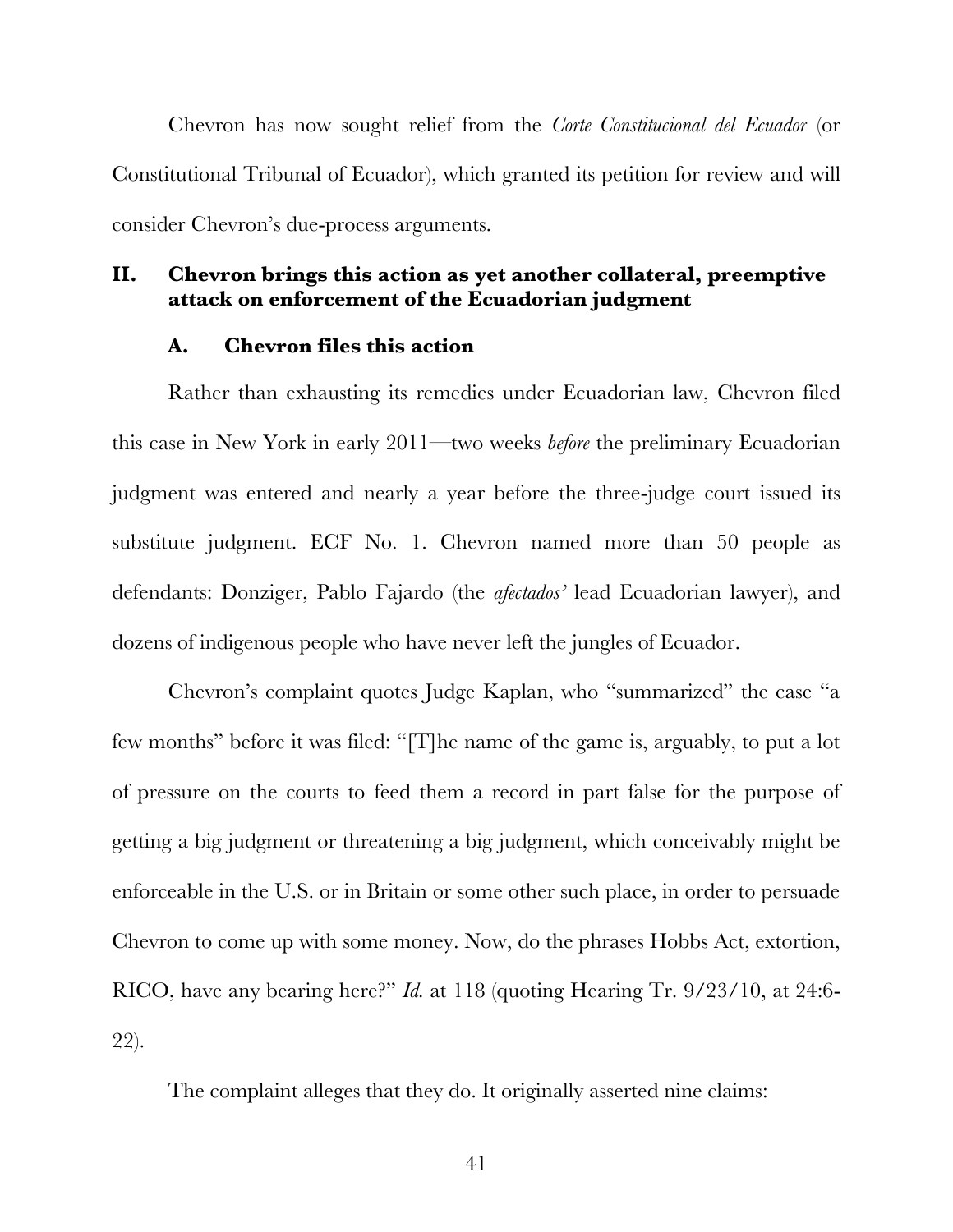Chevron has now sought relief from the *Corte Constitucional del Ecuador* (or Constitutional Tribunal of Ecuador), which granted its petition for review and will consider Chevron's due-process arguments.

## **II. Chevron brings this action as yet another collateral, preemptive attack on enforcement of the Ecuadorian judgment**

### **A. Chevron files this action**

Rather than exhausting its remedies under Ecuadorian law, Chevron filed this case in New York in early 2011—two weeks *before* the preliminary Ecuadorian judgment was entered and nearly a year before the three-judge court issued its substitute judgment. ECF No. 1. Chevron named more than 50 people as defendants: Donziger, Pablo Fajardo (the *afectados'* lead Ecuadorian lawyer), and dozens of indigenous people who have never left the jungles of Ecuador.

Chevron's complaint quotes Judge Kaplan, who "summarized" the case "a few months" before it was filed: "[T]he name of the game is, arguably, to put a lot of pressure on the courts to feed them a record in part false for the purpose of getting a big judgment or threatening a big judgment, which conceivably might be enforceable in the U.S. or in Britain or some other such place, in order to persuade Chevron to come up with some money. Now, do the phrases Hobbs Act, extortion, RICO, have any bearing here?" *Id.* at 118 (quoting Hearing Tr. 9/23/10, at 24:6- 22).

The complaint alleges that they do. It originally asserted nine claims: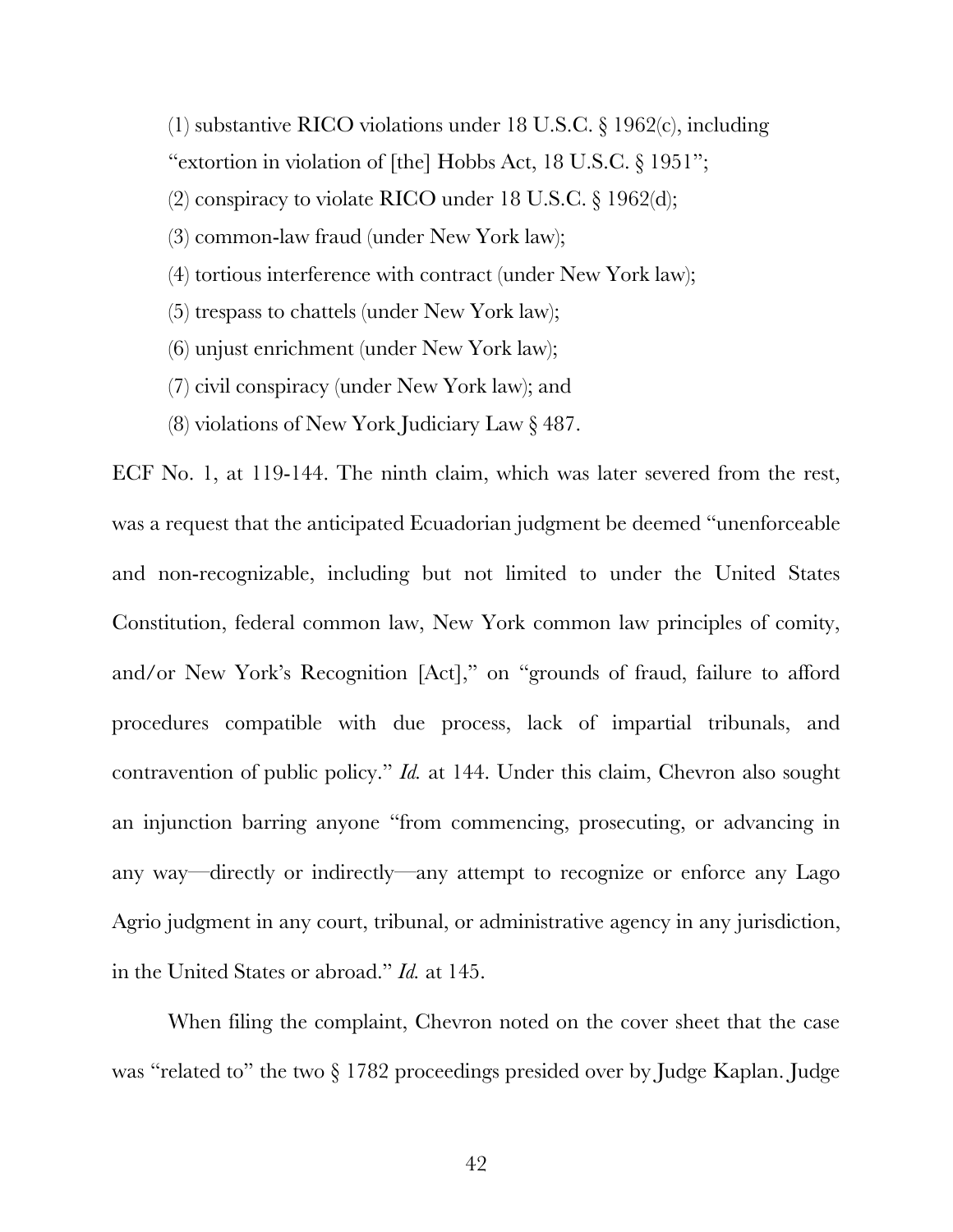(1) substantive RICO violations under 18 U.S.C. § 1962(c), including "extortion in violation of [the] Hobbs Act, 18 U.S.C. § 1951"; (2) conspiracy to violate RICO under 18 U.S.C.  $\S 1962$ (d); (3) common-law fraud (under New York law); (4) tortious interference with contract (under New York law); (5) trespass to chattels (under New York law);

- (6) unjust enrichment (under New York law);
- (7) civil conspiracy (under New York law); and
- (8) violations of New York Judiciary Law § 487.

ECF No. 1, at 119-144. The ninth claim, which was later severed from the rest, was a request that the anticipated Ecuadorian judgment be deemed "unenforceable and non-recognizable, including but not limited to under the United States Constitution, federal common law, New York common law principles of comity, and/or New York's Recognition [Act]," on "grounds of fraud, failure to afford procedures compatible with due process, lack of impartial tribunals, and contravention of public policy." *Id.* at 144. Under this claim, Chevron also sought an injunction barring anyone "from commencing, prosecuting, or advancing in any way—directly or indirectly—any attempt to recognize or enforce any Lago Agrio judgment in any court, tribunal, or administrative agency in any jurisdiction, in the United States or abroad." *Id.* at 145.

When filing the complaint, Chevron noted on the cover sheet that the case was "related to" the two  $\S 1782$  proceedings presided over by Judge Kaplan. Judge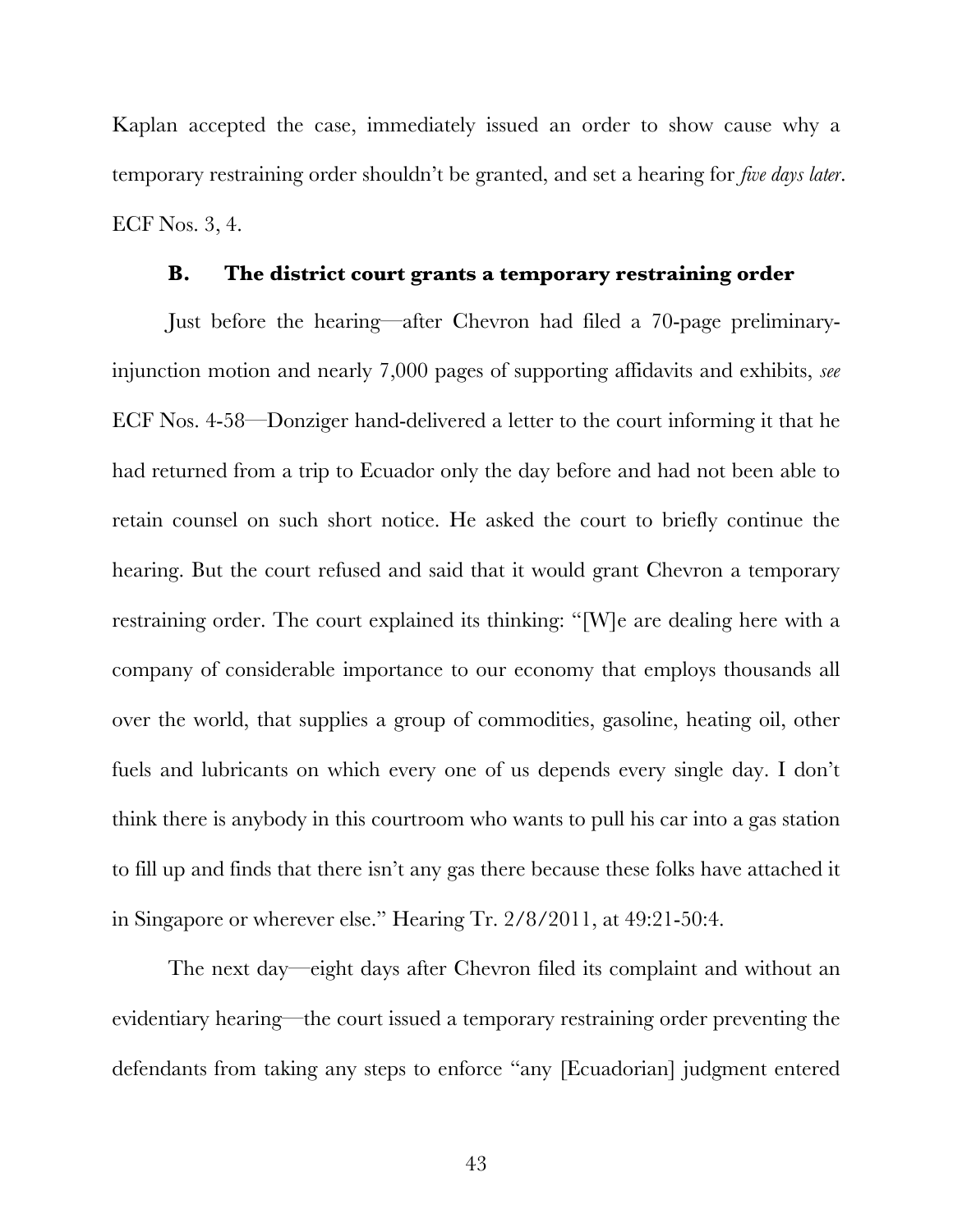Kaplan accepted the case, immediately issued an order to show cause why a temporary restraining order shouldn't be granted, and set a hearing for *five days later*. ECF Nos. 3, 4.

### **B. The district court grants a temporary restraining order**

Just before the hearing—after Chevron had filed a 70-page preliminaryinjunction motion and nearly 7,000 pages of supporting affidavits and exhibits, *see* ECF Nos. 4-58—Donziger hand-delivered a letter to the court informing it that he had returned from a trip to Ecuador only the day before and had not been able to retain counsel on such short notice. He asked the court to briefly continue the hearing. But the court refused and said that it would grant Chevron a temporary restraining order. The court explained its thinking: "[W]e are dealing here with a company of considerable importance to our economy that employs thousands all over the world, that supplies a group of commodities, gasoline, heating oil, other fuels and lubricants on which every one of us depends every single day. I don't think there is anybody in this courtroom who wants to pull his car into a gas station to fill up and finds that there isn't any gas there because these folks have attached it in Singapore or wherever else." Hearing Tr. 2/8/2011, at 49:21-50:4.

The next day—eight days after Chevron filed its complaint and without an evidentiary hearing—the court issued a temporary restraining order preventing the defendants from taking any steps to enforce "any [Ecuadorian] judgment entered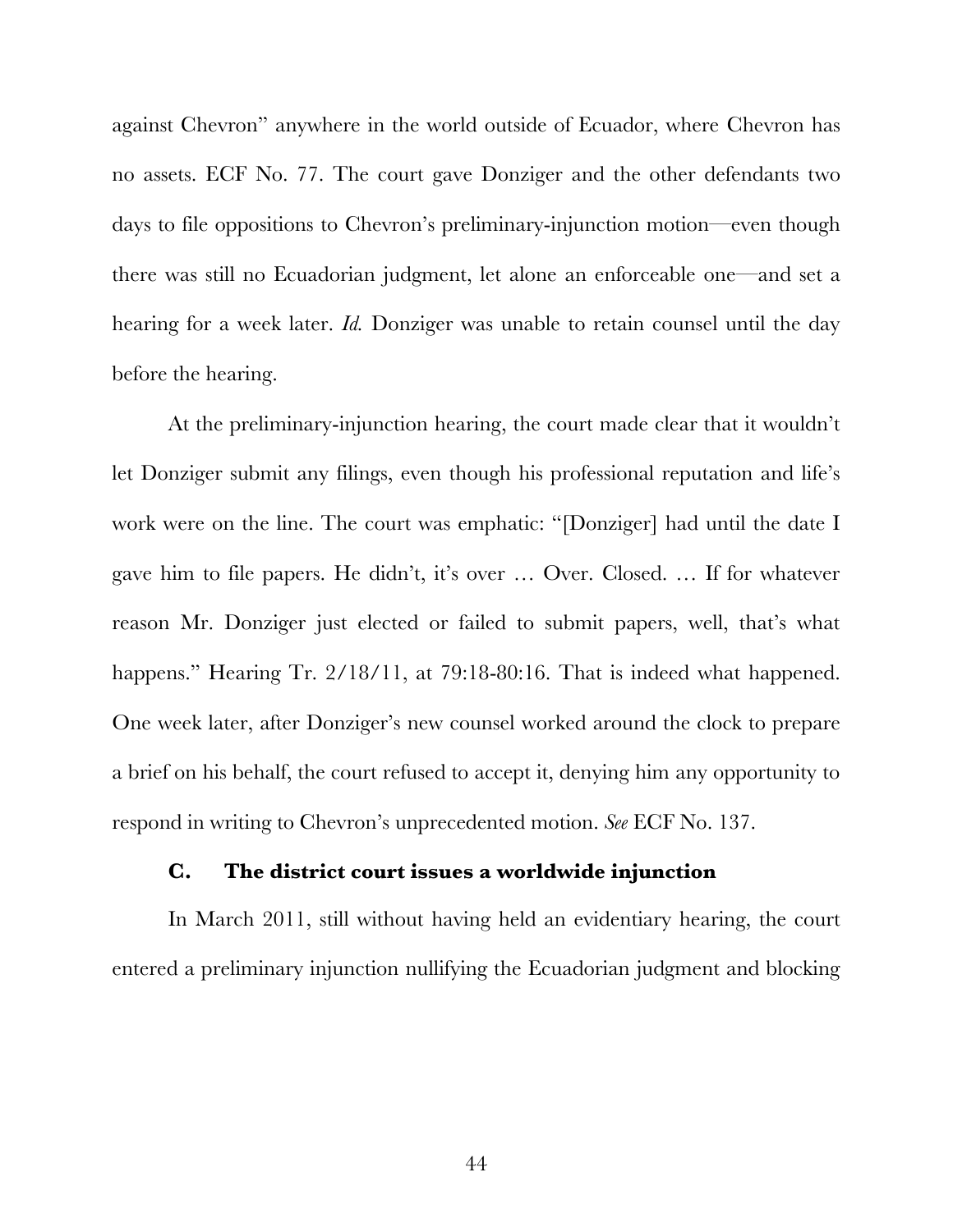against Chevron" anywhere in the world outside of Ecuador, where Chevron has no assets. ECF No. 77. The court gave Donziger and the other defendants two days to file oppositions to Chevron's preliminary-injunction motion—even though there was still no Ecuadorian judgment, let alone an enforceable one—and set a hearing for a week later. *Id.* Donziger was unable to retain counsel until the day before the hearing.

At the preliminary-injunction hearing, the court made clear that it wouldn't let Donziger submit any filings, even though his professional reputation and life's work were on the line. The court was emphatic: "[Donziger] had until the date I gave him to file papers. He didn't, it's over … Over. Closed. … If for whatever reason Mr. Donziger just elected or failed to submit papers, well, that's what happens." Hearing Tr. 2/18/11, at 79:18-80:16. That is indeed what happened. One week later, after Donziger's new counsel worked around the clock to prepare a brief on his behalf, the court refused to accept it, denying him any opportunity to respond in writing to Chevron's unprecedented motion. *See* ECF No. 137.

#### **C. The district court issues a worldwide injunction**

In March 2011, still without having held an evidentiary hearing, the court entered a preliminary injunction nullifying the Ecuadorian judgment and blocking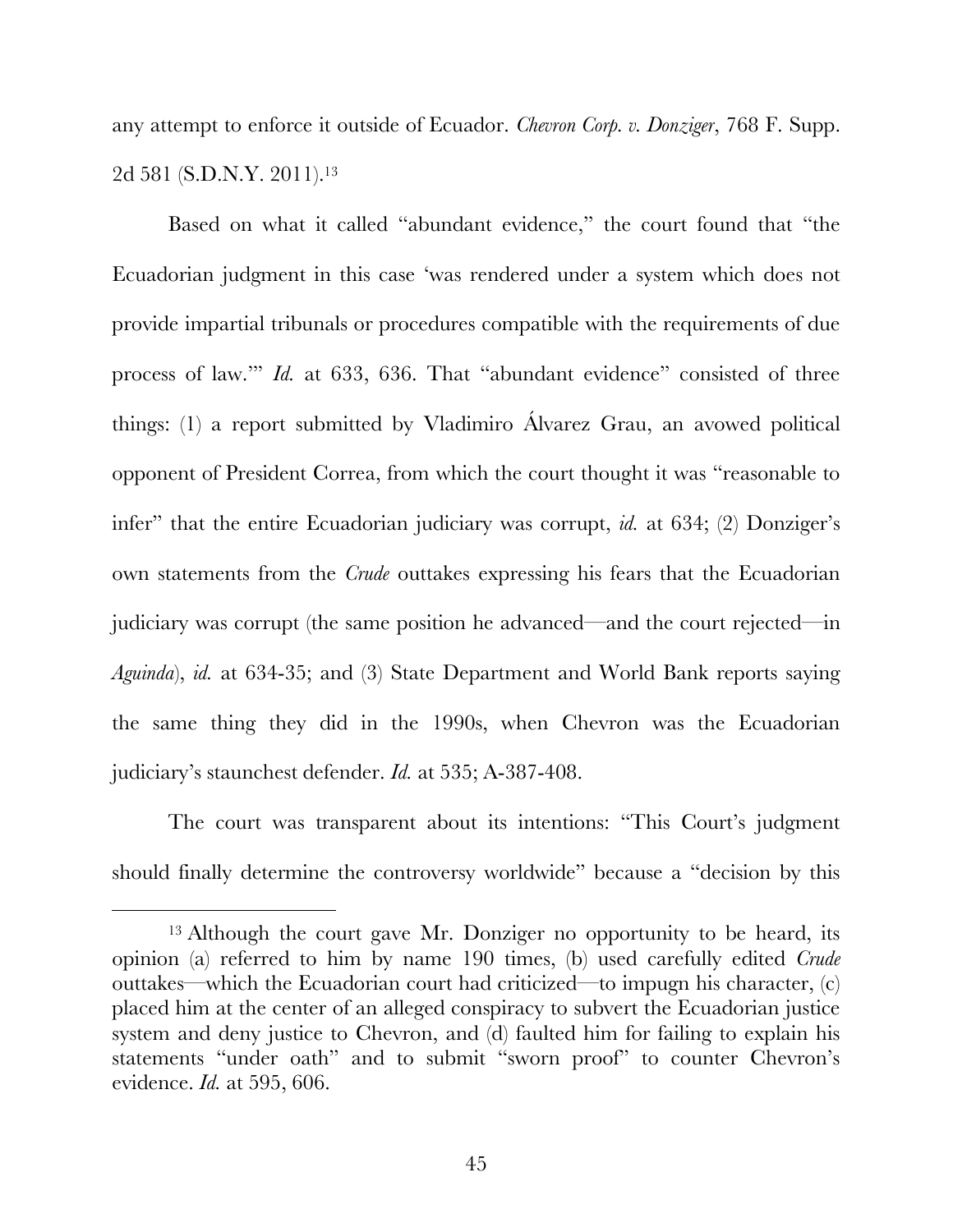any attempt to enforce it outside of Ecuador. *Chevron Corp. v. Donziger*, 768 F. Supp. 2d 581 (S.D.N.Y. 2011). 13

Based on what it called "abundant evidence," the court found that "the Ecuadorian judgment in this case 'was rendered under a system which does not provide impartial tribunals or procedures compatible with the requirements of due process of law.'" *Id.* at 633, 636. That "abundant evidence" consisted of three things: (1) a report submitted by Vladimiro Álvarez Grau, an avowed political opponent of President Correa, from which the court thought it was "reasonable to infer" that the entire Ecuadorian judiciary was corrupt, *id.* at 634; (2) Donziger's own statements from the *Crude* outtakes expressing his fears that the Ecuadorian judiciary was corrupt (the same position he advanced—and the court rejected—in *Aguinda*), *id.* at 634-35; and (3) State Department and World Bank reports saying the same thing they did in the 1990s, when Chevron was the Ecuadorian judiciary's staunchest defender. *Id.* at 535; A-387-408.

The court was transparent about its intentions: "This Court's judgment should finally determine the controversy worldwide" because a "decision by this

<sup>&</sup>lt;sup>13</sup> Although the court gave Mr. Donziger no opportunity to be heard, its opinion (a) referred to him by name 190 times, (b) used carefully edited *Crude* outtakes—which the Ecuadorian court had criticized—to impugn his character, (c) placed him at the center of an alleged conspiracy to subvert the Ecuadorian justice system and deny justice to Chevron, and (d) faulted him for failing to explain his statements "under oath" and to submit "sworn proof" to counter Chevron's evidence. *Id.* at 595, 606.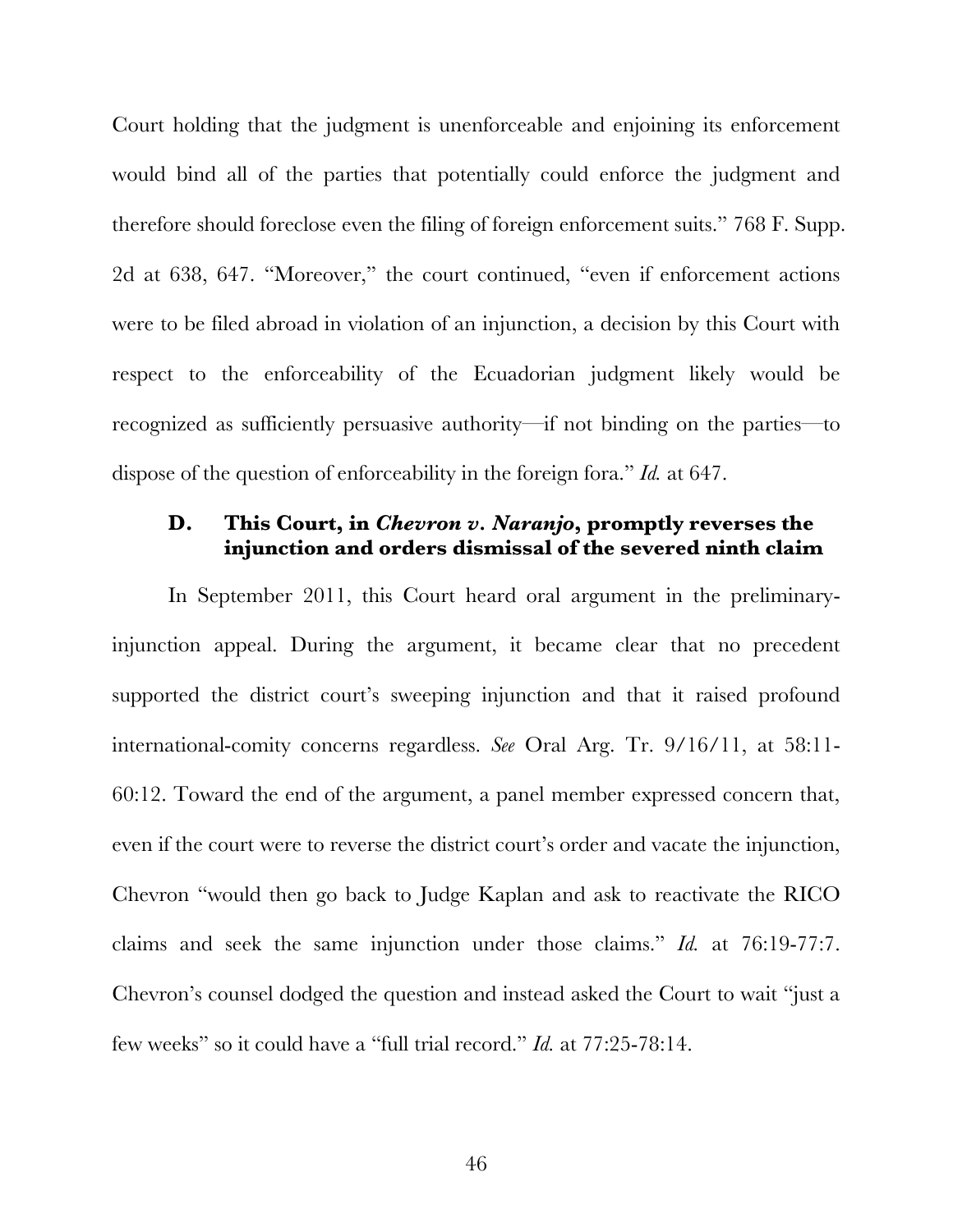Court holding that the judgment is unenforceable and enjoining its enforcement would bind all of the parties that potentially could enforce the judgment and therefore should foreclose even the filing of foreign enforcement suits." 768 F. Supp. 2d at 638, 647. "Moreover," the court continued, "even if enforcement actions were to be filed abroad in violation of an injunction, a decision by this Court with respect to the enforceability of the Ecuadorian judgment likely would be recognized as sufficiently persuasive authority—if not binding on the parties—to dispose of the question of enforceability in the foreign fora." *Id.* at 647.

# **D. This Court, in** *Chevron v. Naranjo***, promptly reverses the injunction and orders dismissal of the severed ninth claim**

In September 2011, this Court heard oral argument in the preliminaryinjunction appeal. During the argument, it became clear that no precedent supported the district court's sweeping injunction and that it raised profound international-comity concerns regardless. *See* Oral Arg. Tr. 9/16/11, at 58:11- 60:12. Toward the end of the argument, a panel member expressed concern that, even if the court were to reverse the district court's order and vacate the injunction, Chevron "would then go back to Judge Kaplan and ask to reactivate the RICO claims and seek the same injunction under those claims." *Id.* at 76:19-77:7. Chevron's counsel dodged the question and instead asked the Court to wait "just a few weeks" so it could have a "full trial record." *Id.* at 77:25-78:14.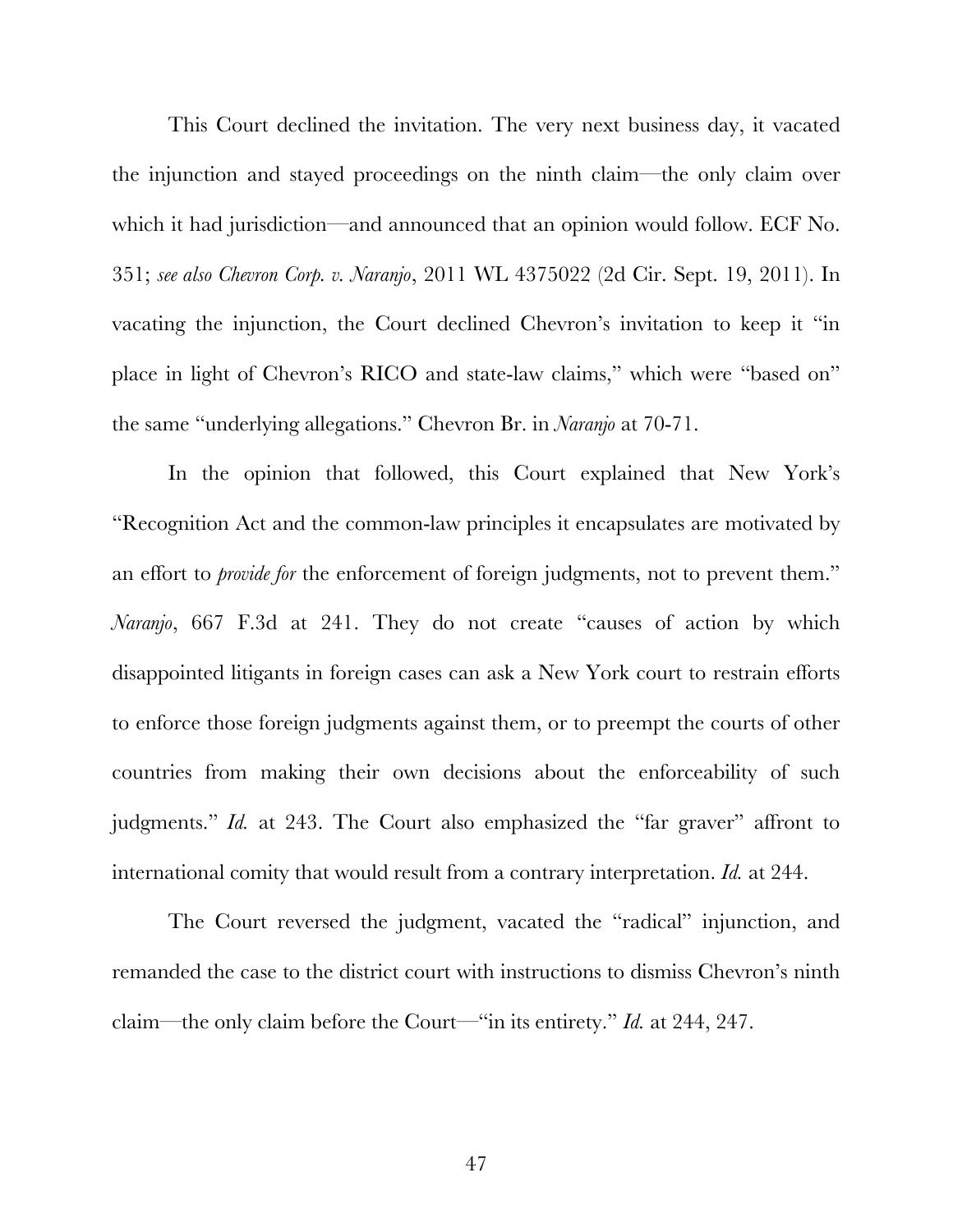This Court declined the invitation. The very next business day, it vacated the injunction and stayed proceedings on the ninth claim—the only claim over which it had jurisdiction—and announced that an opinion would follow. ECF No. 351; *see also Chevron Corp. v. Naranjo*, 2011 WL 4375022 (2d Cir. Sept. 19, 2011). In vacating the injunction, the Court declined Chevron's invitation to keep it "in place in light of Chevron's RICO and state-law claims," which were "based on" the same "underlying allegations." Chevron Br. in *Naranjo* at 70-71.

In the opinion that followed, this Court explained that New York's "Recognition Act and the common-law principles it encapsulates are motivated by an effort to *provide for* the enforcement of foreign judgments, not to prevent them." *Naranjo*, 667 F.3d at 241. They do not create "causes of action by which disappointed litigants in foreign cases can ask a New York court to restrain efforts to enforce those foreign judgments against them, or to preempt the courts of other countries from making their own decisions about the enforceability of such judgments." *Id.* at 243. The Court also emphasized the "far graver" affront to international comity that would result from a contrary interpretation. *Id.* at 244.

The Court reversed the judgment, vacated the "radical" injunction, and remanded the case to the district court with instructions to dismiss Chevron's ninth claim—the only claim before the Court—"in its entirety." *Id.* at 244, 247.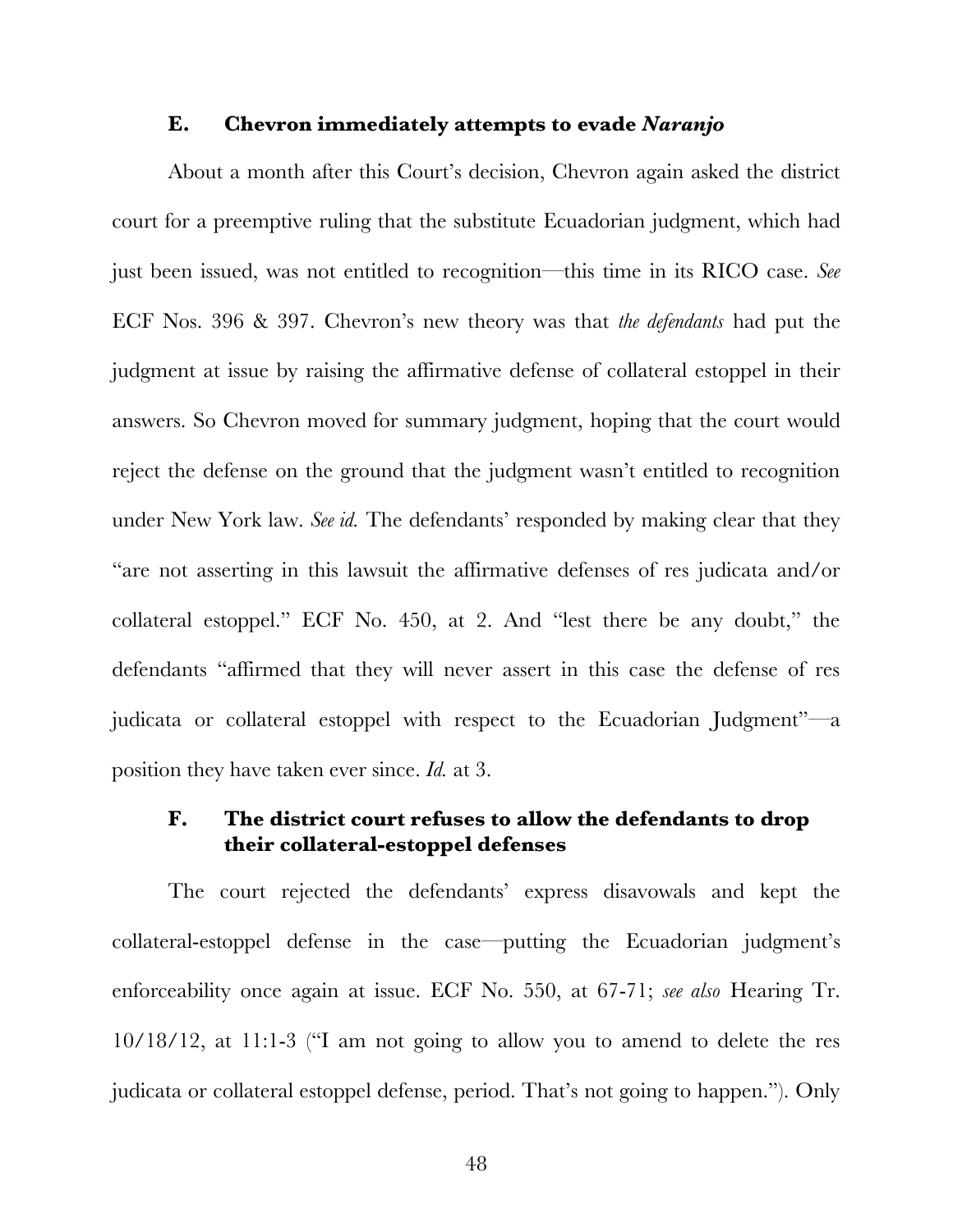#### **E. Chevron immediately attempts to evade** *Naranjo*

About a month after this Court's decision, Chevron again asked the district court for a preemptive ruling that the substitute Ecuadorian judgment, which had just been issued, was not entitled to recognition—this time in its RICO case. *See* ECF Nos. 396 & 397. Chevron's new theory was that *the defendants* had put the judgment at issue by raising the affirmative defense of collateral estoppel in their answers. So Chevron moved for summary judgment, hoping that the court would reject the defense on the ground that the judgment wasn't entitled to recognition under New York law. *See id.* The defendants' responded by making clear that they "are not asserting in this lawsuit the affirmative defenses of res judicata and/or collateral estoppel." ECF No. 450, at 2. And "lest there be any doubt," the defendants "affirmed that they will never assert in this case the defense of res judicata or collateral estoppel with respect to the Ecuadorian Judgment"—a position they have taken ever since. *Id.* at 3.

## **F. The district court refuses to allow the defendants to drop their collateral-estoppel defenses**

The court rejected the defendants' express disavowals and kept the collateral-estoppel defense in the case—putting the Ecuadorian judgment's enforceability once again at issue. ECF No. 550, at 67-71; *see also* Hearing Tr. 10/18/12, at 11:1-3 ("I am not going to allow you to amend to delete the res judicata or collateral estoppel defense, period. That's not going to happen."). Only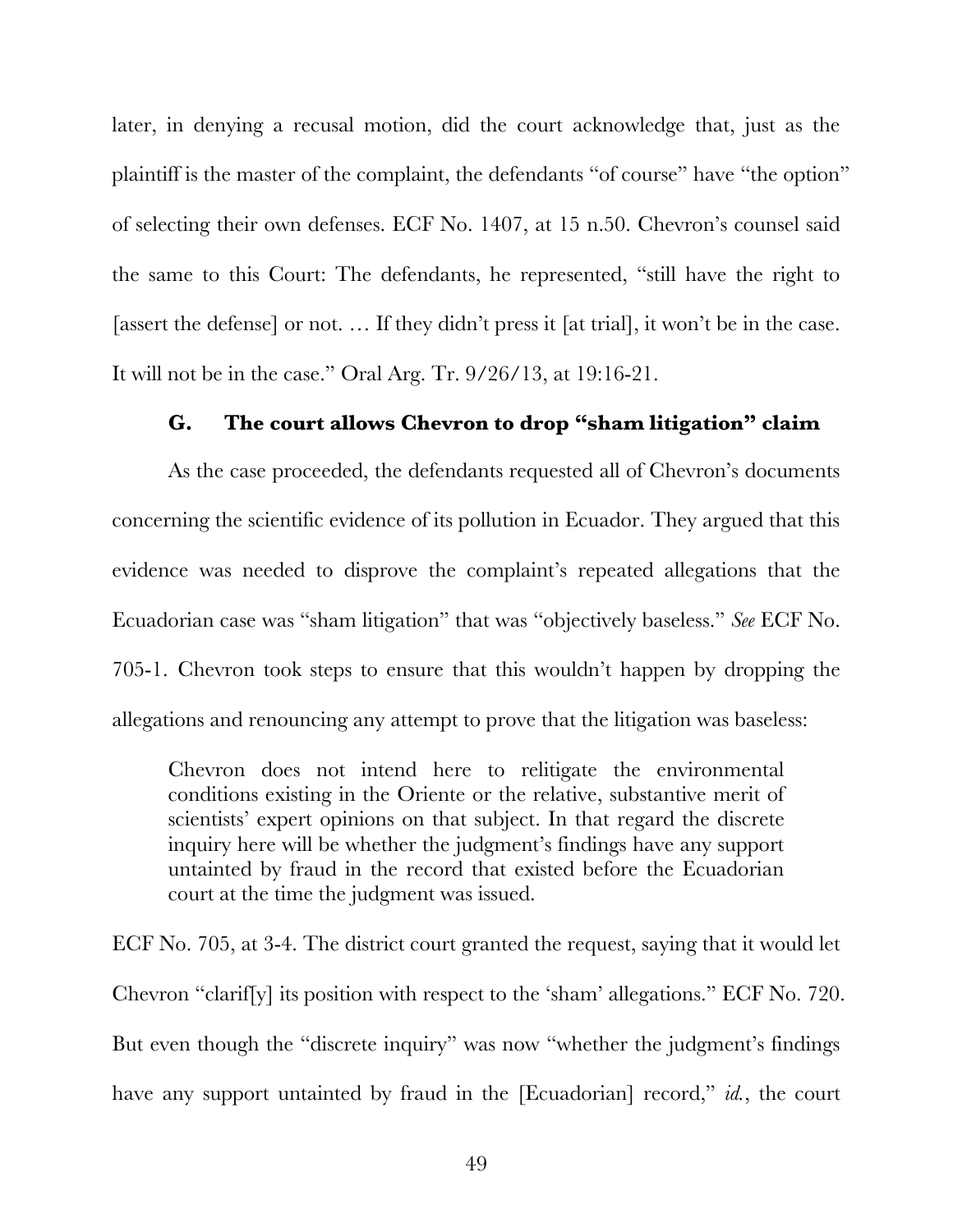later, in denying a recusal motion, did the court acknowledge that, just as the plaintiff is the master of the complaint, the defendants "of course" have "the option" of selecting their own defenses. ECF No. 1407, at 15 n.50. Chevron's counsel said the same to this Court: The defendants, he represented, "still have the right to [assert the defense] or not. … If they didn't press it [at trial], it won't be in the case. It will not be in the case." Oral Arg. Tr. 9/26/13, at 19:16-21.

#### **G. The court allows Chevron to drop "sham litigation" claim**

As the case proceeded, the defendants requested all of Chevron's documents concerning the scientific evidence of its pollution in Ecuador. They argued that this evidence was needed to disprove the complaint's repeated allegations that the Ecuadorian case was "sham litigation" that was "objectively baseless." *See* ECF No. 705-1. Chevron took steps to ensure that this wouldn't happen by dropping the allegations and renouncing any attempt to prove that the litigation was baseless:

Chevron does not intend here to relitigate the environmental conditions existing in the Oriente or the relative, substantive merit of scientists' expert opinions on that subject. In that regard the discrete inquiry here will be whether the judgment's findings have any support untainted by fraud in the record that existed before the Ecuadorian court at the time the judgment was issued.

ECF No. 705, at 3-4. The district court granted the request, saying that it would let Chevron "clarif[y] its position with respect to the 'sham' allegations." ECF No. 720. But even though the "discrete inquiry" was now "whether the judgment's findings have any support untainted by fraud in the [Ecuadorian] record," *id.*, the court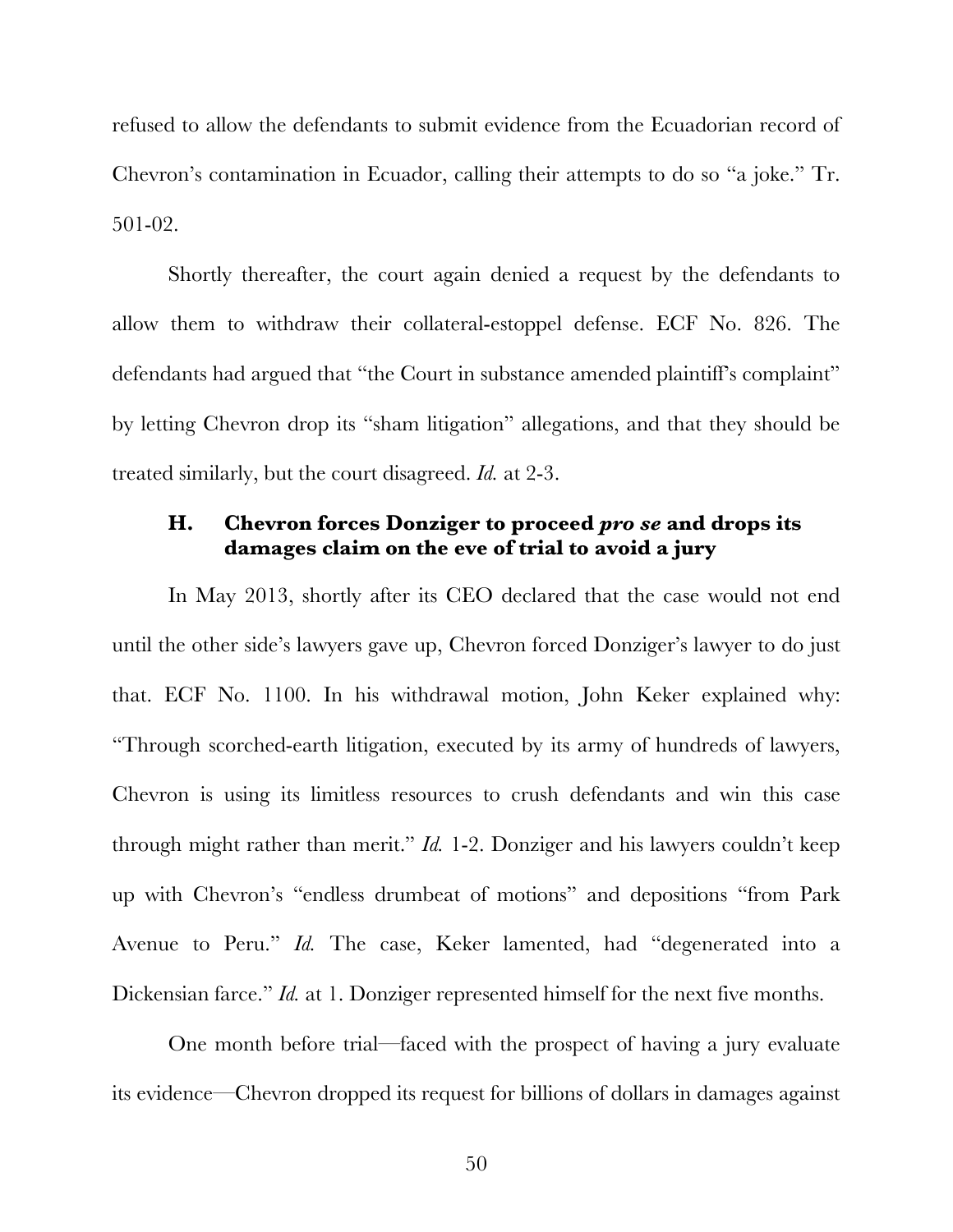refused to allow the defendants to submit evidence from the Ecuadorian record of Chevron's contamination in Ecuador, calling their attempts to do so "a joke." Tr. 501-02.

Shortly thereafter, the court again denied a request by the defendants to allow them to withdraw their collateral-estoppel defense. ECF No. 826. The defendants had argued that "the Court in substance amended plaintiff's complaint" by letting Chevron drop its "sham litigation" allegations, and that they should be treated similarly, but the court disagreed. *Id.* at 2-3.

## **H. Chevron forces Donziger to proceed** *pro se* **and drops its damages claim on the eve of trial to avoid a jury**

In May 2013, shortly after its CEO declared that the case would not end until the other side's lawyers gave up, Chevron forced Donziger's lawyer to do just that. ECF No. 1100. In his withdrawal motion, John Keker explained why: "Through scorched-earth litigation, executed by its army of hundreds of lawyers, Chevron is using its limitless resources to crush defendants and win this case through might rather than merit." *Id.* 1-2. Donziger and his lawyers couldn't keep up with Chevron's "endless drumbeat of motions" and depositions "from Park Avenue to Peru." *Id.* The case, Keker lamented, had "degenerated into a Dickensian farce." *Id.* at 1. Donziger represented himself for the next five months.

One month before trial—faced with the prospect of having a jury evaluate its evidence—Chevron dropped its request for billions of dollars in damages against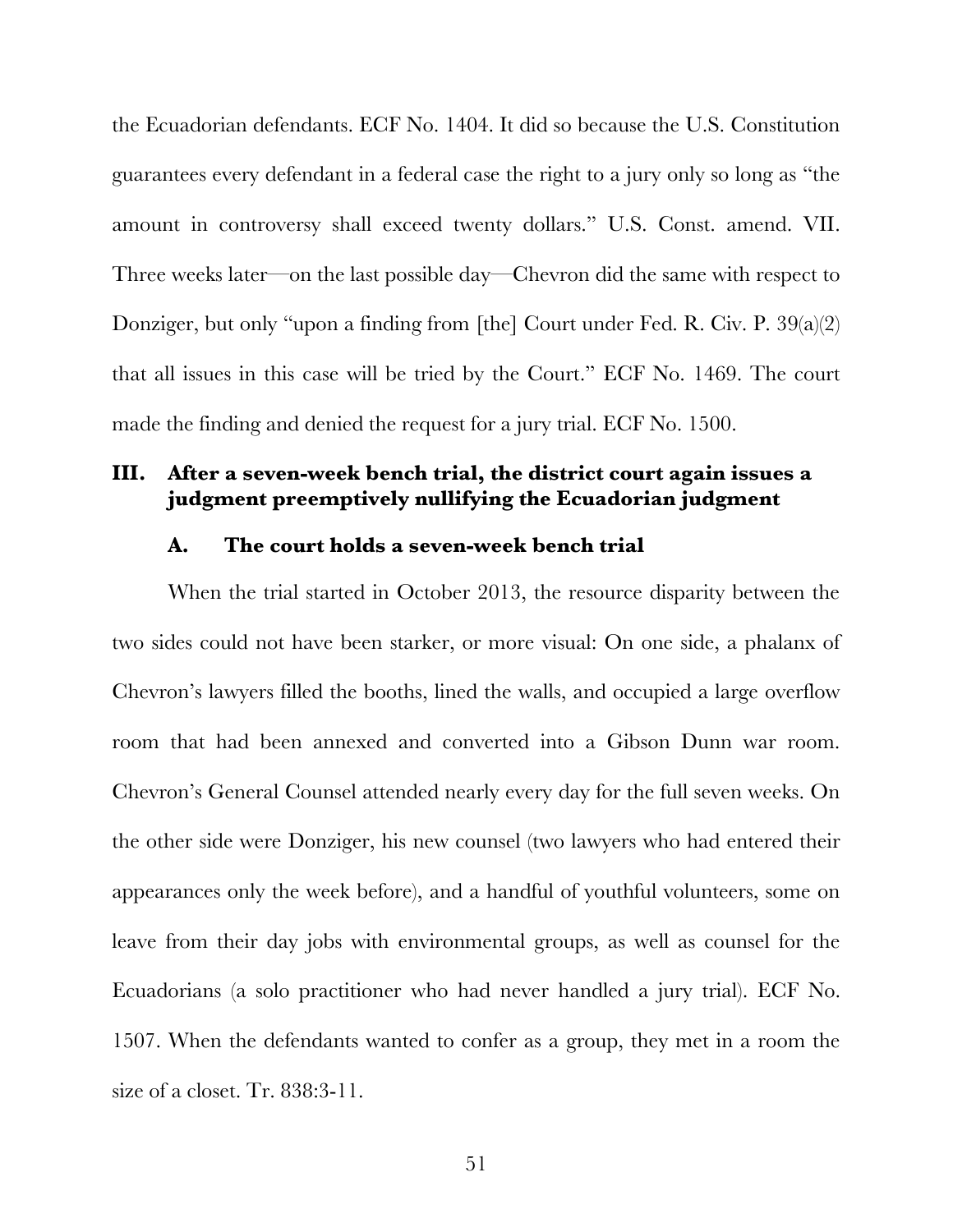the Ecuadorian defendants. ECF No. 1404. It did so because the U.S. Constitution guarantees every defendant in a federal case the right to a jury only so long as "the amount in controversy shall exceed twenty dollars." U.S. Const. amend. VII. Three weeks later—on the last possible day—Chevron did the same with respect to Donziger, but only "upon a finding from [the] Court under Fed. R. Civ. P. 39(a)(2) that all issues in this case will be tried by the Court." ECF No. 1469. The court made the finding and denied the request for a jury trial. ECF No. 1500.

### **III. After a seven-week bench trial, the district court again issues a judgment preemptively nullifying the Ecuadorian judgment**

#### **A. The court holds a seven-week bench trial**

When the trial started in October 2013, the resource disparity between the two sides could not have been starker, or more visual: On one side, a phalanx of Chevron's lawyers filled the booths, lined the walls, and occupied a large overflow room that had been annexed and converted into a Gibson Dunn war room. Chevron's General Counsel attended nearly every day for the full seven weeks. On the other side were Donziger, his new counsel (two lawyers who had entered their appearances only the week before), and a handful of youthful volunteers, some on leave from their day jobs with environmental groups, as well as counsel for the Ecuadorians (a solo practitioner who had never handled a jury trial). ECF No. 1507. When the defendants wanted to confer as a group, they met in a room the size of a closet. Tr. 838:3-11.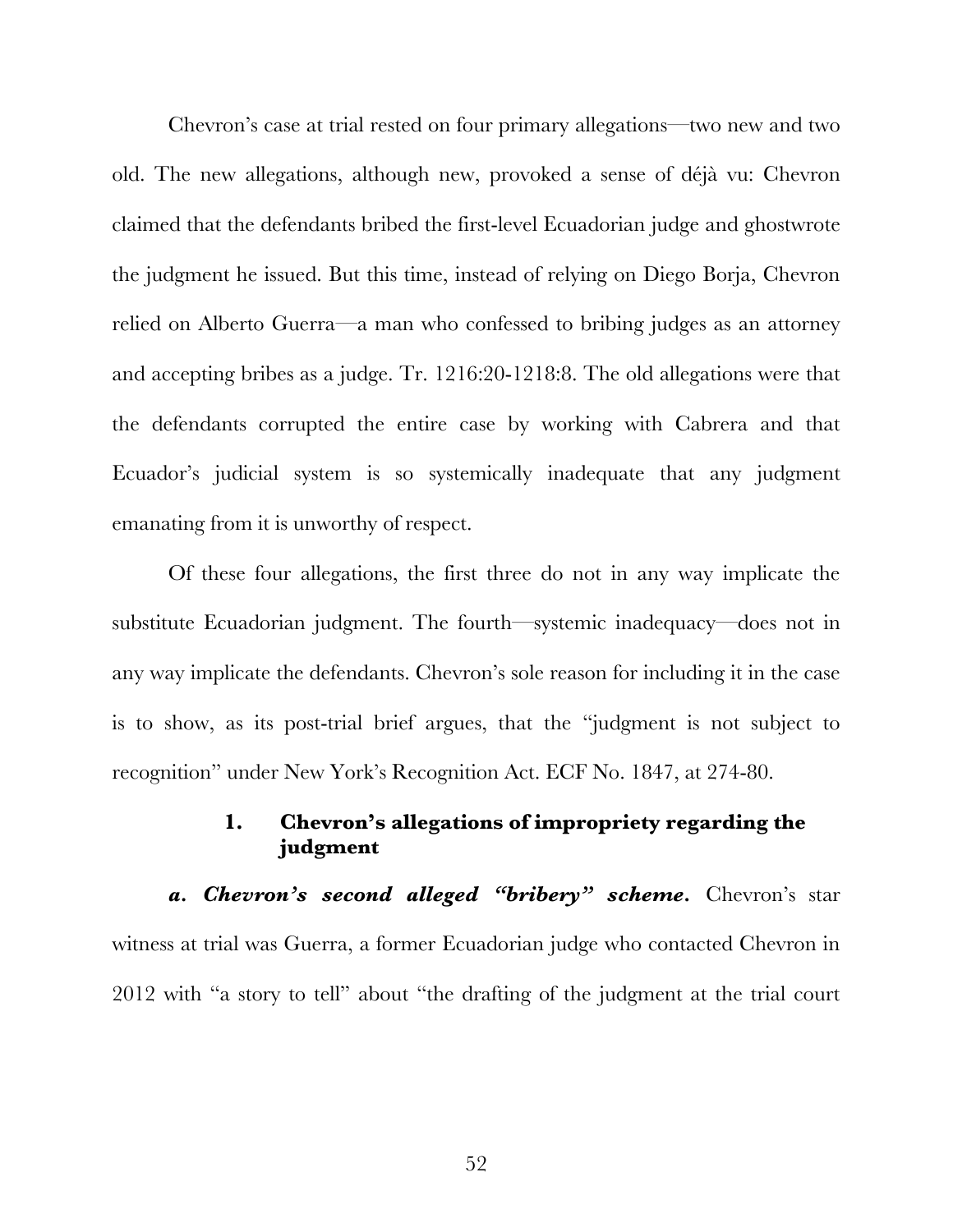Chevron's case at trial rested on four primary allegations—two new and two old. The new allegations, although new, provoked a sense of déjà vu: Chevron claimed that the defendants bribed the first-level Ecuadorian judge and ghostwrote the judgment he issued. But this time, instead of relying on Diego Borja, Chevron relied on Alberto Guerra—a man who confessed to bribing judges as an attorney and accepting bribes as a judge. Tr. 1216:20-1218:8. The old allegations were that the defendants corrupted the entire case by working with Cabrera and that Ecuador's judicial system is so systemically inadequate that any judgment emanating from it is unworthy of respect.

Of these four allegations, the first three do not in any way implicate the substitute Ecuadorian judgment. The fourth—systemic inadequacy—does not in any way implicate the defendants. Chevron's sole reason for including it in the case is to show, as its post-trial brief argues, that the "judgment is not subject to recognition" under New York's Recognition Act. ECF No. 1847, at 274-80.

# **1. Chevron's allegations of impropriety regarding the judgment**

a. Chevron's second alleged "bribery" scheme. Chevron's star witness at trial was Guerra, a former Ecuadorian judge who contacted Chevron in 2012 with "a story to tell" about "the drafting of the judgment at the trial court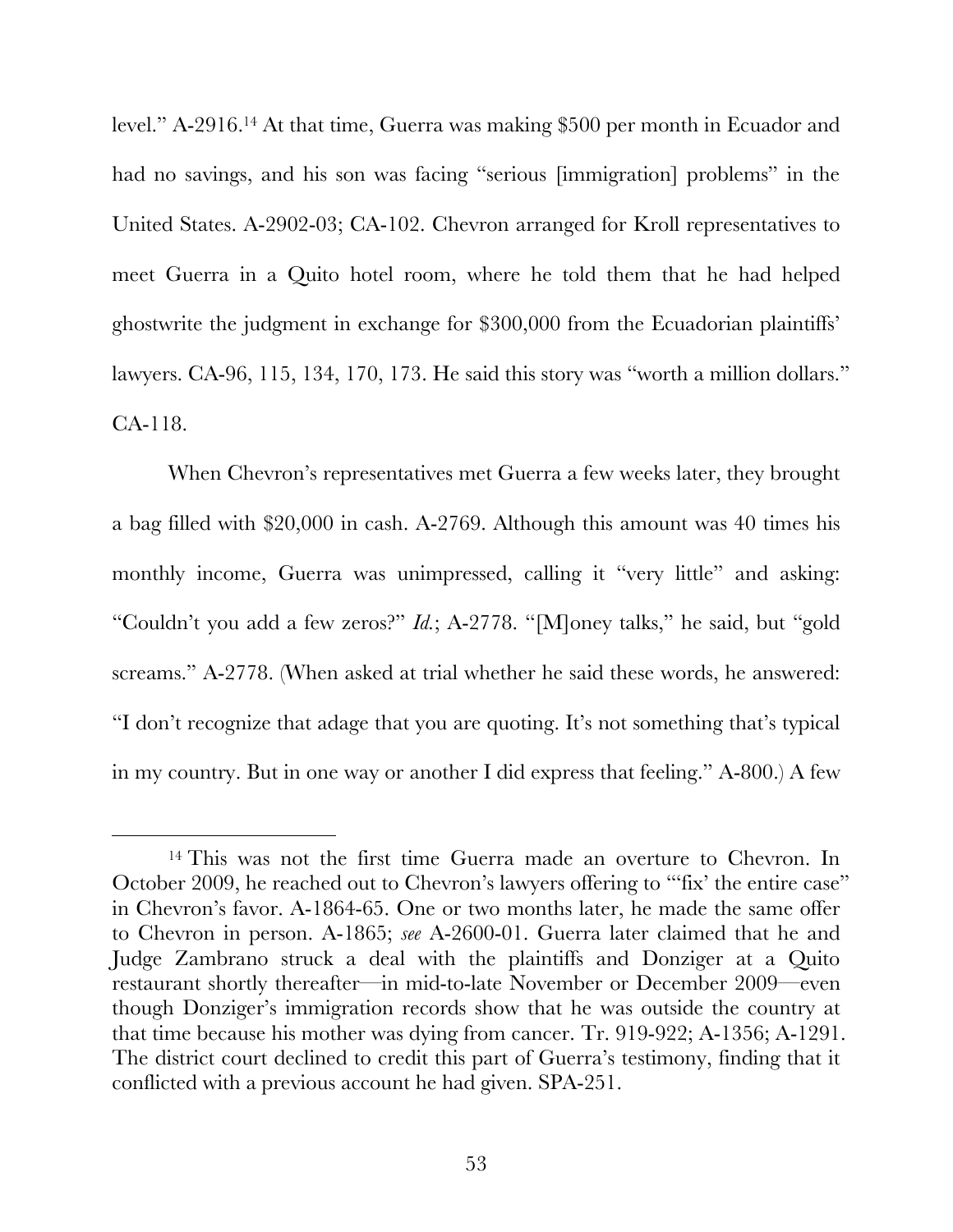level." A-2916.14 At that time, Guerra was making \$500 per month in Ecuador and had no savings, and his son was facing "serious [immigration] problems" in the United States. A-2902-03; CA-102. Chevron arranged for Kroll representatives to meet Guerra in a Quito hotel room, where he told them that he had helped ghostwrite the judgment in exchange for \$300,000 from the Ecuadorian plaintiffs' lawyers. CA-96, 115, 134, 170, 173. He said this story was "worth a million dollars." CA-118.

When Chevron's representatives met Guerra a few weeks later, they brought a bag filled with \$20,000 in cash. A-2769. Although this amount was 40 times his monthly income, Guerra was unimpressed, calling it "very little" and asking: "Couldn't you add a few zeros?" *Id.*; A-2778. "[M]oney talks," he said, but "gold screams." A-2778. (When asked at trial whether he said these words, he answered: "I don't recognize that adage that you are quoting. It's not something that's typical in my country. But in one way or another I did express that feeling." A-800.) A few

<sup>&</sup>lt;sup>14</sup> This was not the first time Guerra made an overture to Chevron. In October 2009, he reached out to Chevron's lawyers offering to "'fix' the entire case" in Chevron's favor. A-1864-65. One or two months later, he made the same offer to Chevron in person. A-1865; *see* A-2600-01. Guerra later claimed that he and Judge Zambrano struck a deal with the plaintiffs and Donziger at a Quito restaurant shortly thereafter—in mid-to-late November or December 2009—even though Donziger's immigration records show that he was outside the country at that time because his mother was dying from cancer. Tr. 919-922; A-1356; A-1291. The district court declined to credit this part of Guerra's testimony, finding that it conflicted with a previous account he had given. SPA-251.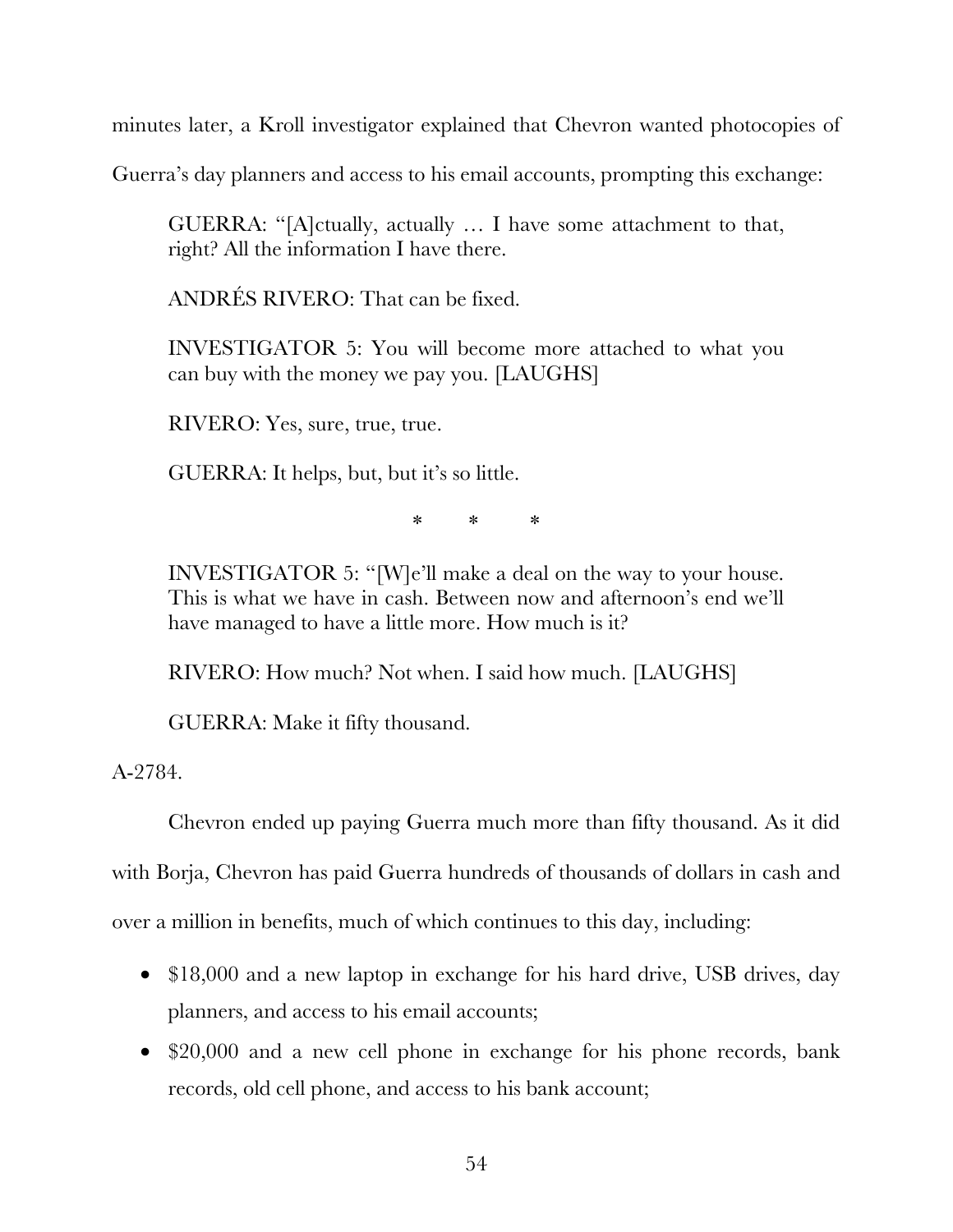minutes later, a Kroll investigator explained that Chevron wanted photocopies of

Guerra's day planners and access to his email accounts, prompting this exchange:

GUERRA: "[A]ctually, actually … I have some attachment to that, right? All the information I have there.

ANDRÉS RIVERO: That can be fixed.

INVESTIGATOR 5: You will become more attached to what you can buy with the money we pay you. [LAUGHS]

RIVERO: Yes, sure, true, true.

GUERRA: It helps, but, but it's so little.

\* \* \*

INVESTIGATOR 5: "[W]e'll make a deal on the way to your house. This is what we have in cash. Between now and afternoon's end we'll have managed to have a little more. How much is it?

RIVERO: How much? Not when. I said how much. [LAUGHS]

GUERRA: Make it fifty thousand.

A-2784.

Chevron ended up paying Guerra much more than fifty thousand. As it did

with Borja, Chevron has paid Guerra hundreds of thousands of dollars in cash and

over a million in benefits, much of which continues to this day, including:

- \$18,000 and a new laptop in exchange for his hard drive, USB drives, day planners, and access to his email accounts;
- \$20,000 and a new cell phone in exchange for his phone records, bank records, old cell phone, and access to his bank account;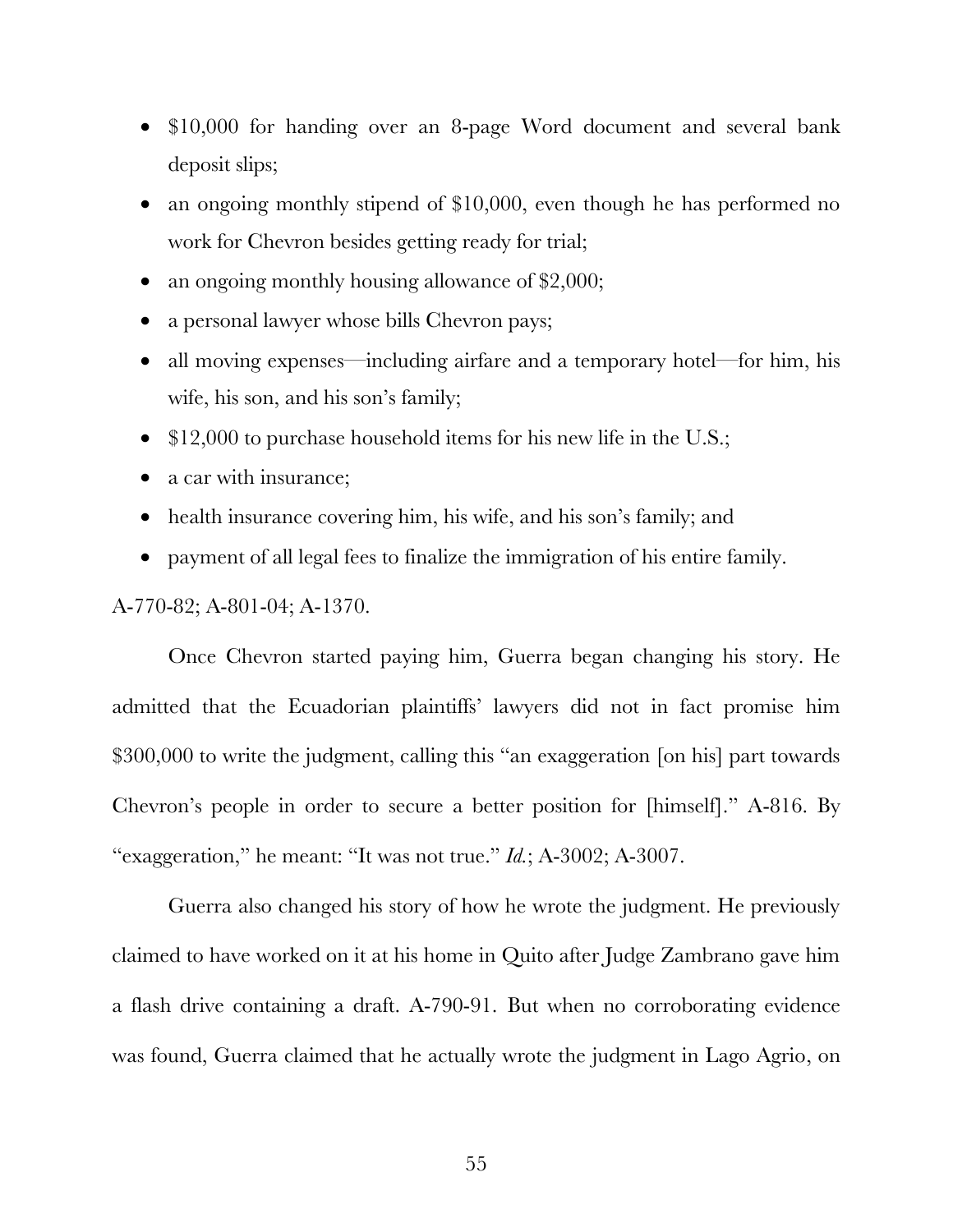- \$10,000 for handing over an 8-page Word document and several bank deposit slips;
- an ongoing monthly stipend of \$10,000, even though he has performed no work for Chevron besides getting ready for trial;
- an ongoing monthly housing allowance of \$2,000;
- a personal lawyer whose bills Chevron pays;
- all moving expenses—including airfare and a temporary hotel—for him, his wife, his son, and his son's family;
- \$12,000 to purchase household items for his new life in the U.S.;
- a car with insurance;
- health insurance covering him, his wife, and his son's family; and
- payment of all legal fees to finalize the immigration of his entire family.

A-770-82; A-801-04; A-1370.

Once Chevron started paying him, Guerra began changing his story. He admitted that the Ecuadorian plaintiffs' lawyers did not in fact promise him \$300,000 to write the judgment, calling this "an exaggeration [on his] part towards Chevron's people in order to secure a better position for [himself]." A-816. By "exaggeration," he meant: "It was not true." *Id.*; A-3002; A-3007.

Guerra also changed his story of how he wrote the judgment. He previously claimed to have worked on it at his home in Quito after Judge Zambrano gave him a flash drive containing a draft. A-790-91. But when no corroborating evidence was found, Guerra claimed that he actually wrote the judgment in Lago Agrio, on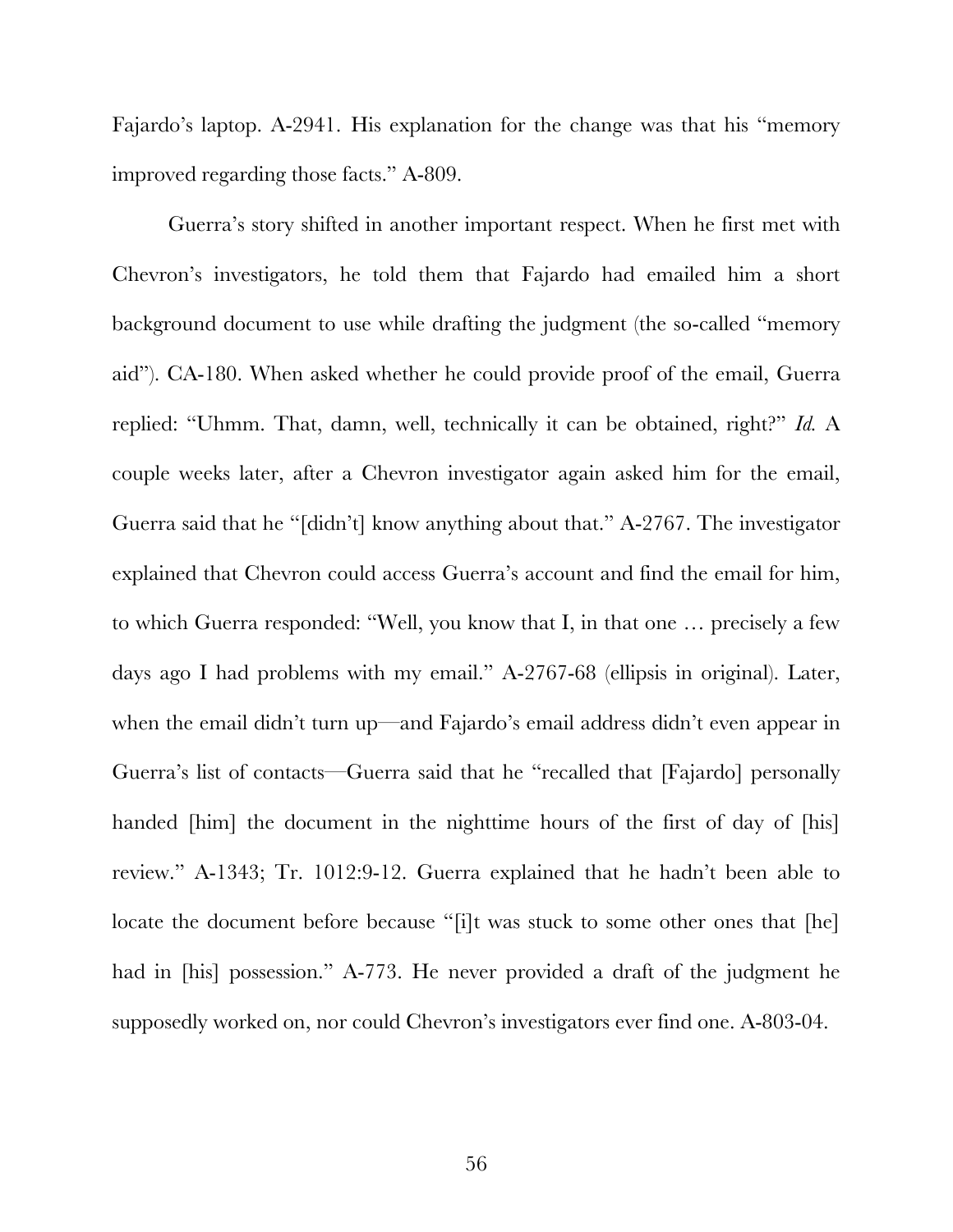Fajardo's laptop. A-2941. His explanation for the change was that his "memory improved regarding those facts." A-809.

Guerra's story shifted in another important respect. When he first met with Chevron's investigators, he told them that Fajardo had emailed him a short background document to use while drafting the judgment (the so-called "memory aid"). CA-180. When asked whether he could provide proof of the email, Guerra replied: "Uhmm. That, damn, well, technically it can be obtained, right?" *Id.* A couple weeks later, after a Chevron investigator again asked him for the email, Guerra said that he "[didn't] know anything about that." A-2767. The investigator explained that Chevron could access Guerra's account and find the email for him, to which Guerra responded: "Well, you know that I, in that one … precisely a few days ago I had problems with my email." A-2767-68 (ellipsis in original). Later, when the email didn't turn up—and Fajardo's email address didn't even appear in Guerra's list of contacts—Guerra said that he "recalled that [Fajardo] personally handed [him] the document in the nighttime hours of the first of day of [his] review." A-1343; Tr. 1012:9-12. Guerra explained that he hadn't been able to locate the document before because "[i]t was stuck to some other ones that [he] had in [his] possession." A-773. He never provided a draft of the judgment he supposedly worked on, nor could Chevron's investigators ever find one. A-803-04.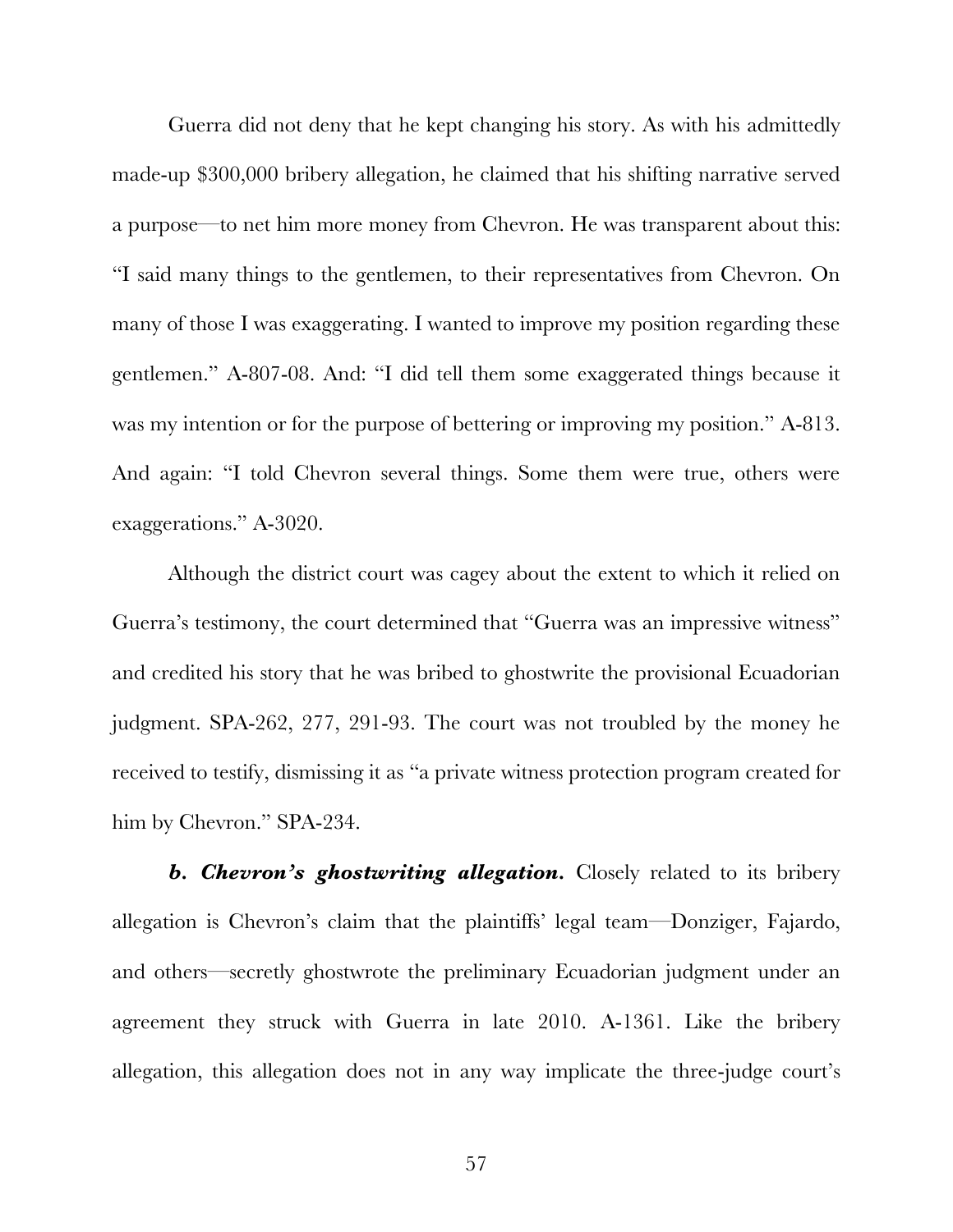Guerra did not deny that he kept changing his story. As with his admittedly made-up \$300,000 bribery allegation, he claimed that his shifting narrative served a purpose—to net him more money from Chevron. He was transparent about this: "I said many things to the gentlemen, to their representatives from Chevron. On many of those I was exaggerating. I wanted to improve my position regarding these gentlemen." A-807-08. And: "I did tell them some exaggerated things because it was my intention or for the purpose of bettering or improving my position." A-813. And again: "I told Chevron several things. Some them were true, others were exaggerations." A-3020.

Although the district court was cagey about the extent to which it relied on Guerra's testimony, the court determined that "Guerra was an impressive witness" and credited his story that he was bribed to ghostwrite the provisional Ecuadorian judgment. SPA-262, 277, 291-93. The court was not troubled by the money he received to testify, dismissing it as "a private witness protection program created for him by Chevron." SPA-234.

*b. Chevron's ghostwriting allegation.* Closely related to its bribery allegation is Chevron's claim that the plaintiffs' legal team—Donziger, Fajardo, and others—secretly ghostwrote the preliminary Ecuadorian judgment under an agreement they struck with Guerra in late 2010. A-1361. Like the bribery allegation, this allegation does not in any way implicate the three-judge court's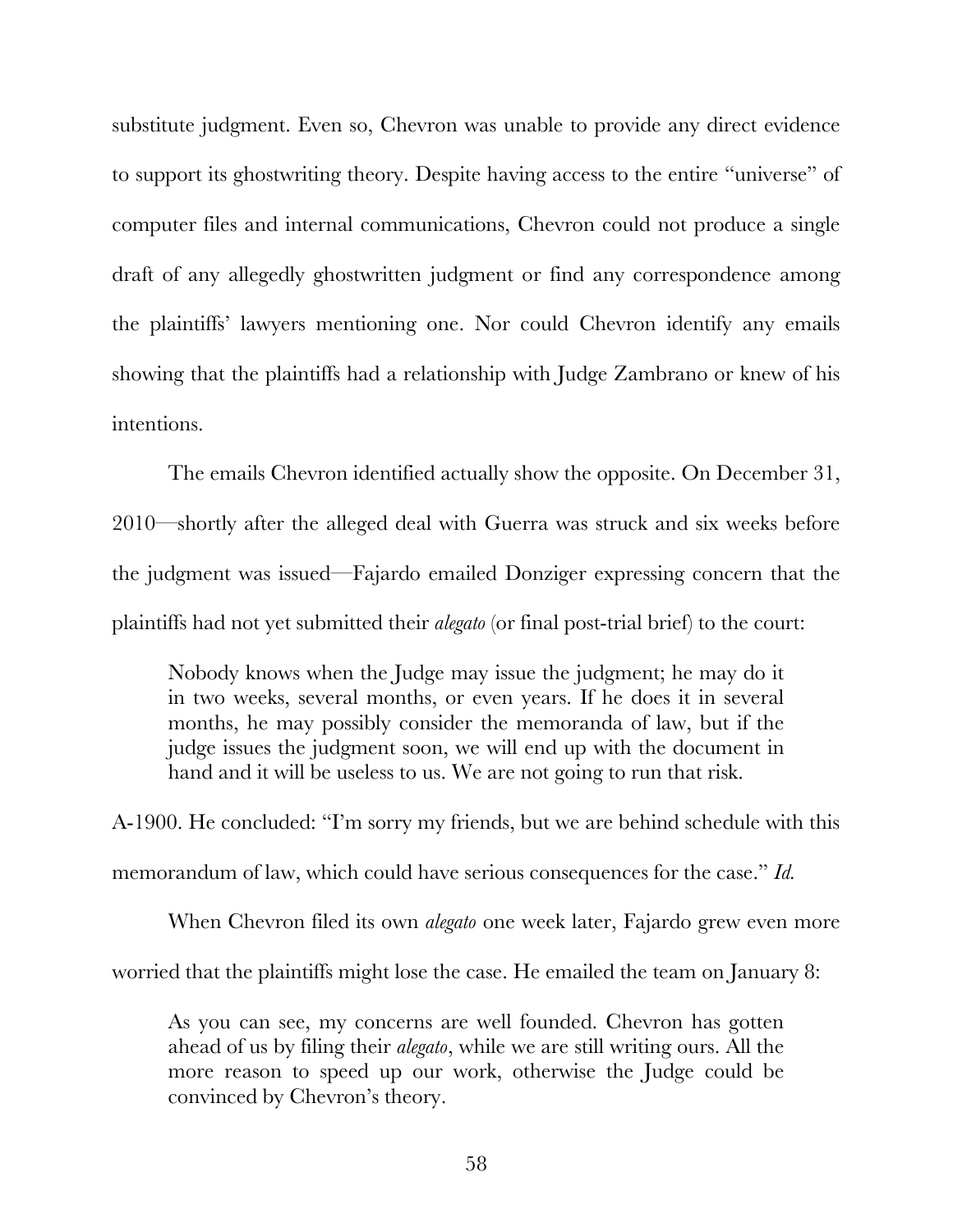substitute judgment. Even so, Chevron was unable to provide any direct evidence to support its ghostwriting theory. Despite having access to the entire "universe" of computer files and internal communications, Chevron could not produce a single draft of any allegedly ghostwritten judgment or find any correspondence among the plaintiffs' lawyers mentioning one. Nor could Chevron identify any emails showing that the plaintiffs had a relationship with Judge Zambrano or knew of his intentions.

The emails Chevron identified actually show the opposite. On December 31, 2010—shortly after the alleged deal with Guerra was struck and six weeks before the judgment was issued—Fajardo emailed Donziger expressing concern that the plaintiffs had not yet submitted their *alegato* (or final post-trial brief) to the court:

Nobody knows when the Judge may issue the judgment; he may do it in two weeks, several months, or even years. If he does it in several months, he may possibly consider the memoranda of law, but if the judge issues the judgment soon, we will end up with the document in hand and it will be useless to us. We are not going to run that risk.

A-1900. He concluded: "I'm sorry my friends, but we are behind schedule with this memorandum of law, which could have serious consequences for the case." *Id.*

When Chevron filed its own *alegato* one week later, Fajardo grew even more worried that the plaintiffs might lose the case. He emailed the team on January 8:

As you can see, my concerns are well founded. Chevron has gotten ahead of us by filing their *alegato*, while we are still writing ours. All the more reason to speed up our work, otherwise the Judge could be convinced by Chevron's theory.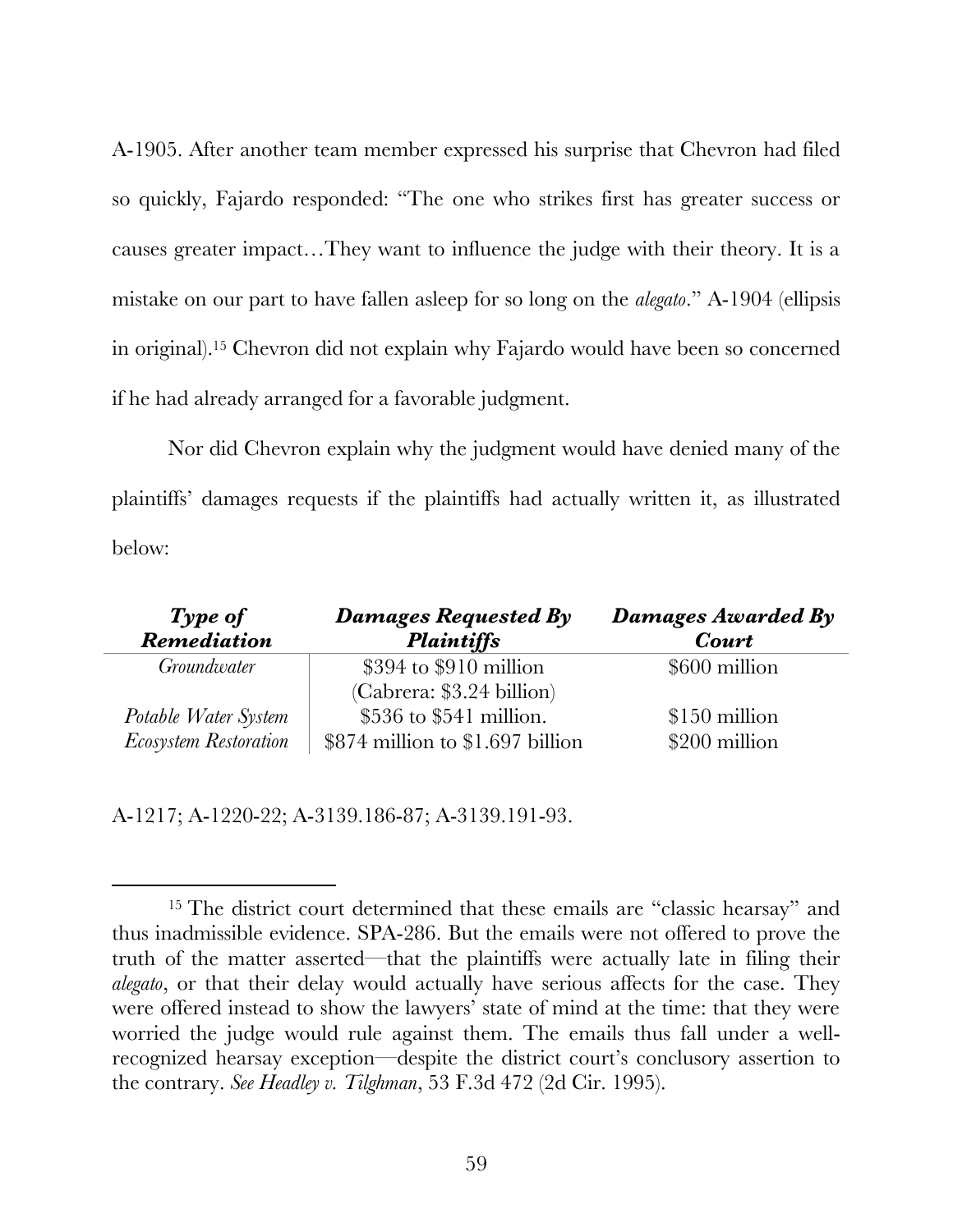A-1905. After another team member expressed his surprise that Chevron had filed so quickly, Fajardo responded: "The one who strikes first has greater success or causes greater impact…They want to influence the judge with their theory. It is a mistake on our part to have fallen asleep for so long on the *alegato*." A-1904 (ellipsis in original).15 Chevron did not explain why Fajardo would have been so concerned if he had already arranged for a favorable judgment.

Nor did Chevron explain why the judgment would have denied many of the plaintiffs' damages requests if the plaintiffs had actually written it, as illustrated below:

| Type of                      | Damages Requested By               | Damages Awarded By |
|------------------------------|------------------------------------|--------------------|
| Remediation                  | <b>Plaintiffs</b>                  | Court              |
| Groundwater                  | $$394$ to $$910$ million           | \$600 million      |
|                              | (Cabrera: \$3.24 billion)          |                    |
| Potable Water System         | $$536$ to $$541$ million.          | \$150 million      |
| <b>Ecosystem Restoration</b> | $$874$ million to $$1.697$ billion | \$200 million      |

A-1217; A-1220-22; A-3139.186-87; A-3139.191-93.

<sup>&</sup>lt;sup>15</sup> The district court determined that these emails are "classic hearsay" and thus inadmissible evidence. SPA-286. But the emails were not offered to prove the truth of the matter asserted—that the plaintiffs were actually late in filing their *alegato*, or that their delay would actually have serious affects for the case. They were offered instead to show the lawyers' state of mind at the time: that they were worried the judge would rule against them. The emails thus fall under a wellrecognized hearsay exception—despite the district court's conclusory assertion to the contrary. *See Headley v. Tilghman*, 53 F.3d 472 (2d Cir. 1995).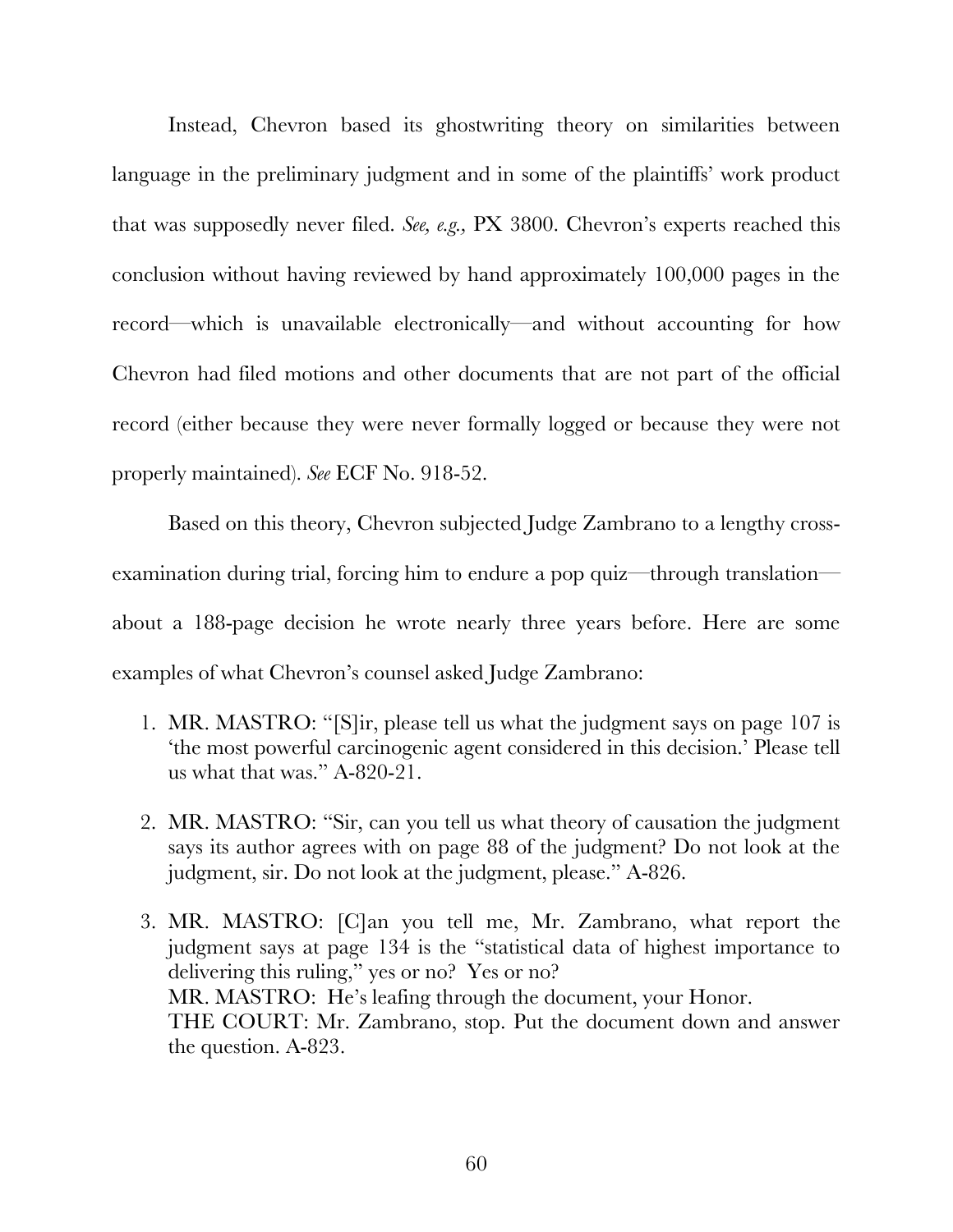Instead, Chevron based its ghostwriting theory on similarities between language in the preliminary judgment and in some of the plaintiffs' work product that was supposedly never filed. *See, e.g.,* PX 3800. Chevron's experts reached this conclusion without having reviewed by hand approximately 100,000 pages in the record—which is unavailable electronically—and without accounting for how Chevron had filed motions and other documents that are not part of the official record (either because they were never formally logged or because they were not properly maintained). *See* ECF No. 918-52.

Based on this theory, Chevron subjected Judge Zambrano to a lengthy crossexamination during trial, forcing him to endure a pop quiz—through translation about a 188-page decision he wrote nearly three years before. Here are some examples of what Chevron's counsel asked Judge Zambrano:

- 1. MR. MASTRO: "[S]ir, please tell us what the judgment says on page 107 is 'the most powerful carcinogenic agent considered in this decision.' Please tell us what that was." A-820-21.
- 2. MR. MASTRO: "Sir, can you tell us what theory of causation the judgment says its author agrees with on page 88 of the judgment? Do not look at the judgment, sir. Do not look at the judgment, please." A-826.
- 3. MR. MASTRO: [C]an you tell me, Mr. Zambrano, what report the judgment says at page 134 is the "statistical data of highest importance to delivering this ruling," yes or no? Yes or no? MR. MASTRO: He's leafing through the document, your Honor. THE COURT: Mr. Zambrano, stop. Put the document down and answer the question. A-823.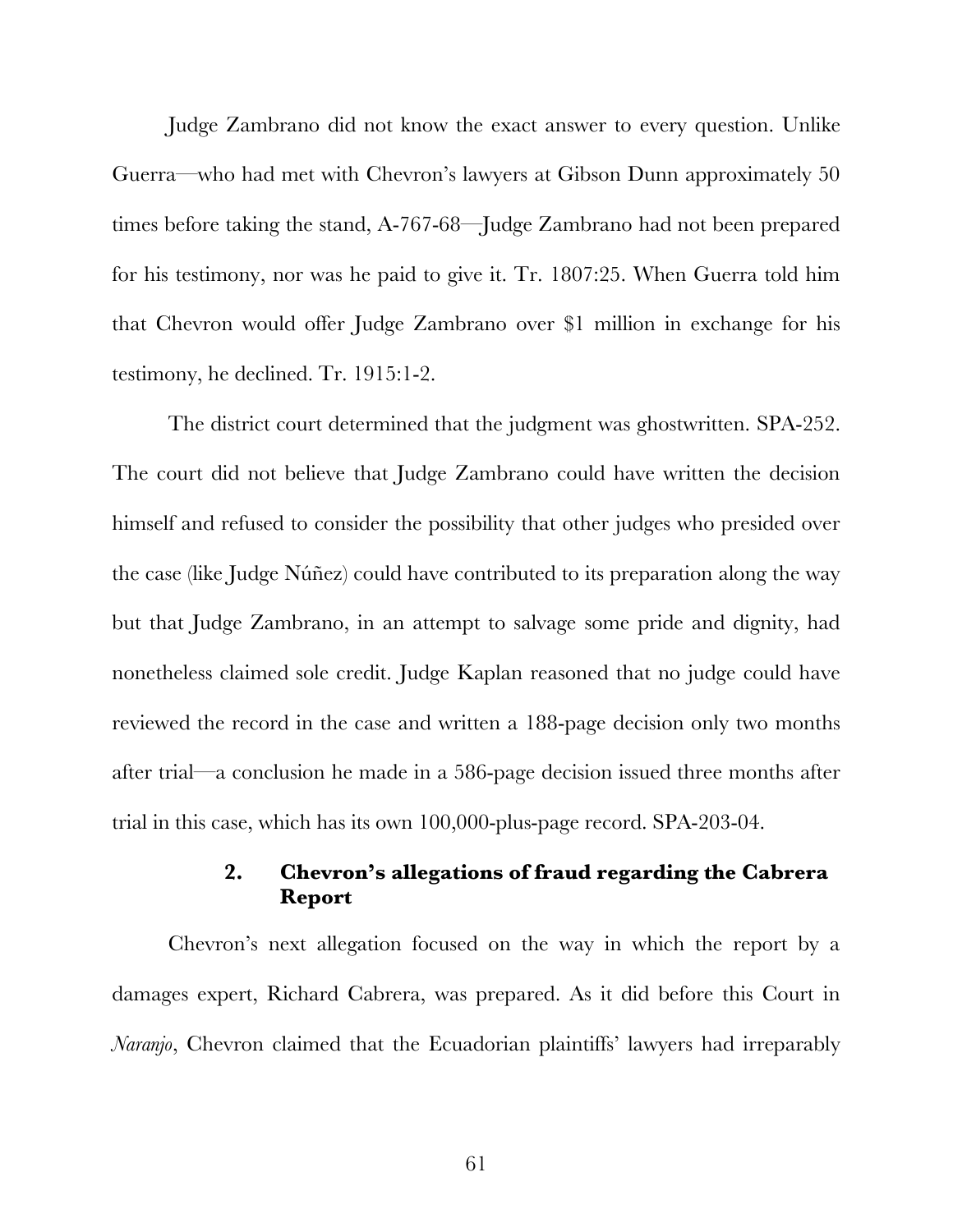Judge Zambrano did not know the exact answer to every question. Unlike Guerra—who had met with Chevron's lawyers at Gibson Dunn approximately 50 times before taking the stand, A-767-68—Judge Zambrano had not been prepared for his testimony, nor was he paid to give it. Tr. 1807:25. When Guerra told him that Chevron would offer Judge Zambrano over \$1 million in exchange for his testimony, he declined. Tr. 1915:1-2.

The district court determined that the judgment was ghostwritten. SPA-252. The court did not believe that Judge Zambrano could have written the decision himself and refused to consider the possibility that other judges who presided over the case (like Judge Núñez) could have contributed to its preparation along the way but that Judge Zambrano, in an attempt to salvage some pride and dignity, had nonetheless claimed sole credit. Judge Kaplan reasoned that no judge could have reviewed the record in the case and written a 188-page decision only two months after trial—a conclusion he made in a 586-page decision issued three months after trial in this case, which has its own 100,000-plus-page record. SPA-203-04.

# **2. Chevron's allegations of fraud regarding the Cabrera Report**

Chevron's next allegation focused on the way in which the report by a damages expert, Richard Cabrera, was prepared. As it did before this Court in *Naranjo*, Chevron claimed that the Ecuadorian plaintiffs' lawyers had irreparably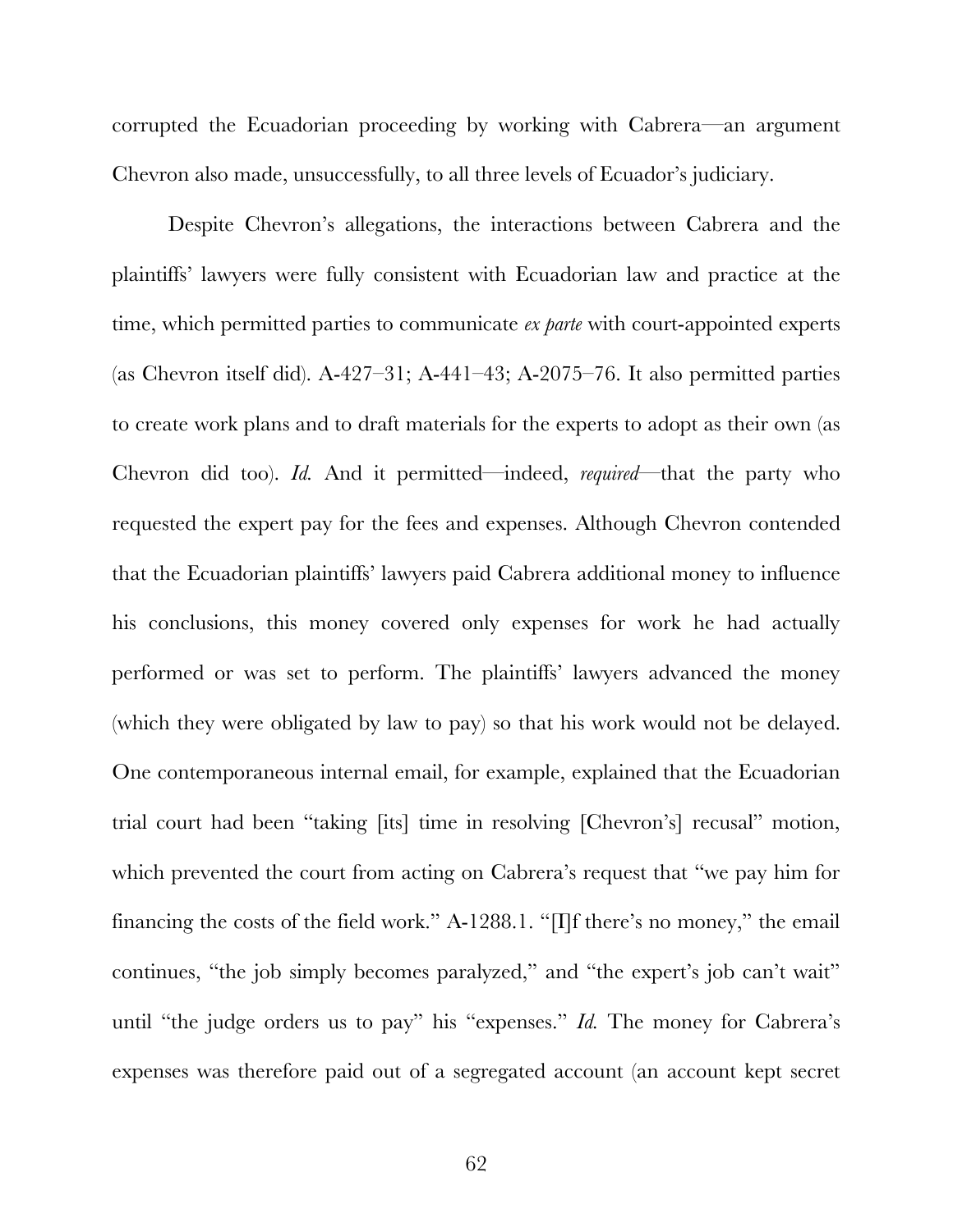corrupted the Ecuadorian proceeding by working with Cabrera—an argument Chevron also made, unsuccessfully, to all three levels of Ecuador's judiciary.

Despite Chevron's allegations, the interactions between Cabrera and the plaintiffs' lawyers were fully consistent with Ecuadorian law and practice at the time, which permitted parties to communicate *ex parte* with court-appointed experts (as Chevron itself did). A-427–31; A-441–43; A-2075–76. It also permitted parties to create work plans and to draft materials for the experts to adopt as their own (as Chevron did too). *Id.* And it permitted—indeed, *required*—that the party who requested the expert pay for the fees and expenses. Although Chevron contended that the Ecuadorian plaintiffs' lawyers paid Cabrera additional money to influence his conclusions, this money covered only expenses for work he had actually performed or was set to perform. The plaintiffs' lawyers advanced the money (which they were obligated by law to pay) so that his work would not be delayed. One contemporaneous internal email, for example, explained that the Ecuadorian trial court had been "taking [its] time in resolving [Chevron's] recusal" motion, which prevented the court from acting on Cabrera's request that "we pay him for financing the costs of the field work." A-1288.1. "[I]f there's no money," the email continues, "the job simply becomes paralyzed," and "the expert's job can't wait" until "the judge orders us to pay" his "expenses." *Id.* The money for Cabrera's expenses was therefore paid out of a segregated account (an account kept secret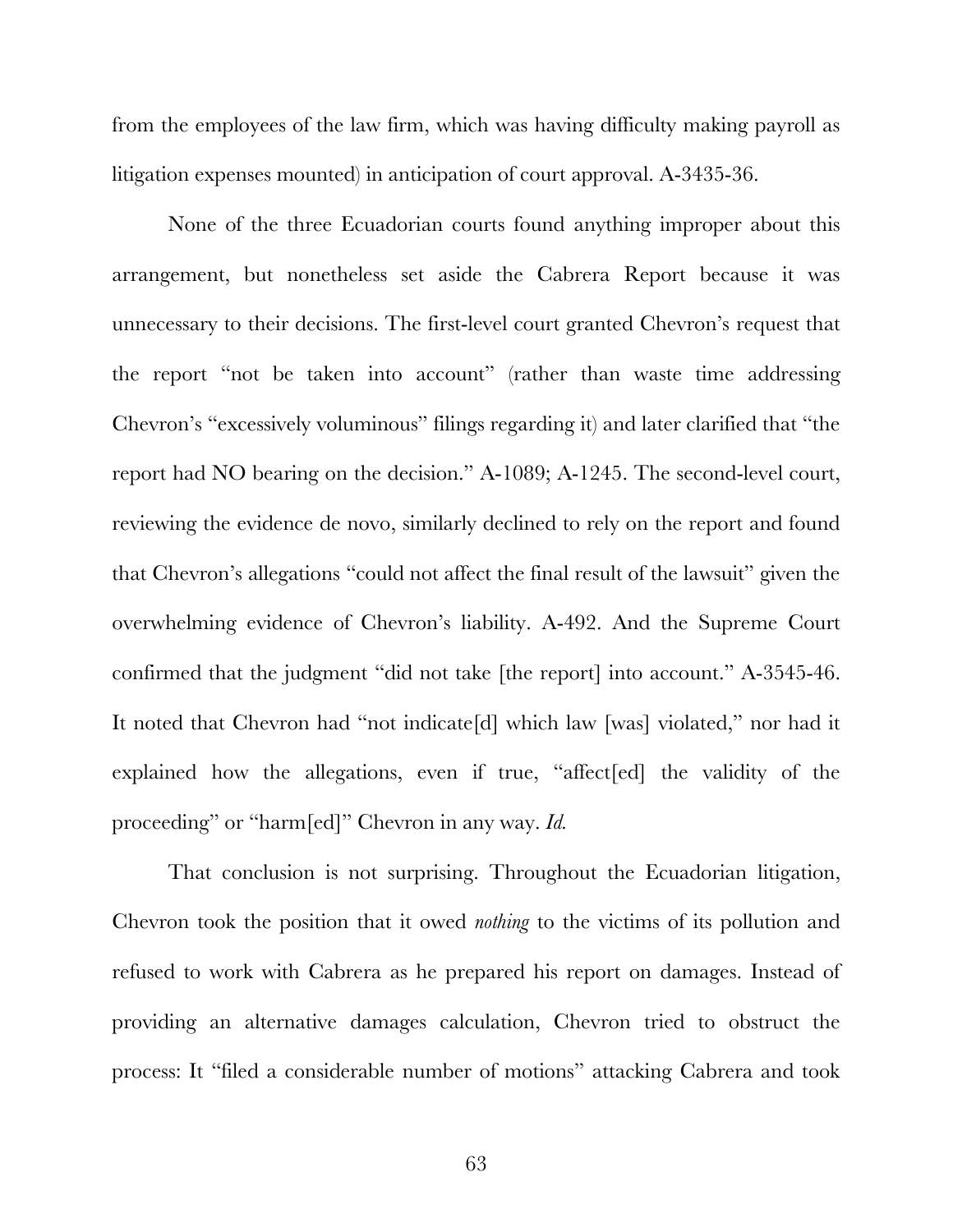from the employees of the law firm, which was having difficulty making payroll as litigation expenses mounted) in anticipation of court approval. A-3435-36.

None of the three Ecuadorian courts found anything improper about this arrangement, but nonetheless set aside the Cabrera Report because it was unnecessary to their decisions. The first-level court granted Chevron's request that the report "not be taken into account" (rather than waste time addressing Chevron's "excessively voluminous" filings regarding it) and later clarified that "the report had NO bearing on the decision." A-1089; A-1245. The second-level court, reviewing the evidence de novo, similarly declined to rely on the report and found that Chevron's allegations "could not affect the final result of the lawsuit" given the overwhelming evidence of Chevron's liability. A-492. And the Supreme Court confirmed that the judgment "did not take [the report] into account." A-3545-46. It noted that Chevron had "not indicate[d] which law [was] violated," nor had it explained how the allegations, even if true, "affect[ed] the validity of the proceeding" or "harm[ed]" Chevron in any way. *Id.*

That conclusion is not surprising. Throughout the Ecuadorian litigation, Chevron took the position that it owed *nothing* to the victims of its pollution and refused to work with Cabrera as he prepared his report on damages. Instead of providing an alternative damages calculation, Chevron tried to obstruct the process: It "filed a considerable number of motions" attacking Cabrera and took

63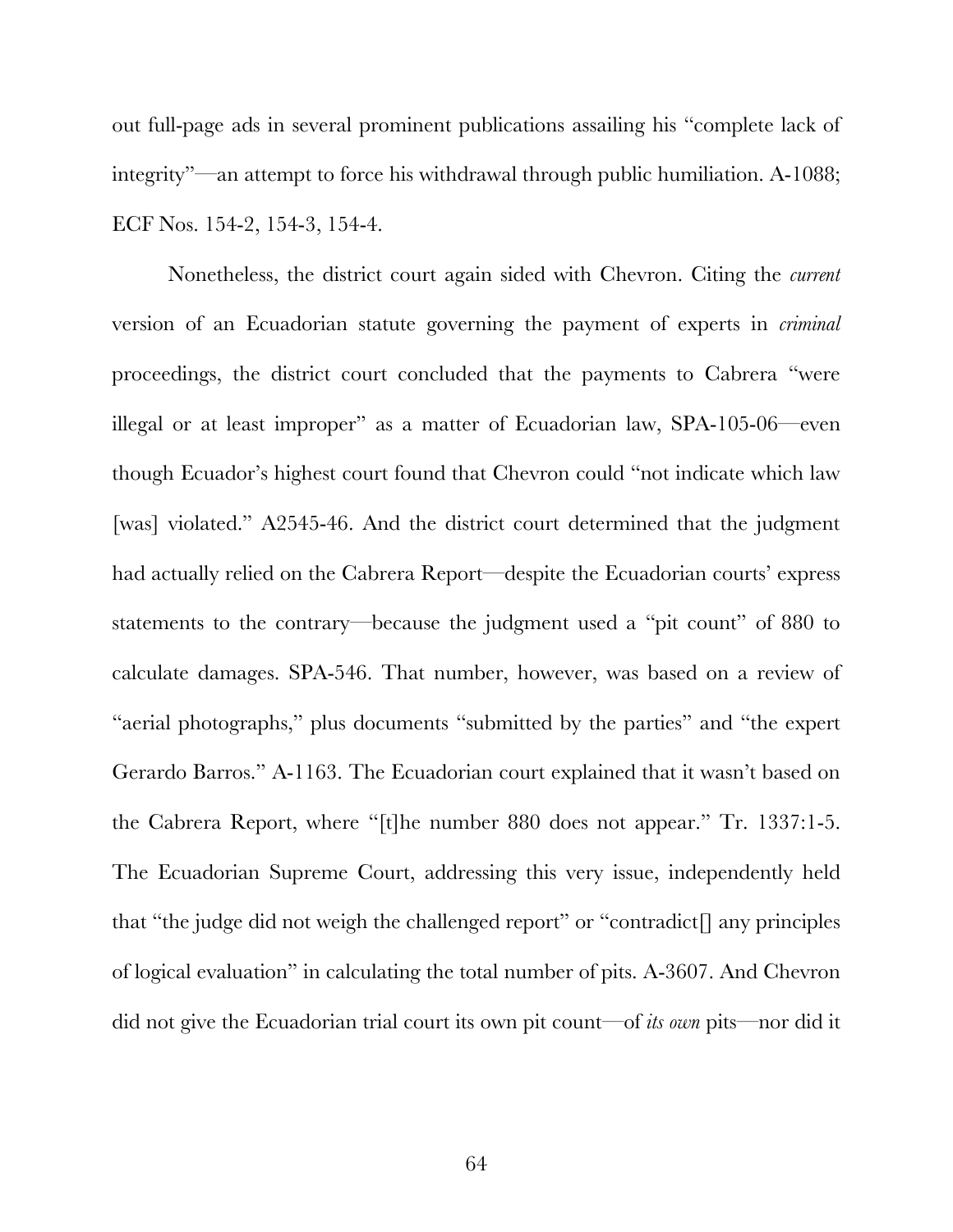out full-page ads in several prominent publications assailing his "complete lack of integrity"—an attempt to force his withdrawal through public humiliation. A-1088; ECF Nos. 154-2, 154-3, 154-4.

Nonetheless, the district court again sided with Chevron. Citing the *current* version of an Ecuadorian statute governing the payment of experts in *criminal* proceedings, the district court concluded that the payments to Cabrera "were illegal or at least improper" as a matter of Ecuadorian law, SPA-105-06—even though Ecuador's highest court found that Chevron could "not indicate which law [was] violated." A2545-46. And the district court determined that the judgment had actually relied on the Cabrera Report—despite the Ecuadorian courts' express statements to the contrary—because the judgment used a "pit count" of 880 to calculate damages. SPA-546. That number, however, was based on a review of "aerial photographs," plus documents "submitted by the parties" and "the expert Gerardo Barros." A-1163. The Ecuadorian court explained that it wasn't based on the Cabrera Report, where "[t]he number 880 does not appear." Tr. 1337:1-5. The Ecuadorian Supreme Court, addressing this very issue, independently held that "the judge did not weigh the challenged report" or "contradict $\lceil \rceil$  any principles of logical evaluation" in calculating the total number of pits. A-3607. And Chevron did not give the Ecuadorian trial court its own pit count—of *its own* pits—nor did it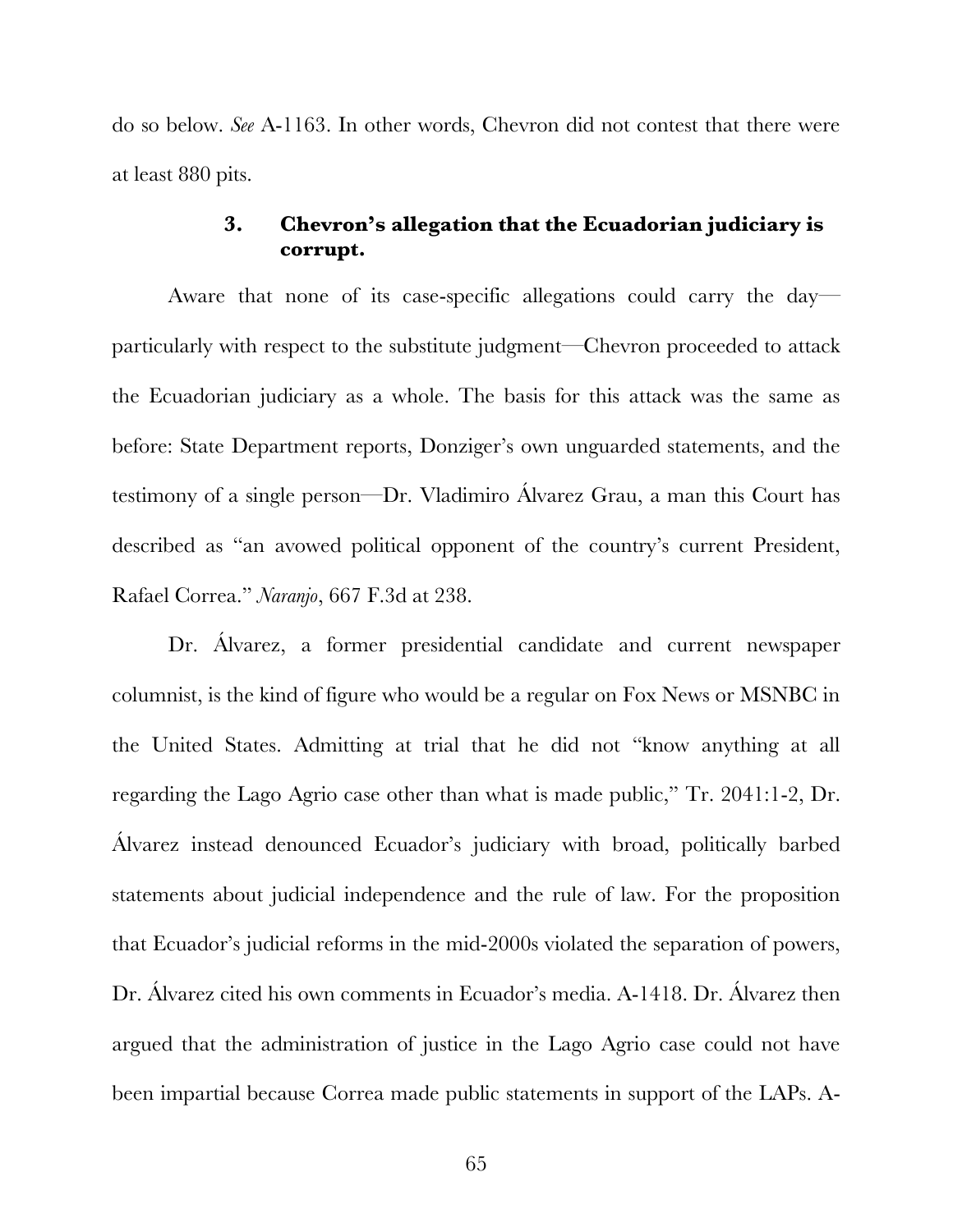do so below. *See* A-1163. In other words, Chevron did not contest that there were at least 880 pits.

#### **3. Chevron's allegation that the Ecuadorian judiciary is corrupt.**

Aware that none of its case-specific allegations could carry the day particularly with respect to the substitute judgment—Chevron proceeded to attack the Ecuadorian judiciary as a whole. The basis for this attack was the same as before: State Department reports, Donziger's own unguarded statements, and the testimony of a single person—Dr. Vladimiro Álvarez Grau, a man this Court has described as "an avowed political opponent of the country's current President, Rafael Correa." *Naranjo*, 667 F.3d at 238.

Dr. Alvarez, a former presidential candidate and current newspaper columnist, is the kind of figure who would be a regular on Fox News or MSNBC in the United States. Admitting at trial that he did not "know anything at all regarding the Lago Agrio case other than what is made public," Tr. 2041:1-2, Dr. Álvarez instead denounced Ecuador's judiciary with broad, politically barbed statements about judicial independence and the rule of law. For the proposition that Ecuador's judicial reforms in the mid-2000s violated the separation of powers, Dr. Álvarez cited his own comments in Ecuador's media. A-1418. Dr. Álvarez then argued that the administration of justice in the Lago Agrio case could not have been impartial because Correa made public statements in support of the LAPs. A-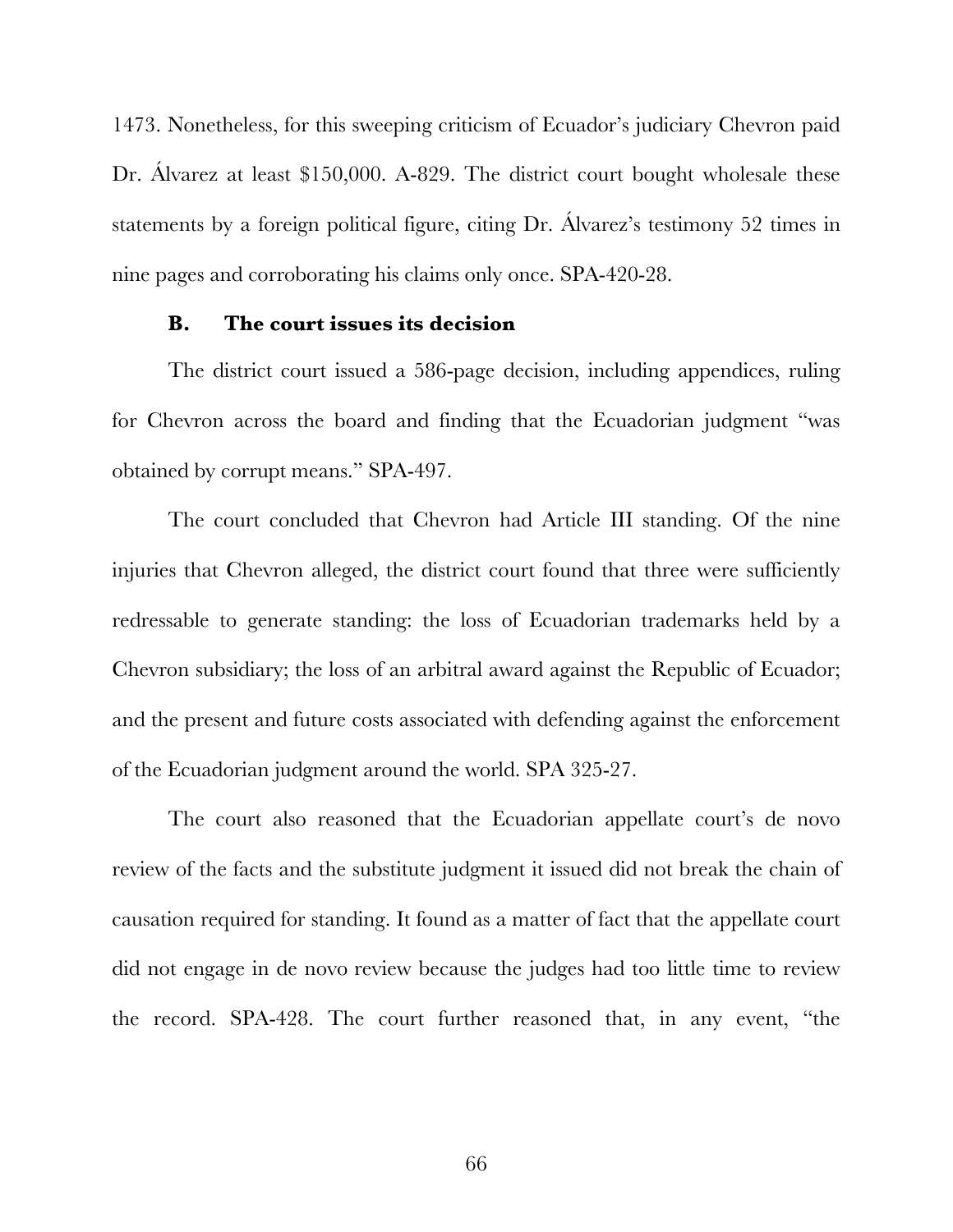1473. Nonetheless, for this sweeping criticism of Ecuador's judiciary Chevron paid Dr. Álvarez at least \$150,000. A-829. The district court bought wholesale these statements by a foreign political figure, citing Dr. Álvarez's testimony 52 times in nine pages and corroborating his claims only once. SPA-420-28.

#### **B. The court issues its decision**

The district court issued a 586-page decision, including appendices, ruling for Chevron across the board and finding that the Ecuadorian judgment "was obtained by corrupt means." SPA-497.

The court concluded that Chevron had Article III standing. Of the nine injuries that Chevron alleged, the district court found that three were sufficiently redressable to generate standing: the loss of Ecuadorian trademarks held by a Chevron subsidiary; the loss of an arbitral award against the Republic of Ecuador; and the present and future costs associated with defending against the enforcement of the Ecuadorian judgment around the world. SPA 325-27.

The court also reasoned that the Ecuadorian appellate court's de novo review of the facts and the substitute judgment it issued did not break the chain of causation required for standing. It found as a matter of fact that the appellate court did not engage in de novo review because the judges had too little time to review the record. SPA-428. The court further reasoned that, in any event, "the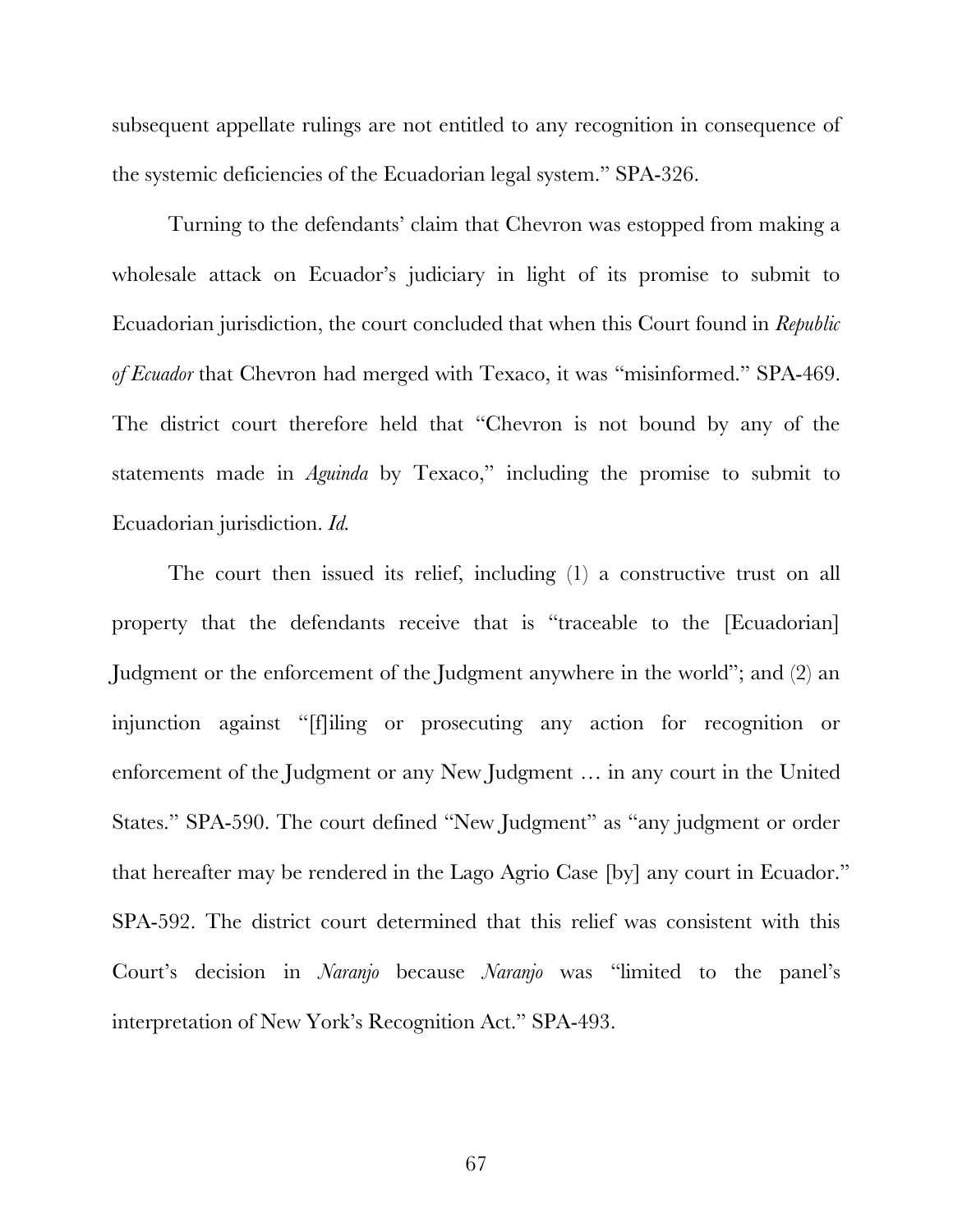subsequent appellate rulings are not entitled to any recognition in consequence of the systemic deficiencies of the Ecuadorian legal system." SPA-326.

Turning to the defendants' claim that Chevron was estopped from making a wholesale attack on Ecuador's judiciary in light of its promise to submit to Ecuadorian jurisdiction, the court concluded that when this Court found in *Republic of Ecuador* that Chevron had merged with Texaco, it was "misinformed." SPA-469. The district court therefore held that "Chevron is not bound by any of the statements made in *Aguinda* by Texaco," including the promise to submit to Ecuadorian jurisdiction. *Id.*

The court then issued its relief, including (1) a constructive trust on all property that the defendants receive that is "traceable to the [Ecuadorian] Judgment or the enforcement of the Judgment anywhere in the world"; and (2) an injunction against "[f]iling or prosecuting any action for recognition or enforcement of the Judgment or any New Judgment … in any court in the United States." SPA-590. The court defined "New Judgment" as "any judgment or order that hereafter may be rendered in the Lago Agrio Case [by] any court in Ecuador." SPA-592. The district court determined that this relief was consistent with this Court's decision in *Naranjo* because *Naranjo* was "limited to the panel's interpretation of New York's Recognition Act." SPA-493.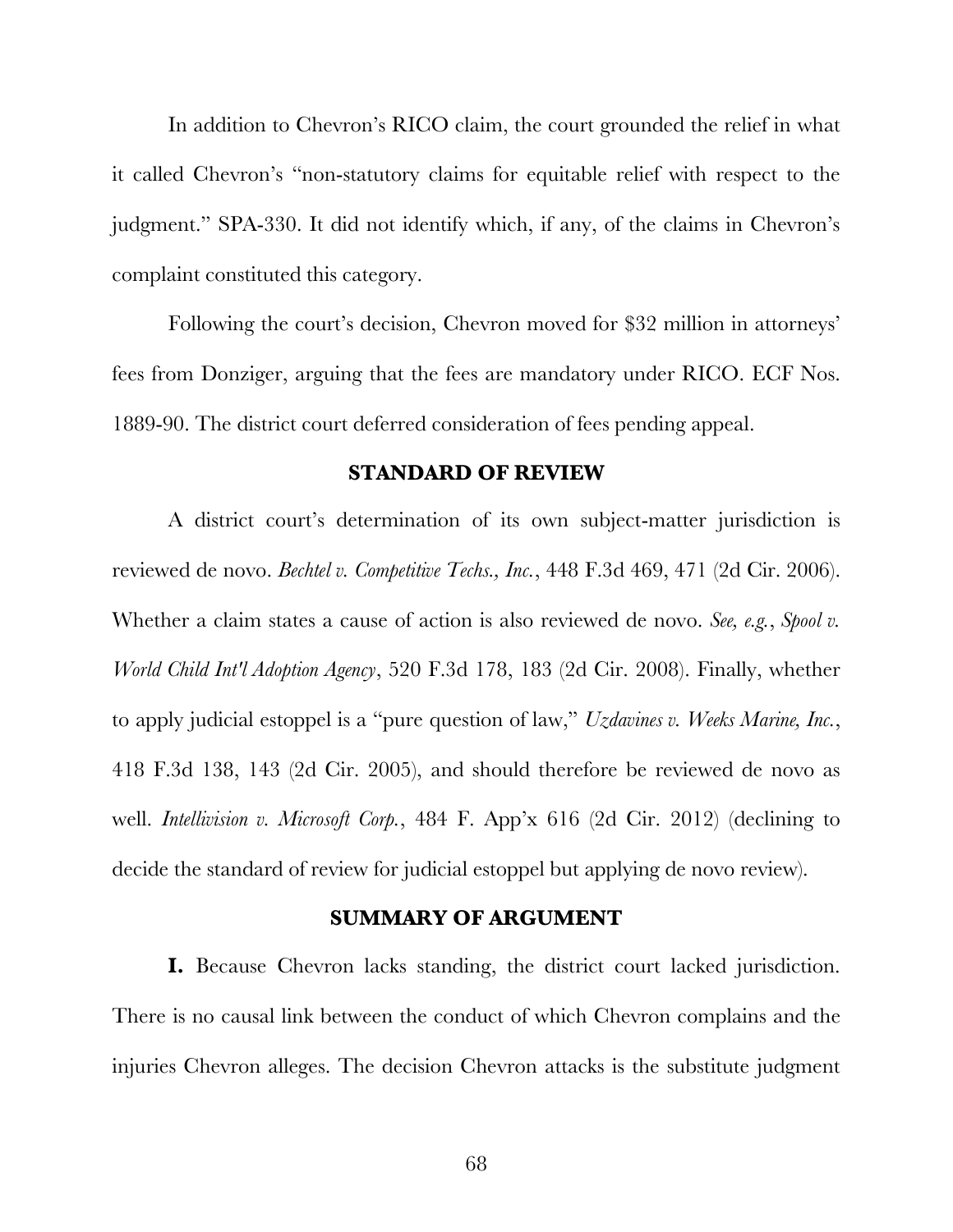In addition to Chevron's RICO claim, the court grounded the relief in what it called Chevron's "non-statutory claims for equitable relief with respect to the judgment." SPA-330. It did not identify which, if any, of the claims in Chevron's complaint constituted this category.

Following the court's decision, Chevron moved for \$32 million in attorneys' fees from Donziger, arguing that the fees are mandatory under RICO. ECF Nos. 1889-90. The district court deferred consideration of fees pending appeal.

#### **STANDARD OF REVIEW**

A district court's determination of its own subject-matter jurisdiction is reviewed de novo. *Bechtel v. Competitive Techs., Inc.*, 448 F.3d 469, 471 (2d Cir. 2006). Whether a claim states a cause of action is also reviewed de novo. *See, e.g.*, *Spool v. World Child Int'l Adoption Agency*, 520 F.3d 178, 183 (2d Cir. 2008). Finally, whether to apply judicial estoppel is a "pure question of law," *Uzdavines v. Weeks Marine, Inc.*, 418 F.3d 138, 143 (2d Cir. 2005), and should therefore be reviewed de novo as well. *Intellivision v. Microsoft Corp.*, 484 F. App'x 616 (2d Cir. 2012) (declining to decide the standard of review for judicial estoppel but applying de novo review).

#### **SUMMARY OF ARGUMENT**

**I.** Because Chevron lacks standing, the district court lacked jurisdiction. There is no causal link between the conduct of which Chevron complains and the injuries Chevron alleges. The decision Chevron attacks is the substitute judgment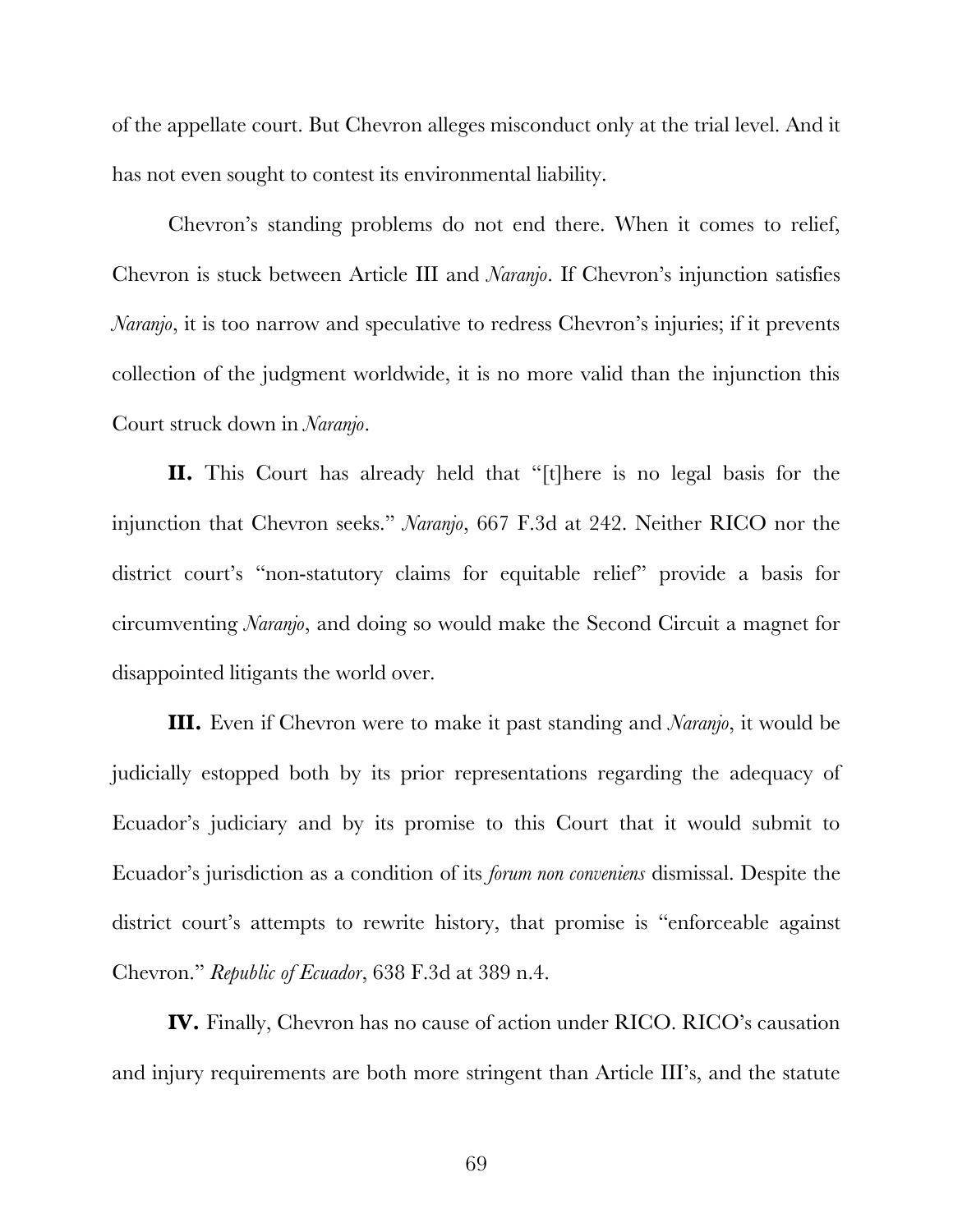of the appellate court. But Chevron alleges misconduct only at the trial level. And it has not even sought to contest its environmental liability.

Chevron's standing problems do not end there. When it comes to relief, Chevron is stuck between Article III and *Naranjo*. If Chevron's injunction satisfies *Naranjo*, it is too narrow and speculative to redress Chevron's injuries; if it prevents collection of the judgment worldwide, it is no more valid than the injunction this Court struck down in *Naranjo*.

**II.** This Court has already held that "[t]here is no legal basis for the injunction that Chevron seeks." *Naranjo*, 667 F.3d at 242. Neither RICO nor the district court's "non-statutory claims for equitable relief" provide a basis for circumventing *Naranjo*, and doing so would make the Second Circuit a magnet for disappointed litigants the world over.

**III.** Even if Chevron were to make it past standing and *Naranjo*, it would be judicially estopped both by its prior representations regarding the adequacy of Ecuador's judiciary and by its promise to this Court that it would submit to Ecuador's jurisdiction as a condition of its *forum non conveniens* dismissal. Despite the district court's attempts to rewrite history, that promise is "enforceable against Chevron." *Republic of Ecuador*, 638 F.3d at 389 n.4.

**IV.** Finally, Chevron has no cause of action under RICO. RICO's causation and injury requirements are both more stringent than Article III's, and the statute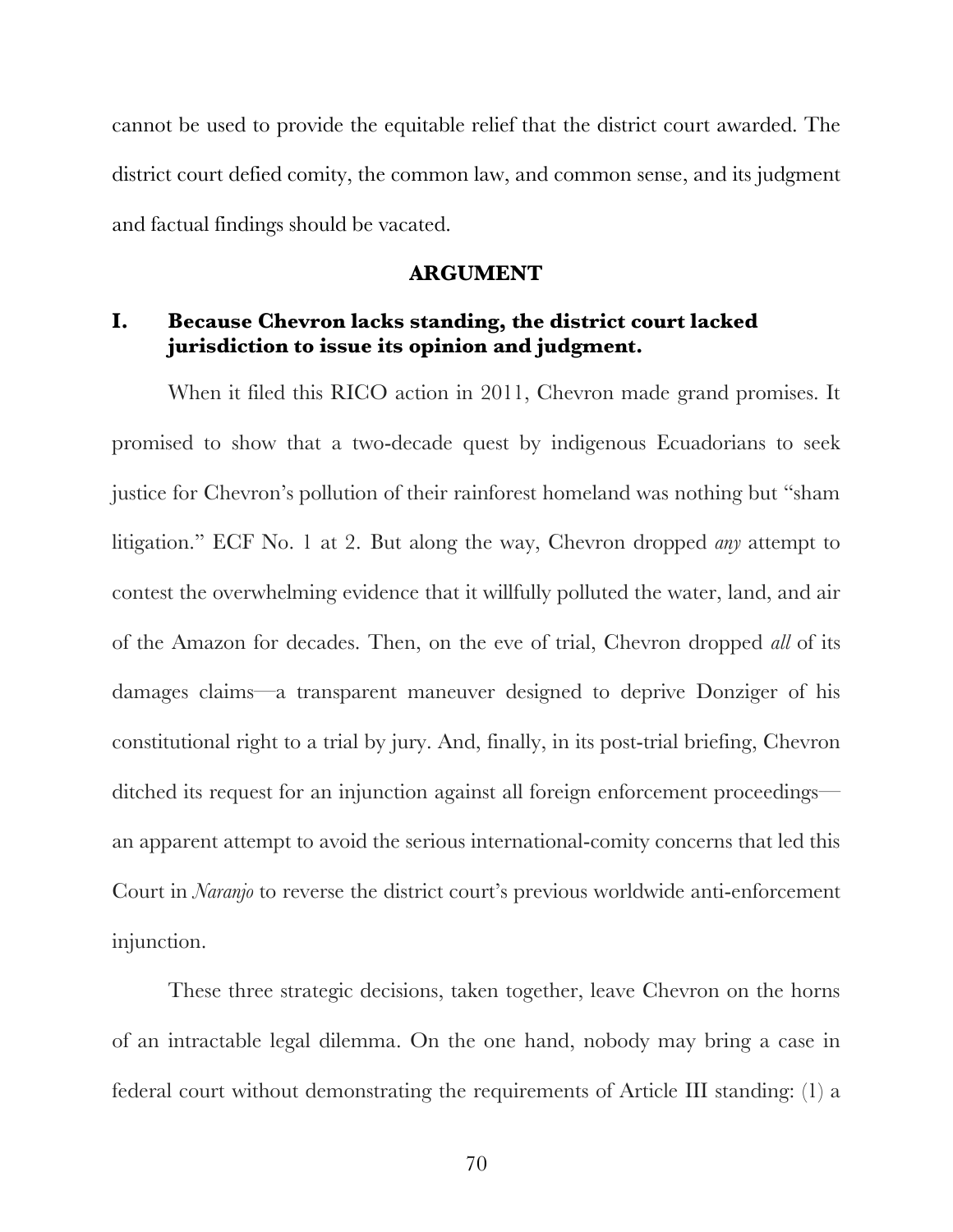cannot be used to provide the equitable relief that the district court awarded. The district court defied comity, the common law, and common sense, and its judgment and factual findings should be vacated.

#### **ARGUMENT**

#### **I. Because Chevron lacks standing, the district court lacked jurisdiction to issue its opinion and judgment.**

When it filed this RICO action in 2011, Chevron made grand promises. It promised to show that a two-decade quest by indigenous Ecuadorians to seek justice for Chevron's pollution of their rainforest homeland was nothing but "sham litigation." ECF No. 1 at 2. But along the way, Chevron dropped *any* attempt to contest the overwhelming evidence that it willfully polluted the water, land, and air of the Amazon for decades. Then, on the eve of trial, Chevron dropped *all* of its damages claims—a transparent maneuver designed to deprive Donziger of his constitutional right to a trial by jury. And, finally, in its post-trial briefing, Chevron ditched its request for an injunction against all foreign enforcement proceedings an apparent attempt to avoid the serious international-comity concerns that led this Court in *Naranjo* to reverse the district court's previous worldwide anti-enforcement injunction.

These three strategic decisions, taken together, leave Chevron on the horns of an intractable legal dilemma. On the one hand, nobody may bring a case in federal court without demonstrating the requirements of Article III standing: (1) a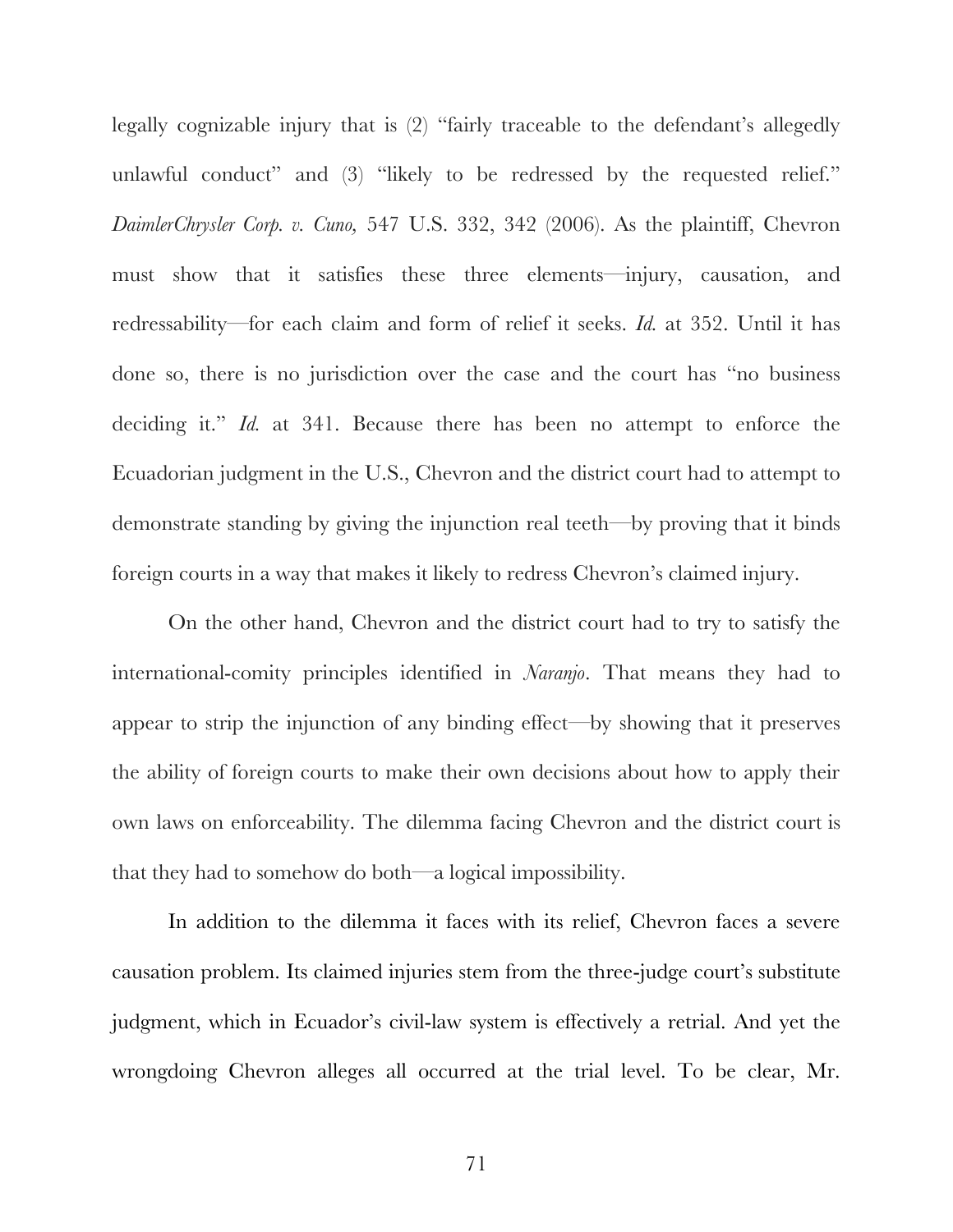legally cognizable injury that is (2) "fairly traceable to the defendant's allegedly unlawful conduct" and (3) "likely to be redressed by the requested relief." *DaimlerChrysler Corp. v. Cuno,* 547 U.S. 332, 342 (2006). As the plaintiff, Chevron must show that it satisfies these three elements—injury, causation, and redressability—for each claim and form of relief it seeks. *Id.* at 352. Until it has done so, there is no jurisdiction over the case and the court has "no business deciding it." *Id.* at 341. Because there has been no attempt to enforce the Ecuadorian judgment in the U.S., Chevron and the district court had to attempt to demonstrate standing by giving the injunction real teeth—by proving that it binds foreign courts in a way that makes it likely to redress Chevron's claimed injury.

On the other hand, Chevron and the district court had to try to satisfy the international-comity principles identified in *Naranjo*. That means they had to appear to strip the injunction of any binding effect—by showing that it preserves the ability of foreign courts to make their own decisions about how to apply their own laws on enforceability. The dilemma facing Chevron and the district court is that they had to somehow do both—a logical impossibility.

In addition to the dilemma it faces with its relief, Chevron faces a severe causation problem. Its claimed injuries stem from the three-judge court's substitute judgment, which in Ecuador's civil-law system is effectively a retrial. And yet the wrongdoing Chevron alleges all occurred at the trial level. To be clear, Mr.

71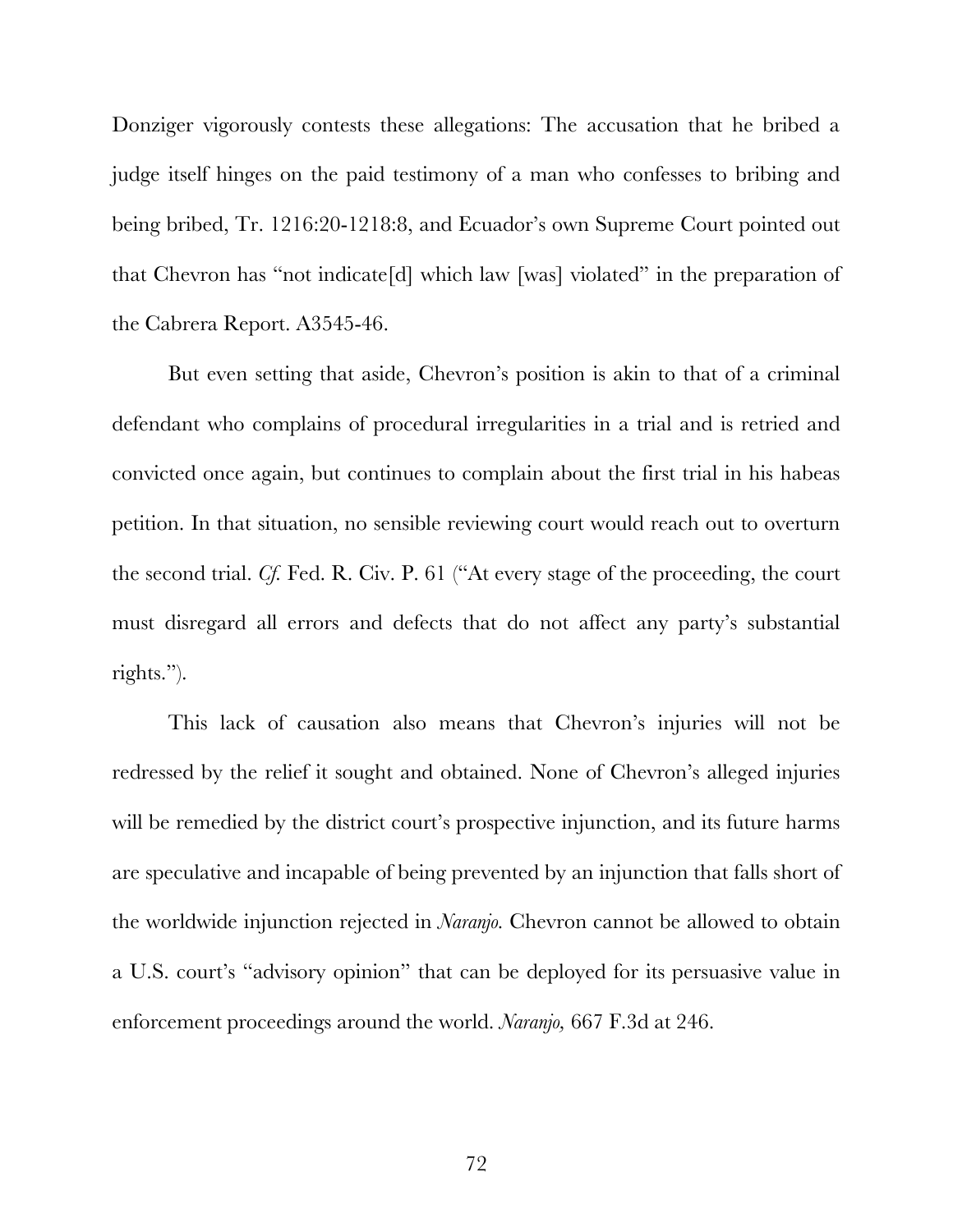Donziger vigorously contests these allegations: The accusation that he bribed a judge itself hinges on the paid testimony of a man who confesses to bribing and being bribed, Tr. 1216:20-1218:8, and Ecuador's own Supreme Court pointed out that Chevron has "not indicate[d] which law [was] violated" in the preparation of the Cabrera Report. A3545-46.

But even setting that aside, Chevron's position is akin to that of a criminal defendant who complains of procedural irregularities in a trial and is retried and convicted once again, but continues to complain about the first trial in his habeas petition. In that situation, no sensible reviewing court would reach out to overturn the second trial. *Cf.* Fed. R. Civ. P. 61 ("At every stage of the proceeding, the court must disregard all errors and defects that do not affect any party's substantial rights.").

This lack of causation also means that Chevron's injuries will not be redressed by the relief it sought and obtained. None of Chevron's alleged injuries will be remedied by the district court's prospective injunction, and its future harms are speculative and incapable of being prevented by an injunction that falls short of the worldwide injunction rejected in *Naranjo.* Chevron cannot be allowed to obtain a U.S. court's "advisory opinion" that can be deployed for its persuasive value in enforcement proceedings around the world. *Naranjo,* 667 F.3d at 246.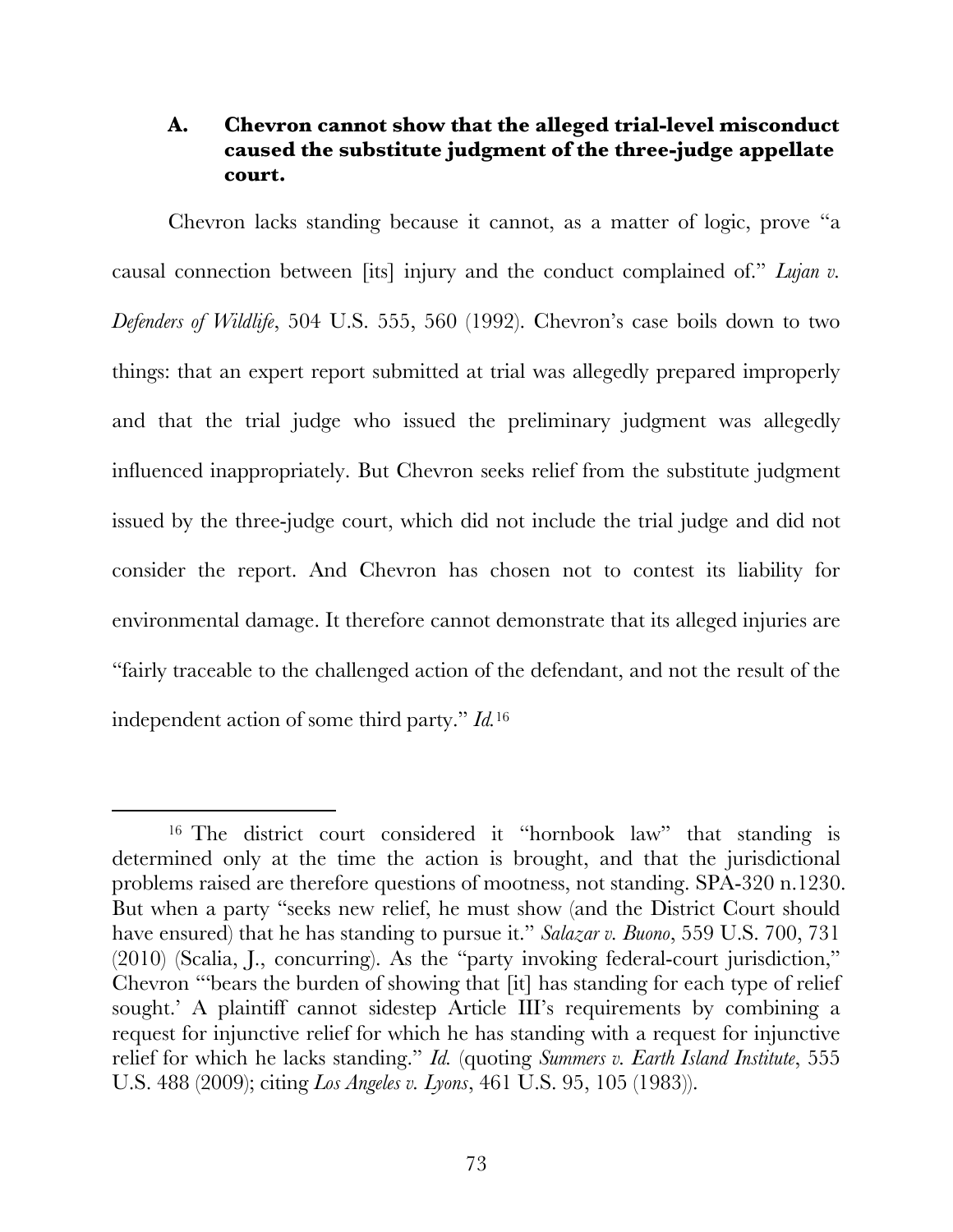# **A. Chevron cannot show that the alleged trial-level misconduct caused the substitute judgment of the three-judge appellate court.**

Chevron lacks standing because it cannot, as a matter of logic, prove "a causal connection between [its] injury and the conduct complained of." *Lujan v. Defenders of Wildlife*, 504 U.S. 555, 560 (1992). Chevron's case boils down to two things: that an expert report submitted at trial was allegedly prepared improperly and that the trial judge who issued the preliminary judgment was allegedly influenced inappropriately. But Chevron seeks relief from the substitute judgment issued by the three-judge court, which did not include the trial judge and did not consider the report. And Chevron has chosen not to contest its liability for environmental damage. It therefore cannot demonstrate that its alleged injuries are "fairly traceable to the challenged action of the defendant, and not the result of the independent action of some third party." *Id.*<sup>16</sup>

 <sup>16</sup> The district court considered it "hornbook law" that standing is determined only at the time the action is brought, and that the jurisdictional problems raised are therefore questions of mootness, not standing. SPA-320 n.1230. But when a party "seeks new relief, he must show (and the District Court should have ensured) that he has standing to pursue it." *Salazar v. Buono*, 559 U.S. 700, 731 (2010) (Scalia, J., concurring). As the "party invoking federal-court jurisdiction," Chevron "'bears the burden of showing that [it] has standing for each type of relief sought.' A plaintiff cannot sidestep Article III's requirements by combining a request for injunctive relief for which he has standing with a request for injunctive relief for which he lacks standing." *Id.* (quoting *Summers v. Earth Island Institute*, 555 U.S. 488 (2009); citing *Los Angeles v. Lyons*, 461 U.S. 95, 105 (1983)).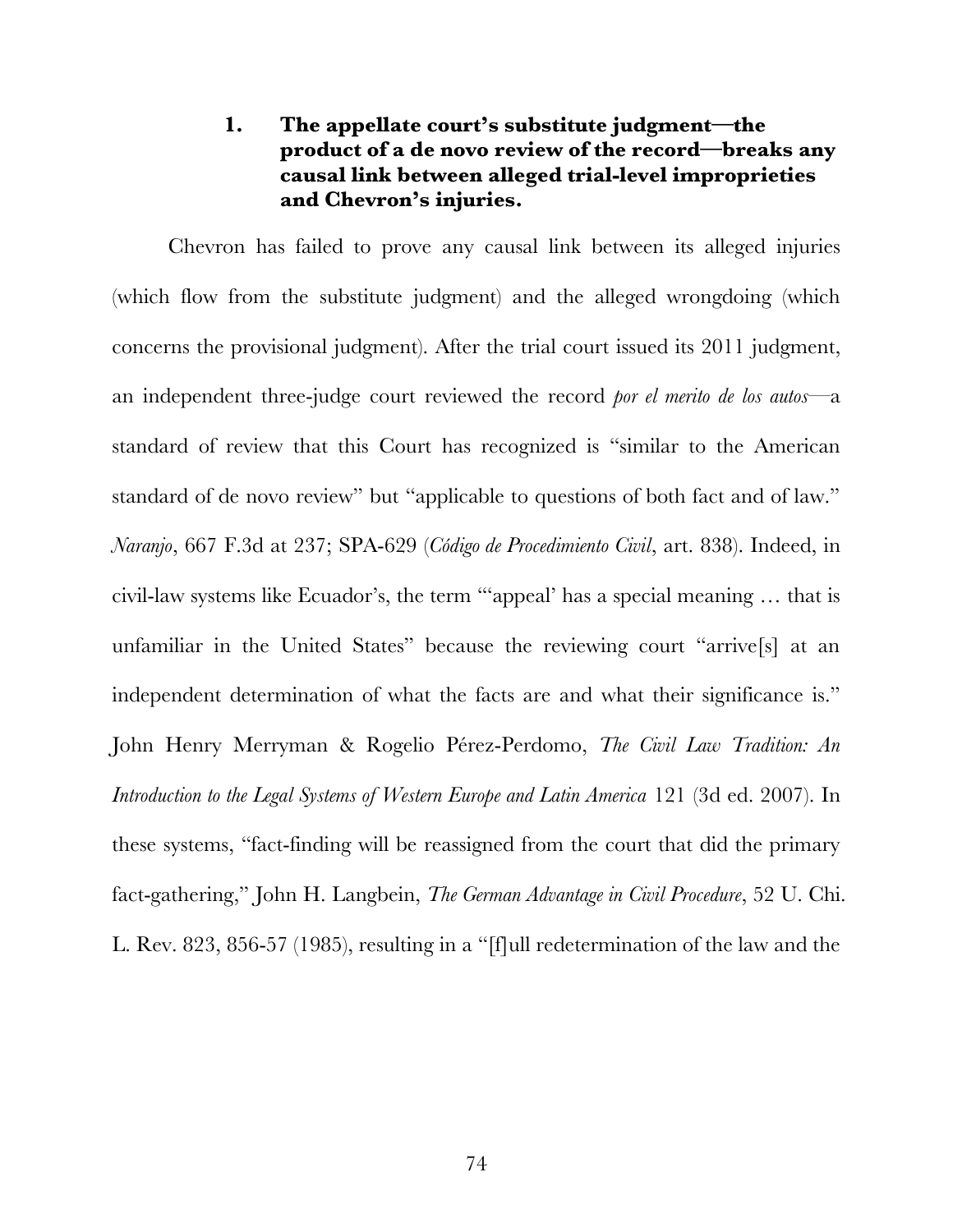# **1. The appellate court's substitute judgment—the product of a de novo review of the record—breaks any causal link between alleged trial-level improprieties and Chevron's injuries.**

Chevron has failed to prove any causal link between its alleged injuries (which flow from the substitute judgment) and the alleged wrongdoing (which concerns the provisional judgment). After the trial court issued its 2011 judgment, an independent three-judge court reviewed the record *por el merito de los autos*—a standard of review that this Court has recognized is "similar to the American standard of de novo review" but "applicable to questions of both fact and of law." *Naranjo*, 667 F.3d at 237; SPA-629 (*Código de Procedimiento Civil*, art. 838). Indeed, in civil-law systems like Ecuador's, the term "'appeal' has a special meaning … that is unfamiliar in the United States" because the reviewing court "arrive[s] at an independent determination of what the facts are and what their significance is." John Henry Merryman & Rogelio Pérez-Perdomo, *The Civil Law Tradition: An Introduction to the Legal Systems of Western Europe and Latin America* 121 (3d ed. 2007). In these systems, "fact-finding will be reassigned from the court that did the primary fact-gathering," John H. Langbein, *The German Advantage in Civil Procedure*, 52 U. Chi. L. Rev. 823, 856-57 (1985), resulting in a "[f]ull redetermination of the law and the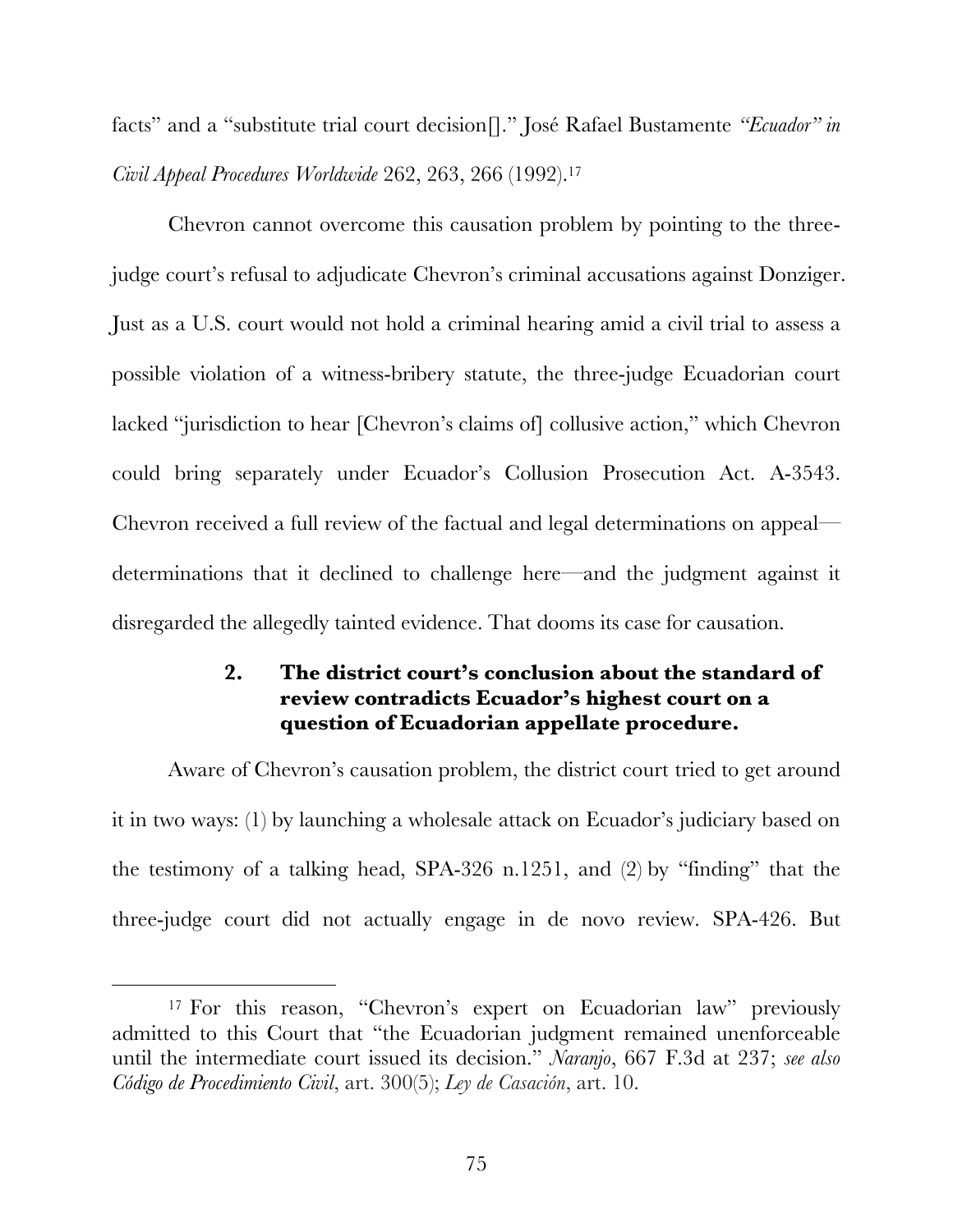facts" and a "substitute trial court decision[]." José Rafael Bustamente *"Ecuador" in Civil Appeal Procedures Worldwide* 262, 263, 266 (1992). 17

Chevron cannot overcome this causation problem by pointing to the threejudge court's refusal to adjudicate Chevron's criminal accusations against Donziger. Just as a U.S. court would not hold a criminal hearing amid a civil trial to assess a possible violation of a witness-bribery statute, the three-judge Ecuadorian court lacked "jurisdiction to hear [Chevron's claims of] collusive action," which Chevron could bring separately under Ecuador's Collusion Prosecution Act. A-3543. Chevron received a full review of the factual and legal determinations on appeal determinations that it declined to challenge here—and the judgment against it disregarded the allegedly tainted evidence. That dooms its case for causation.

# **2. The district court's conclusion about the standard of review contradicts Ecuador's highest court on a question of Ecuadorian appellate procedure.**

Aware of Chevron's causation problem, the district court tried to get around it in two ways: (1) by launching a wholesale attack on Ecuador's judiciary based on the testimony of a talking head, SPA-326 n.1251, and (2) by "finding" that the three-judge court did not actually engage in de novo review. SPA-426. But

 <sup>17</sup> For this reason, "Chevron's expert on Ecuadorian law" previously admitted to this Court that "the Ecuadorian judgment remained unenforceable until the intermediate court issued its decision." *Naranjo*, 667 F.3d at 237; *see also Código de Procedimiento Civil*, art. 300(5); *Ley de Casación*, art. 10.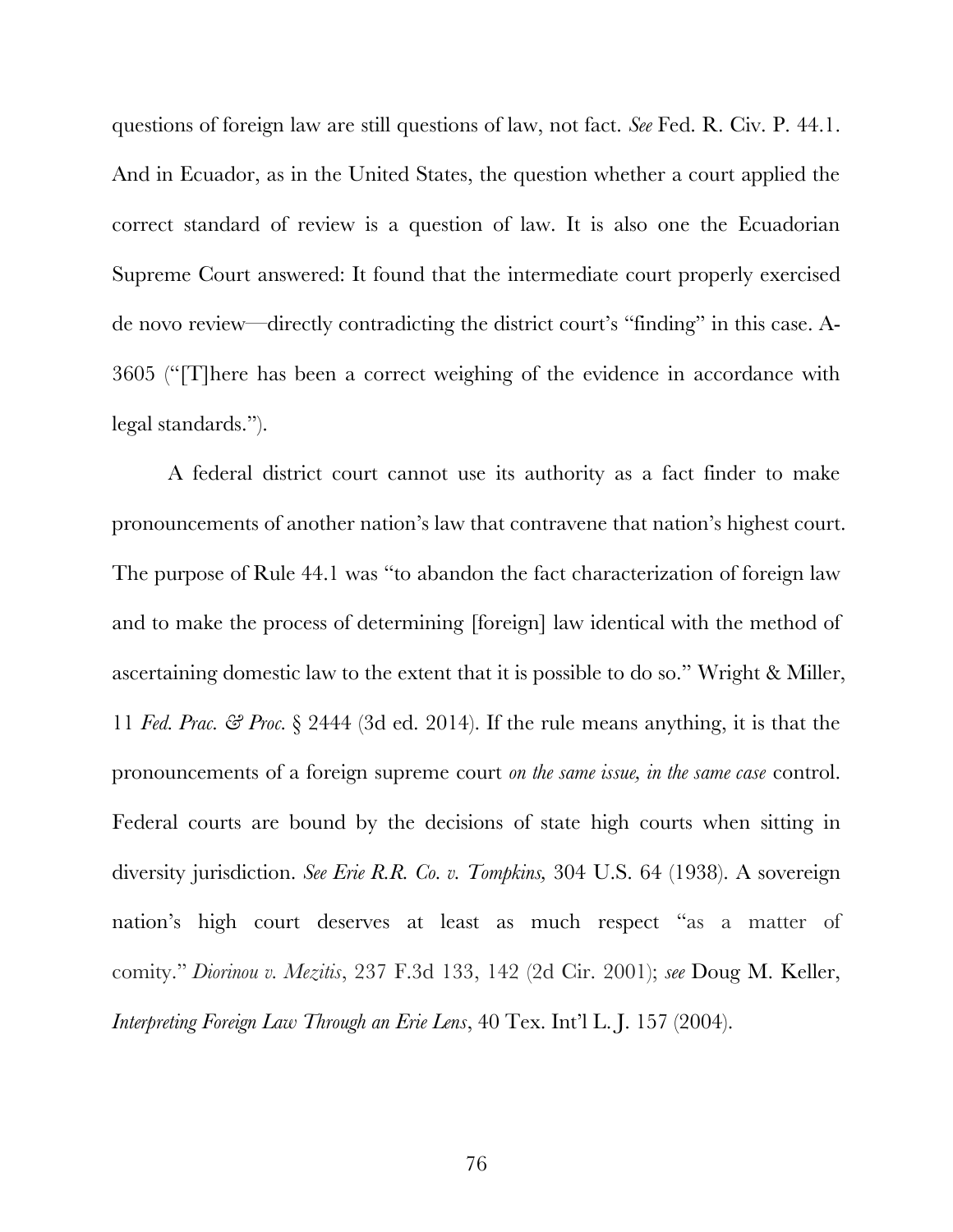questions of foreign law are still questions of law, not fact. *See* Fed. R. Civ. P. 44.1. And in Ecuador, as in the United States, the question whether a court applied the correct standard of review is a question of law. It is also one the Ecuadorian Supreme Court answered: It found that the intermediate court properly exercised de novo review—directly contradicting the district court's "finding" in this case. A-3605 ("[T]here has been a correct weighing of the evidence in accordance with legal standards.").

A federal district court cannot use its authority as a fact finder to make pronouncements of another nation's law that contravene that nation's highest court. The purpose of Rule 44.1 was "to abandon the fact characterization of foreign law and to make the process of determining [foreign] law identical with the method of ascertaining domestic law to the extent that it is possible to do so." Wright & Miller, 11 *Fed. Prac. & Proc.* § 2444 (3d ed. 2014). If the rule means anything, it is that the pronouncements of a foreign supreme court *on the same issue, in the same case* control. Federal courts are bound by the decisions of state high courts when sitting in diversity jurisdiction. *See Erie R.R. Co. v. Tompkins,* 304 U.S. 64 (1938). A sovereign nation's high court deserves at least as much respect "as a matter of comity." *Diorinou v. Mezitis*, 237 F.3d 133, 142 (2d Cir. 2001); *see* Doug M. Keller, *Interpreting Foreign Law Through an Erie Lens*, 40 Tex. Int'l L. J. 157 (2004).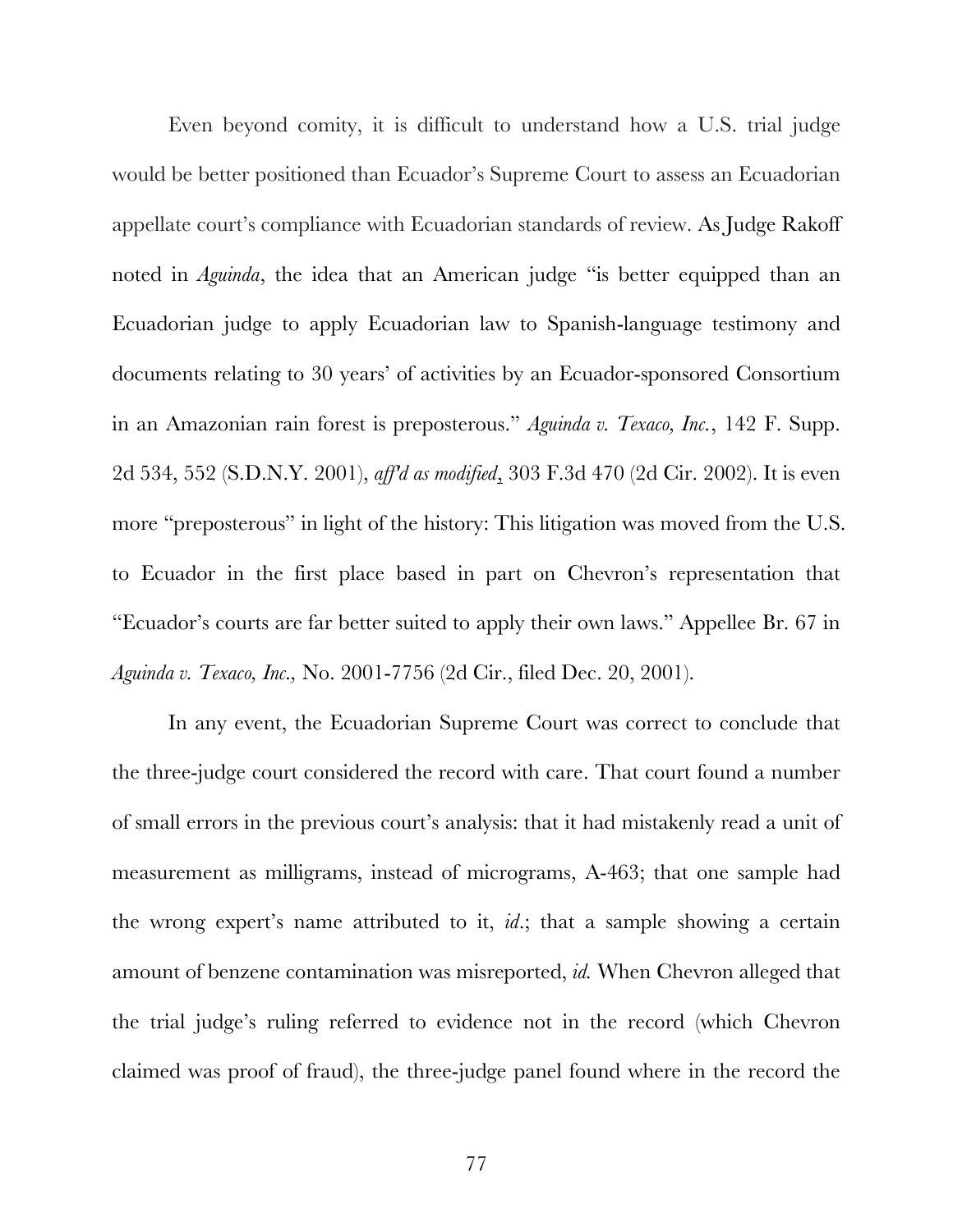Even beyond comity, it is difficult to understand how a U.S. trial judge would be better positioned than Ecuador's Supreme Court to assess an Ecuadorian appellate court's compliance with Ecuadorian standards of review. As Judge Rakoff noted in *Aguinda*, the idea that an American judge "is better equipped than an Ecuadorian judge to apply Ecuadorian law to Spanish-language testimony and documents relating to 30 years' of activities by an Ecuador-sponsored Consortium in an Amazonian rain forest is preposterous." *Aguinda v. Texaco, Inc.*, 142 F. Supp. 2d 534, 552 (S.D.N.Y. 2001), *aff'd as modified*, 303 F.3d 470 (2d Cir. 2002). It is even more "preposterous" in light of the history: This litigation was moved from the U.S. to Ecuador in the first place based in part on Chevron's representation that "Ecuador's courts are far better suited to apply their own laws." Appellee Br. 67 in *Aguinda v. Texaco, Inc.,* No. 2001-7756 (2d Cir., filed Dec. 20, 2001).

In any event, the Ecuadorian Supreme Court was correct to conclude that the three-judge court considered the record with care. That court found a number of small errors in the previous court's analysis: that it had mistakenly read a unit of measurement as milligrams, instead of micrograms, A-463; that one sample had the wrong expert's name attributed to it, *id*.; that a sample showing a certain amount of benzene contamination was misreported, *id.* When Chevron alleged that the trial judge's ruling referred to evidence not in the record (which Chevron claimed was proof of fraud), the three-judge panel found where in the record the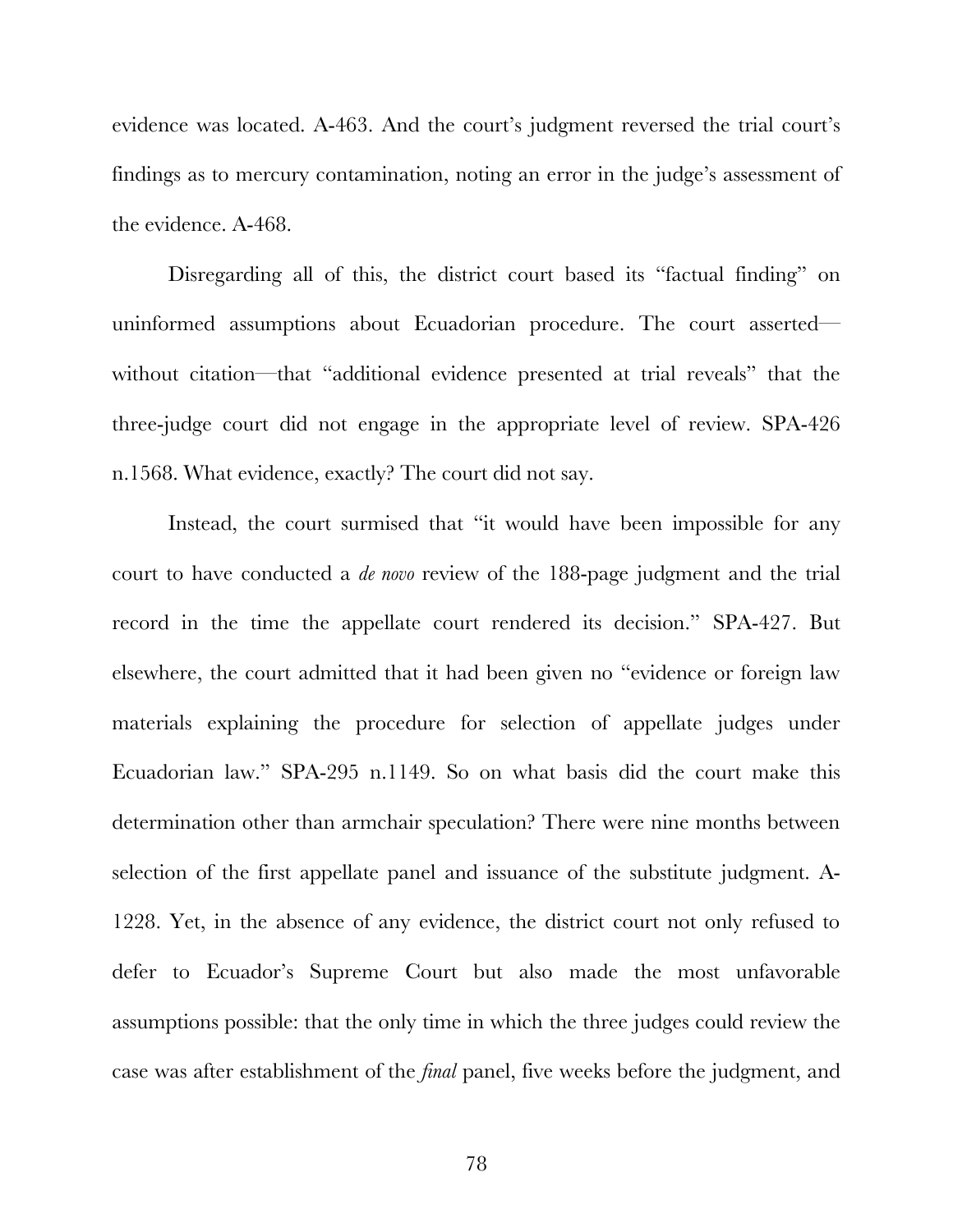evidence was located. A-463. And the court's judgment reversed the trial court's findings as to mercury contamination, noting an error in the judge's assessment of the evidence. A-468.

Disregarding all of this, the district court based its "factual finding" on uninformed assumptions about Ecuadorian procedure. The court asserted without citation—that "additional evidence presented at trial reveals" that the three-judge court did not engage in the appropriate level of review. SPA-426 n.1568. What evidence, exactly? The court did not say.

Instead, the court surmised that "it would have been impossible for any court to have conducted a *de novo* review of the 188-page judgment and the trial record in the time the appellate court rendered its decision." SPA-427. But elsewhere, the court admitted that it had been given no "evidence or foreign law materials explaining the procedure for selection of appellate judges under Ecuadorian law." SPA-295 n.1149. So on what basis did the court make this determination other than armchair speculation? There were nine months between selection of the first appellate panel and issuance of the substitute judgment. A-1228. Yet, in the absence of any evidence, the district court not only refused to defer to Ecuador's Supreme Court but also made the most unfavorable assumptions possible: that the only time in which the three judges could review the case was after establishment of the *final* panel, five weeks before the judgment, and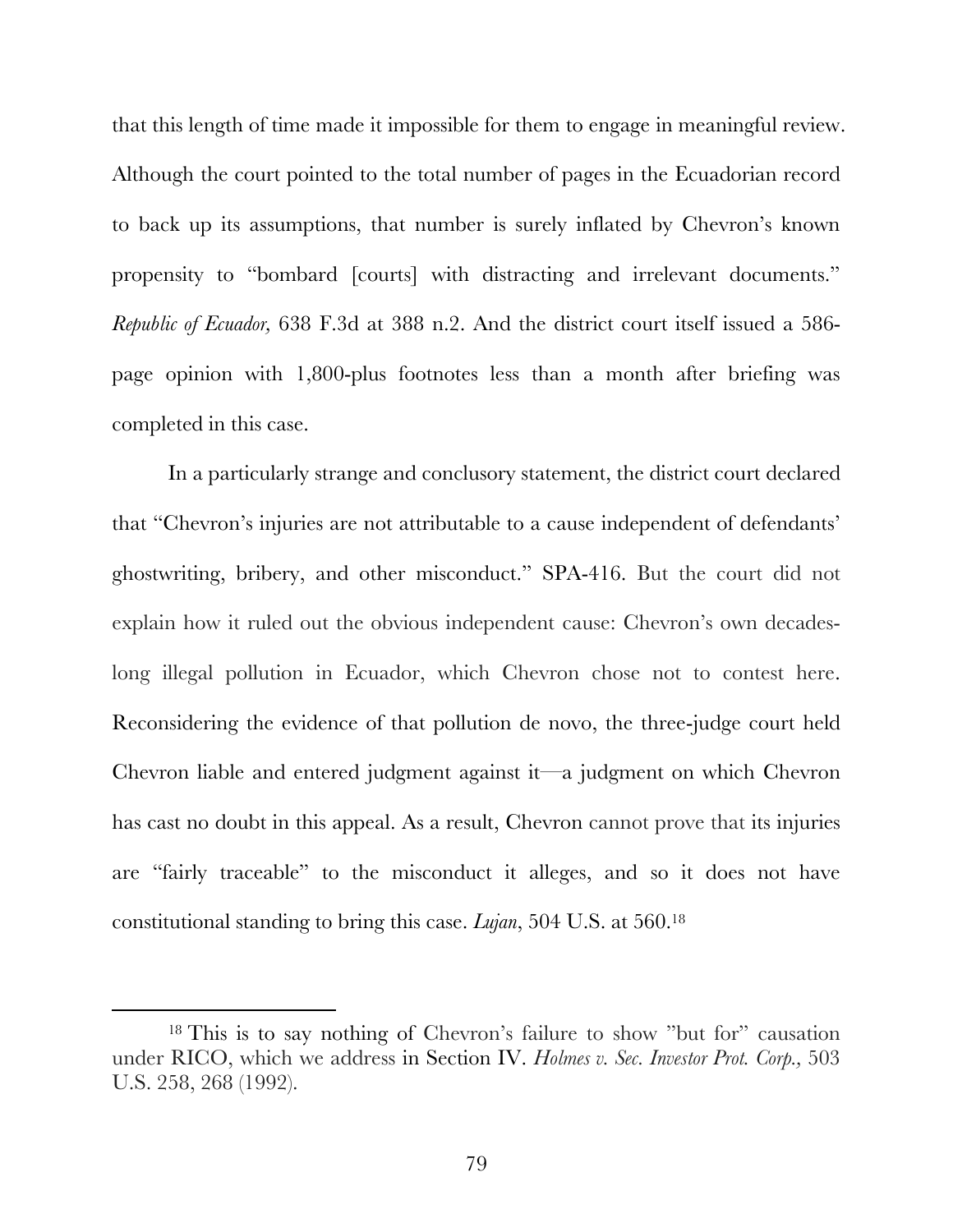that this length of time made it impossible for them to engage in meaningful review. Although the court pointed to the total number of pages in the Ecuadorian record to back up its assumptions, that number is surely inflated by Chevron's known propensity to "bombard [courts] with distracting and irrelevant documents." *Republic of Ecuador,* 638 F.3d at 388 n.2. And the district court itself issued a 586 page opinion with 1,800-plus footnotes less than a month after briefing was completed in this case.

In a particularly strange and conclusory statement, the district court declared that "Chevron's injuries are not attributable to a cause independent of defendants' ghostwriting, bribery, and other misconduct." SPA-416. But the court did not explain how it ruled out the obvious independent cause: Chevron's own decadeslong illegal pollution in Ecuador, which Chevron chose not to contest here. Reconsidering the evidence of that pollution de novo, the three-judge court held Chevron liable and entered judgment against it—a judgment on which Chevron has cast no doubt in this appeal. As a result, Chevron cannot prove that its injuries are "fairly traceable" to the misconduct it alleges, and so it does not have constitutional standing to bring this case. *Lujan*, 504 U.S. at 560.18

 <sup>18</sup> This is to say nothing of Chevron's failure to show "but for" causation under RICO, which we address in Section IV. *Holmes v. Sec. Investor Prot. Corp.,* 503 U.S. 258, 268 (1992).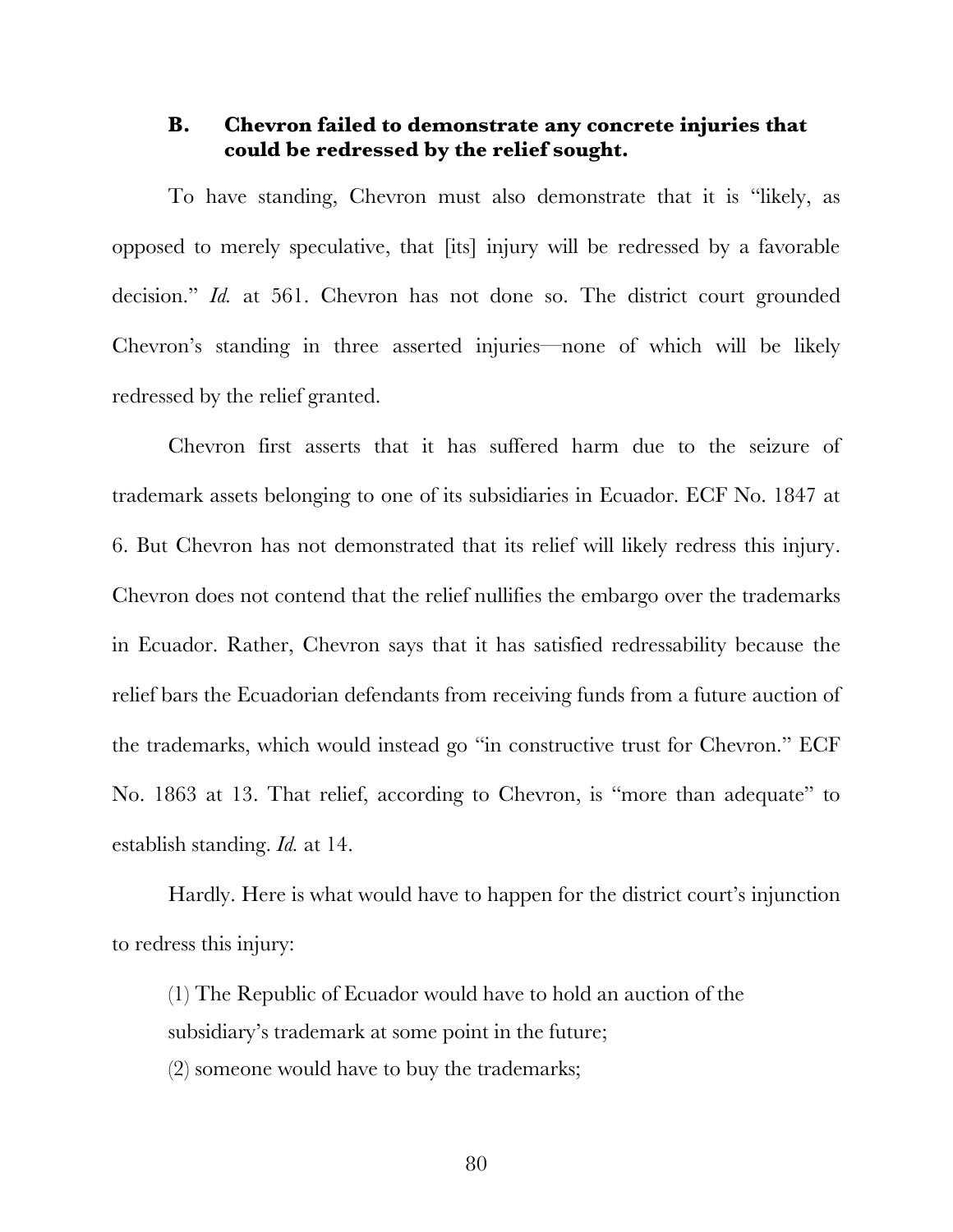#### **B. Chevron failed to demonstrate any concrete injuries that could be redressed by the relief sought.**

To have standing, Chevron must also demonstrate that it is "likely, as opposed to merely speculative, that [its] injury will be redressed by a favorable decision." *Id.* at 561. Chevron has not done so. The district court grounded Chevron's standing in three asserted injuries—none of which will be likely redressed by the relief granted.

Chevron first asserts that it has suffered harm due to the seizure of trademark assets belonging to one of its subsidiaries in Ecuador. ECF No. 1847 at 6. But Chevron has not demonstrated that its relief will likely redress this injury. Chevron does not contend that the relief nullifies the embargo over the trademarks in Ecuador. Rather, Chevron says that it has satisfied redressability because the relief bars the Ecuadorian defendants from receiving funds from a future auction of the trademarks, which would instead go "in constructive trust for Chevron." ECF No. 1863 at 13. That relief, according to Chevron, is "more than adequate" to establish standing. *Id.* at 14.

Hardly. Here is what would have to happen for the district court's injunction to redress this injury:

(1) The Republic of Ecuador would have to hold an auction of the subsidiary's trademark at some point in the future;

(2) someone would have to buy the trademarks;

80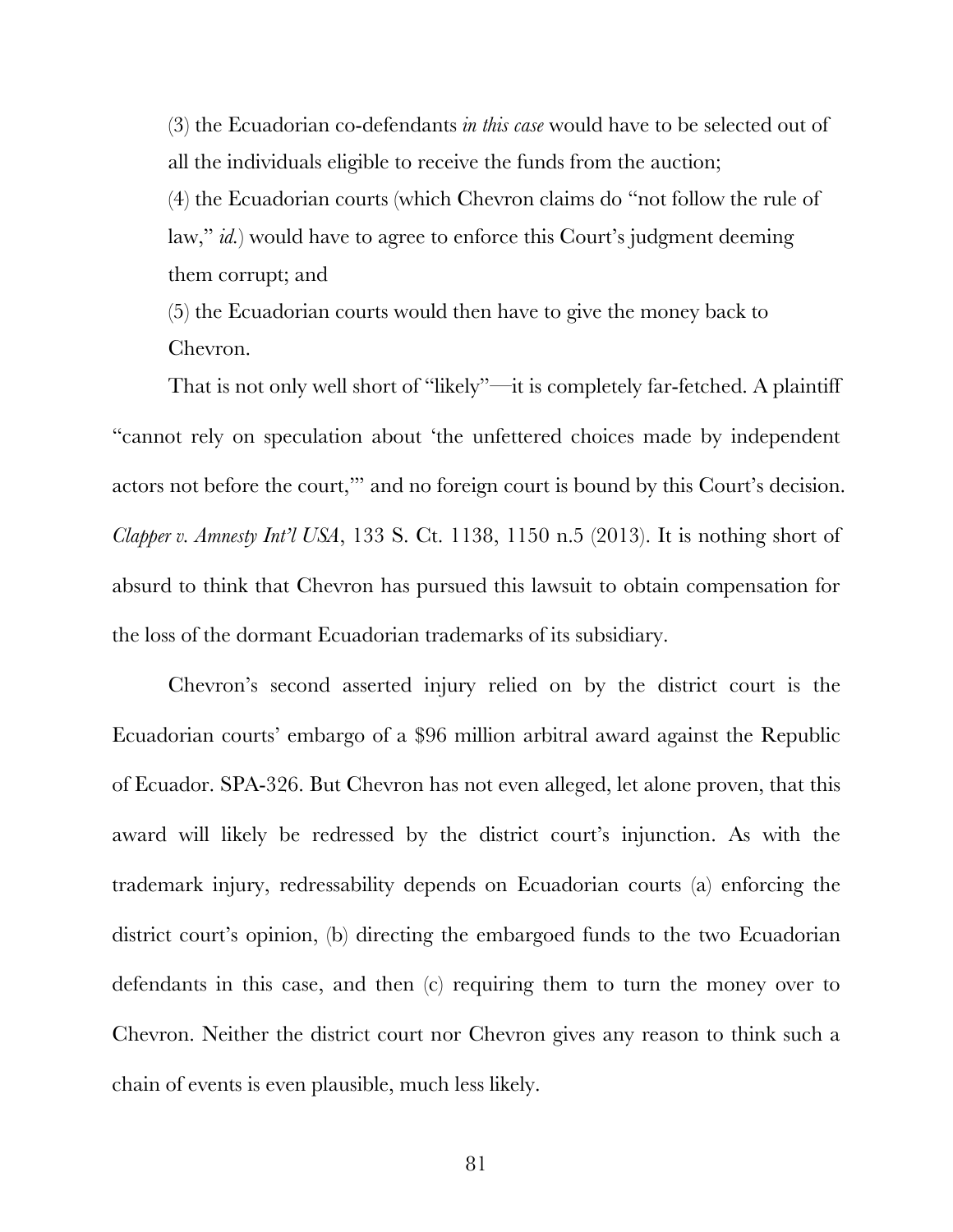(3) the Ecuadorian co-defendants *in this case* would have to be selected out of all the individuals eligible to receive the funds from the auction;

(4) the Ecuadorian courts (which Chevron claims do "not follow the rule of law," *id.*) would have to agree to enforce this Court's judgment deeming them corrupt; and

(5) the Ecuadorian courts would then have to give the money back to Chevron.

That is not only well short of "likely"—it is completely far-fetched. A plaintiff "cannot rely on speculation about 'the unfettered choices made by independent actors not before the court,'" and no foreign court is bound by this Court's decision. *Clapper v. Amnesty Int'l USA*, 133 S. Ct. 1138, 1150 n.5 (2013). It is nothing short of absurd to think that Chevron has pursued this lawsuit to obtain compensation for the loss of the dormant Ecuadorian trademarks of its subsidiary.

Chevron's second asserted injury relied on by the district court is the Ecuadorian courts' embargo of a \$96 million arbitral award against the Republic of Ecuador. SPA-326. But Chevron has not even alleged, let alone proven, that this award will likely be redressed by the district court's injunction. As with the trademark injury, redressability depends on Ecuadorian courts (a) enforcing the district court's opinion, (b) directing the embargoed funds to the two Ecuadorian defendants in this case, and then (c) requiring them to turn the money over to Chevron. Neither the district court nor Chevron gives any reason to think such a chain of events is even plausible, much less likely.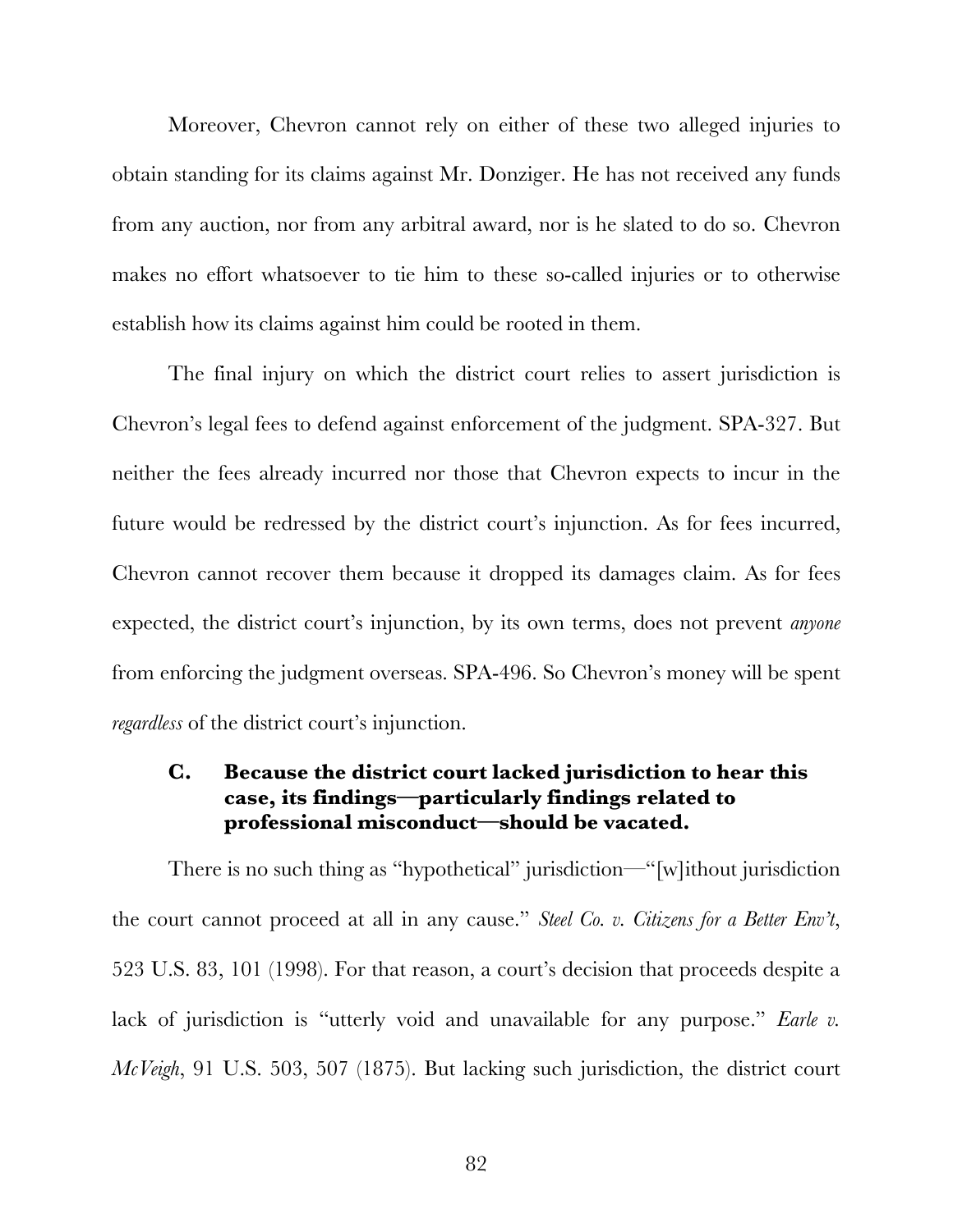Moreover, Chevron cannot rely on either of these two alleged injuries to obtain standing for its claims against Mr. Donziger. He has not received any funds from any auction, nor from any arbitral award, nor is he slated to do so. Chevron makes no effort whatsoever to tie him to these so-called injuries or to otherwise establish how its claims against him could be rooted in them.

The final injury on which the district court relies to assert jurisdiction is Chevron's legal fees to defend against enforcement of the judgment. SPA-327. But neither the fees already incurred nor those that Chevron expects to incur in the future would be redressed by the district court's injunction. As for fees incurred, Chevron cannot recover them because it dropped its damages claim. As for fees expected, the district court's injunction, by its own terms, does not prevent *anyone* from enforcing the judgment overseas. SPA-496. So Chevron's money will be spent *regardless* of the district court's injunction.

# **C. Because the district court lacked jurisdiction to hear this case, its findings—particularly findings related to professional misconduct—should be vacated.**

There is no such thing as "hypothetical" jurisdiction—"[w]ithout jurisdiction the court cannot proceed at all in any cause." *Steel Co. v. Citizens for a Better Env't*, 523 U.S. 83, 101 (1998). For that reason, a court's decision that proceeds despite a lack of jurisdiction is "utterly void and unavailable for any purpose." *Earle v. McVeigh*, 91 U.S. 503, 507 (1875). But lacking such jurisdiction, the district court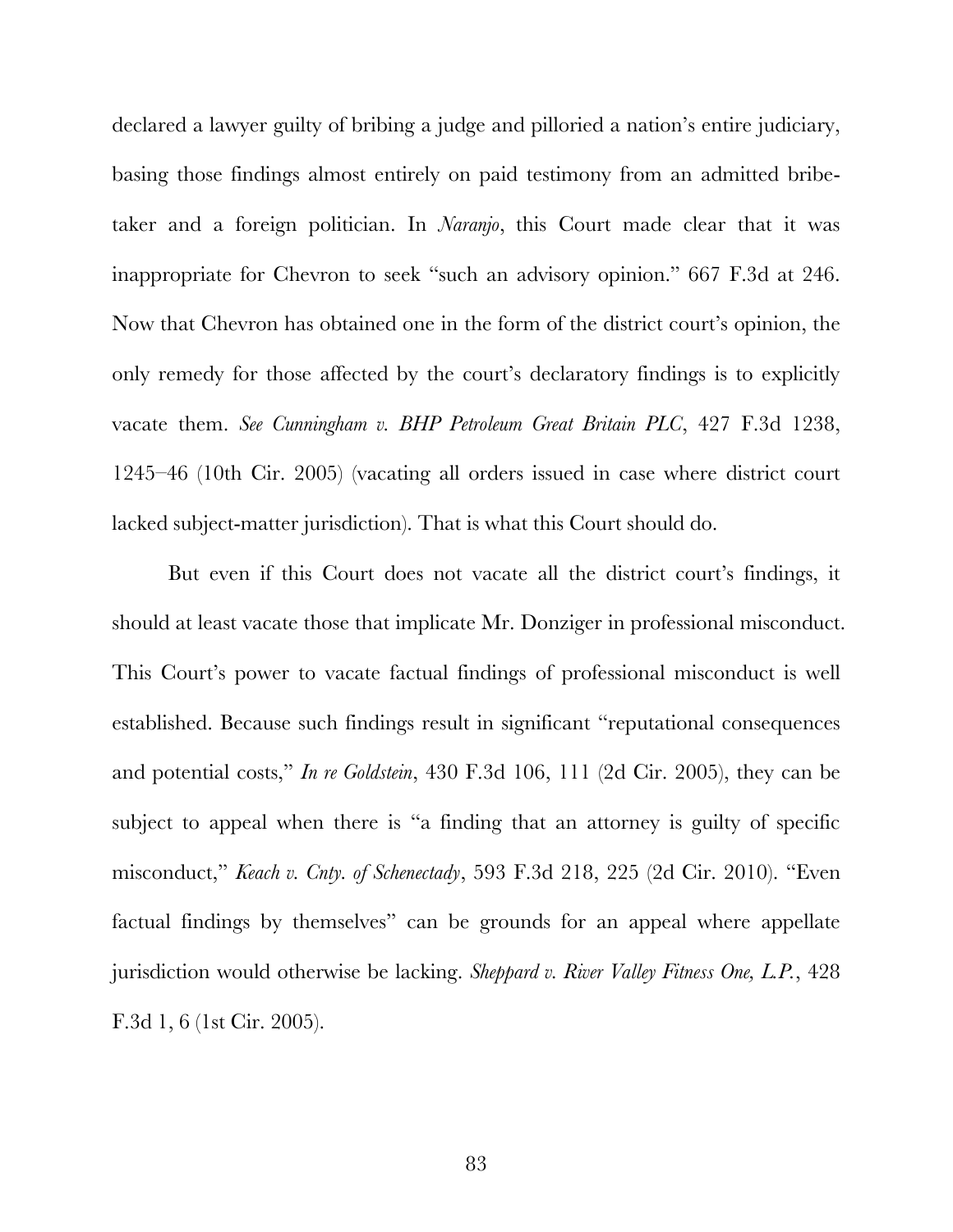declared a lawyer guilty of bribing a judge and pilloried a nation's entire judiciary, basing those findings almost entirely on paid testimony from an admitted bribetaker and a foreign politician. In *Naranjo*, this Court made clear that it was inappropriate for Chevron to seek "such an advisory opinion." 667 F.3d at 246. Now that Chevron has obtained one in the form of the district court's opinion, the only remedy for those affected by the court's declaratory findings is to explicitly vacate them. *See Cunningham v. BHP Petroleum Great Britain PLC*, 427 F.3d 1238, 1245–46 (10th Cir. 2005) (vacating all orders issued in case where district court lacked subject-matter jurisdiction). That is what this Court should do.

But even if this Court does not vacate all the district court's findings, it should at least vacate those that implicate Mr. Donziger in professional misconduct. This Court's power to vacate factual findings of professional misconduct is well established. Because such findings result in significant "reputational consequences and potential costs," *In re Goldstein*, 430 F.3d 106, 111 (2d Cir. 2005), they can be subject to appeal when there is "a finding that an attorney is guilty of specific misconduct," *Keach v. Cnty. of Schenectady*, 593 F.3d 218, 225 (2d Cir. 2010). "Even factual findings by themselves" can be grounds for an appeal where appellate jurisdiction would otherwise be lacking. *Sheppard v. River Valley Fitness One, L.P.*, 428 F.3d 1, 6 (1st Cir. 2005).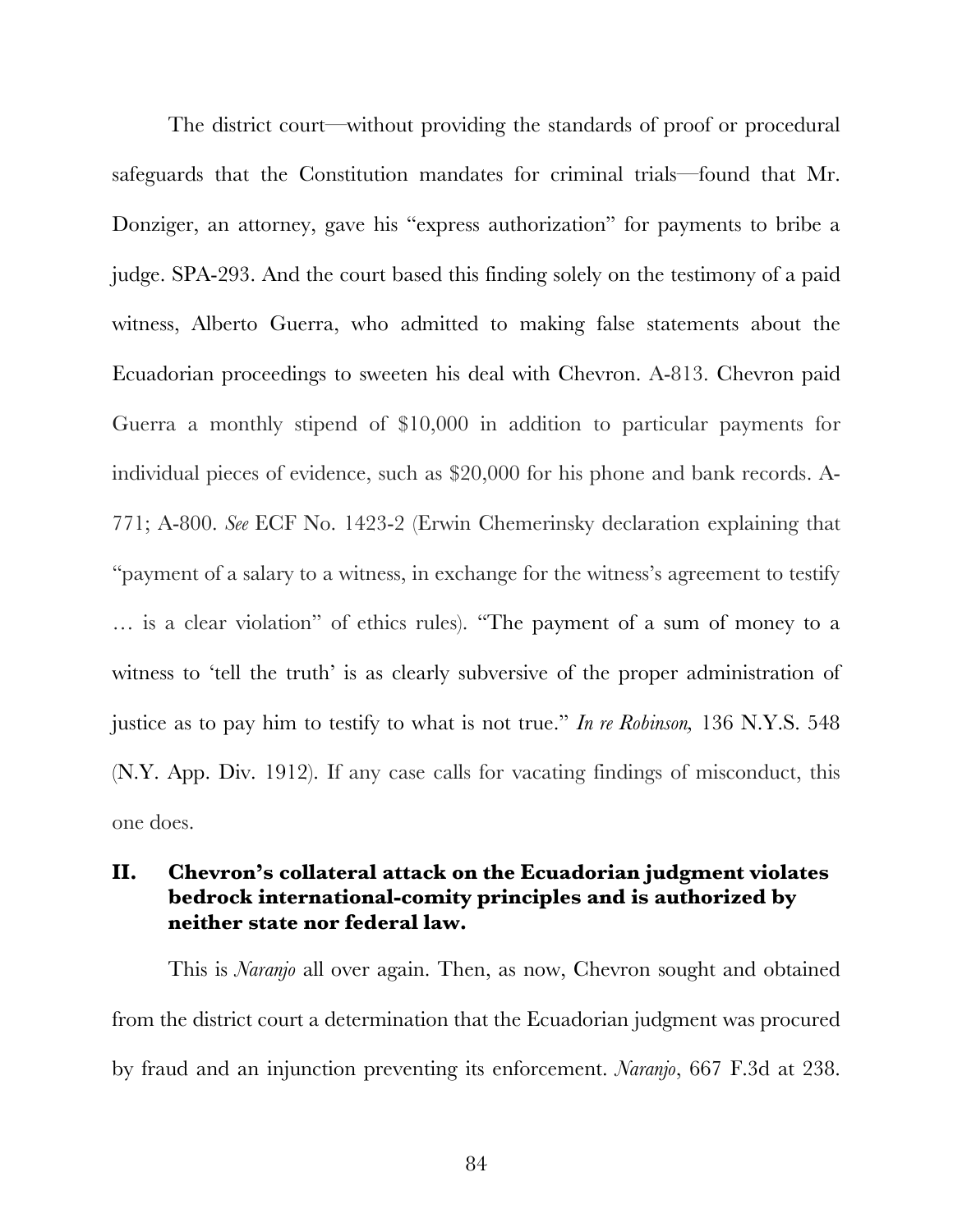The district court—without providing the standards of proof or procedural safeguards that the Constitution mandates for criminal trials—found that Mr. Donziger, an attorney, gave his "express authorization" for payments to bribe a judge. SPA-293. And the court based this finding solely on the testimony of a paid witness, Alberto Guerra, who admitted to making false statements about the Ecuadorian proceedings to sweeten his deal with Chevron. A-813. Chevron paid Guerra a monthly stipend of \$10,000 in addition to particular payments for individual pieces of evidence, such as \$20,000 for his phone and bank records. A-771; A-800. *See* ECF No. 1423-2 (Erwin Chemerinsky declaration explaining that "payment of a salary to a witness, in exchange for the witness's agreement to testify … is a clear violation" of ethics rules). "The payment of a sum of money to a witness to 'tell the truth' is as clearly subversive of the proper administration of justice as to pay him to testify to what is not true." *In re Robinson,* 136 N.Y.S. 548 (N.Y. App. Div. 1912). If any case calls for vacating findings of misconduct, this one does.

# **II. Chevron's collateral attack on the Ecuadorian judgment violates bedrock international-comity principles and is authorized by neither state nor federal law.**

This is *Naranjo* all over again. Then, as now, Chevron sought and obtained from the district court a determination that the Ecuadorian judgment was procured by fraud and an injunction preventing its enforcement. *Naranjo*, 667 F.3d at 238.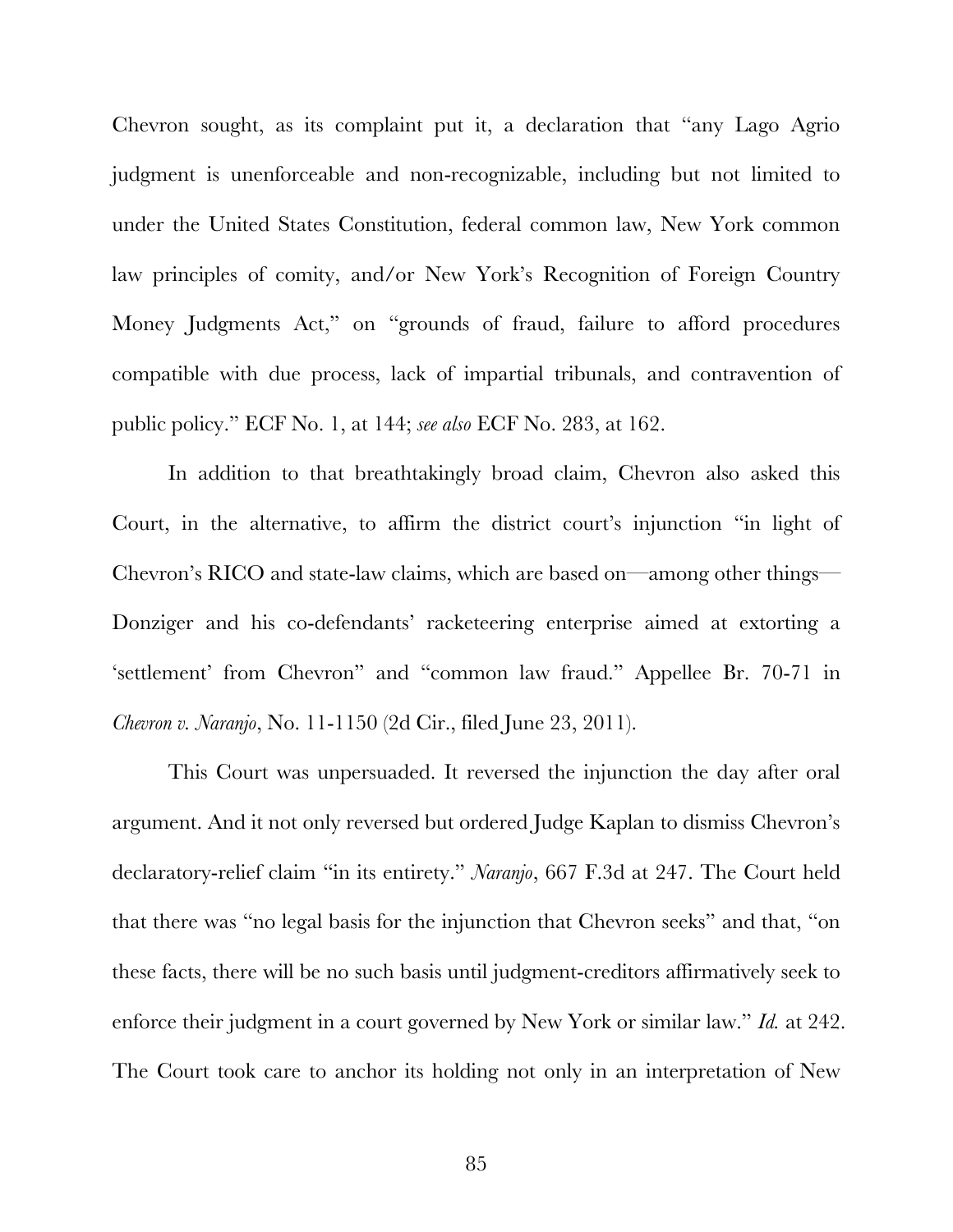Chevron sought, as its complaint put it, a declaration that "any Lago Agrio judgment is unenforceable and non-recognizable, including but not limited to under the United States Constitution, federal common law, New York common law principles of comity, and/or New York's Recognition of Foreign Country Money Judgments Act," on "grounds of fraud, failure to afford procedures compatible with due process, lack of impartial tribunals, and contravention of public policy." ECF No. 1, at 144; *see also* ECF No. 283, at 162.

In addition to that breathtakingly broad claim, Chevron also asked this Court, in the alternative, to affirm the district court's injunction "in light of Chevron's RICO and state-law claims, which are based on—among other things— Donziger and his co-defendants' racketeering enterprise aimed at extorting a 'settlement' from Chevron" and "common law fraud." Appellee Br. 70-71 in *Chevron v. Naranjo*, No. 11-1150 (2d Cir., filed June 23, 2011).

This Court was unpersuaded. It reversed the injunction the day after oral argument. And it not only reversed but ordered Judge Kaplan to dismiss Chevron's declaratory-relief claim "in its entirety." *Naranjo*, 667 F.3d at 247. The Court held that there was "no legal basis for the injunction that Chevron seeks" and that, "on these facts, there will be no such basis until judgment-creditors affirmatively seek to enforce their judgment in a court governed by New York or similar law." *Id.* at 242. The Court took care to anchor its holding not only in an interpretation of New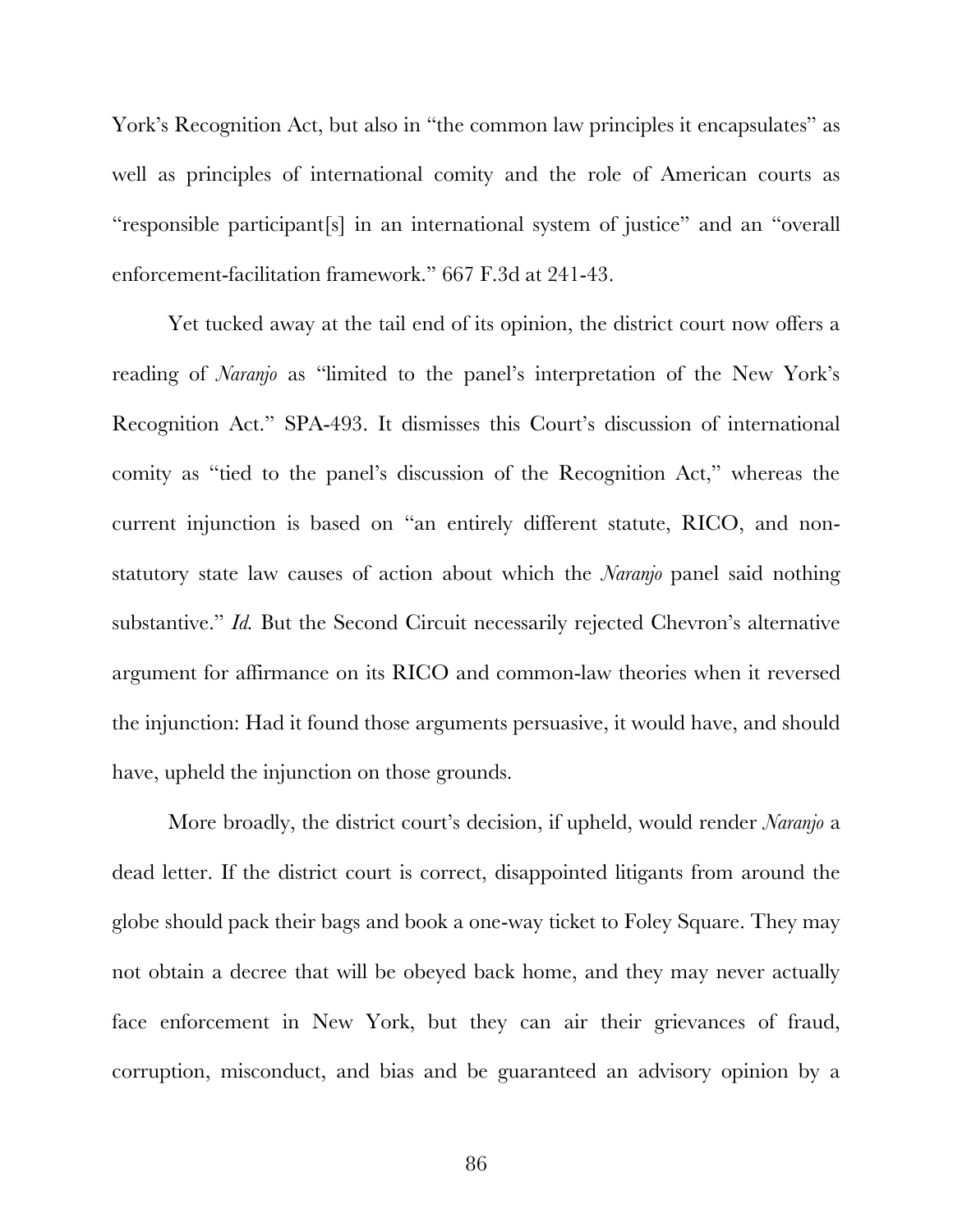York's Recognition Act, but also in "the common law principles it encapsulates" as well as principles of international comity and the role of American courts as "responsible participant[s] in an international system of justice" and an "overall enforcement-facilitation framework." 667 F.3d at 241-43.

Yet tucked away at the tail end of its opinion, the district court now offers a reading of *Naranjo* as "limited to the panel's interpretation of the New York's Recognition Act." SPA-493. It dismisses this Court's discussion of international comity as "tied to the panel's discussion of the Recognition Act," whereas the current injunction is based on "an entirely different statute, RICO, and nonstatutory state law causes of action about which the *Naranjo* panel said nothing substantive." *Id.* But the Second Circuit necessarily rejected Chevron's alternative argument for affirmance on its RICO and common-law theories when it reversed the injunction: Had it found those arguments persuasive, it would have, and should have, upheld the injunction on those grounds.

More broadly, the district court's decision, if upheld, would render *Naranjo* a dead letter. If the district court is correct, disappointed litigants from around the globe should pack their bags and book a one-way ticket to Foley Square. They may not obtain a decree that will be obeyed back home, and they may never actually face enforcement in New York, but they can air their grievances of fraud, corruption, misconduct, and bias and be guaranteed an advisory opinion by a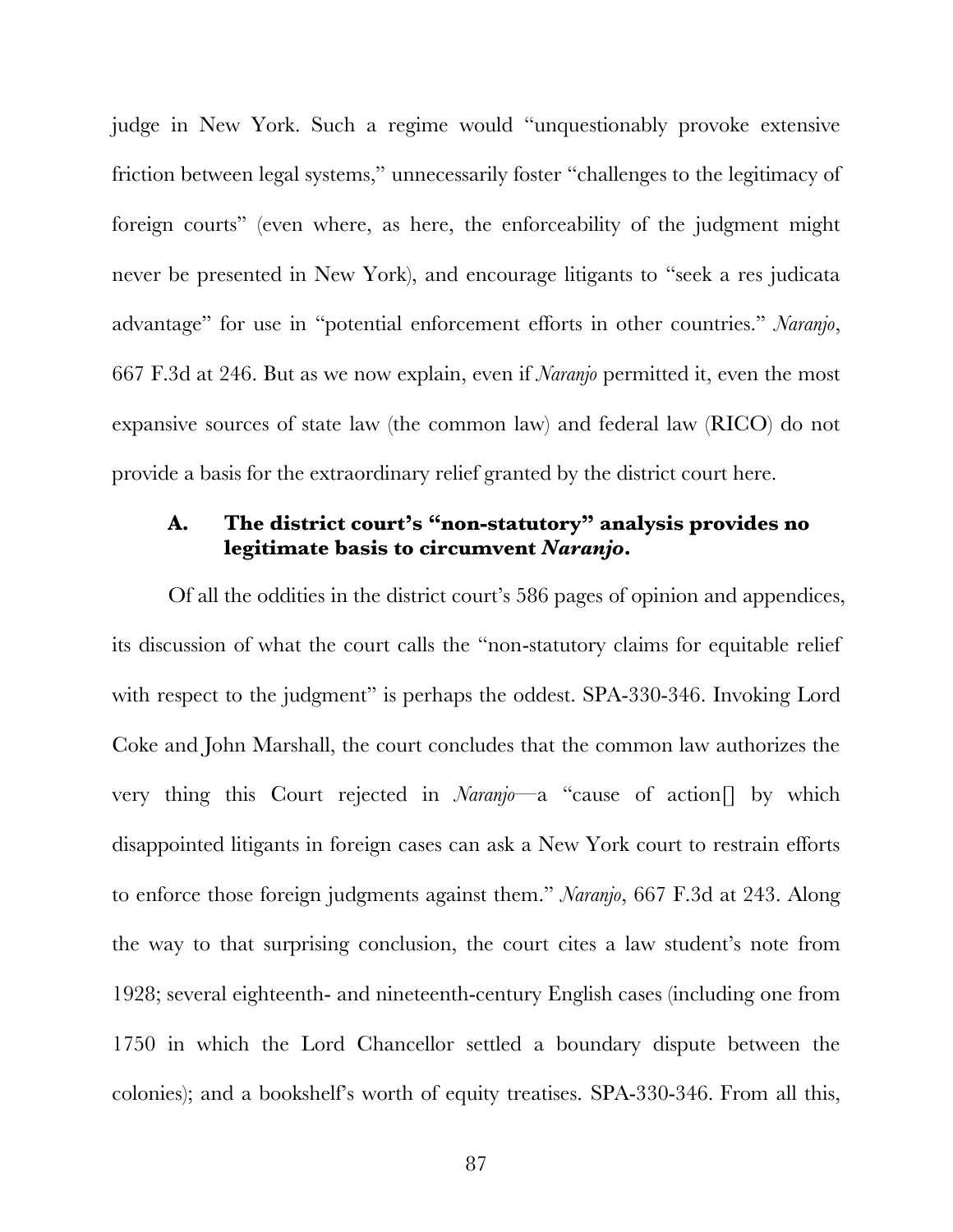judge in New York. Such a regime would "unquestionably provoke extensive friction between legal systems," unnecessarily foster "challenges to the legitimacy of foreign courts" (even where, as here, the enforceability of the judgment might never be presented in New York), and encourage litigants to "seek a res judicata advantage" for use in "potential enforcement efforts in other countries." *Naranjo*, 667 F.3d at 246. But as we now explain, even if *Naranjo* permitted it, even the most expansive sources of state law (the common law) and federal law (RICO) do not provide a basis for the extraordinary relief granted by the district court here.

# **A. The district court's "non-statutory" analysis provides no legitimate basis to circumvent** *Naranjo***.**

Of all the oddities in the district court's 586 pages of opinion and appendices, its discussion of what the court calls the "non-statutory claims for equitable relief with respect to the judgment" is perhaps the oddest. SPA-330-346. Invoking Lord Coke and John Marshall, the court concludes that the common law authorizes the very thing this Court rejected in *Naranjo—*a "cause of action[] by which disappointed litigants in foreign cases can ask a New York court to restrain efforts to enforce those foreign judgments against them." *Naranjo*, 667 F.3d at 243. Along the way to that surprising conclusion, the court cites a law student's note from 1928; several eighteenth- and nineteenth-century English cases (including one from 1750 in which the Lord Chancellor settled a boundary dispute between the colonies); and a bookshelf's worth of equity treatises. SPA-330-346. From all this,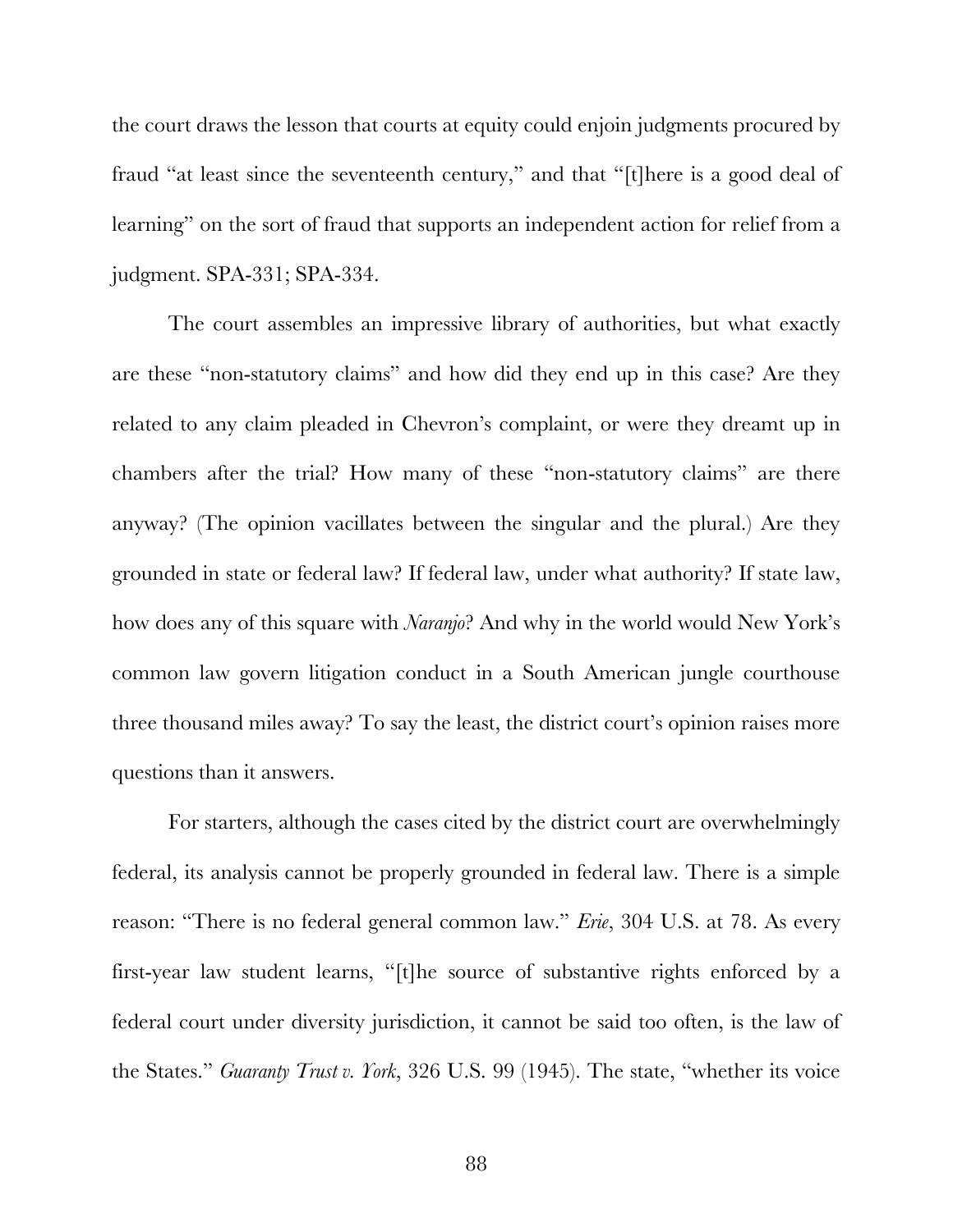the court draws the lesson that courts at equity could enjoin judgments procured by fraud "at least since the seventeenth century," and that "[t]here is a good deal of learning" on the sort of fraud that supports an independent action for relief from a judgment. SPA-331; SPA-334.

The court assembles an impressive library of authorities, but what exactly are these "non-statutory claims" and how did they end up in this case? Are they related to any claim pleaded in Chevron's complaint, or were they dreamt up in chambers after the trial? How many of these "non-statutory claims" are there anyway? (The opinion vacillates between the singular and the plural.) Are they grounded in state or federal law? If federal law, under what authority? If state law, how does any of this square with *Naranjo*? And why in the world would New York's common law govern litigation conduct in a South American jungle courthouse three thousand miles away? To say the least, the district court's opinion raises more questions than it answers.

For starters, although the cases cited by the district court are overwhelmingly federal, its analysis cannot be properly grounded in federal law. There is a simple reason: "There is no federal general common law." *Erie*, 304 U.S. at 78. As every first-year law student learns, "[t]he source of substantive rights enforced by a federal court under diversity jurisdiction, it cannot be said too often, is the law of the States." *Guaranty Trust v. York*, 326 U.S. 99 (1945). The state, "whether its voice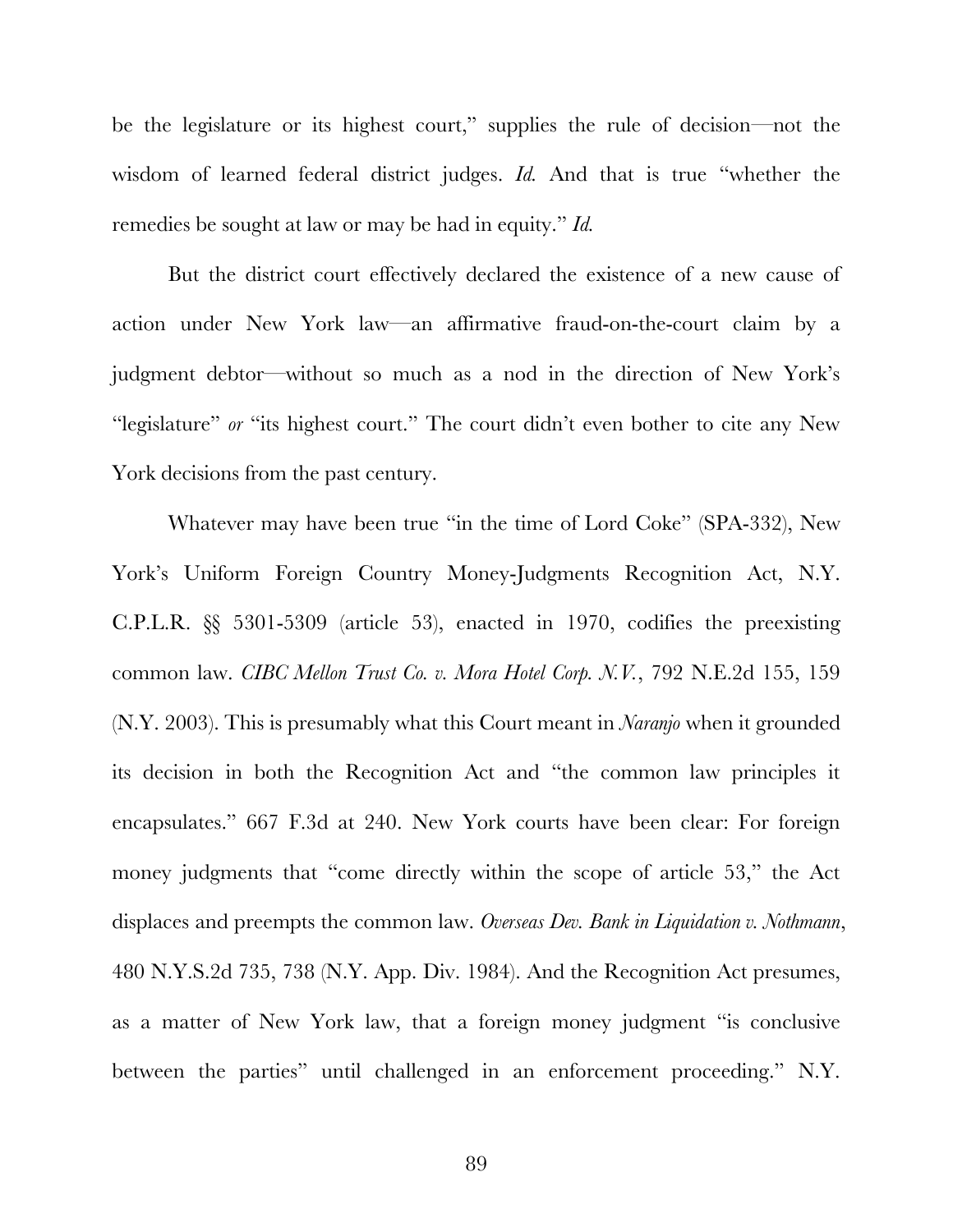be the legislature or its highest court," supplies the rule of decision—not the wisdom of learned federal district judges. *Id.* And that is true "whether the remedies be sought at law or may be had in equity." *Id.* 

But the district court effectively declared the existence of a new cause of action under New York law—an affirmative fraud-on-the-court claim by a judgment debtor—without so much as a nod in the direction of New York's "legislature" or "its highest court." The court didn't even bother to cite any New York decisions from the past century.

Whatever may have been true "in the time of Lord Coke" (SPA-332), New York's Uniform Foreign Country Money-Judgments Recognition Act, N.Y. C.P.L.R. §§ 5301-5309 (article 53), enacted in 1970, codifies the preexisting common law. *CIBC Mellon Trust Co. v. Mora Hotel Corp. N.V.*, 792 N.E.2d 155, 159 (N.Y. 2003). This is presumably what this Court meant in *Naranjo* when it grounded its decision in both the Recognition Act and "the common law principles it encapsulates." 667 F.3d at 240. New York courts have been clear: For foreign money judgments that "come directly within the scope of article 53," the Act displaces and preempts the common law. *Overseas Dev. Bank in Liquidation v. Nothmann*, 480 N.Y.S.2d 735, 738 (N.Y. App. Div. 1984). And the Recognition Act presumes, as a matter of New York law, that a foreign money judgment "is conclusive between the parties" until challenged in an enforcement proceeding." N.Y.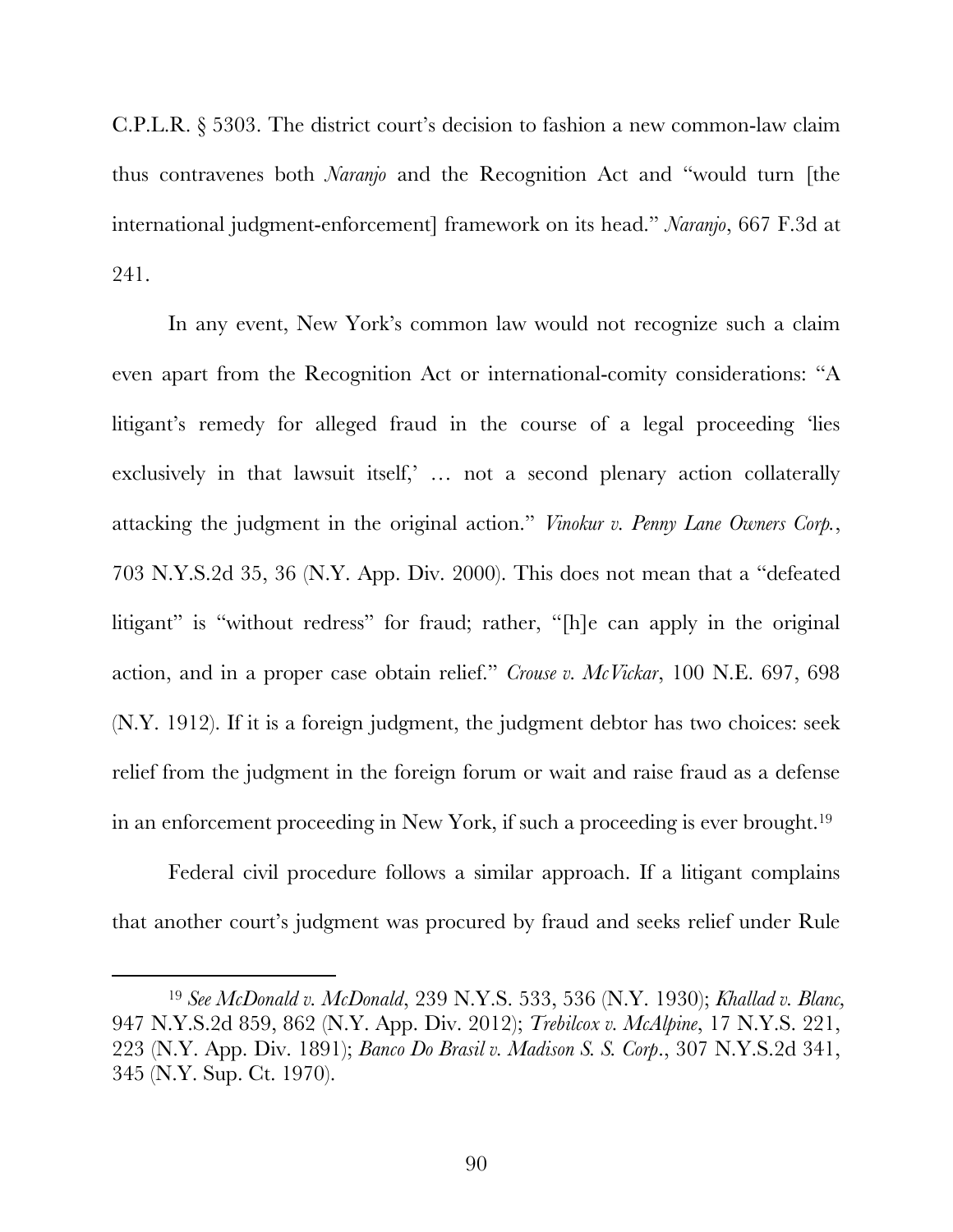C.P.L.R. § 5303. The district court's decision to fashion a new common-law claim thus contravenes both *Naranjo* and the Recognition Act and "would turn [the international judgment-enforcement] framework on its head." *Naranjo*, 667 F.3d at 241.

In any event, New York's common law would not recognize such a claim even apart from the Recognition Act or international-comity considerations: "A litigant's remedy for alleged fraud in the course of a legal proceeding 'lies exclusively in that lawsuit itself,' … not a second plenary action collaterally attacking the judgment in the original action." *Vinokur v. Penny Lane Owners Corp.*, 703 N.Y.S.2d 35, 36 (N.Y. App. Div. 2000). This does not mean that a "defeated litigant" is "without redress" for fraud; rather, "[h]e can apply in the original action, and in a proper case obtain relief." *Crouse v. McVickar*, 100 N.E. 697, 698 (N.Y. 1912). If it is a foreign judgment, the judgment debtor has two choices: seek relief from the judgment in the foreign forum or wait and raise fraud as a defense in an enforcement proceeding in New York, if such a proceeding is ever brought.19

Federal civil procedure follows a similar approach. If a litigant complains that another court's judgment was procured by fraud and seeks relief under Rule

 <sup>19</sup> *See McDonald v. McDonald*, 239 N.Y.S. 533, 536 (N.Y. 1930); *Khallad v. Blanc,* 947 N.Y.S.2d 859, 862 (N.Y. App. Div. 2012); *Trebilcox v. McAlpine*, 17 N.Y.S. 221, 223 (N.Y. App. Div. 1891); *Banco Do Brasil v. Madison S. S. Corp*., 307 N.Y.S.2d 341, 345 (N.Y. Sup. Ct. 1970).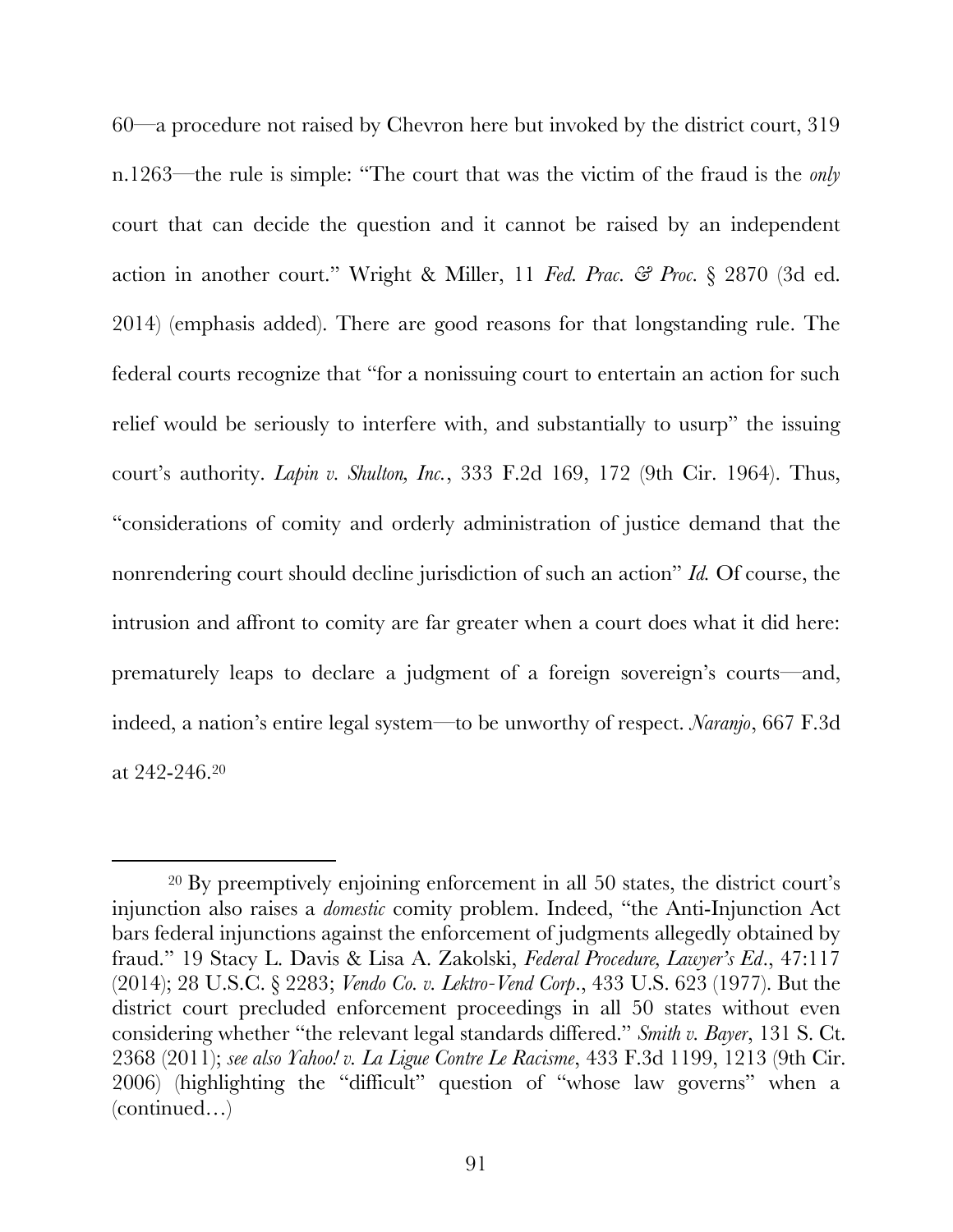60—a procedure not raised by Chevron here but invoked by the district court, 319 n.1263—the rule is simple: "The court that was the victim of the fraud is the *only* court that can decide the question and it cannot be raised by an independent action in another court." Wright & Miller, 11 *Fed. Prac. & Proc.* § 2870 (3d ed. 2014) (emphasis added). There are good reasons for that longstanding rule. The federal courts recognize that "for a nonissuing court to entertain an action for such relief would be seriously to interfere with, and substantially to usurp" the issuing court's authority. *Lapin v. Shulton, Inc.*, 333 F.2d 169, 172 (9th Cir. 1964). Thus, "considerations of comity and orderly administration of justice demand that the nonrendering court should decline jurisdiction of such an action" *Id.* Of course, the intrusion and affront to comity are far greater when a court does what it did here: prematurely leaps to declare a judgment of a foreign sovereign's courts—and, indeed, a nation's entire legal system—to be unworthy of respect. *Naranjo*, 667 F.3d at 242-246. 20

 <sup>20</sup> By preemptively enjoining enforcement in all 50 states, the district court's injunction also raises a *domestic* comity problem. Indeed, "the Anti-Injunction Act bars federal injunctions against the enforcement of judgments allegedly obtained by fraud." 19 Stacy L. Davis & Lisa A. Zakolski, *Federal Procedure, Lawyer's Ed*., 47:117 (2014); 28 U.S.C. § 2283; *Vendo Co. v. Lektro-Vend Corp*., 433 U.S. 623 (1977). But the district court precluded enforcement proceedings in all 50 states without even considering whether "the relevant legal standards differed." *Smith v. Bayer*, 131 S. Ct. 2368 (2011); *see also Yahoo! v. La Ligue Contre Le Racisme*, 433 F.3d 1199, 1213 (9th Cir. 2006) (highlighting the "difficult" question of "whose law governs" when a (continued…)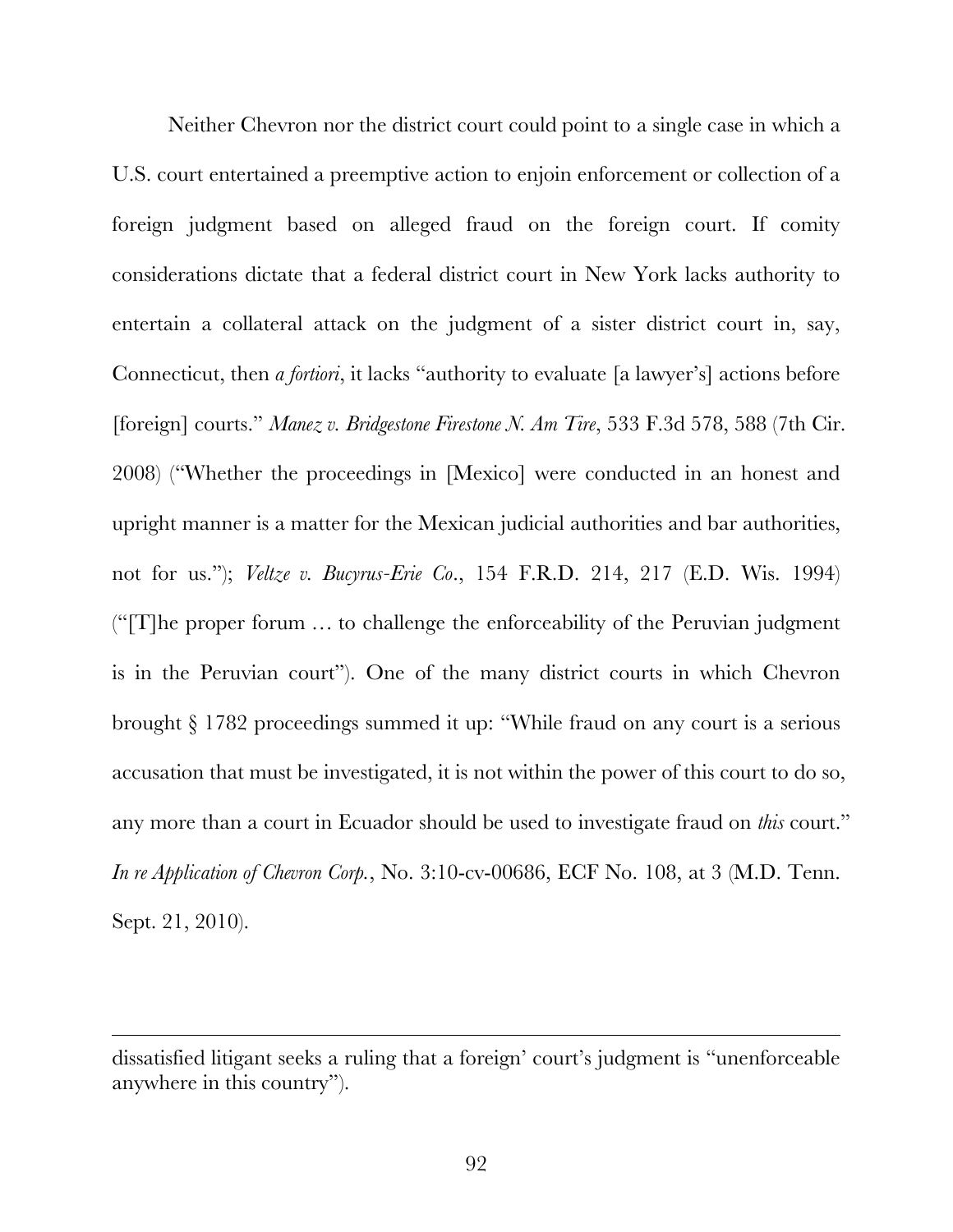Neither Chevron nor the district court could point to a single case in which a U.S. court entertained a preemptive action to enjoin enforcement or collection of a foreign judgment based on alleged fraud on the foreign court. If comity considerations dictate that a federal district court in New York lacks authority to entertain a collateral attack on the judgment of a sister district court in, say, Connecticut, then *a fortiori*, it lacks "authority to evaluate [a lawyer's] actions before [foreign] courts." *Manez v. Bridgestone Firestone N. Am Tire*, 533 F.3d 578, 588 (7th Cir. 2008) ("Whether the proceedings in [Mexico] were conducted in an honest and upright manner is a matter for the Mexican judicial authorities and bar authorities, not for us."); *Veltze v. Bucyrus-Erie Co*., 154 F.R.D. 214, 217 (E.D. Wis. 1994) ("[T]he proper forum … to challenge the enforceability of the Peruvian judgment is in the Peruvian court"). One of the many district courts in which Chevron brought § 1782 proceedings summed it up: "While fraud on any court is a serious accusation that must be investigated, it is not within the power of this court to do so, any more than a court in Ecuador should be used to investigate fraud on *this* court." *In re Application of Chevron Corp.*, No. 3:10-cv-00686, ECF No. 108, at 3 (M.D. Tenn. Sept. 21, 2010).

 $\overline{a}$ 

dissatisfied litigant seeks a ruling that a foreign' court's judgment is "unenforceable anywhere in this country").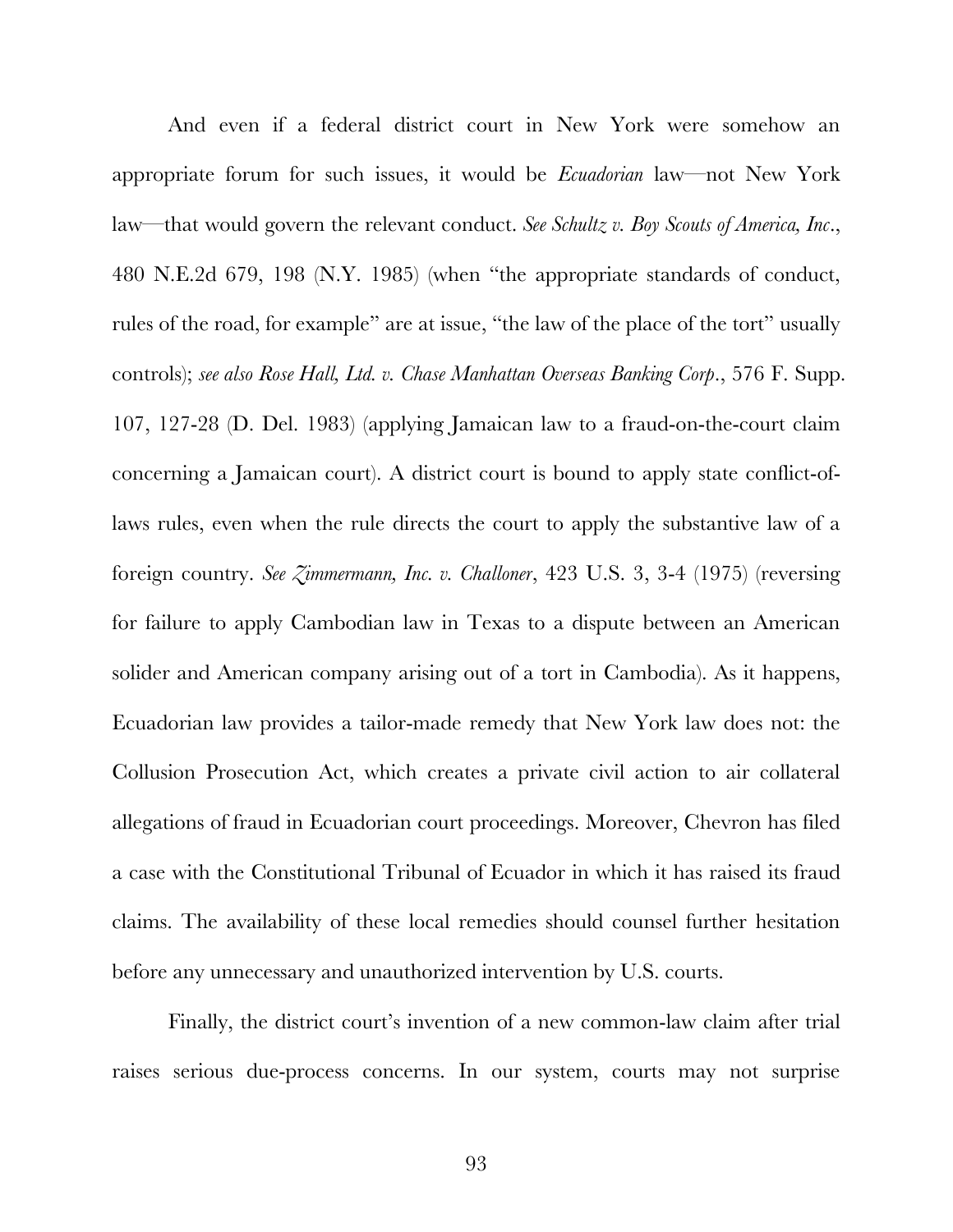And even if a federal district court in New York were somehow an appropriate forum for such issues, it would be *Ecuadorian* law—not New York law—that would govern the relevant conduct. *See Schultz v. Boy Scouts of America, Inc*., 480 N.E.2d 679, 198 (N.Y. 1985) (when "the appropriate standards of conduct, rules of the road, for example" are at issue, "the law of the place of the tort" usually controls); *see also Rose Hall, Ltd. v. Chase Manhattan Overseas Banking Corp*., 576 F. Supp. 107, 127-28 (D. Del. 1983) (applying Jamaican law to a fraud-on-the-court claim concerning a Jamaican court). A district court is bound to apply state conflict-oflaws rules, even when the rule directs the court to apply the substantive law of a foreign country. *See Zimmermann, Inc. v. Challoner*, 423 U.S. 3, 3-4 (1975) (reversing for failure to apply Cambodian law in Texas to a dispute between an American solider and American company arising out of a tort in Cambodia). As it happens, Ecuadorian law provides a tailor-made remedy that New York law does not: the Collusion Prosecution Act, which creates a private civil action to air collateral allegations of fraud in Ecuadorian court proceedings. Moreover, Chevron has filed a case with the Constitutional Tribunal of Ecuador in which it has raised its fraud claims. The availability of these local remedies should counsel further hesitation before any unnecessary and unauthorized intervention by U.S. courts.

Finally, the district court's invention of a new common-law claim after trial raises serious due-process concerns. In our system, courts may not surprise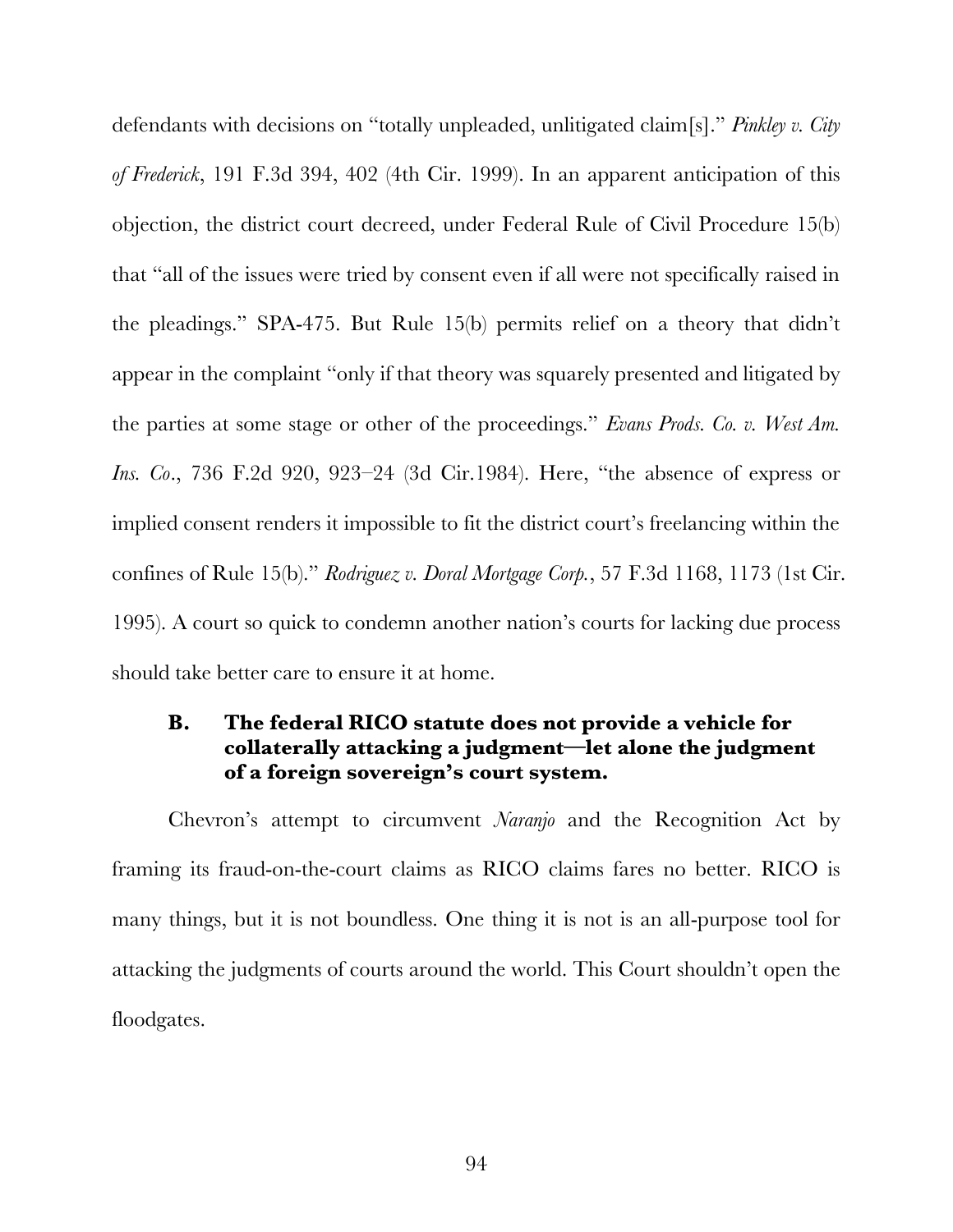defendants with decisions on "totally unpleaded, unlitigated claim[s]." *Pinkley v. City of Frederick*, 191 F.3d 394, 402 (4th Cir. 1999). In an apparent anticipation of this objection, the district court decreed, under Federal Rule of Civil Procedure 15(b) that "all of the issues were tried by consent even if all were not specifically raised in the pleadings." SPA-475. But Rule 15(b) permits relief on a theory that didn't appear in the complaint "only if that theory was squarely presented and litigated by the parties at some stage or other of the proceedings." *Evans Prods. Co. v. West Am. Ins. Co*., 736 F.2d 920, 923–24 (3d Cir.1984). Here, "the absence of express or implied consent renders it impossible to fit the district court's freelancing within the confines of Rule 15(b)." *Rodriguez v. Doral Mortgage Corp.*, 57 F.3d 1168, 1173 (1st Cir. 1995). A court so quick to condemn another nation's courts for lacking due process should take better care to ensure it at home.

# **B. The federal RICO statute does not provide a vehicle for collaterally attacking a judgment—let alone the judgment of a foreign sovereign's court system.**

Chevron's attempt to circumvent *Naranjo* and the Recognition Act by framing its fraud-on-the-court claims as RICO claims fares no better. RICO is many things, but it is not boundless. One thing it is not is an all-purpose tool for attacking the judgments of courts around the world. This Court shouldn't open the floodgates.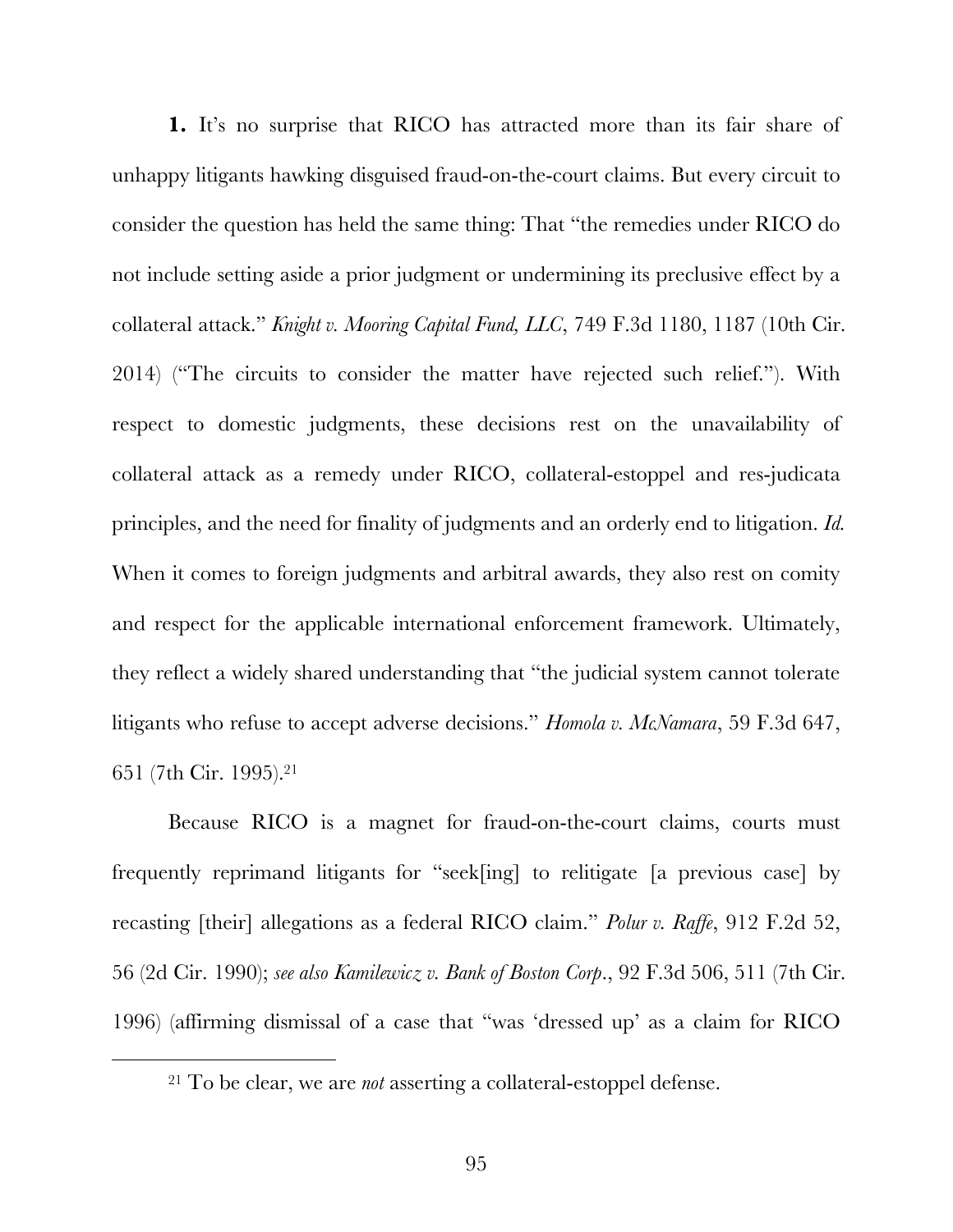**1.** It's no surprise that RICO has attracted more than its fair share of unhappy litigants hawking disguised fraud-on-the-court claims. But every circuit to consider the question has held the same thing: That "the remedies under RICO do not include setting aside a prior judgment or undermining its preclusive effect by a collateral attack." *Knight v. Mooring Capital Fund, LLC*, 749 F.3d 1180, 1187 (10th Cir. 2014) ("The circuits to consider the matter have rejected such relief."). With respect to domestic judgments, these decisions rest on the unavailability of collateral attack as a remedy under RICO, collateral-estoppel and res-judicata principles, and the need for finality of judgments and an orderly end to litigation. *Id.*  When it comes to foreign judgments and arbitral awards, they also rest on comity and respect for the applicable international enforcement framework. Ultimately, they reflect a widely shared understanding that "the judicial system cannot tolerate litigants who refuse to accept adverse decisions." *Homola v. McNamara*, 59 F.3d 647, 651 (7th Cir. 1995). 21

Because RICO is a magnet for fraud-on-the-court claims, courts must frequently reprimand litigants for "seek[ing] to relitigate [a previous case] by recasting [their] allegations as a federal RICO claim." *Polur v. Raffe*, 912 F.2d 52, 56 (2d Cir. 1990); *see also Kamilewicz v. Bank of Boston Corp*., 92 F.3d 506, 511 (7th Cir. 1996) (affirming dismissal of a case that "was 'dressed up' as a claim for RICO

 <sup>21</sup> To be clear, we are *not* asserting a collateral-estoppel defense.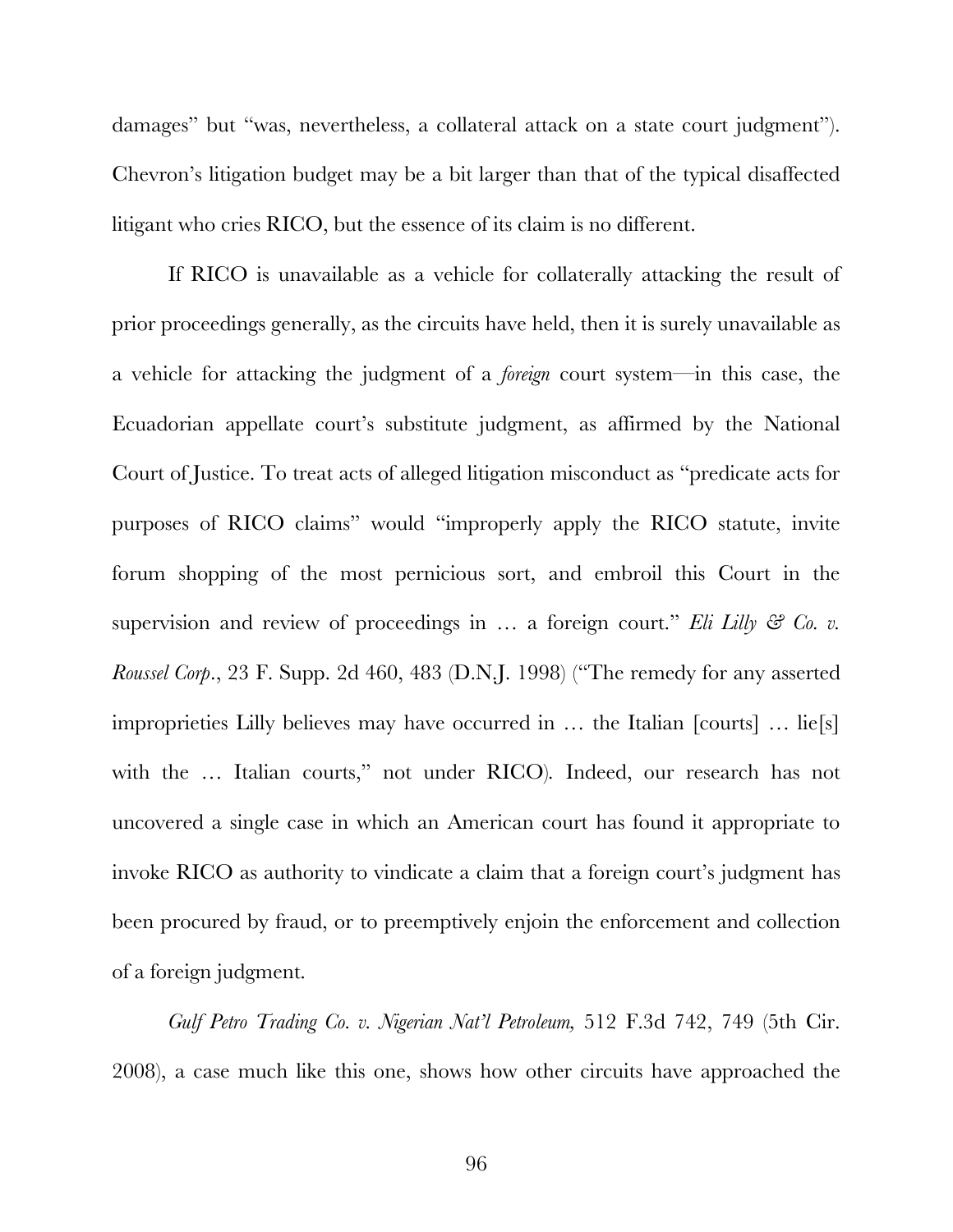damages" but "was, nevertheless, a collateral attack on a state court judgment"). Chevron's litigation budget may be a bit larger than that of the typical disaffected litigant who cries RICO, but the essence of its claim is no different.

If RICO is unavailable as a vehicle for collaterally attacking the result of prior proceedings generally, as the circuits have held, then it is surely unavailable as a vehicle for attacking the judgment of a *foreign* court system—in this case, the Ecuadorian appellate court's substitute judgment, as affirmed by the National Court of Justice. To treat acts of alleged litigation misconduct as "predicate acts for purposes of RICO claims" would "improperly apply the RICO statute, invite forum shopping of the most pernicious sort, and embroil this Court in the supervision and review of proceedings in ... a foreign court." *Eli Lilly & Co. v. Roussel Corp*., 23 F. Supp. 2d 460, 483 (D.N.J. 1998) ("The remedy for any asserted improprieties Lilly believes may have occurred in … the Italian [courts] … lie[s] with the … Italian courts," not under RICO)*.* Indeed, our research has not uncovered a single case in which an American court has found it appropriate to invoke RICO as authority to vindicate a claim that a foreign court's judgment has been procured by fraud, or to preemptively enjoin the enforcement and collection of a foreign judgment.

*Gulf Petro Trading Co. v. Nigerian Nat'l Petroleum,* 512 F.3d 742, 749 (5th Cir. 2008), a case much like this one, shows how other circuits have approached the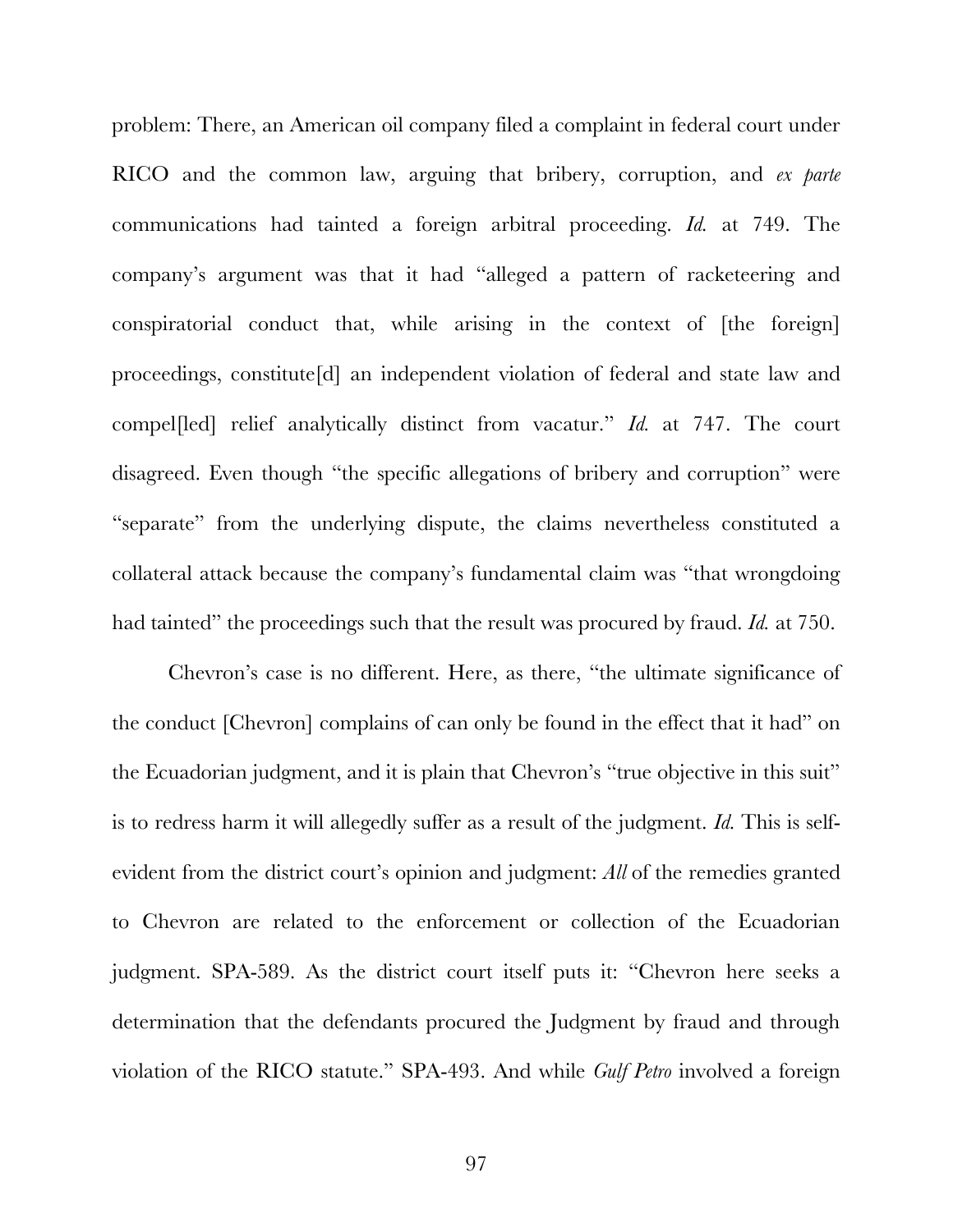problem: There, an American oil company filed a complaint in federal court under RICO and the common law, arguing that bribery, corruption, and *ex parte* communications had tainted a foreign arbitral proceeding. *Id.* at 749. The company's argument was that it had "alleged a pattern of racketeering and conspiratorial conduct that, while arising in the context of [the foreign] proceedings, constitute[d] an independent violation of federal and state law and compel[led] relief analytically distinct from vacatur." *Id.* at 747. The court disagreed. Even though "the specific allegations of bribery and corruption" were "separate" from the underlying dispute, the claims nevertheless constituted a collateral attack because the company's fundamental claim was "that wrongdoing had tainted" the proceedings such that the result was procured by fraud. *Id.* at 750.

Chevron's case is no different. Here, as there, "the ultimate significance of the conduct [Chevron] complains of can only be found in the effect that it had" on the Ecuadorian judgment, and it is plain that Chevron's "true objective in this suit" is to redress harm it will allegedly suffer as a result of the judgment. *Id.* This is selfevident from the district court's opinion and judgment: *All* of the remedies granted to Chevron are related to the enforcement or collection of the Ecuadorian judgment. SPA-589. As the district court itself puts it: "Chevron here seeks a determination that the defendants procured the Judgment by fraud and through violation of the RICO statute." SPA-493. And while *Gulf Petro* involved a foreign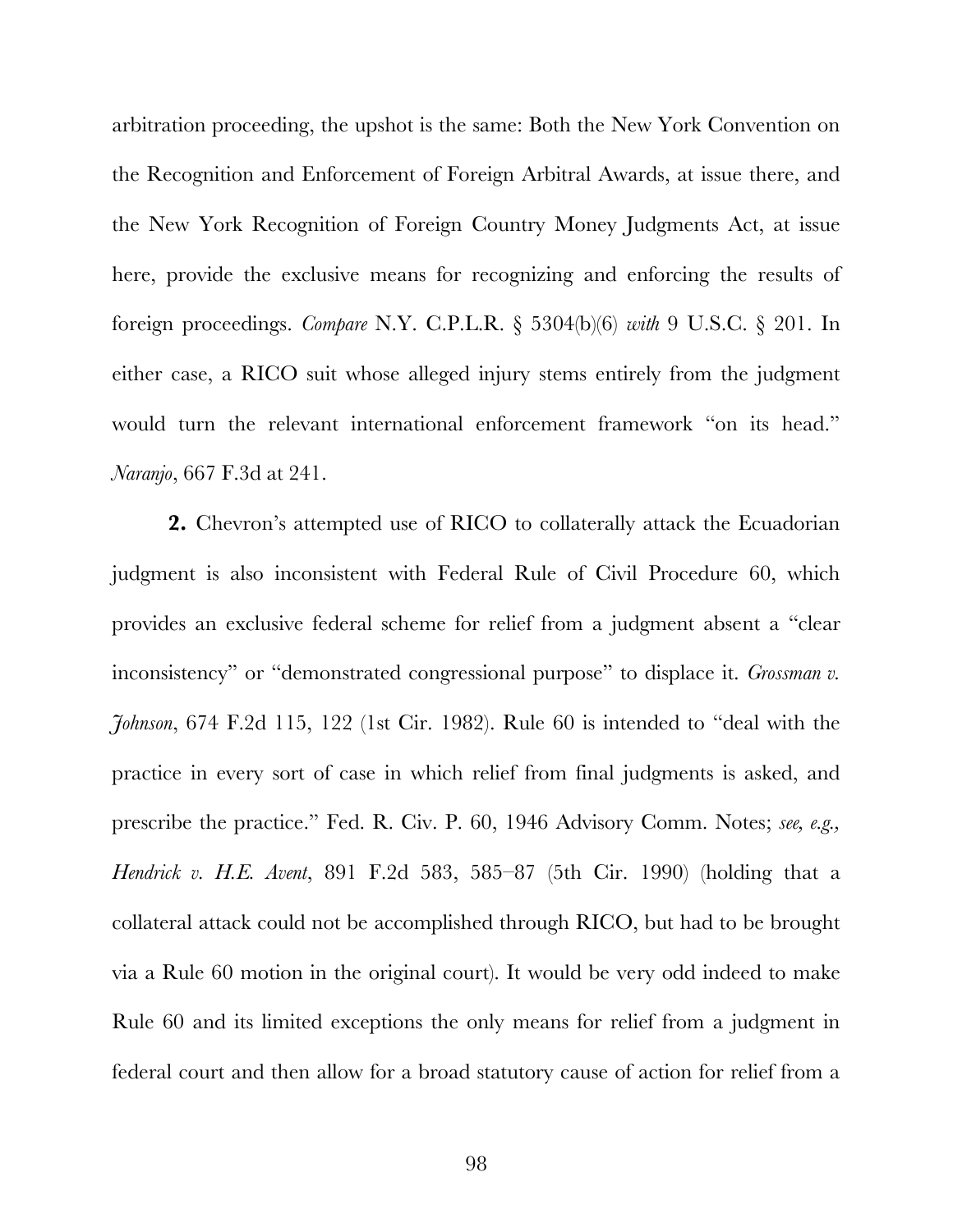arbitration proceeding, the upshot is the same: Both the New York Convention on the Recognition and Enforcement of Foreign Arbitral Awards, at issue there, and the New York Recognition of Foreign Country Money Judgments Act, at issue here, provide the exclusive means for recognizing and enforcing the results of foreign proceedings. *Compare* N.Y. C.P.L.R. § 5304(b)(6) *with* 9 U.S.C. § 201. In either case, a RICO suit whose alleged injury stems entirely from the judgment would turn the relevant international enforcement framework "on its head." *Naranjo*, 667 F.3d at 241.

**2.** Chevron's attempted use of RICO to collaterally attack the Ecuadorian judgment is also inconsistent with Federal Rule of Civil Procedure 60, which provides an exclusive federal scheme for relief from a judgment absent a "clear inconsistency" or "demonstrated congressional purpose" to displace it. *Grossman v*. *Johnson*, 674 F.2d 115, 122 (1st Cir. 1982). Rule 60 is intended to "deal with the practice in every sort of case in which relief from final judgments is asked, and prescribe the practice." Fed. R. Civ. P. 60, 1946 Advisory Comm. Notes; *see, e.g., Hendrick v. H.E. Avent*, 891 F.2d 583, 585–87 (5th Cir. 1990) (holding that a collateral attack could not be accomplished through RICO, but had to be brought via a Rule 60 motion in the original court). It would be very odd indeed to make Rule 60 and its limited exceptions the only means for relief from a judgment in federal court and then allow for a broad statutory cause of action for relief from a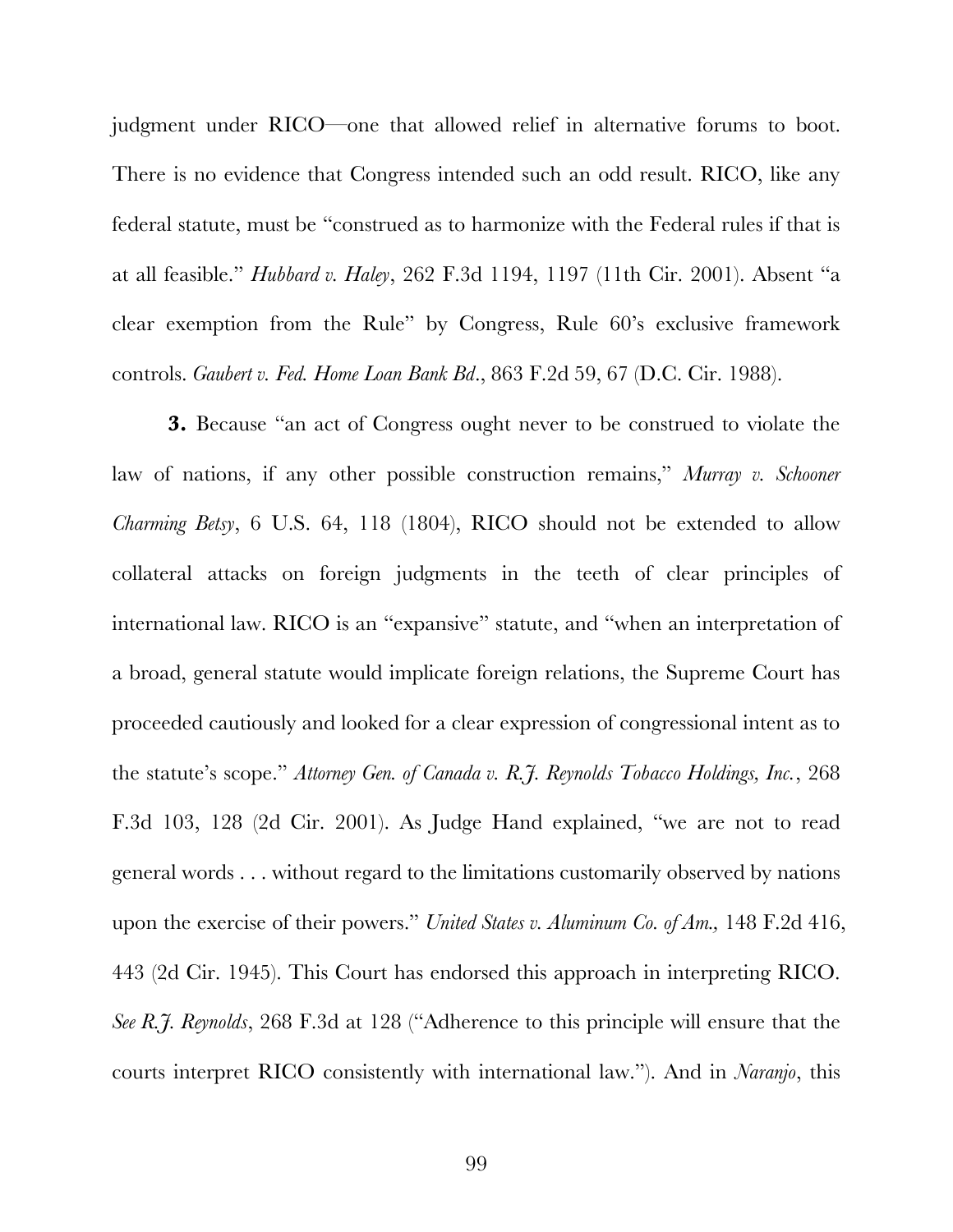judgment under RICO—one that allowed relief in alternative forums to boot. There is no evidence that Congress intended such an odd result. RICO, like any federal statute, must be "construed as to harmonize with the Federal rules if that is at all feasible." *Hubbard v. Haley*, 262 F.3d 1194, 1197 (11th Cir. 2001). Absent "a clear exemption from the Rule" by Congress, Rule 60's exclusive framework controls. *Gaubert v. Fed. Home Loan Bank Bd*., 863 F.2d 59, 67 (D.C. Cir. 1988).

**3.** Because "an act of Congress ought never to be construed to violate the law of nations, if any other possible construction remains," *Murray v. Schooner Charming Betsy*, 6 U.S. 64, 118 (1804), RICO should not be extended to allow collateral attacks on foreign judgments in the teeth of clear principles of international law. RICO is an "expansive" statute, and "when an interpretation of a broad, general statute would implicate foreign relations, the Supreme Court has proceeded cautiously and looked for a clear expression of congressional intent as to the statute's scope." *Attorney Gen. of Canada v. R.J. Reynolds Tobacco Holdings, Inc.*, 268 F.3d 103, 128 (2d Cir. 2001). As Judge Hand explained, "we are not to read general words . . . without regard to the limitations customarily observed by nations upon the exercise of their powers." *United States v. Aluminum Co. of Am.,* 148 F.2d 416, 443 (2d Cir. 1945). This Court has endorsed this approach in interpreting RICO. *See R.J. Reynolds*, 268 F.3d at 128 ("Adherence to this principle will ensure that the courts interpret RICO consistently with international law."). And in *Naranjo*, this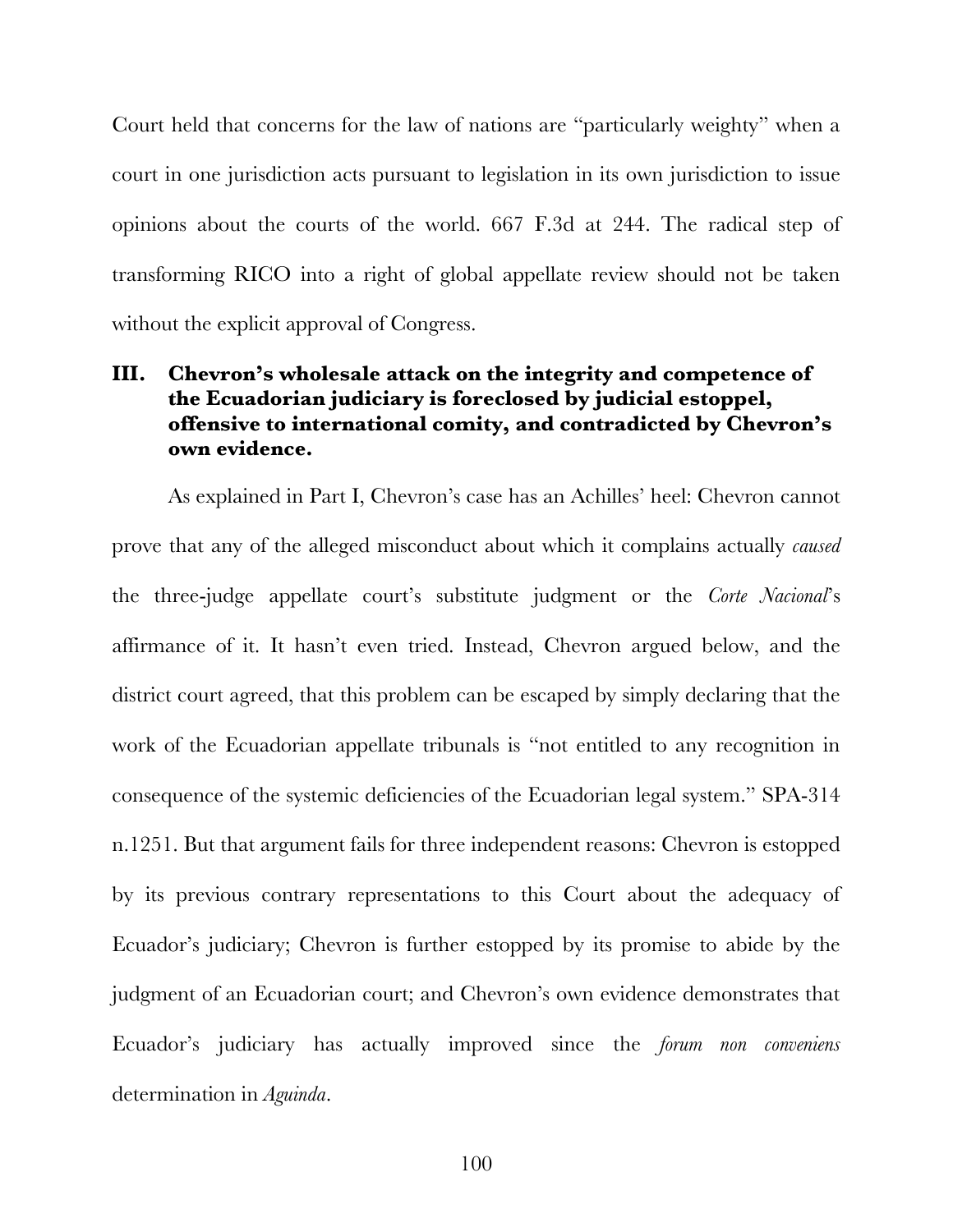Court held that concerns for the law of nations are "particularly weighty" when a court in one jurisdiction acts pursuant to legislation in its own jurisdiction to issue opinions about the courts of the world. 667 F.3d at 244. The radical step of transforming RICO into a right of global appellate review should not be taken without the explicit approval of Congress.

## **III. Chevron's wholesale attack on the integrity and competence of the Ecuadorian judiciary is foreclosed by judicial estoppel, offensive to international comity, and contradicted by Chevron's own evidence.**

As explained in Part I, Chevron's case has an Achilles' heel: Chevron cannot prove that any of the alleged misconduct about which it complains actually *caused* the three-judge appellate court's substitute judgment or the *Corte Nacional*'s affirmance of it. It hasn't even tried. Instead, Chevron argued below, and the district court agreed, that this problem can be escaped by simply declaring that the work of the Ecuadorian appellate tribunals is "not entitled to any recognition in consequence of the systemic deficiencies of the Ecuadorian legal system." SPA-314 n.1251. But that argument fails for three independent reasons: Chevron is estopped by its previous contrary representations to this Court about the adequacy of Ecuador's judiciary; Chevron is further estopped by its promise to abide by the judgment of an Ecuadorian court; and Chevron's own evidence demonstrates that Ecuador's judiciary has actually improved since the *forum non conveniens*  determination in *Aguinda*.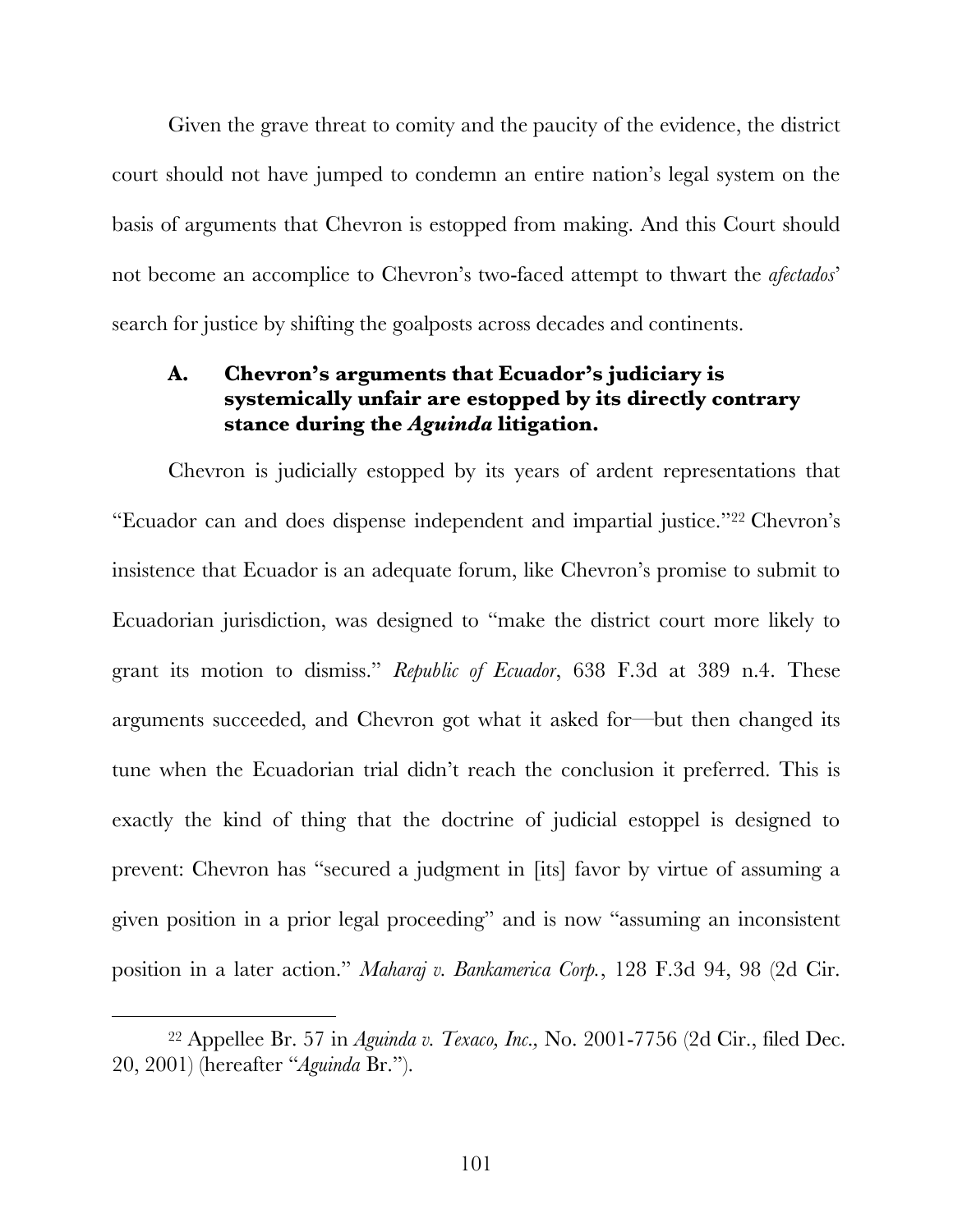Given the grave threat to comity and the paucity of the evidence, the district court should not have jumped to condemn an entire nation's legal system on the basis of arguments that Chevron is estopped from making. And this Court should not become an accomplice to Chevron's two-faced attempt to thwart the *afectados*' search for justice by shifting the goalposts across decades and continents.

### **A. Chevron's arguments that Ecuador's judiciary is systemically unfair are estopped by its directly contrary stance during the** *Aguinda* **litigation.**

Chevron is judicially estopped by its years of ardent representations that "Ecuador can and does dispense independent and impartial justice."<sup>22</sup> Chevron's insistence that Ecuador is an adequate forum, like Chevron's promise to submit to Ecuadorian jurisdiction, was designed to "make the district court more likely to grant its motion to dismiss." *Republic of Ecuador*, 638 F.3d at 389 n.4. These arguments succeeded, and Chevron got what it asked for—but then changed its tune when the Ecuadorian trial didn't reach the conclusion it preferred. This is exactly the kind of thing that the doctrine of judicial estoppel is designed to prevent: Chevron has "secured a judgment in [its] favor by virtue of assuming a given position in a prior legal proceeding" and is now "assuming an inconsistent position in a later action." *Maharaj v. Bankamerica Corp.*, 128 F.3d 94, 98 (2d Cir.

 <sup>22</sup> Appellee Br. 57 in *Aguinda v. Texaco, Inc.,* No. 2001-7756 (2d Cir., filed Dec. 20, 2001) (hereafter "*Aguinda* Br.").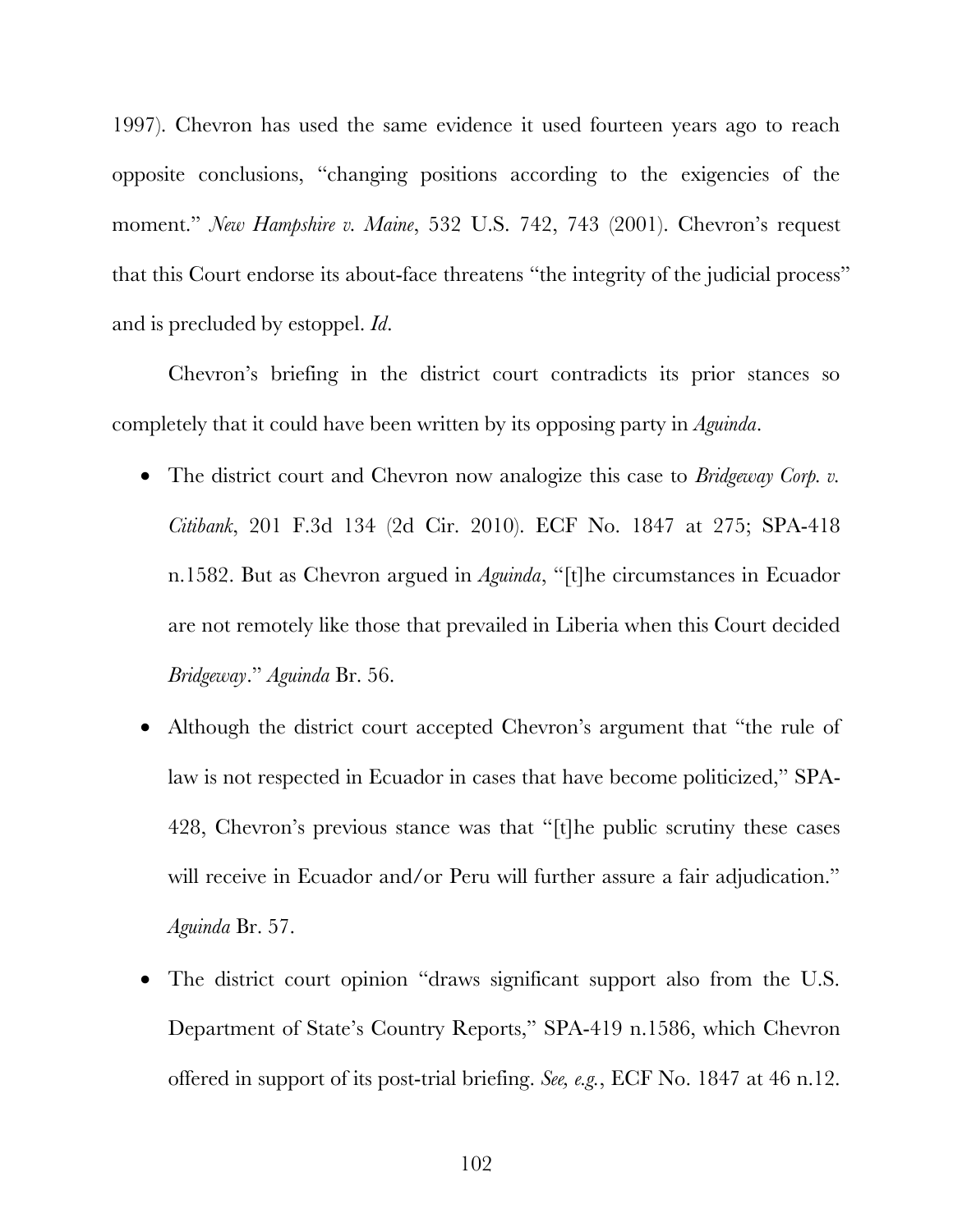1997). Chevron has used the same evidence it used fourteen years ago to reach opposite conclusions, "changing positions according to the exigencies of the moment." *New Hampshire v. Maine*, 532 U.S. 742, 743 (2001). Chevron's request that this Court endorse its about-face threatens "the integrity of the judicial process" and is precluded by estoppel. *Id*.

Chevron's briefing in the district court contradicts its prior stances so completely that it could have been written by its opposing party in *Aguinda*.

- The district court and Chevron now analogize this case to *Bridgeway Corp. v. Citibank*, 201 F.3d 134 (2d Cir. 2010). ECF No. 1847 at 275; SPA-418 n.1582. But as Chevron argued in *Aguinda*, "[t]he circumstances in Ecuador are not remotely like those that prevailed in Liberia when this Court decided *Bridgeway*." *Aguinda* Br. 56.
- Although the district court accepted Chevron's argument that "the rule of law is not respected in Ecuador in cases that have become politicized," SPA-428, Chevron's previous stance was that "[t]he public scrutiny these cases will receive in Ecuador and/or Peru will further assure a fair adjudication." *Aguinda* Br. 57.
- The district court opinion "draws significant support also from the U.S. Department of State's Country Reports," SPA-419 n.1586, which Chevron offered in support of its post-trial briefing. *See, e.g.*, ECF No. 1847 at 46 n.12.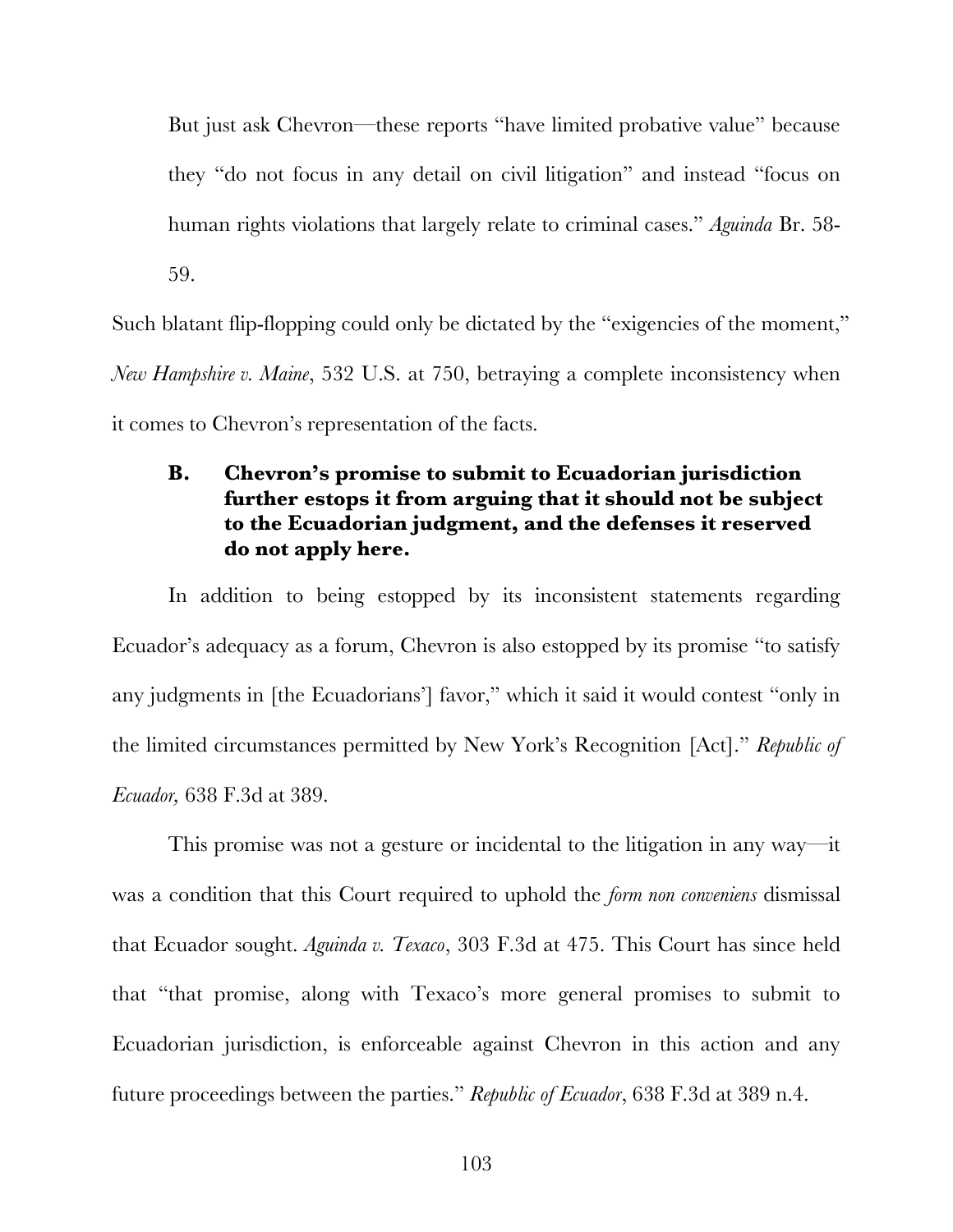But just ask Chevron—these reports "have limited probative value" because they "do not focus in any detail on civil litigation" and instead "focus on human rights violations that largely relate to criminal cases." *Aguinda* Br. 58- 59.

Such blatant flip-flopping could only be dictated by the "exigencies of the moment," *New Hampshire v. Maine*, 532 U.S. at 750, betraying a complete inconsistency when it comes to Chevron's representation of the facts.

## **B. Chevron's promise to submit to Ecuadorian jurisdiction further estops it from arguing that it should not be subject to the Ecuadorian judgment, and the defenses it reserved do not apply here.**

In addition to being estopped by its inconsistent statements regarding Ecuador's adequacy as a forum, Chevron is also estopped by its promise "to satisfy any judgments in [the Ecuadorians'] favor," which it said it would contest "only in the limited circumstances permitted by New York's Recognition [Act]." *Republic of Ecuador,* 638 F.3d at 389.

This promise was not a gesture or incidental to the litigation in any way—it was a condition that this Court required to uphold the *form non conveniens* dismissal that Ecuador sought. *Aguinda v. Texaco*, 303 F.3d at 475. This Court has since held that "that promise, along with Texaco's more general promises to submit to Ecuadorian jurisdiction, is enforceable against Chevron in this action and any future proceedings between the parties." *Republic of Ecuador*, 638 F.3d at 389 n.4.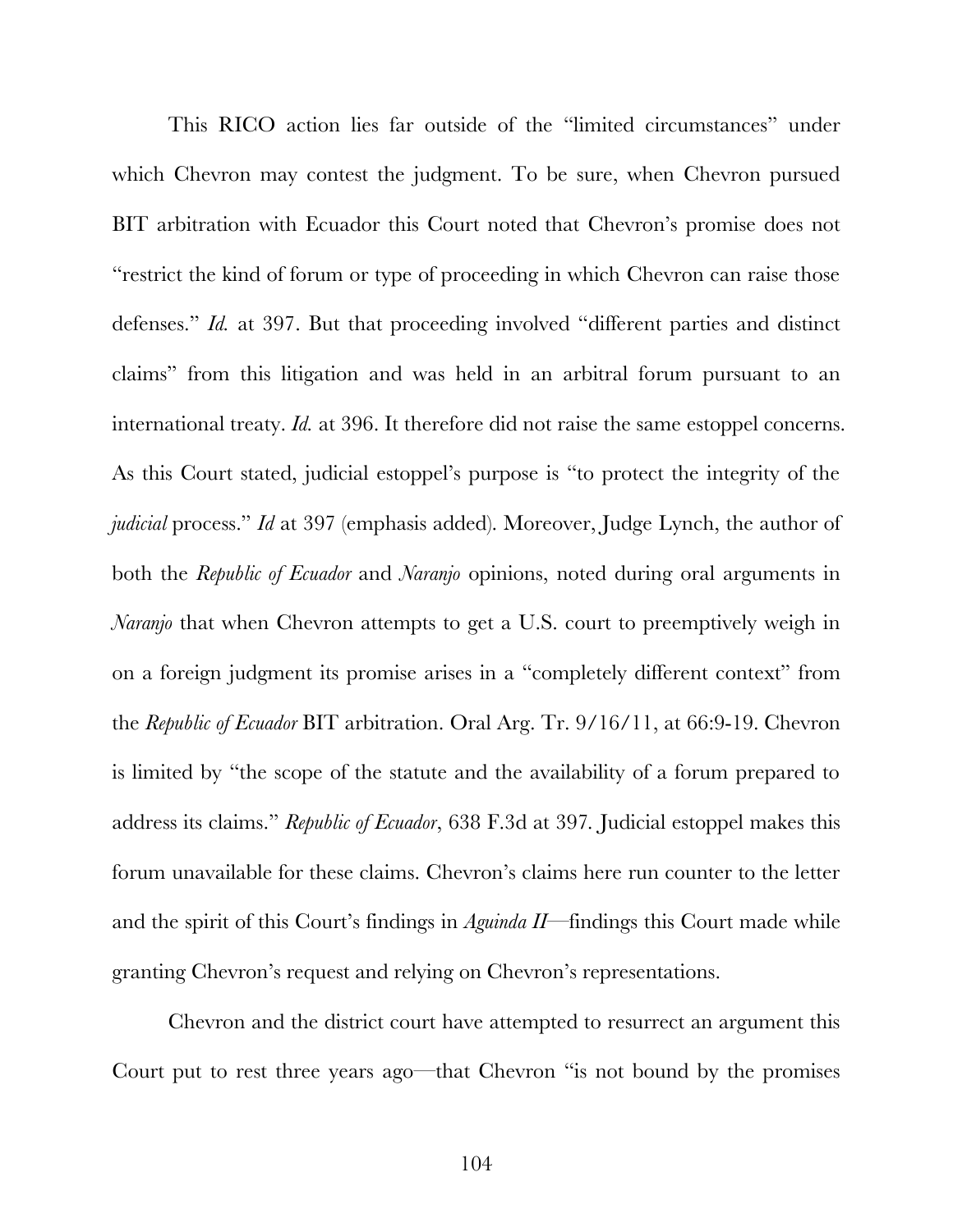This RICO action lies far outside of the "limited circumstances" under which Chevron may contest the judgment. To be sure, when Chevron pursued BIT arbitration with Ecuador this Court noted that Chevron's promise does not "restrict the kind of forum or type of proceeding in which Chevron can raise those defenses." *Id.* at 397. But that proceeding involved "different parties and distinct claims" from this litigation and was held in an arbitral forum pursuant to an international treaty. *Id.* at 396. It therefore did not raise the same estoppel concerns. As this Court stated, judicial estoppel's purpose is "to protect the integrity of the *judicial* process." *Id* at 397 (emphasis added). Moreover, Judge Lynch, the author of both the *Republic of Ecuador* and *Naranjo* opinions, noted during oral arguments in *Naranjo* that when Chevron attempts to get a U.S. court to preemptively weigh in on a foreign judgment its promise arises in a "completely different context" from the *Republic of Ecuador* BIT arbitration. Oral Arg. Tr. 9/16/11, at 66:9-19. Chevron is limited by "the scope of the statute and the availability of a forum prepared to address its claims." *Republic of Ecuador*, 638 F.3d at 397*.* Judicial estoppel makes this forum unavailable for these claims. Chevron's claims here run counter to the letter and the spirit of this Court's findings in *Aguinda II*—findings this Court made while granting Chevron's request and relying on Chevron's representations.

Chevron and the district court have attempted to resurrect an argument this Court put to rest three years ago—that Chevron "is not bound by the promises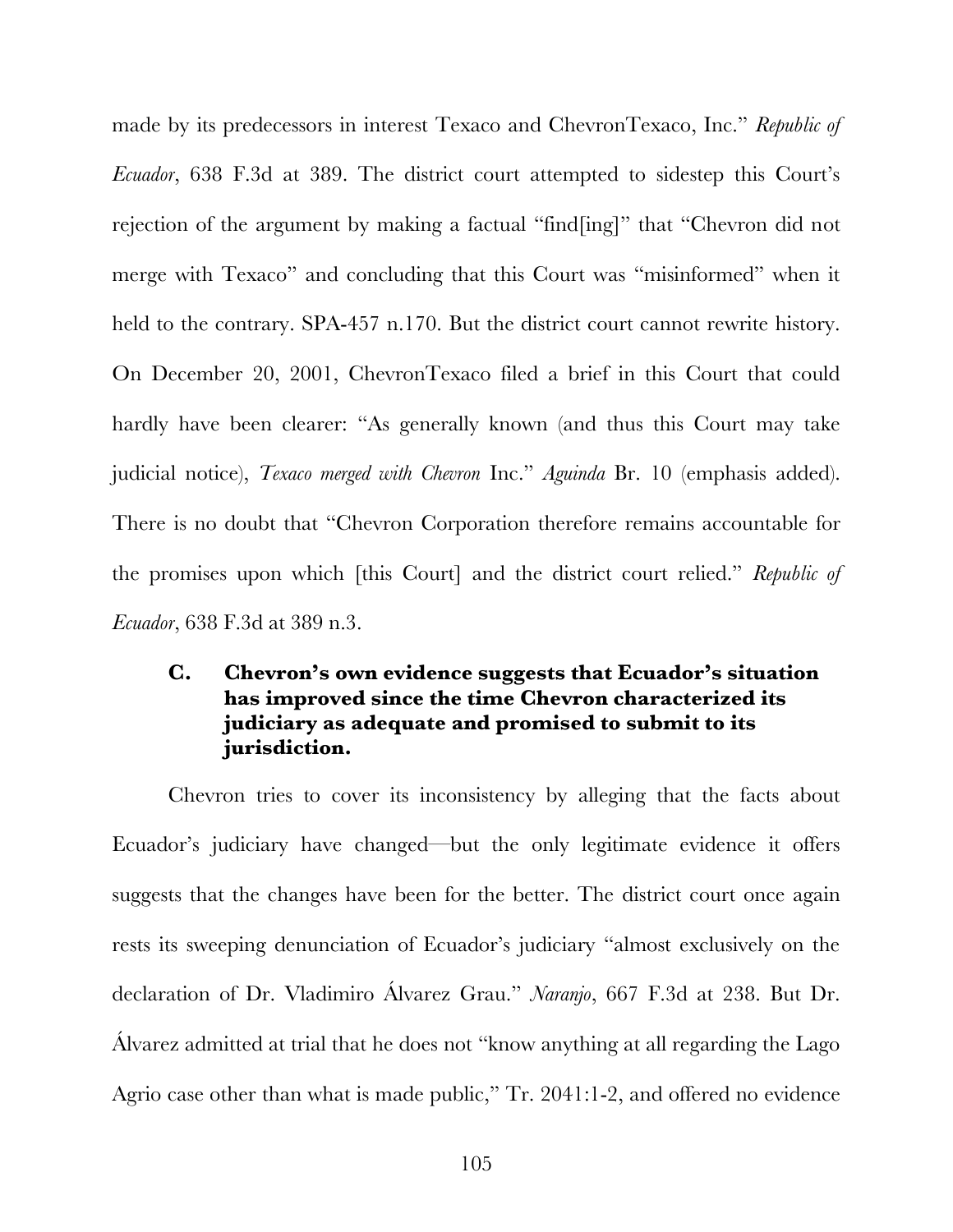made by its predecessors in interest Texaco and ChevronTexaco, Inc." *Republic of Ecuador*, 638 F.3d at 389. The district court attempted to sidestep this Court's rejection of the argument by making a factual "find[ing]" that "Chevron did not merge with Texaco" and concluding that this Court was "misinformed" when it held to the contrary. SPA-457 n.170. But the district court cannot rewrite history. On December 20, 2001, ChevronTexaco filed a brief in this Court that could hardly have been clearer: "As generally known (and thus this Court may take judicial notice), *Texaco merged with Chevron* Inc." *Aguinda* Br. 10 (emphasis added). There is no doubt that "Chevron Corporation therefore remains accountable for the promises upon which [this Court] and the district court relied." *Republic of Ecuador*, 638 F.3d at 389 n.3.

## **C. Chevron's own evidence suggests that Ecuador's situation has improved since the time Chevron characterized its judiciary as adequate and promised to submit to its jurisdiction.**

Chevron tries to cover its inconsistency by alleging that the facts about Ecuador's judiciary have changed—but the only legitimate evidence it offers suggests that the changes have been for the better. The district court once again rests its sweeping denunciation of Ecuador's judiciary "almost exclusively on the declaration of Dr. Vladimiro Álvarez Grau." *Naranjo*, 667 F.3d at 238. But Dr. Álvarez admitted at trial that he does not "know anything at all regarding the Lago Agrio case other than what is made public," Tr. 2041:1-2, and offered no evidence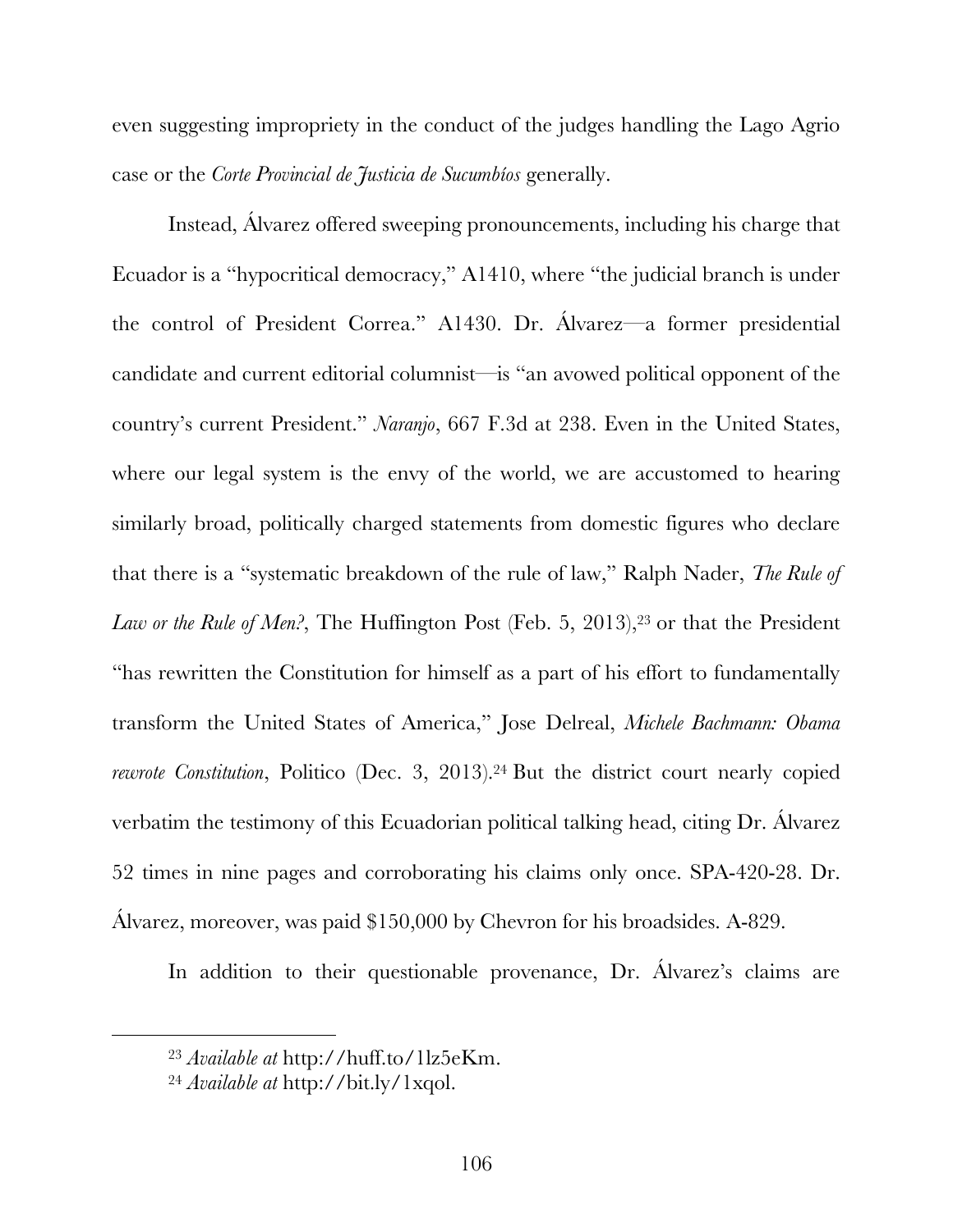even suggesting impropriety in the conduct of the judges handling the Lago Agrio case or the *Corte Provincial de Justicia de Sucumbíos* generally.

Instead, Álvarez offered sweeping pronouncements, including his charge that Ecuador is a "hypocritical democracy," A1410, where "the judicial branch is under the control of President Correa." A1430. Dr. Álvarez—a former presidential candidate and current editorial columnist—is "an avowed political opponent of the country's current President." *Naranjo*, 667 F.3d at 238. Even in the United States, where our legal system is the envy of the world, we are accustomed to hearing similarly broad, politically charged statements from domestic figures who declare that there is a "systematic breakdown of the rule of law," Ralph Nader, *The Rule of*  Law or the Rule of Men?, The Huffington Post (Feb. 5, 2013),<sup>23</sup> or that the President "has rewritten the Constitution for himself as a part of his effort to fundamentally transform the United States of America," Jose Delreal, *Michele Bachmann: Obama rewrote Constitution*, Politico (Dec. 3, 2013).<sup>24</sup> But the district court nearly copied verbatim the testimony of this Ecuadorian political talking head, citing Dr. Álvarez 52 times in nine pages and corroborating his claims only once. SPA-420-28. Dr. Álvarez, moreover, was paid \$150,000 by Chevron for his broadsides. A-829.

In addition to their questionable provenance, Dr. Álvarez's claims are

 <sup>23</sup> *Available at* http://huff.to/1lz5eKm.

<sup>24</sup> *Available at* http://bit.ly/1xqol.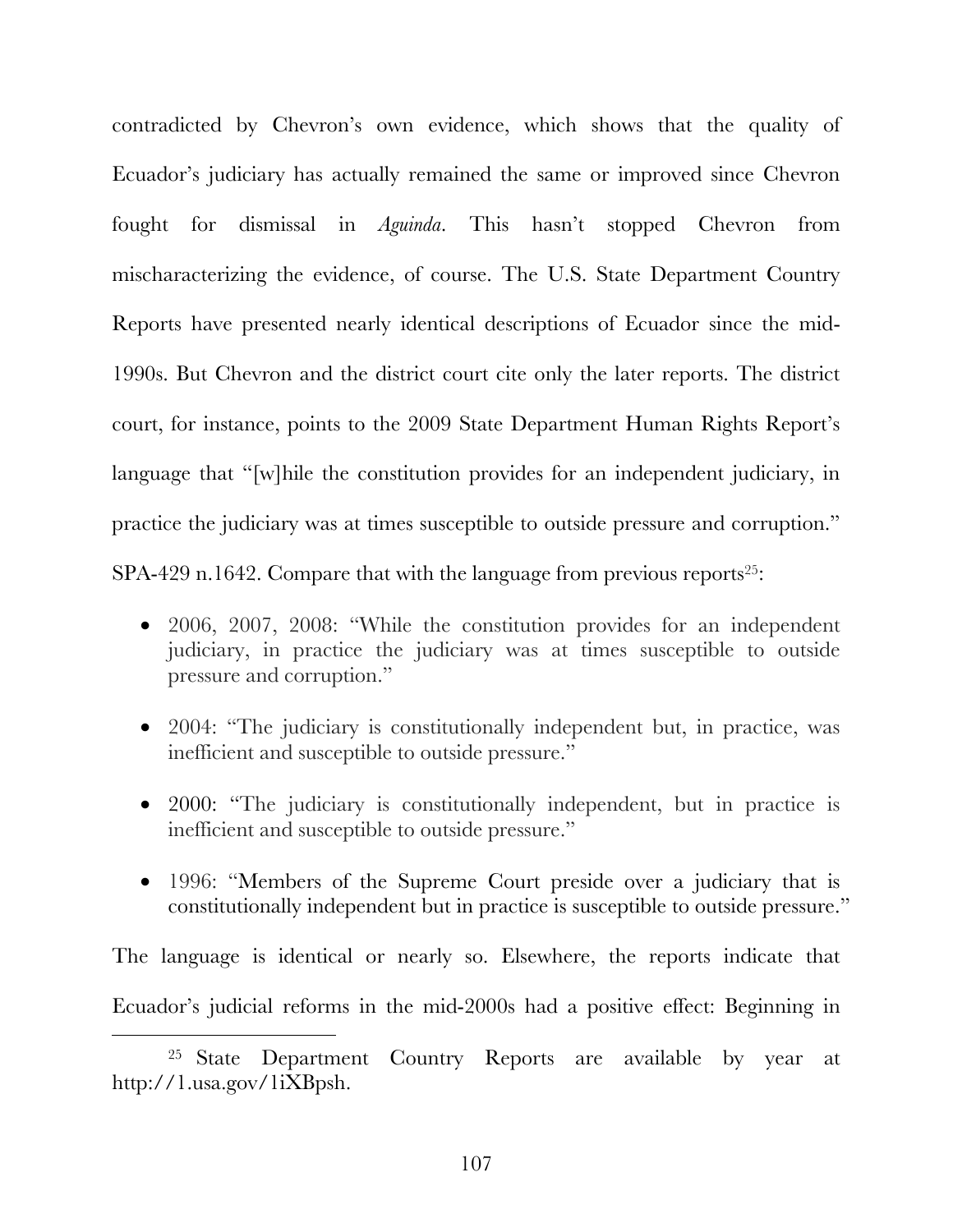contradicted by Chevron's own evidence, which shows that the quality of Ecuador's judiciary has actually remained the same or improved since Chevron fought for dismissal in *Aguinda*. This hasn't stopped Chevron from mischaracterizing the evidence, of course. The U.S. State Department Country Reports have presented nearly identical descriptions of Ecuador since the mid-1990s. But Chevron and the district court cite only the later reports. The district court, for instance, points to the 2009 State Department Human Rights Report's language that "[w]hile the constitution provides for an independent judiciary, in practice the judiciary was at times susceptible to outside pressure and corruption." SPA-429 n.1642. Compare that with the language from previous reports<sup>25</sup>:

- 2006, 2007, 2008: "While the constitution provides for an independent judiciary, in practice the judiciary was at times susceptible to outside pressure and corruption."
- 2004: "The judiciary is constitutionally independent but, in practice, was inefficient and susceptible to outside pressure."
- 2000: "The judiciary is constitutionally independent, but in practice is inefficient and susceptible to outside pressure."
- 1996: "Members of the Supreme Court preside over a judiciary that is constitutionally independent but in practice is susceptible to outside pressure."

The language is identical or nearly so. Elsewhere, the reports indicate that Ecuador's judicial reforms in the mid-2000s had a positive effect: Beginning in

<sup>&</sup>lt;sup>25</sup> State Department Country Reports are available by year at http://1.usa.gov/1iXBpsh.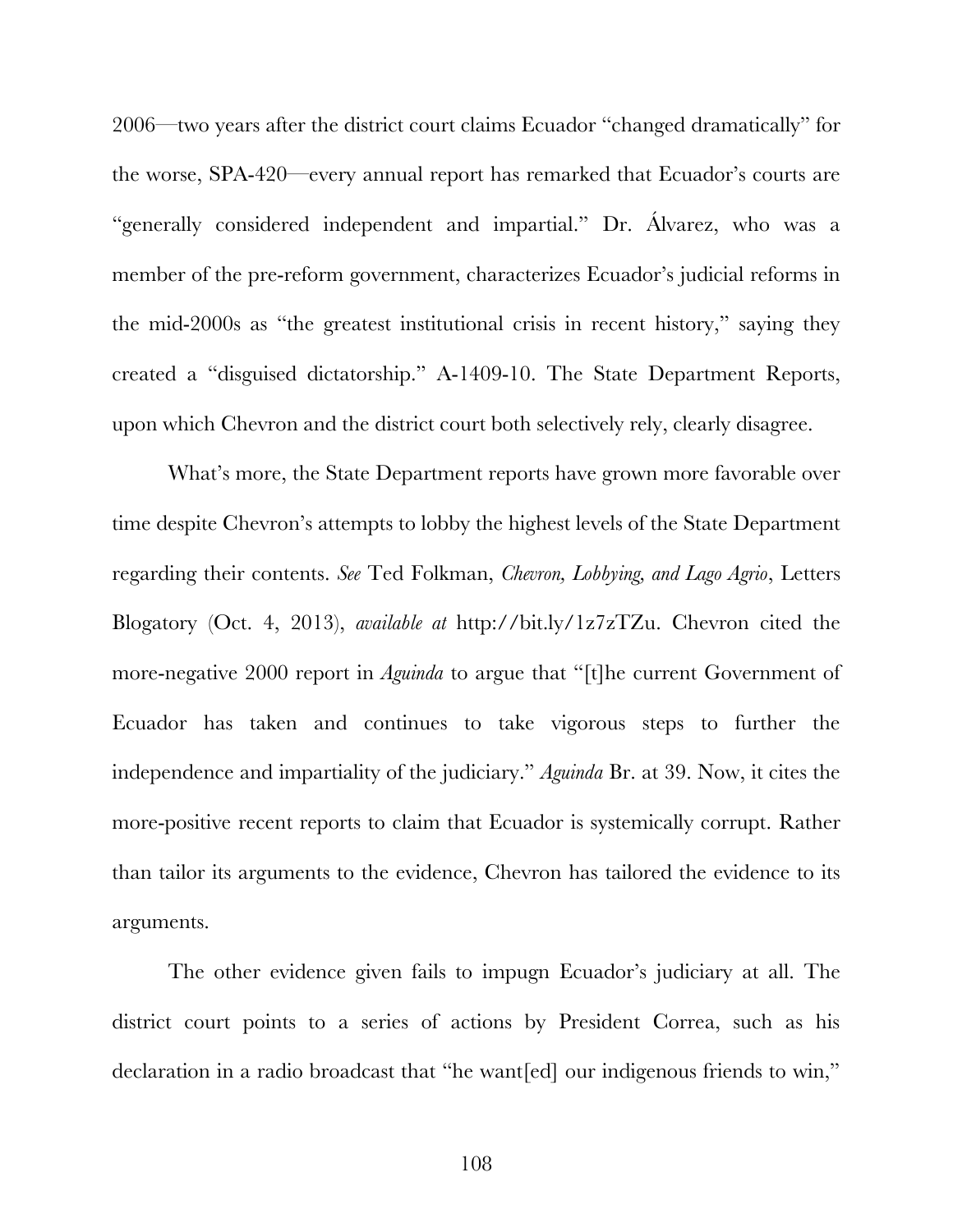2006—two years after the district court claims Ecuador "changed dramatically" for the worse, SPA-420—every annual report has remarked that Ecuador's courts are "generally considered independent and impartial." Dr. Álvarez, who was a member of the pre-reform government, characterizes Ecuador's judicial reforms in the mid-2000s as "the greatest institutional crisis in recent history," saying they created a "disguised dictatorship." A-1409-10. The State Department Reports, upon which Chevron and the district court both selectively rely, clearly disagree.

What's more, the State Department reports have grown more favorable over time despite Chevron's attempts to lobby the highest levels of the State Department regarding their contents. *See* Ted Folkman, *Chevron, Lobbying, and Lago Agrio*, Letters Blogatory (Oct. 4, 2013), *available at* http://bit.ly/1z7zTZu. Chevron cited the more-negative 2000 report in *Aguinda* to argue that "[t]he current Government of Ecuador has taken and continues to take vigorous steps to further the independence and impartiality of the judiciary." *Aguinda* Br. at 39. Now, it cites the more-positive recent reports to claim that Ecuador is systemically corrupt. Rather than tailor its arguments to the evidence, Chevron has tailored the evidence to its arguments.

The other evidence given fails to impugn Ecuador's judiciary at all. The district court points to a series of actions by President Correa, such as his declaration in a radio broadcast that "he want[ed] our indigenous friends to win,"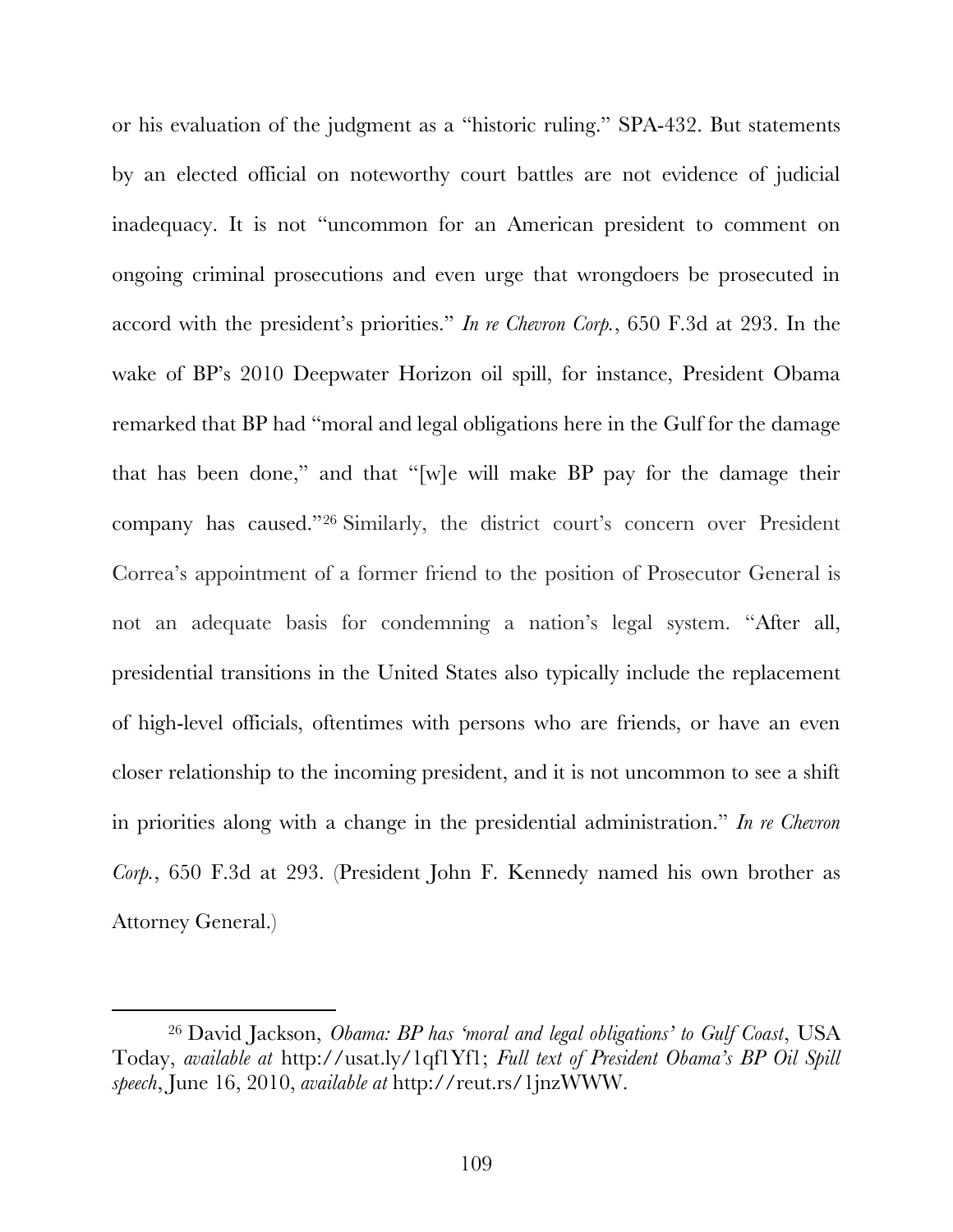or his evaluation of the judgment as a "historic ruling." SPA-432. But statements by an elected official on noteworthy court battles are not evidence of judicial inadequacy. It is not "uncommon for an American president to comment on ongoing criminal prosecutions and even urge that wrongdoers be prosecuted in accord with the president's priorities." *In re Chevron Corp.*, 650 F.3d at 293. In the wake of BP's 2010 Deepwater Horizon oil spill, for instance, President Obama remarked that BP had "moral and legal obligations here in the Gulf for the damage that has been done," and that "[w]e will make BP pay for the damage their company has caused."<sup>26</sup> Similarly, the district court's concern over President Correa's appointment of a former friend to the position of Prosecutor General is not an adequate basis for condemning a nation's legal system. "After all, presidential transitions in the United States also typically include the replacement of high-level officials, oftentimes with persons who are friends, or have an even closer relationship to the incoming president, and it is not uncommon to see a shift in priorities along with a change in the presidential administration." *In re Chevron Corp.*, 650 F.3d at 293. (President John F. Kennedy named his own brother as Attorney General.)

 <sup>26</sup> David Jackson, *Obama: BP has 'moral and legal obligations' to Gulf Coast*, USA Today, *available at* http://usat.ly/1qf1Yf1; *Full text of President Obama's BP Oil Spill speech*, June 16, 2010, *available at* http://reut.rs/1jnzWWW.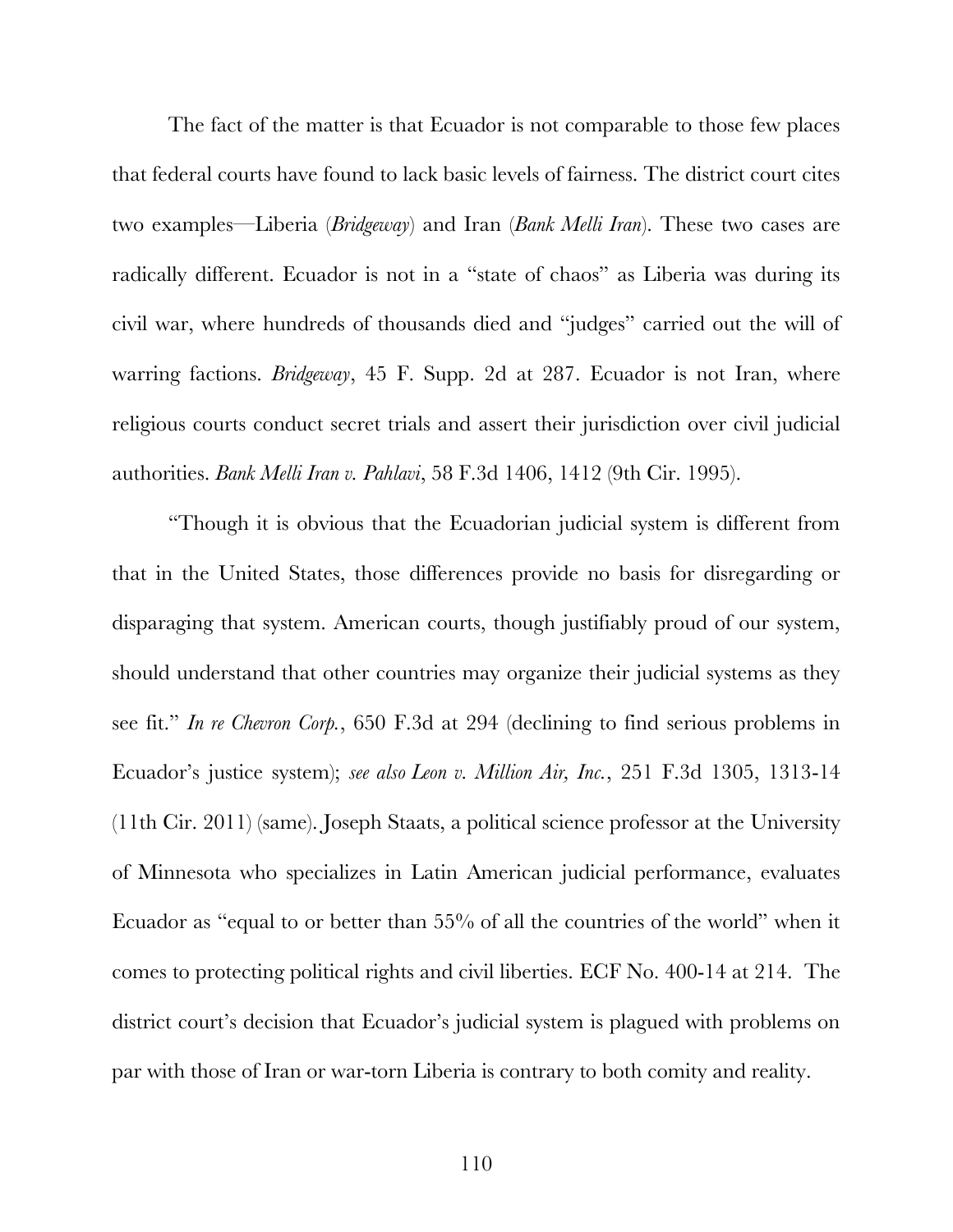The fact of the matter is that Ecuador is not comparable to those few places that federal courts have found to lack basic levels of fairness. The district court cites two examples—Liberia (*Bridgeway*) and Iran (*Bank Melli Iran*). These two cases are radically different. Ecuador is not in a "state of chaos" as Liberia was during its civil war, where hundreds of thousands died and "judges" carried out the will of warring factions. *Bridgeway*, 45 F. Supp. 2d at 287. Ecuador is not Iran, where religious courts conduct secret trials and assert their jurisdiction over civil judicial authorities. *Bank Melli Iran v. Pahlavi*, 58 F.3d 1406, 1412 (9th Cir. 1995).

"Though it is obvious that the Ecuadorian judicial system is different from that in the United States, those differences provide no basis for disregarding or disparaging that system. American courts, though justifiably proud of our system, should understand that other countries may organize their judicial systems as they see fit." *In re Chevron Corp.*, 650 F.3d at 294 (declining to find serious problems in Ecuador's justice system); *see also Leon v. Million Air, Inc.*, 251 F.3d 1305, 1313-14 (11th Cir. 2011) (same). Joseph Staats, a political science professor at the University of Minnesota who specializes in Latin American judicial performance, evaluates Ecuador as "equal to or better than 55% of all the countries of the world" when it comes to protecting political rights and civil liberties. ECF No. 400-14 at 214. The district court's decision that Ecuador's judicial system is plagued with problems on par with those of Iran or war-torn Liberia is contrary to both comity and reality.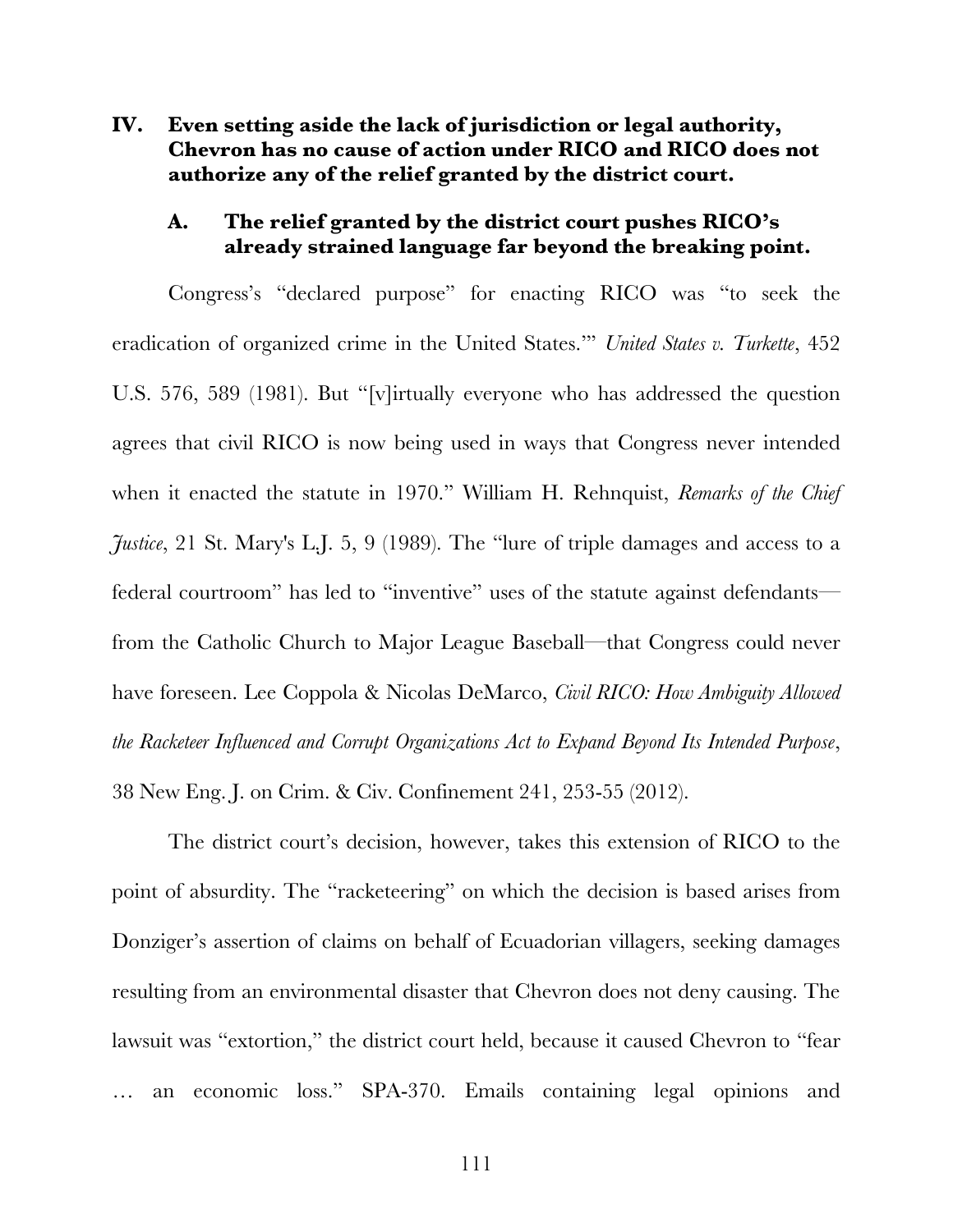**IV. Even setting aside the lack of jurisdiction or legal authority, Chevron has no cause of action under RICO and RICO does not authorize any of the relief granted by the district court.**

#### **A. The relief granted by the district court pushes RICO's already strained language far beyond the breaking point.**

Congress's "declared purpose" for enacting RICO was "to seek the eradication of organized crime in the United States.'" *United States v. Turkette*, 452 U.S. 576, 589 (1981). But "[v]irtually everyone who has addressed the question agrees that civil RICO is now being used in ways that Congress never intended when it enacted the statute in 1970." William H. Rehnquist, *Remarks of the Chief Justice*, 21 St. Mary's L.J. 5, 9 (1989). The "lure of triple damages and access to a federal courtroom" has led to "inventive" uses of the statute against defendants from the Catholic Church to Major League Baseball—that Congress could never have foreseen. Lee Coppola & Nicolas DeMarco, *Civil RICO: How Ambiguity Allowed the Racketeer Influenced and Corrupt Organizations Act to Expand Beyond Its Intended Purpose*, 38 New Eng. J. on Crim. & Civ. Confinement 241, 253-55 (2012).

The district court's decision, however, takes this extension of RICO to the point of absurdity. The "racketeering" on which the decision is based arises from Donziger's assertion of claims on behalf of Ecuadorian villagers, seeking damages resulting from an environmental disaster that Chevron does not deny causing. The lawsuit was "extortion," the district court held, because it caused Chevron to "fear … an economic loss." SPA-370. Emails containing legal opinions and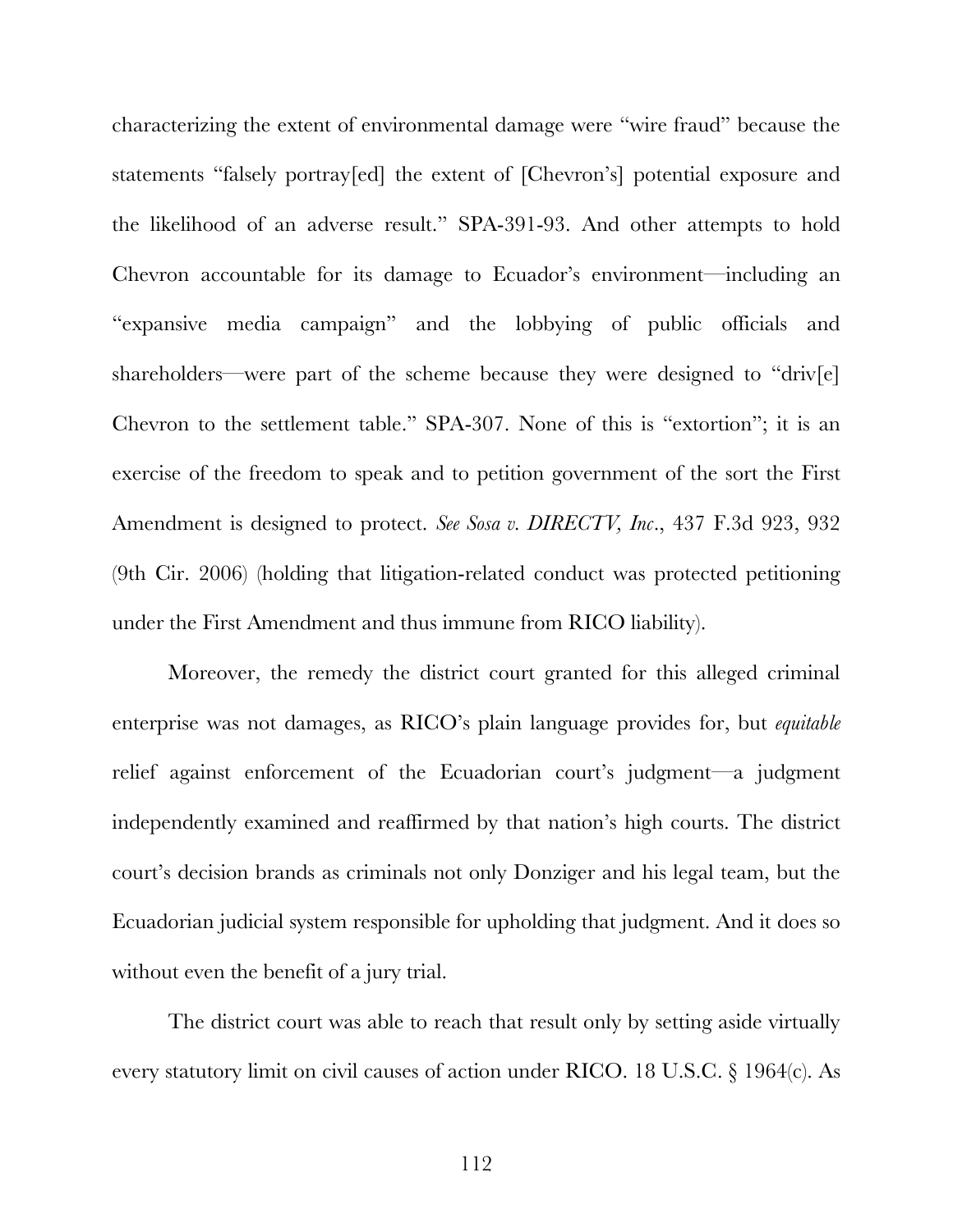characterizing the extent of environmental damage were "wire fraud" because the statements "falsely portray[ed] the extent of [Chevron's] potential exposure and the likelihood of an adverse result." SPA-391-93. And other attempts to hold Chevron accountable for its damage to Ecuador's environment—including an "expansive media campaign" and the lobbying of public officials and shareholders—were part of the scheme because they were designed to "driv[e] Chevron to the settlement table." SPA-307. None of this is "extortion"; it is an exercise of the freedom to speak and to petition government of the sort the First Amendment is designed to protect. *See Sosa v. DIRECTV, Inc*., 437 F.3d 923, 932 (9th Cir. 2006) (holding that litigation-related conduct was protected petitioning under the First Amendment and thus immune from RICO liability).

Moreover, the remedy the district court granted for this alleged criminal enterprise was not damages, as RICO's plain language provides for, but *equitable* relief against enforcement of the Ecuadorian court's judgment—a judgment independently examined and reaffirmed by that nation's high courts. The district court's decision brands as criminals not only Donziger and his legal team, but the Ecuadorian judicial system responsible for upholding that judgment. And it does so without even the benefit of a jury trial.

The district court was able to reach that result only by setting aside virtually every statutory limit on civil causes of action under RICO. 18 U.S.C. § 1964(c). As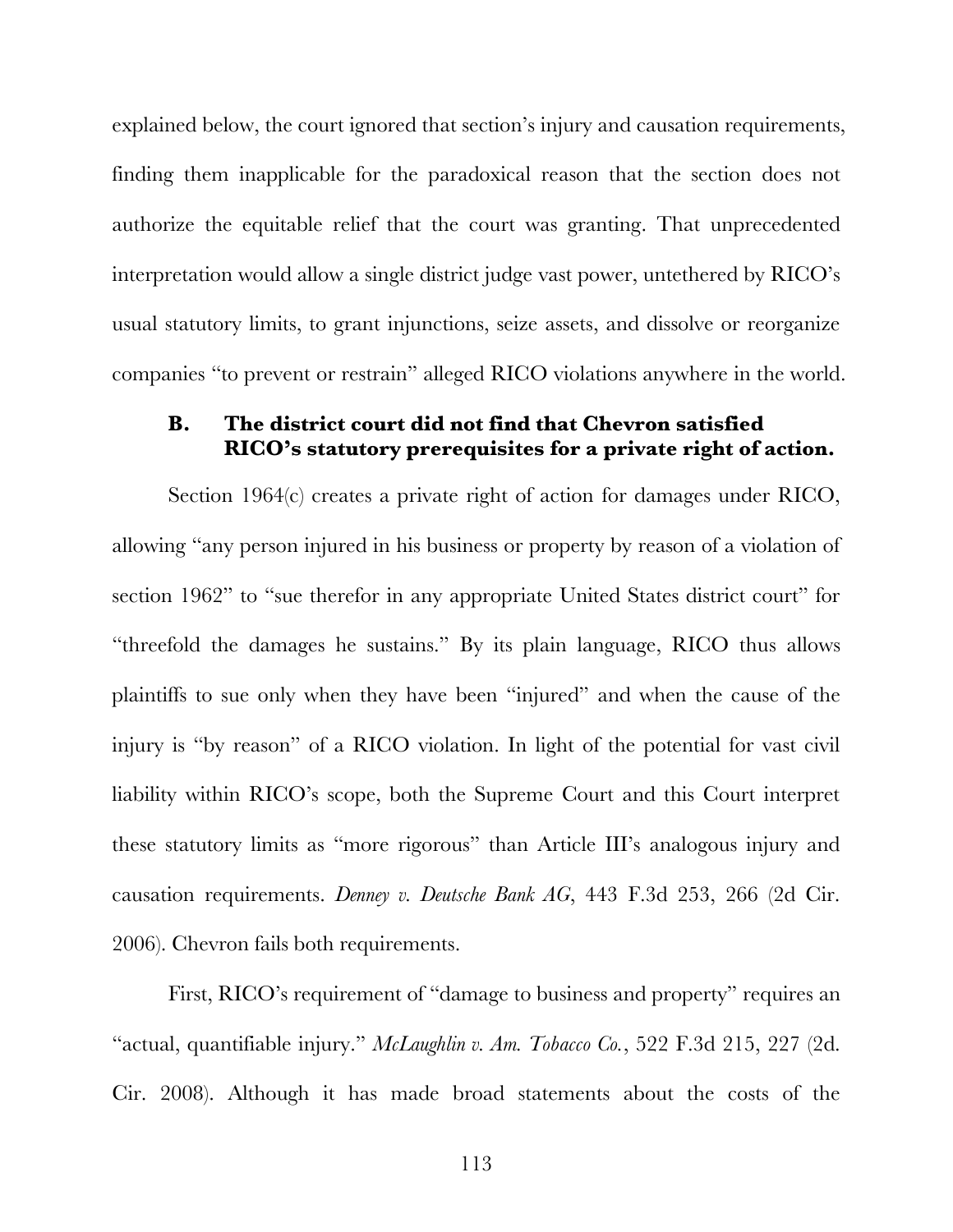explained below, the court ignored that section's injury and causation requirements, finding them inapplicable for the paradoxical reason that the section does not authorize the equitable relief that the court was granting. That unprecedented interpretation would allow a single district judge vast power, untethered by RICO's usual statutory limits, to grant injunctions, seize assets, and dissolve or reorganize companies "to prevent or restrain" alleged RICO violations anywhere in the world.

#### **B. The district court did not find that Chevron satisfied RICO's statutory prerequisites for a private right of action.**

Section 1964(c) creates a private right of action for damages under RICO, allowing "any person injured in his business or property by reason of a violation of section 1962" to "sue therefor in any appropriate United States district court" for "threefold the damages he sustains." By its plain language, RICO thus allows plaintiffs to sue only when they have been "injured" and when the cause of the injury is "by reason" of a RICO violation. In light of the potential for vast civil liability within RICO's scope, both the Supreme Court and this Court interpret these statutory limits as "more rigorous" than Article III's analogous injury and causation requirements. *Denney v. Deutsche Bank AG*, 443 F.3d 253, 266 (2d Cir. 2006). Chevron fails both requirements.

First, RICO's requirement of "damage to business and property" requires an "actual, quantifiable injury." *McLaughlin v. Am. Tobacco Co.*, 522 F.3d 215, 227 (2d. Cir. 2008). Although it has made broad statements about the costs of the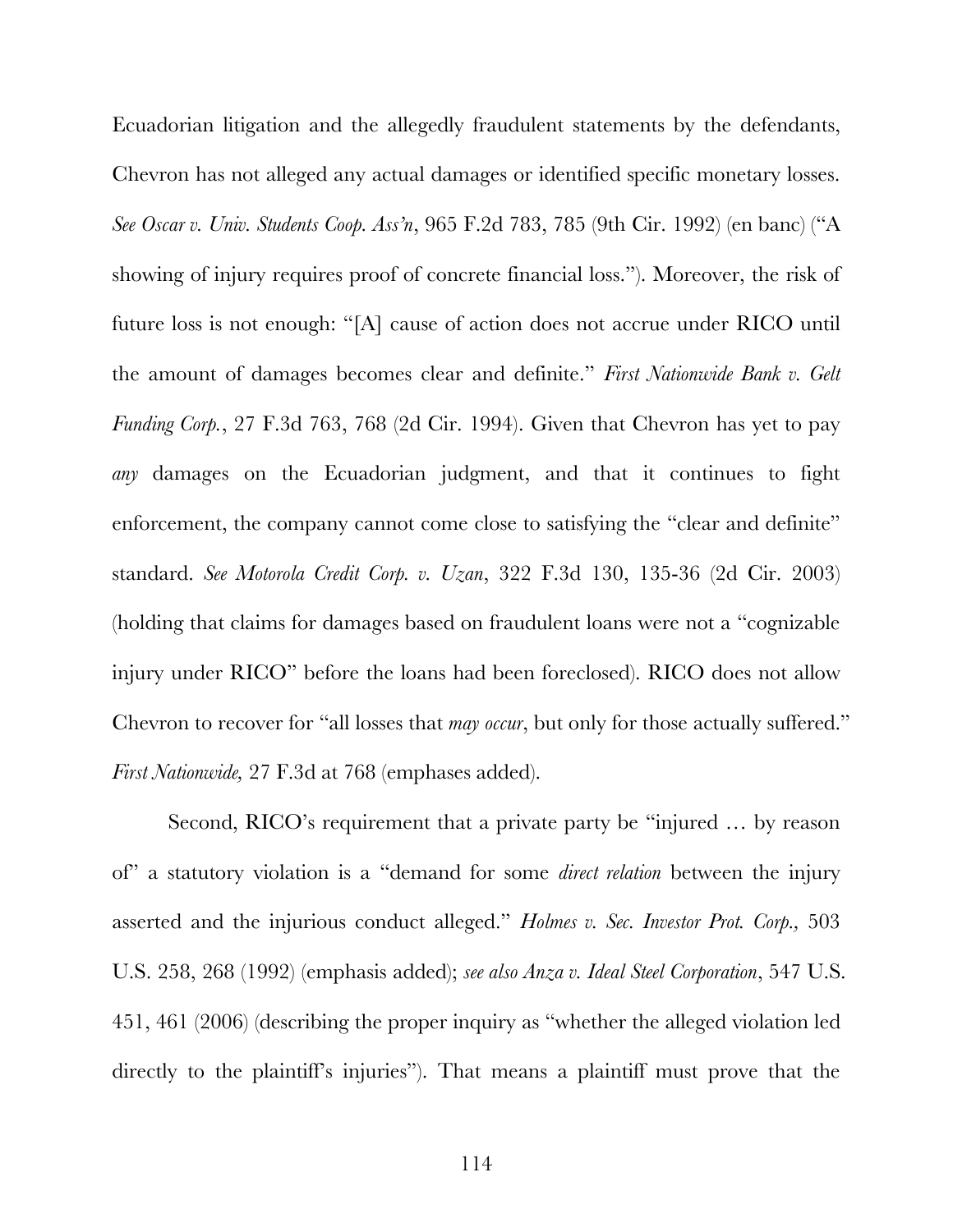Ecuadorian litigation and the allegedly fraudulent statements by the defendants, Chevron has not alleged any actual damages or identified specific monetary losses. *See Oscar v. Univ. Students Coop. Ass'n*, 965 F.2d 783, 785 (9th Cir. 1992) (en banc) ("A showing of injury requires proof of concrete financial loss."). Moreover, the risk of future loss is not enough: "[A] cause of action does not accrue under RICO until the amount of damages becomes clear and definite." *First Nationwide Bank v. Gelt Funding Corp.*, 27 F.3d 763, 768 (2d Cir. 1994). Given that Chevron has yet to pay *any* damages on the Ecuadorian judgment, and that it continues to fight enforcement, the company cannot come close to satisfying the "clear and definite" standard. *See Motorola Credit Corp. v. Uzan*, 322 F.3d 130, 135-36 (2d Cir. 2003) (holding that claims for damages based on fraudulent loans were not a "cognizable injury under RICO" before the loans had been foreclosed). RICO does not allow Chevron to recover for "all losses that *may occur*, but only for those actually suffered." *First Nationwide,* 27 F.3d at 768 (emphases added).

Second, RICO's requirement that a private party be "injured … by reason of" a statutory violation is a "demand for some *direct relation* between the injury asserted and the injurious conduct alleged." *Holmes v. Sec. Investor Prot. Corp.,* 503 U.S. 258, 268 (1992) (emphasis added); *see also Anza v. Ideal Steel Corporation*, 547 U.S. 451, 461 (2006) (describing the proper inquiry as "whether the alleged violation led directly to the plaintiff's injuries"). That means a plaintiff must prove that the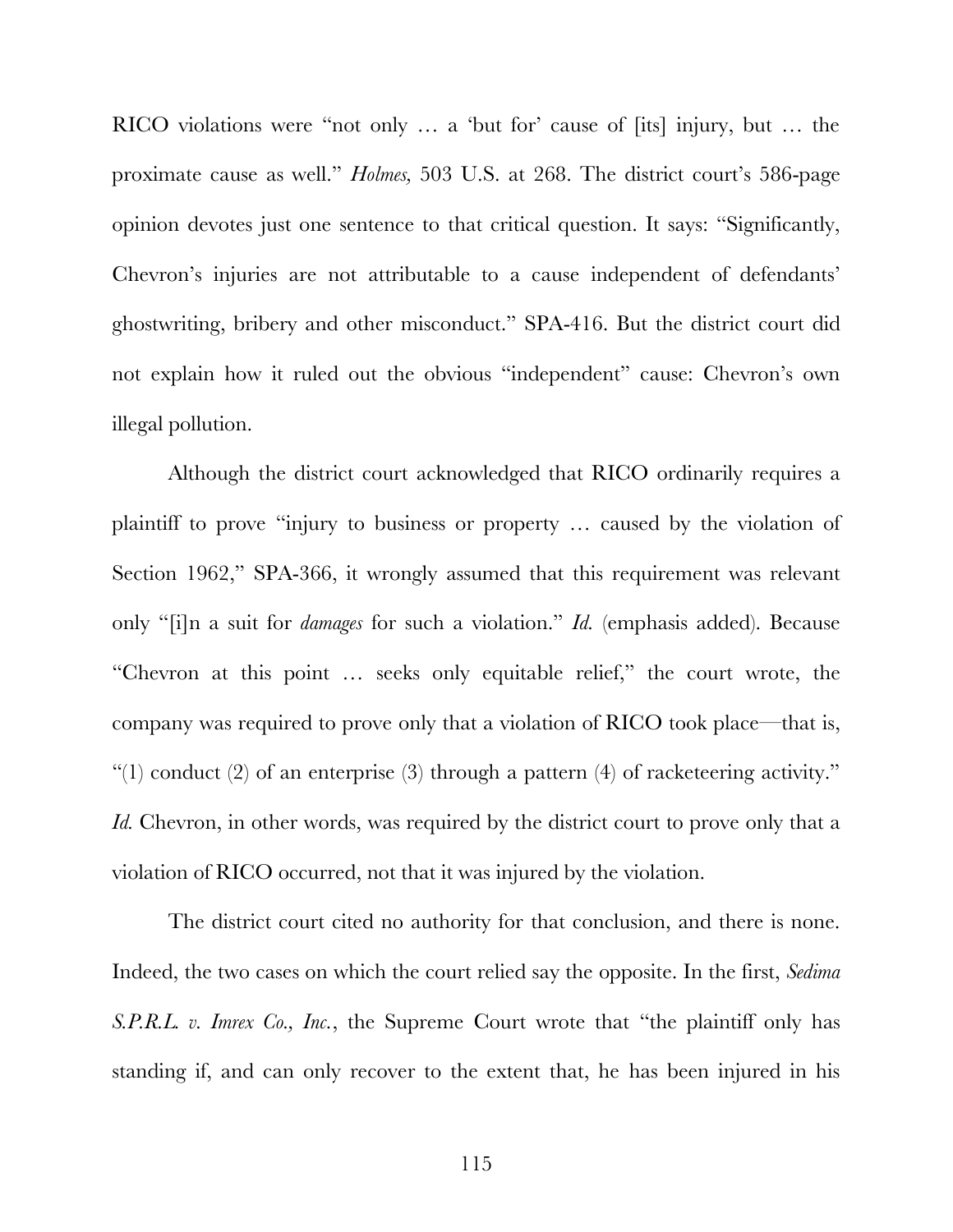RICO violations were "not only … a 'but for' cause of [its] injury, but … the proximate cause as well." *Holmes,* 503 U.S. at 268. The district court's 586-page opinion devotes just one sentence to that critical question. It says: "Significantly, Chevron's injuries are not attributable to a cause independent of defendants' ghostwriting, bribery and other misconduct." SPA-416. But the district court did not explain how it ruled out the obvious "independent" cause: Chevron's own illegal pollution.

Although the district court acknowledged that RICO ordinarily requires a plaintiff to prove "injury to business or property … caused by the violation of Section 1962," SPA-366, it wrongly assumed that this requirement was relevant only "[i]n a suit for *damages* for such a violation." *Id.* (emphasis added). Because "Chevron at this point … seeks only equitable relief," the court wrote, the company was required to prove only that a violation of RICO took place—that is, "(1) conduct (2) of an enterprise (3) through a pattern (4) of racketeering activity." *Id.* Chevron, in other words, was required by the district court to prove only that a violation of RICO occurred, not that it was injured by the violation.

The district court cited no authority for that conclusion, and there is none. Indeed, the two cases on which the court relied say the opposite. In the first, *Sedima S.P.R.L. v. Imrex Co., Inc.*, the Supreme Court wrote that "the plaintiff only has standing if, and can only recover to the extent that, he has been injured in his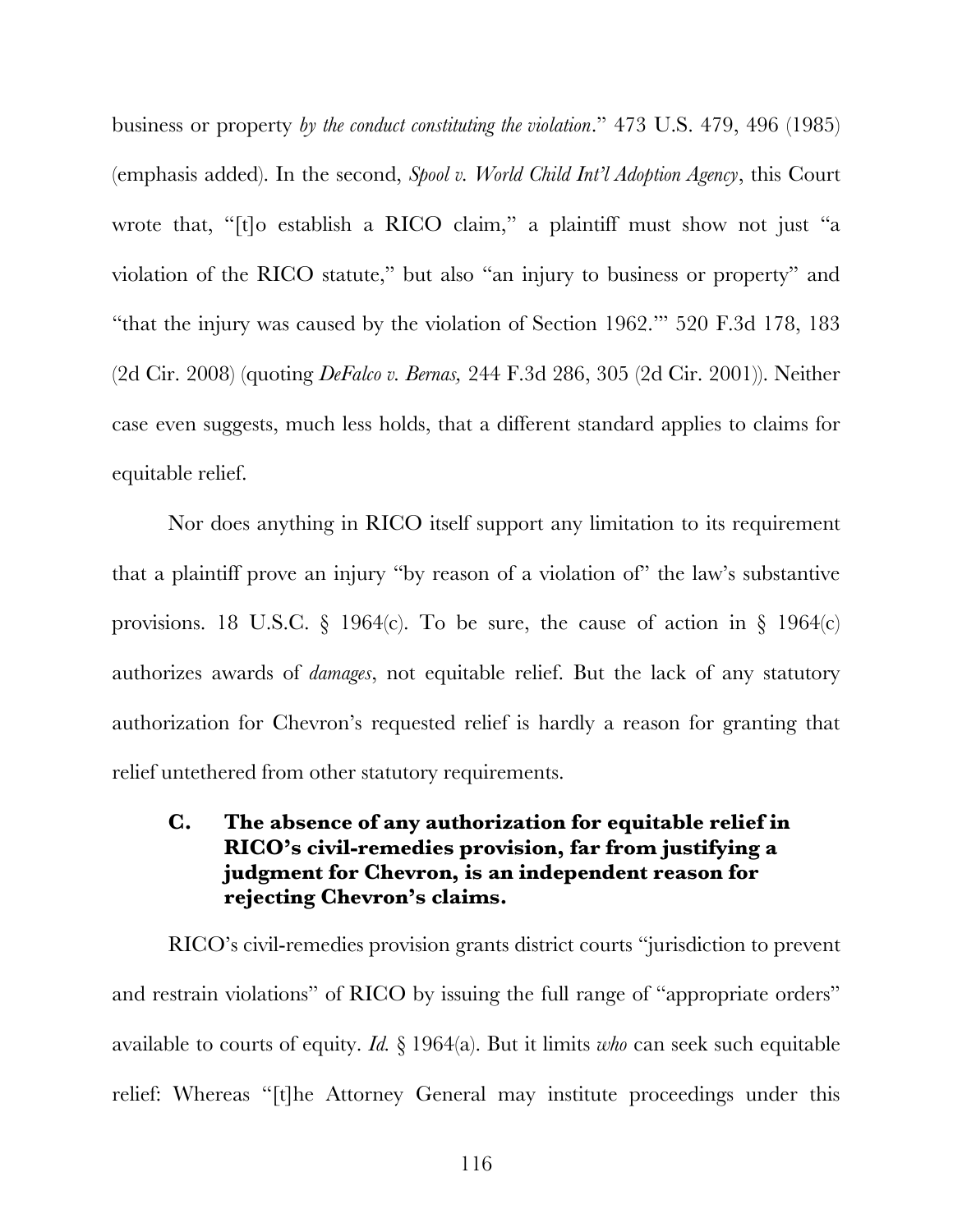business or property *by the conduct constituting the violation*." 473 U.S. 479, 496 (1985) (emphasis added). In the second, *Spool v. World Child Int'l Adoption Agency*, this Court wrote that, "[t]o establish a RICO claim," a plaintiff must show not just "a violation of the RICO statute," but also "an injury to business or property" and "that the injury was caused by the violation of Section 1962.'" 520 F.3d 178, 183 (2d Cir. 2008) (quoting *DeFalco v. Bernas,* 244 F.3d 286, 305 (2d Cir. 2001)). Neither case even suggests, much less holds, that a different standard applies to claims for equitable relief.

Nor does anything in RICO itself support any limitation to its requirement that a plaintiff prove an injury "by reason of a violation of" the law's substantive provisions. 18 U.S.C. § 1964(c). To be sure, the cause of action in § 1964(c) authorizes awards of *damages*, not equitable relief. But the lack of any statutory authorization for Chevron's requested relief is hardly a reason for granting that relief untethered from other statutory requirements.

## **C. The absence of any authorization for equitable relief in RICO's civil-remedies provision, far from justifying a judgment for Chevron, is an independent reason for rejecting Chevron's claims.**

RICO's civil-remedies provision grants district courts "jurisdiction to prevent and restrain violations" of RICO by issuing the full range of "appropriate orders" available to courts of equity. *Id.* § 1964(a). But it limits *who* can seek such equitable relief: Whereas "[t]he Attorney General may institute proceedings under this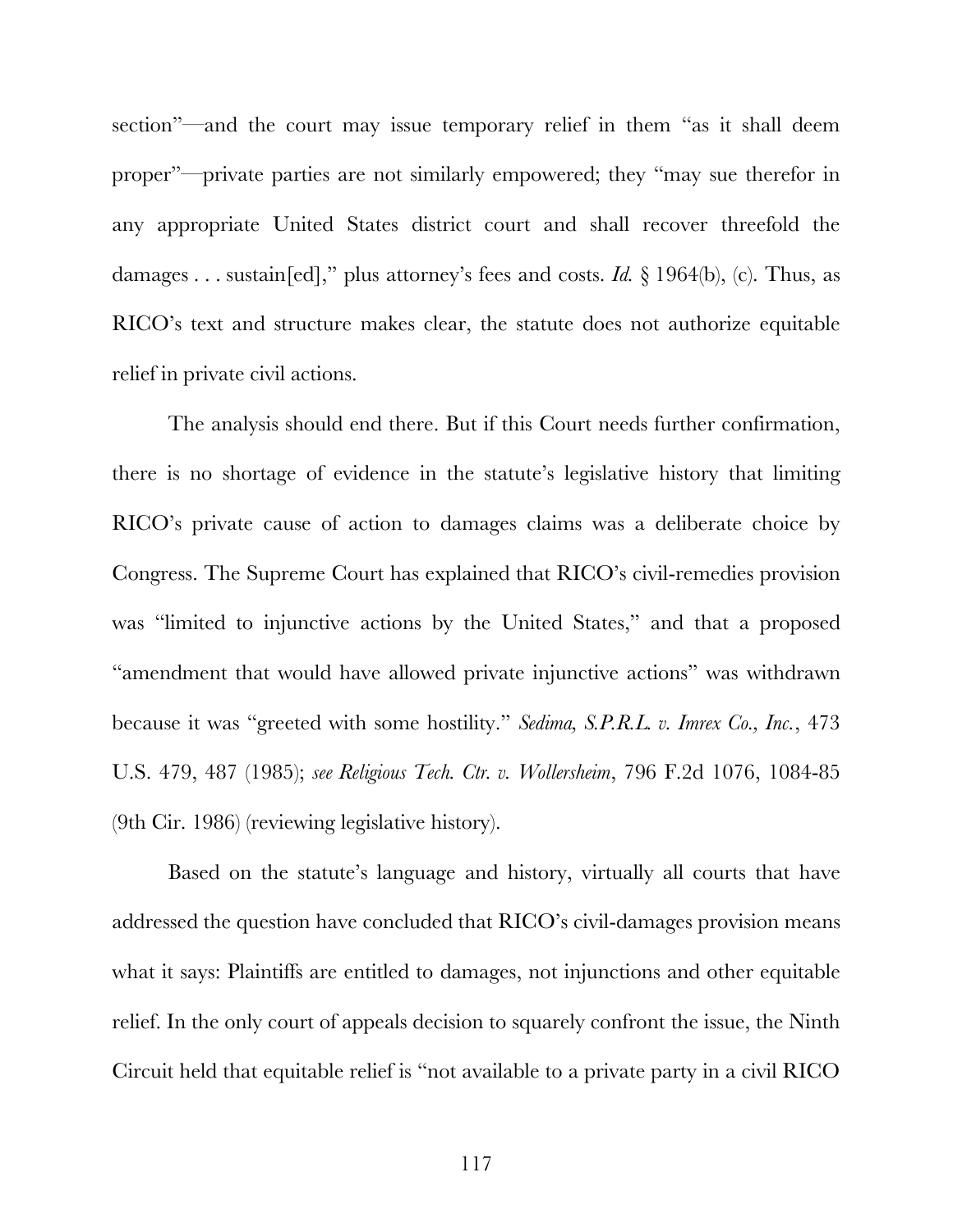section"—and the court may issue temporary relief in them "as it shall deem proper"—private parties are not similarly empowered; they "may sue therefor in any appropriate United States district court and shall recover threefold the damages . . . sustain[ed]," plus attorney's fees and costs. *Id.* § 1964(b), (c). Thus, as RICO's text and structure makes clear, the statute does not authorize equitable relief in private civil actions.

The analysis should end there. But if this Court needs further confirmation, there is no shortage of evidence in the statute's legislative history that limiting RICO's private cause of action to damages claims was a deliberate choice by Congress. The Supreme Court has explained that RICO's civil-remedies provision was "limited to injunctive actions by the United States," and that a proposed "amendment that would have allowed private injunctive actions" was withdrawn because it was "greeted with some hostility." *Sedima, S.P.R.L. v. Imrex Co., Inc.*, 473 U.S. 479, 487 (1985); *see Religious Tech. Ctr. v. Wollersheim*, 796 F.2d 1076, 1084-85 (9th Cir. 1986) (reviewing legislative history).

Based on the statute's language and history, virtually all courts that have addressed the question have concluded that RICO's civil-damages provision means what it says: Plaintiffs are entitled to damages, not injunctions and other equitable relief. In the only court of appeals decision to squarely confront the issue, the Ninth Circuit held that equitable relief is "not available to a private party in a civil RICO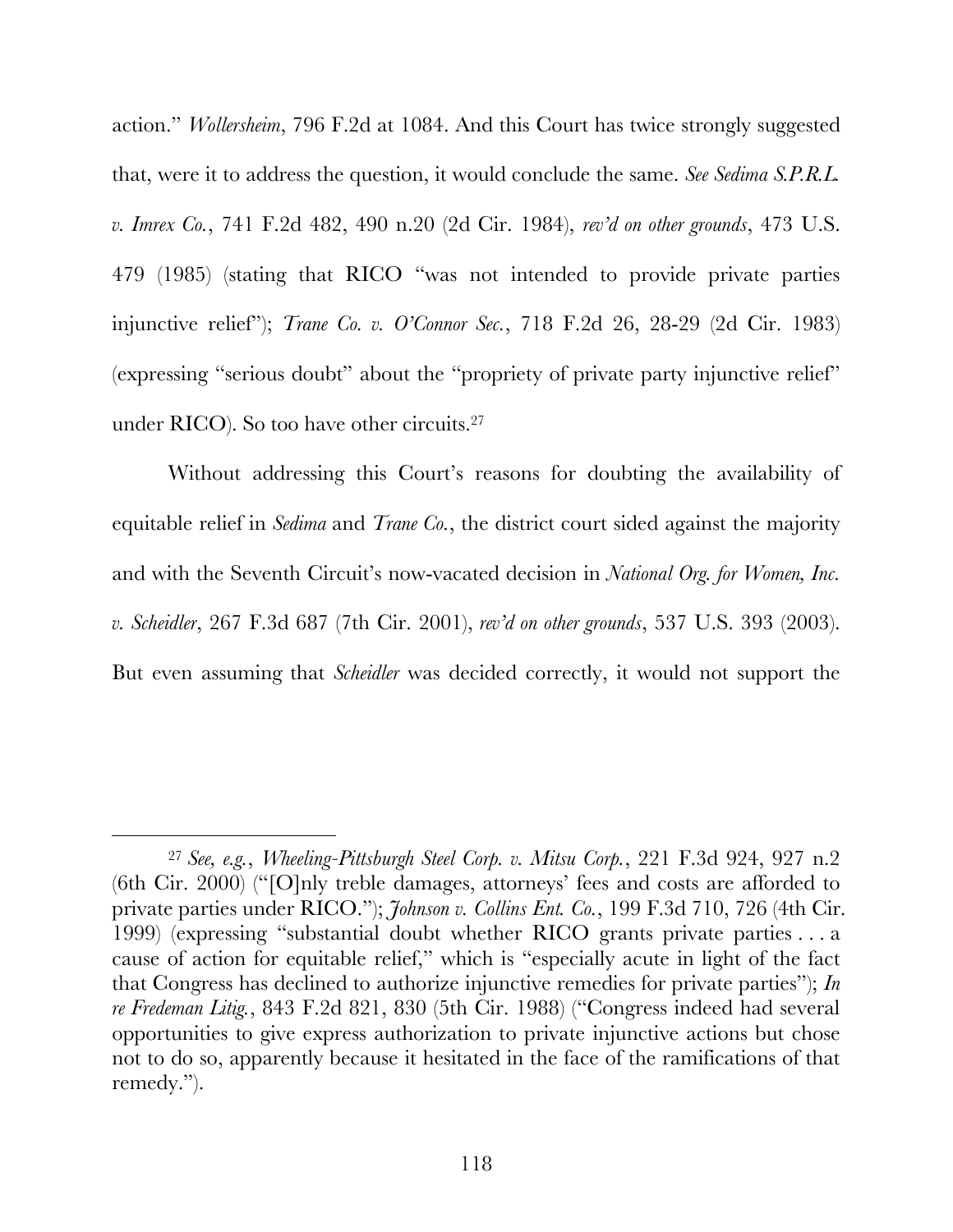action." *Wollersheim*, 796 F.2d at 1084. And this Court has twice strongly suggested that, were it to address the question, it would conclude the same. *See Sedima S.P.R.L. v. Imrex Co.*, 741 F.2d 482, 490 n.20 (2d Cir. 1984), *rev'd on other grounds*, 473 U.S. 479 (1985) (stating that RICO "was not intended to provide private parties injunctive relief"); *Trane Co. v. O'Connor Sec.*, 718 F.2d 26, 28-29 (2d Cir. 1983) (expressing "serious doubt" about the "propriety of private party injunctive relief" under RICO). So too have other circuits.27

Without addressing this Court's reasons for doubting the availability of equitable relief in *Sedima* and *Trane Co.*, the district court sided against the majority and with the Seventh Circuit's now-vacated decision in *National Org. for Women, Inc. v. Scheidler*, 267 F.3d 687 (7th Cir. 2001), *rev'd on other grounds*, 537 U.S. 393 (2003). But even assuming that *Scheidler* was decided correctly, it would not support the

 <sup>27</sup> *See, e.g.*, *Wheeling-Pittsburgh Steel Corp. v. Mitsu Corp.*, 221 F.3d 924, 927 n.2 (6th Cir. 2000) ("[O]nly treble damages, attorneys' fees and costs are afforded to private parties under RICO."); *Johnson v. Collins Ent. Co.*, 199 F.3d 710, 726 (4th Cir. 1999) (expressing "substantial doubt whether RICO grants private parties . . . a cause of action for equitable relief," which is "especially acute in light of the fact that Congress has declined to authorize injunctive remedies for private parties"); *In re Fredeman Litig.*, 843 F.2d 821, 830 (5th Cir. 1988) ("Congress indeed had several opportunities to give express authorization to private injunctive actions but chose not to do so, apparently because it hesitated in the face of the ramifications of that remedy.").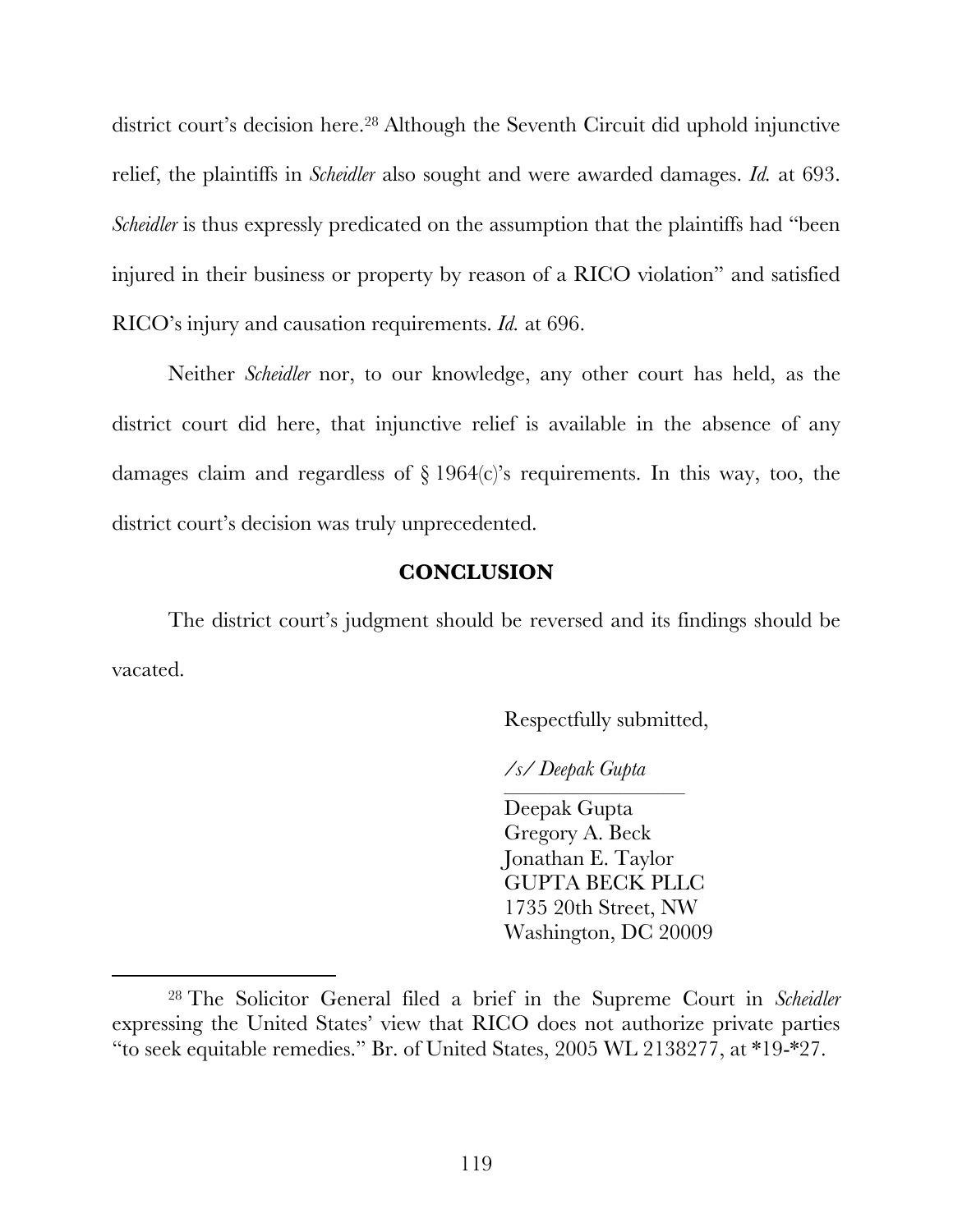district court's decision here.<sup>28</sup> Although the Seventh Circuit did uphold injunctive relief, the plaintiffs in *Scheidler* also sought and were awarded damages. *Id.* at 693. *Scheidler* is thus expressly predicated on the assumption that the plaintiffs had "been injured in their business or property by reason of a RICO violation" and satisfied RICO's injury and causation requirements. *Id.* at 696.

Neither *Scheidler* nor, to our knowledge, any other court has held, as the district court did here, that injunctive relief is available in the absence of any damages claim and regardless of § 1964(c)'s requirements. In this way, too, the district court's decision was truly unprecedented.

#### **CONCLUSION**

The district court's judgment should be reversed and its findings should be vacated.

Respectfully submitted,

*/s/ Deepak Gupta*

\_\_\_\_\_\_\_\_\_\_\_\_\_\_\_\_\_\_\_\_\_\_\_\_\_\_\_\_\_

Deepak Gupta Gregory A. Beck Jonathan E. Taylor GUPTA BECK PLLC 1735 20th Street, NW Washington, DC 20009

 <sup>28</sup> The Solicitor General filed a brief in the Supreme Court in *Scheidler* expressing the United States' view that RICO does not authorize private parties "to seek equitable remedies." Br. of United States, 2005 WL 2138277, at \*19-\*27.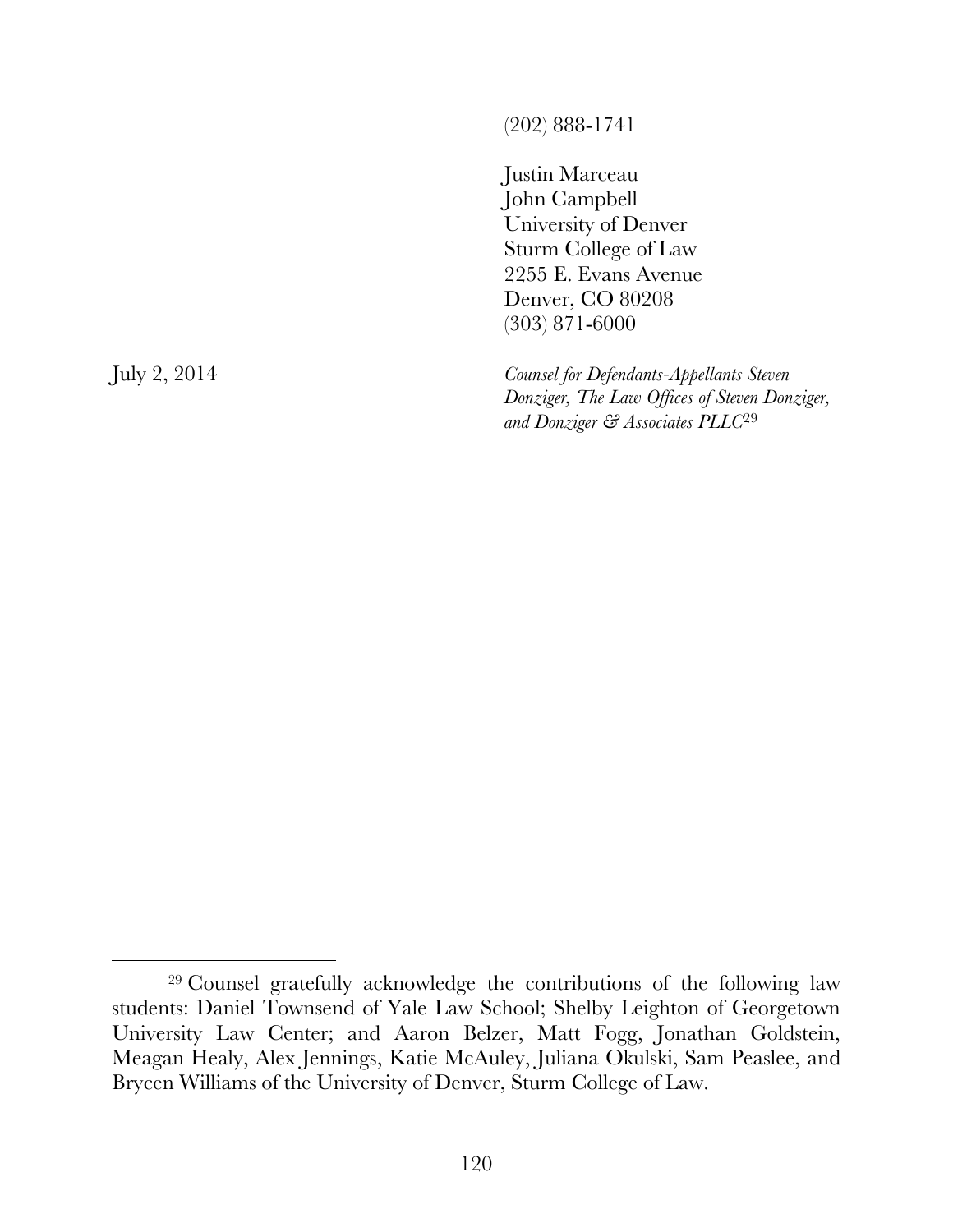(202) 888-1741

Justin Marceau John Campbell University of Denver Sturm College of Law 2255 E. Evans Avenue Denver, CO 80208 (303) 871-6000

July 2, 2014 *Counsel for Defendants-Appellants Steven Donziger, The Law Offices of Steven Donziger, and Donziger & Associates PLLC*<sup>29</sup>

 <sup>29</sup> Counsel gratefully acknowledge the contributions of the following law students: Daniel Townsend of Yale Law School; Shelby Leighton of Georgetown University Law Center; and Aaron Belzer, Matt Fogg, Jonathan Goldstein, Meagan Healy, Alex Jennings, Katie McAuley, Juliana Okulski, Sam Peaslee, and Brycen Williams of the University of Denver, Sturm College of Law.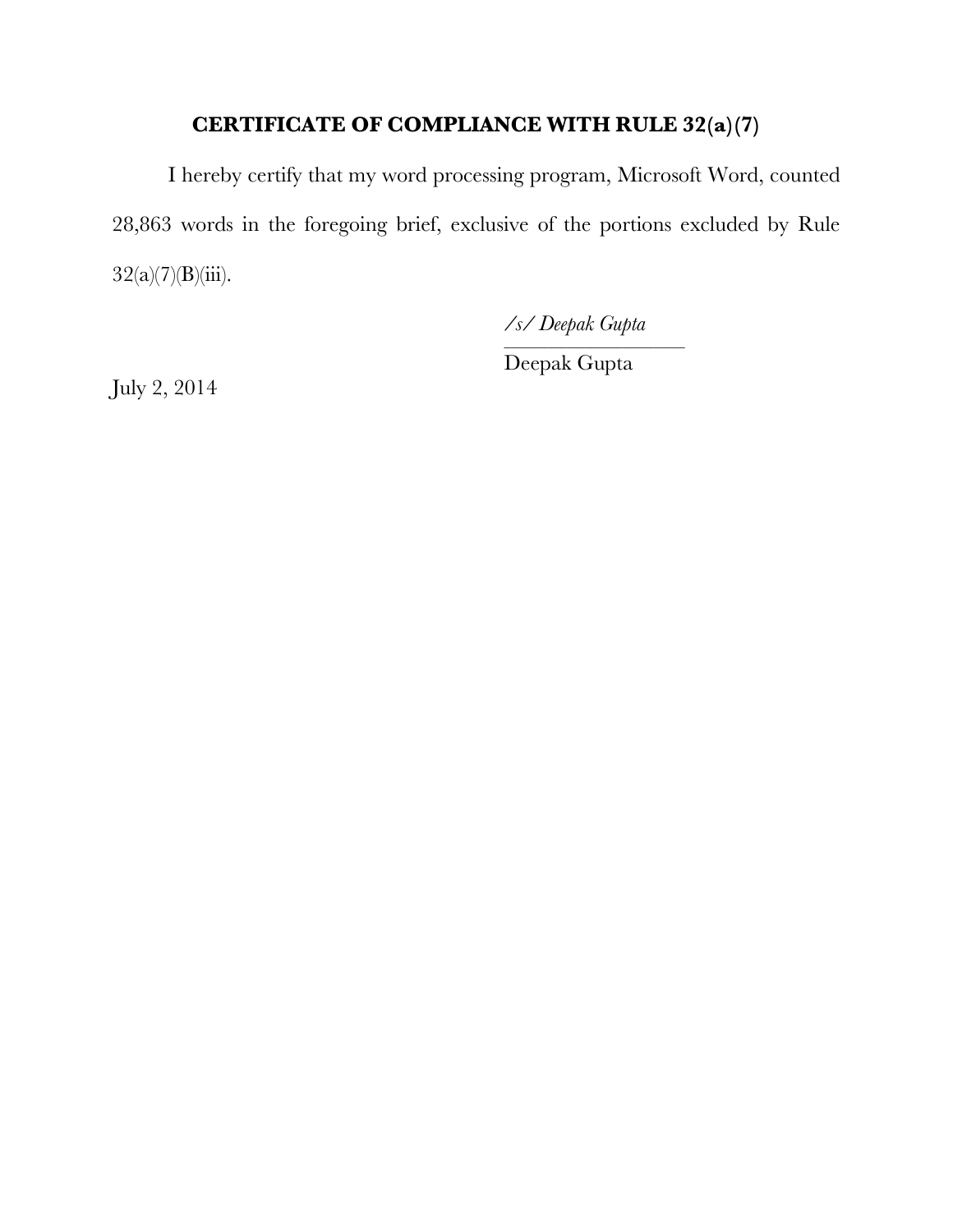# **CERTIFICATE OF COMPLIANCE WITH RULE 32(a)(7)**

I hereby certify that my word processing program, Microsoft Word, counted 28,863 words in the foregoing brief, exclusive of the portions excluded by Rule  $32(a)(7)(B)(iii)$ .

*/s/ Deepak Gupta*

\_\_\_\_\_\_\_\_\_\_\_\_\_\_\_\_\_\_\_\_\_\_\_\_\_\_\_\_\_

Deepak Gupta

July 2, 2014